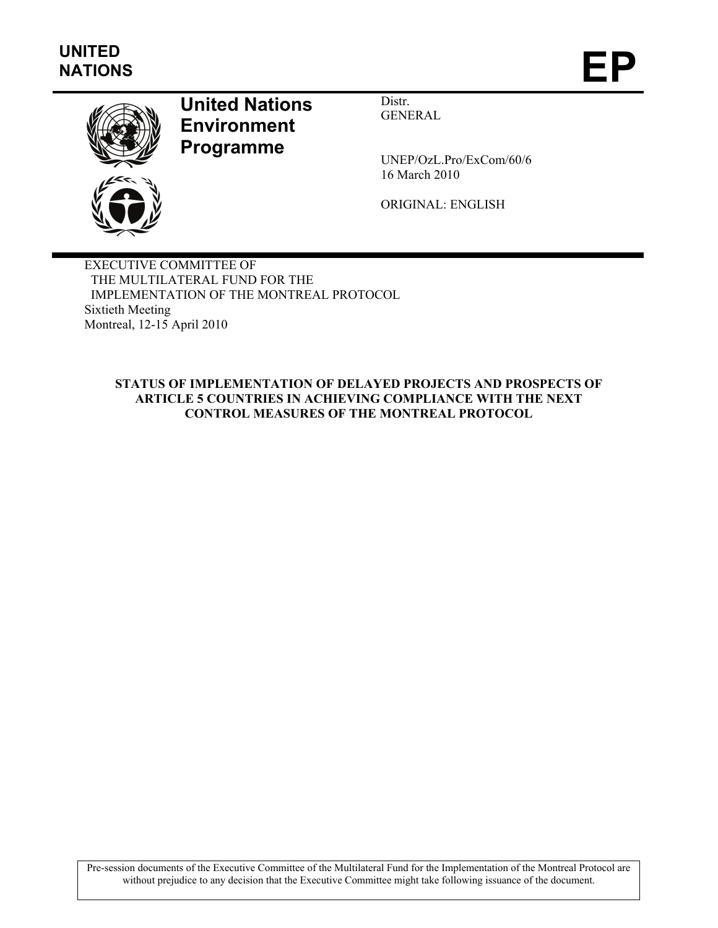

# **United Nations Environment Programme**

Distr. GENERAL

UNEP/OzL.Pro/ExCom/60/6 16 March 2010

ORIGINAL: ENGLISH

EXECUTIVE COMMITTEE OF THE MULTILATERAL FUND FOR THE IMPLEMENTATION OF THE MONTREAL PROTOCOL Sixtieth Meeting Montreal, 12-15 April 2010

#### **STATUS OF IMPLEMENTATION OF DELAYED PROJECTS AND PROSPECTS OF ARTICLE 5 COUNTRIES IN ACHIEVING COMPLIANCE WITH THE NEXT CONTROL MEASURES OF THE MONTREAL PROTOCOL**

Pre-session documents of the Executive Committee of the Multilateral Fund for the Implementation of the Montreal Protocol are without prejudice to any decision that the Executive Committee might take following issuance of the document.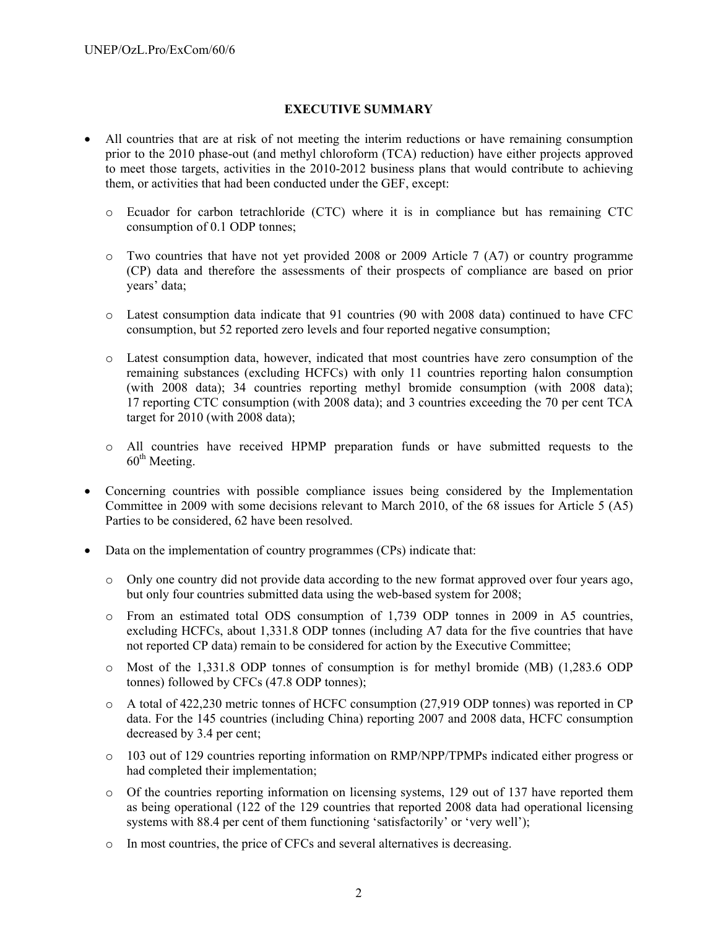#### **EXECUTIVE SUMMARY**

- All countries that are at risk of not meeting the interim reductions or have remaining consumption prior to the 2010 phase-out (and methyl chloroform (TCA) reduction) have either projects approved to meet those targets, activities in the 2010-2012 business plans that would contribute to achieving them, or activities that had been conducted under the GEF, except:
	- o Ecuador for carbon tetrachloride (CTC) where it is in compliance but has remaining CTC consumption of 0.1 ODP tonnes;
	- $\circ$  Two countries that have not yet provided 2008 or 2009 Article 7 (A7) or country programme (CP) data and therefore the assessments of their prospects of compliance are based on prior years' data;
	- o Latest consumption data indicate that 91 countries (90 with 2008 data) continued to have CFC consumption, but 52 reported zero levels and four reported negative consumption;
	- o Latest consumption data, however, indicated that most countries have zero consumption of the remaining substances (excluding HCFCs) with only 11 countries reporting halon consumption (with 2008 data); 34 countries reporting methyl bromide consumption (with 2008 data); 17 reporting CTC consumption (with 2008 data); and 3 countries exceeding the 70 per cent TCA target for 2010 (with 2008 data);
	- o All countries have received HPMP preparation funds or have submitted requests to the 60<sup>th</sup> Meeting.
- Concerning countries with possible compliance issues being considered by the Implementation Committee in 2009 with some decisions relevant to March 2010, of the 68 issues for Article 5 (A5) Parties to be considered, 62 have been resolved.
- Data on the implementation of country programmes (CPs) indicate that:
	- o Only one country did not provide data according to the new format approved over four years ago, but only four countries submitted data using the web-based system for 2008;
	- o From an estimated total ODS consumption of 1,739 ODP tonnes in 2009 in A5 countries, excluding HCFCs, about 1,331.8 ODP tonnes (including A7 data for the five countries that have not reported CP data) remain to be considered for action by the Executive Committee;
	- o Most of the 1,331.8 ODP tonnes of consumption is for methyl bromide (MB) (1,283.6 ODP tonnes) followed by CFCs (47.8 ODP tonnes);
	- o A total of 422,230 metric tonnes of HCFC consumption (27,919 ODP tonnes) was reported in CP data. For the 145 countries (including China) reporting 2007 and 2008 data, HCFC consumption decreased by 3.4 per cent;
	- o 103 out of 129 countries reporting information on RMP/NPP/TPMPs indicated either progress or had completed their implementation;
	- o Of the countries reporting information on licensing systems, 129 out of 137 have reported them as being operational (122 of the 129 countries that reported 2008 data had operational licensing systems with 88.4 per cent of them functioning 'satisfactorily' or 'very well');
	- o In most countries, the price of CFCs and several alternatives is decreasing.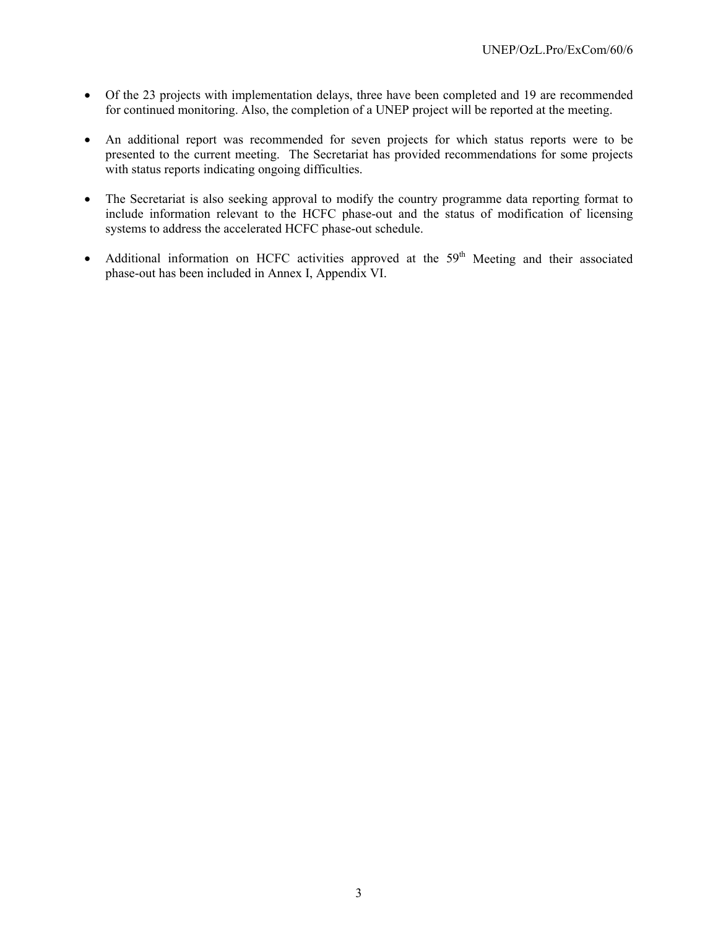- Of the 23 projects with implementation delays, three have been completed and 19 are recommended for continued monitoring. Also, the completion of a UNEP project will be reported at the meeting.
- An additional report was recommended for seven projects for which status reports were to be presented to the current meeting. The Secretariat has provided recommendations for some projects with status reports indicating ongoing difficulties.
- The Secretariat is also seeking approval to modify the country programme data reporting format to include information relevant to the HCFC phase-out and the status of modification of licensing systems to address the accelerated HCFC phase-out schedule.
- Additional information on HCFC activities approved at the  $59<sup>th</sup>$  Meeting and their associated phase-out has been included in Annex I, Appendix VI.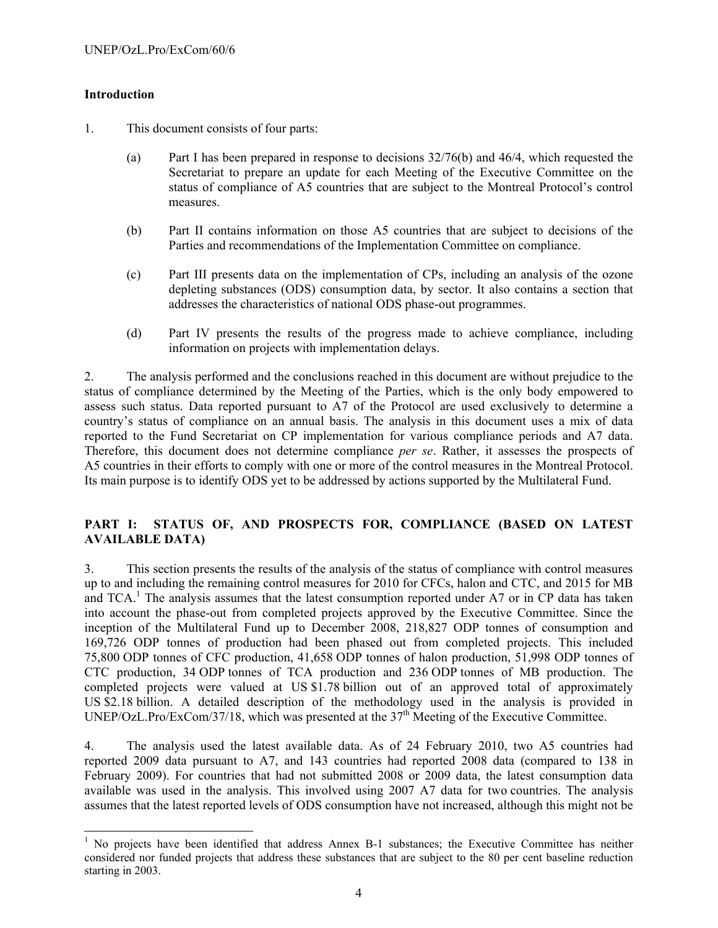### **Introduction**

1

- 1. This document consists of four parts:
	- (a) Part I has been prepared in response to decisions 32/76(b) and 46/4, which requested the Secretariat to prepare an update for each Meeting of the Executive Committee on the status of compliance of A5 countries that are subject to the Montreal Protocol's control measures.
	- (b) Part II contains information on those A5 countries that are subject to decisions of the Parties and recommendations of the Implementation Committee on compliance.
	- (c) Part III presents data on the implementation of CPs, including an analysis of the ozone depleting substances (ODS) consumption data, by sector. It also contains a section that addresses the characteristics of national ODS phase-out programmes.
	- (d) Part IV presents the results of the progress made to achieve compliance, including information on projects with implementation delays.

2. The analysis performed and the conclusions reached in this document are without prejudice to the status of compliance determined by the Meeting of the Parties, which is the only body empowered to assess such status. Data reported pursuant to A7 of the Protocol are used exclusively to determine a country's status of compliance on an annual basis. The analysis in this document uses a mix of data reported to the Fund Secretariat on CP implementation for various compliance periods and A7 data. Therefore, this document does not determine compliance *per se*. Rather, it assesses the prospects of A5 countries in their efforts to comply with one or more of the control measures in the Montreal Protocol. Its main purpose is to identify ODS yet to be addressed by actions supported by the Multilateral Fund.

### **PART I: STATUS OF, AND PROSPECTS FOR, COMPLIANCE (BASED ON LATEST AVAILABLE DATA)**

3. This section presents the results of the analysis of the status of compliance with control measures up to and including the remaining control measures for 2010 for CFCs, halon and CTC, and 2015 for MB and  $TCA$ <sup>1</sup>. The analysis assumes that the latest consumption reported under A7 or in CP data has taken into account the phase-out from completed projects approved by the Executive Committee. Since the inception of the Multilateral Fund up to December 2008, 218,827 ODP tonnes of consumption and 169,726 ODP tonnes of production had been phased out from completed projects. This included 75,800 ODP tonnes of CFC production, 41,658 ODP tonnes of halon production, 51,998 ODP tonnes of CTC production, 34 ODP tonnes of TCA production and 236 ODP tonnes of MB production. The completed projects were valued at US \$1.78 billion out of an approved total of approximately US \$2.18 billion. A detailed description of the methodology used in the analysis is provided in UNEP/OzL.Pro/ExCom/37/18, which was presented at the 37<sup>th</sup> Meeting of the Executive Committee.

4. The analysis used the latest available data. As of 24 February 2010, two A5 countries had reported 2009 data pursuant to A7, and 143 countries had reported 2008 data (compared to 138 in February 2009). For countries that had not submitted 2008 or 2009 data, the latest consumption data available was used in the analysis. This involved using 2007 A7 data for two countries. The analysis assumes that the latest reported levels of ODS consumption have not increased, although this might not be

<sup>&</sup>lt;sup>1</sup> No projects have been identified that address Annex B-1 substances; the Executive Committee has neither considered nor funded projects that address these substances that are subject to the 80 per cent baseline reduction starting in 2003.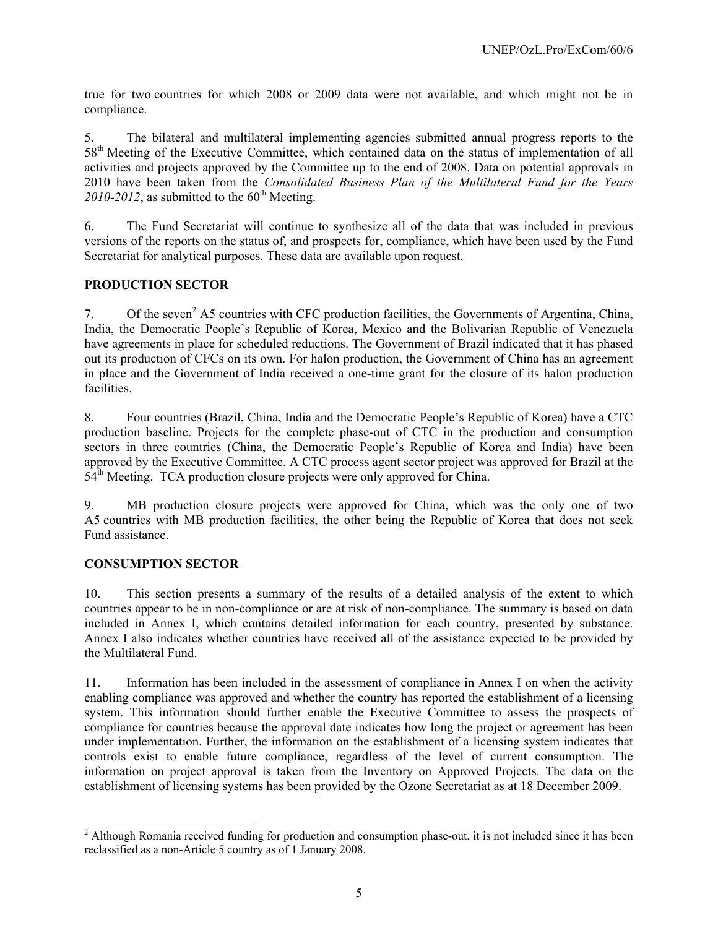true for two countries for which 2008 or 2009 data were not available, and which might not be in compliance.

5. The bilateral and multilateral implementing agencies submitted annual progress reports to the 58<sup>th</sup> Meeting of the Executive Committee, which contained data on the status of implementation of all activities and projects approved by the Committee up to the end of 2008. Data on potential approvals in 2010 have been taken from the *Consolidated Business Plan of the Multilateral Fund for the Years*  2010-2012, as submitted to the  $60<sup>th</sup>$  Meeting.

6. The Fund Secretariat will continue to synthesize all of the data that was included in previous versions of the reports on the status of, and prospects for, compliance, which have been used by the Fund Secretariat for analytical purposes. These data are available upon request.

#### **PRODUCTION SECTOR**

7. Of the seven<sup>2</sup> A5 countries with CFC production facilities, the Governments of Argentina, China, India, the Democratic People's Republic of Korea, Mexico and the Bolivarian Republic of Venezuela have agreements in place for scheduled reductions. The Government of Brazil indicated that it has phased out its production of CFCs on its own. For halon production, the Government of China has an agreement in place and the Government of India received a one-time grant for the closure of its halon production facilities.

8. Four countries (Brazil, China, India and the Democratic People's Republic of Korea) have a CTC production baseline. Projects for the complete phase-out of CTC in the production and consumption sectors in three countries (China, the Democratic People's Republic of Korea and India) have been approved by the Executive Committee. A CTC process agent sector project was approved for Brazil at the  $54<sup>th</sup>$  Meeting. TCA production closure projects were only approved for China.

9. MB production closure projects were approved for China, which was the only one of two A5 countries with MB production facilities, the other being the Republic of Korea that does not seek Fund assistance.

#### **CONSUMPTION SECTOR**

l

10. This section presents a summary of the results of a detailed analysis of the extent to which countries appear to be in non-compliance or are at risk of non-compliance. The summary is based on data included in Annex I, which contains detailed information for each country, presented by substance. Annex I also indicates whether countries have received all of the assistance expected to be provided by the Multilateral Fund.

11. Information has been included in the assessment of compliance in Annex I on when the activity enabling compliance was approved and whether the country has reported the establishment of a licensing system. This information should further enable the Executive Committee to assess the prospects of compliance for countries because the approval date indicates how long the project or agreement has been under implementation. Further, the information on the establishment of a licensing system indicates that controls exist to enable future compliance, regardless of the level of current consumption. The information on project approval is taken from the Inventory on Approved Projects. The data on the establishment of licensing systems has been provided by the Ozone Secretariat as at 18 December 2009.

 $2$  Although Romania received funding for production and consumption phase-out, it is not included since it has been reclassified as a non-Article 5 country as of 1 January 2008.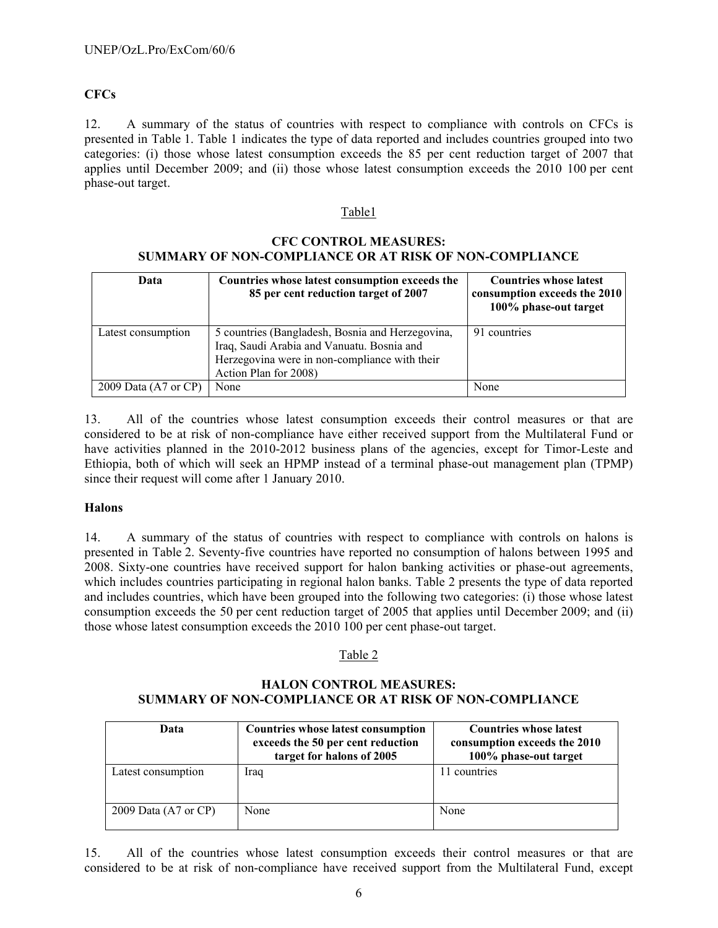### **CFCs**

12. A summary of the status of countries with respect to compliance with controls on CFCs is presented in Table 1. Table 1 indicates the type of data reported and includes countries grouped into two categories: (i) those whose latest consumption exceeds the 85 per cent reduction target of 2007 that applies until December 2009; and (ii) those whose latest consumption exceeds the 2010 100 per cent phase-out target.

#### Table1

#### **CFC CONTROL MEASURES: SUMMARY OF NON-COMPLIANCE OR AT RISK OF NON-COMPLIANCE**

| Data                            | Countries whose latest consumption exceeds the<br>85 per cent reduction target of 2007                                                                                   | <b>Countries whose latest</b><br>consumption exceeds the 2010<br>100% phase-out target |
|---------------------------------|--------------------------------------------------------------------------------------------------------------------------------------------------------------------------|----------------------------------------------------------------------------------------|
| Latest consumption              | 5 countries (Bangladesh, Bosnia and Herzegovina,<br>Iraq, Saudi Arabia and Vanuatu. Bosnia and<br>Herzegovina were in non-compliance with their<br>Action Plan for 2008) | 91 countries                                                                           |
| 2009 Data $(A7 \text{ or } CP)$ | None                                                                                                                                                                     | None                                                                                   |

13. All of the countries whose latest consumption exceeds their control measures or that are considered to be at risk of non-compliance have either received support from the Multilateral Fund or have activities planned in the 2010-2012 business plans of the agencies, except for Timor-Leste and Ethiopia, both of which will seek an HPMP instead of a terminal phase-out management plan (TPMP) since their request will come after 1 January 2010.

#### **Halons**

14. A summary of the status of countries with respect to compliance with controls on halons is presented in Table 2. Seventy-five countries have reported no consumption of halons between 1995 and 2008. Sixty-one countries have received support for halon banking activities or phase-out agreements, which includes countries participating in regional halon banks. Table 2 presents the type of data reported and includes countries, which have been grouped into the following two categories: (i) those whose latest consumption exceeds the 50 per cent reduction target of 2005 that applies until December 2009; and (ii) those whose latest consumption exceeds the 2010 100 per cent phase-out target.

#### Table 2

# **HALON CONTROL MEASURES: SUMMARY OF NON-COMPLIANCE OR AT RISK OF NON-COMPLIANCE**

| Data                            | <b>Countries whose latest consumption</b><br>exceeds the 50 per cent reduction<br>target for halons of 2005 | <b>Countries whose latest</b><br>consumption exceeds the 2010<br>100% phase-out target |
|---------------------------------|-------------------------------------------------------------------------------------------------------------|----------------------------------------------------------------------------------------|
| Latest consumption              | Iraq                                                                                                        | 11 countries                                                                           |
| 2009 Data $(A7 \text{ or } CP)$ | None                                                                                                        | None                                                                                   |

15. All of the countries whose latest consumption exceeds their control measures or that are considered to be at risk of non-compliance have received support from the Multilateral Fund, except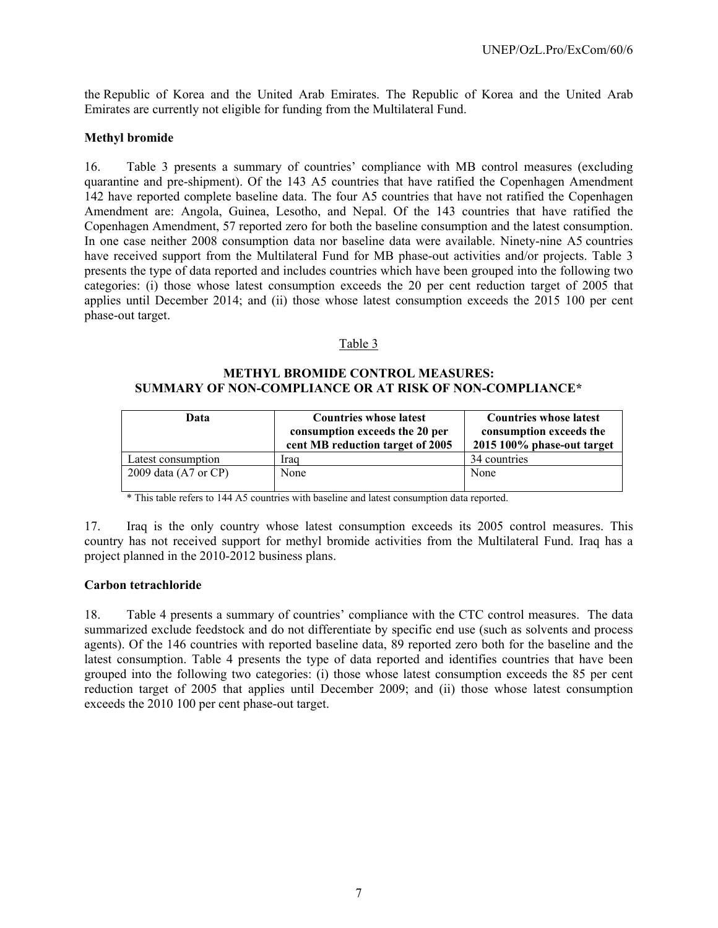the Republic of Korea and the United Arab Emirates. The Republic of Korea and the United Arab Emirates are currently not eligible for funding from the Multilateral Fund.

#### **Methyl bromide**

16. Table 3 presents a summary of countries' compliance with MB control measures (excluding quarantine and pre-shipment). Of the 143 A5 countries that have ratified the Copenhagen Amendment 142 have reported complete baseline data. The four A5 countries that have not ratified the Copenhagen Amendment are: Angola, Guinea, Lesotho, and Nepal. Of the 143 countries that have ratified the Copenhagen Amendment, 57 reported zero for both the baseline consumption and the latest consumption. In one case neither 2008 consumption data nor baseline data were available. Ninety-nine A5 countries have received support from the Multilateral Fund for MB phase-out activities and/or projects. Table 3 presents the type of data reported and includes countries which have been grouped into the following two categories: (i) those whose latest consumption exceeds the 20 per cent reduction target of 2005 that applies until December 2014; and (ii) those whose latest consumption exceeds the 2015 100 per cent phase-out target.

#### Table 3

#### **METHYL BROMIDE CONTROL MEASURES: SUMMARY OF NON-COMPLIANCE OR AT RISK OF NON-COMPLIANCE\***

| Data                            | <b>Countries whose latest</b>    | <b>Countries whose latest</b> |  |  |
|---------------------------------|----------------------------------|-------------------------------|--|--|
|                                 | consumption exceeds the 20 per   | consumption exceeds the       |  |  |
|                                 | cent MB reduction target of 2005 | 2015 100% phase-out target    |  |  |
| Latest consumption              | Iraq                             | 34 countries                  |  |  |
| 2009 data $(A7 \text{ or } CP)$ | None                             | None                          |  |  |

 $\overline{\phantom{a}}^*$  This table refers to 144 A5 countries with baseline and latest consumption data reported.

17. Iraq is the only country whose latest consumption exceeds its 2005 control measures. This country has not received support for methyl bromide activities from the Multilateral Fund. Iraq has a project planned in the 2010-2012 business plans.

#### **Carbon tetrachloride**

18. Table 4 presents a summary of countries' compliance with the CTC control measures. The data summarized exclude feedstock and do not differentiate by specific end use (such as solvents and process agents). Of the 146 countries with reported baseline data, 89 reported zero both for the baseline and the latest consumption. Table 4 presents the type of data reported and identifies countries that have been grouped into the following two categories: (i) those whose latest consumption exceeds the 85 per cent reduction target of 2005 that applies until December 2009; and (ii) those whose latest consumption exceeds the 2010 100 per cent phase-out target.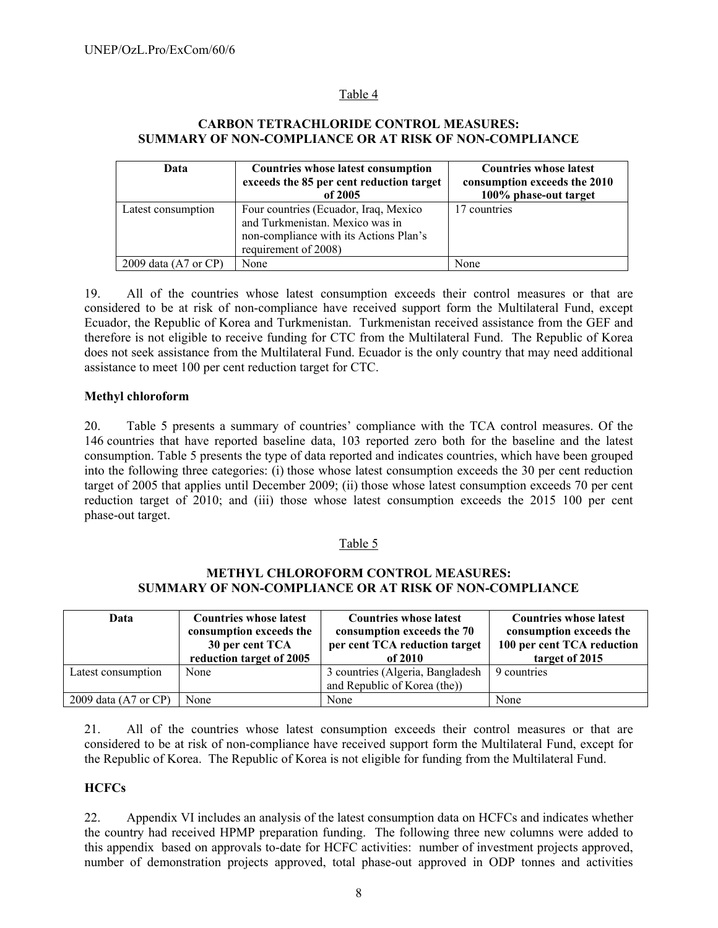### Table 4

#### **CARBON TETRACHLORIDE CONTROL MEASURES: SUMMARY OF NON-COMPLIANCE OR AT RISK OF NON-COMPLIANCE**

| Data                            | Countries whose latest consumption<br>exceeds the 85 per cent reduction target<br>of $2005$                                                | <b>Countries whose latest</b><br>consumption exceeds the 2010<br>100% phase-out target |  |  |
|---------------------------------|--------------------------------------------------------------------------------------------------------------------------------------------|----------------------------------------------------------------------------------------|--|--|
| Latest consumption              | Four countries (Ecuador, Iraq, Mexico<br>and Turkmenistan. Mexico was in<br>non-compliance with its Actions Plan's<br>requirement of 2008) | 17 countries                                                                           |  |  |
| 2009 data $(A7 \text{ or } CP)$ | None                                                                                                                                       | None                                                                                   |  |  |

19. All of the countries whose latest consumption exceeds their control measures or that are considered to be at risk of non-compliance have received support form the Multilateral Fund, except Ecuador, the Republic of Korea and Turkmenistan. Turkmenistan received assistance from the GEF and therefore is not eligible to receive funding for CTC from the Multilateral Fund. The Republic of Korea does not seek assistance from the Multilateral Fund. Ecuador is the only country that may need additional assistance to meet 100 per cent reduction target for CTC.

#### **Methyl chloroform**

20. Table 5 presents a summary of countries' compliance with the TCA control measures. Of the 146 countries that have reported baseline data, 103 reported zero both for the baseline and the latest consumption. Table 5 presents the type of data reported and indicates countries, which have been grouped into the following three categories: (i) those whose latest consumption exceeds the 30 per cent reduction target of 2005 that applies until December 2009; (ii) those whose latest consumption exceeds 70 per cent reduction target of 2010; and (iii) those whose latest consumption exceeds the 2015 100 per cent phase-out target.

#### Table 5

#### **METHYL CHLOROFORM CONTROL MEASURES: SUMMARY OF NON-COMPLIANCE OR AT RISK OF NON-COMPLIANCE**

| Data                            | <b>Countries whose latest</b><br>consumption exceeds the<br>30 per cent TCA<br>reduction target of 2005 | <b>Countries whose latest</b><br>consumption exceeds the 70<br>per cent TCA reduction target<br>of $2010$ | <b>Countries whose latest</b><br>consumption exceeds the<br>100 per cent TCA reduction<br>target of 2015 |
|---------------------------------|---------------------------------------------------------------------------------------------------------|-----------------------------------------------------------------------------------------------------------|----------------------------------------------------------------------------------------------------------|
| Latest consumption              | None                                                                                                    | 3 countries (Algeria, Bangladesh<br>and Republic of Korea (the))                                          | 9 countries                                                                                              |
| 2009 data $(A7 \text{ or } CP)$ | None                                                                                                    | None                                                                                                      | None                                                                                                     |

21. All of the countries whose latest consumption exceeds their control measures or that are considered to be at risk of non-compliance have received support form the Multilateral Fund, except for the Republic of Korea. The Republic of Korea is not eligible for funding from the Multilateral Fund.

#### **HCFCs**

22. Appendix VI includes an analysis of the latest consumption data on HCFCs and indicates whether the country had received HPMP preparation funding. The following three new columns were added to this appendix based on approvals to-date for HCFC activities: number of investment projects approved, number of demonstration projects approved, total phase-out approved in ODP tonnes and activities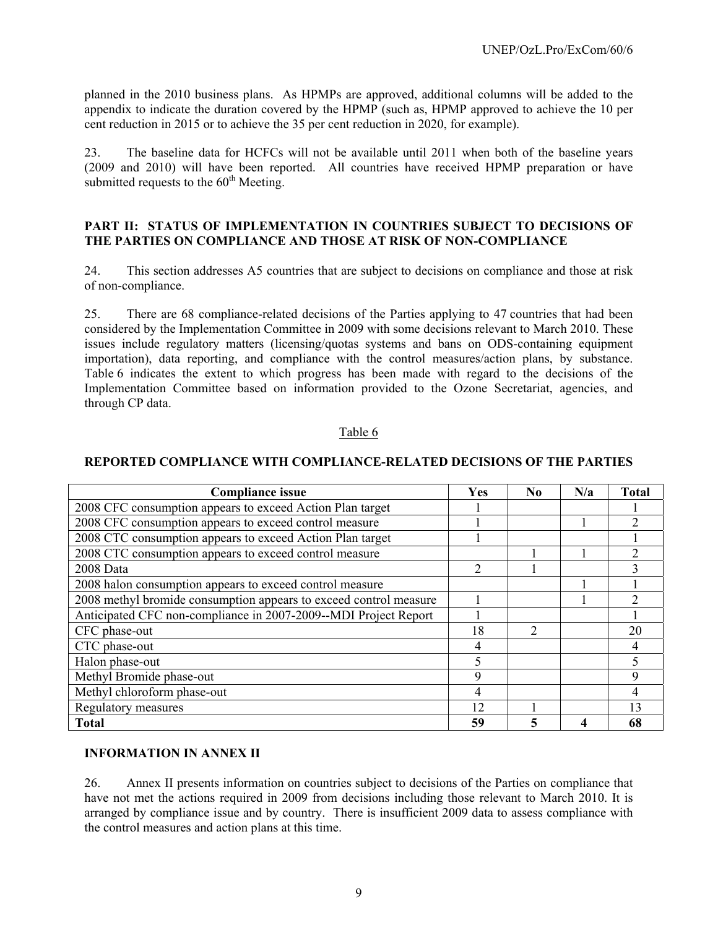planned in the 2010 business plans. As HPMPs are approved, additional columns will be added to the appendix to indicate the duration covered by the HPMP (such as, HPMP approved to achieve the 10 per cent reduction in 2015 or to achieve the 35 per cent reduction in 2020, for example).

23. The baseline data for HCFCs will not be available until 2011 when both of the baseline years (2009 and 2010) will have been reported. All countries have received HPMP preparation or have submitted requests to the  $60<sup>th</sup>$  Meeting.

#### **PART II: STATUS OF IMPLEMENTATION IN COUNTRIES SUBJECT TO DECISIONS OF THE PARTIES ON COMPLIANCE AND THOSE AT RISK OF NON-COMPLIANCE**

24. This section addresses A5 countries that are subject to decisions on compliance and those at risk of non-compliance.

25. There are 68 compliance-related decisions of the Parties applying to 47 countries that had been considered by the Implementation Committee in 2009 with some decisions relevant to March 2010. These issues include regulatory matters (licensing/quotas systems and bans on ODS-containing equipment importation), data reporting, and compliance with the control measures/action plans, by substance. Table 6 indicates the extent to which progress has been made with regard to the decisions of the Implementation Committee based on information provided to the Ozone Secretariat, agencies, and through CP data.

#### Table 6

#### **REPORTED COMPLIANCE WITH COMPLIANCE-RELATED DECISIONS OF THE PARTIES**

| <b>Compliance issue</b>                                           | Yes            | N <sub>0</sub> | N/a | <b>Total</b> |
|-------------------------------------------------------------------|----------------|----------------|-----|--------------|
| 2008 CFC consumption appears to exceed Action Plan target         |                |                |     |              |
| 2008 CFC consumption appears to exceed control measure            |                |                |     |              |
| 2008 CTC consumption appears to exceed Action Plan target         |                |                |     |              |
| 2008 CTC consumption appears to exceed control measure            |                |                |     |              |
| 2008 Data                                                         | $\mathfrak{D}$ |                |     |              |
| 2008 halon consumption appears to exceed control measure          |                |                |     |              |
| 2008 methyl bromide consumption appears to exceed control measure |                |                |     |              |
| Anticipated CFC non-compliance in 2007-2009--MDI Project Report   |                |                |     |              |
| CFC phase-out                                                     | 18             | 2              |     | 20           |
| CTC phase-out                                                     | 4              |                |     | 4            |
| Halon phase-out                                                   |                |                |     |              |
| Methyl Bromide phase-out                                          | 9              |                |     | 9            |
| Methyl chloroform phase-out                                       | 4              |                |     |              |
| Regulatory measures                                               | 12             |                |     | 13           |
| <b>Total</b>                                                      | 59             | 5              | 4   | 68           |

#### **INFORMATION IN ANNEX II**

26. Annex II presents information on countries subject to decisions of the Parties on compliance that have not met the actions required in 2009 from decisions including those relevant to March 2010. It is arranged by compliance issue and by country. There is insufficient 2009 data to assess compliance with the control measures and action plans at this time.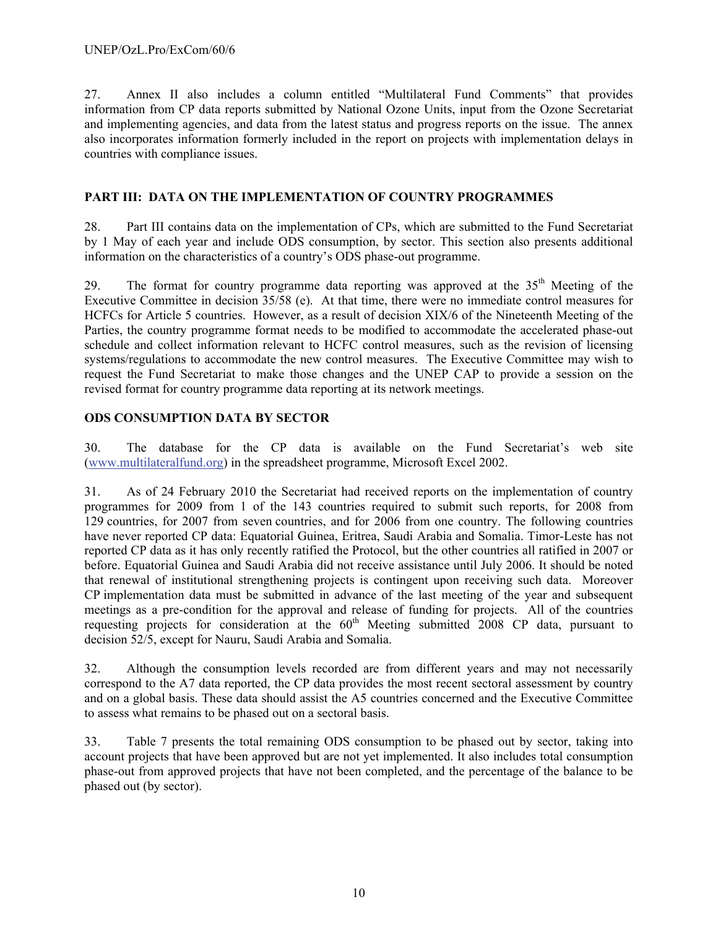27. Annex II also includes a column entitled "Multilateral Fund Comments" that provides information from CP data reports submitted by National Ozone Units, input from the Ozone Secretariat and implementing agencies, and data from the latest status and progress reports on the issue. The annex also incorporates information formerly included in the report on projects with implementation delays in countries with compliance issues.

#### **PART III: DATA ON THE IMPLEMENTATION OF COUNTRY PROGRAMMES**

28. Part III contains data on the implementation of CPs, which are submitted to the Fund Secretariat by 1 May of each year and include ODS consumption, by sector. This section also presents additional information on the characteristics of a country's ODS phase-out programme.

29. The format for country programme data reporting was approved at the 35<sup>th</sup> Meeting of the Executive Committee in decision 35/58 (e). At that time, there were no immediate control measures for HCFCs for Article 5 countries. However, as a result of decision XIX/6 of the Nineteenth Meeting of the Parties, the country programme format needs to be modified to accommodate the accelerated phase-out schedule and collect information relevant to HCFC control measures, such as the revision of licensing systems/regulations to accommodate the new control measures. The Executive Committee may wish to request the Fund Secretariat to make those changes and the UNEP CAP to provide a session on the revised format for country programme data reporting at its network meetings.

#### **ODS CONSUMPTION DATA BY SECTOR**

30. The database for the CP data is available on the Fund Secretariat's web site (www.multilateralfund.org) in the spreadsheet programme, Microsoft Excel 2002.

31. As of 24 February 2010 the Secretariat had received reports on the implementation of country programmes for 2009 from 1 of the 143 countries required to submit such reports, for 2008 from 129 countries, for 2007 from seven countries, and for 2006 from one country. The following countries have never reported CP data: Equatorial Guinea, Eritrea, Saudi Arabia and Somalia. Timor-Leste has not reported CP data as it has only recently ratified the Protocol, but the other countries all ratified in 2007 or before. Equatorial Guinea and Saudi Arabia did not receive assistance until July 2006. It should be noted that renewal of institutional strengthening projects is contingent upon receiving such data. Moreover CP implementation data must be submitted in advance of the last meeting of the year and subsequent meetings as a pre-condition for the approval and release of funding for projects. All of the countries requesting projects for consideration at the 60<sup>th</sup> Meeting submitted 2008 CP data, pursuant to decision 52/5, except for Nauru, Saudi Arabia and Somalia.

32. Although the consumption levels recorded are from different years and may not necessarily correspond to the A7 data reported, the CP data provides the most recent sectoral assessment by country and on a global basis. These data should assist the A5 countries concerned and the Executive Committee to assess what remains to be phased out on a sectoral basis.

33. Table 7 presents the total remaining ODS consumption to be phased out by sector, taking into account projects that have been approved but are not yet implemented. It also includes total consumption phase-out from approved projects that have not been completed, and the percentage of the balance to be phased out (by sector).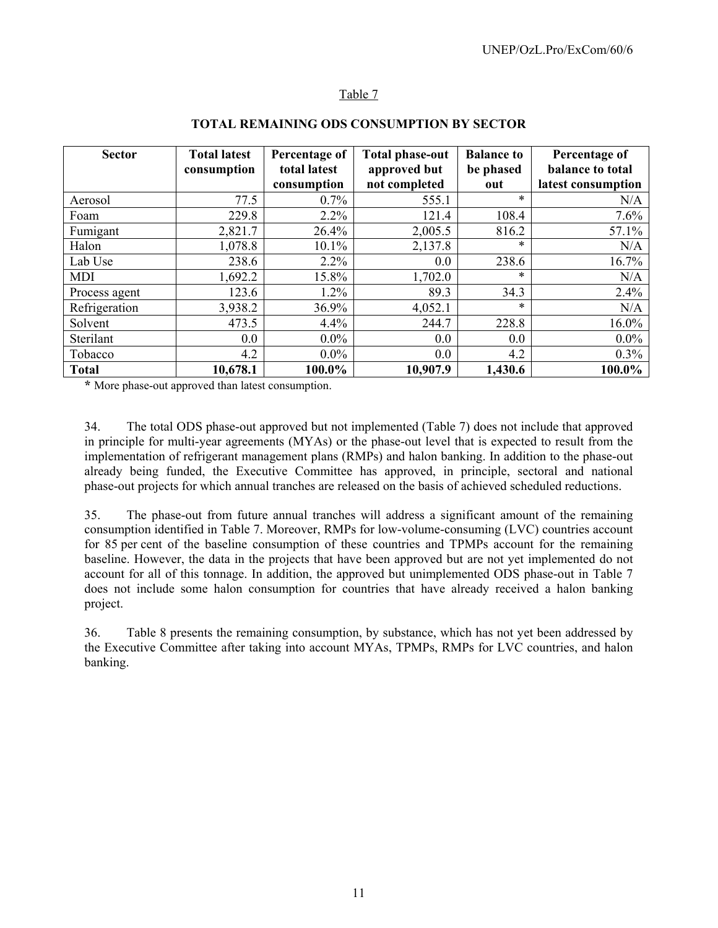### Table 7

| <b>Sector</b> | <b>Total latest</b><br>consumption | Percentage of<br>total latest<br>consumption | <b>Total phase-out</b><br>approved but<br>not completed | <b>Balance to</b><br>be phased<br>out | Percentage of<br>balance to total<br>latest consumption |
|---------------|------------------------------------|----------------------------------------------|---------------------------------------------------------|---------------------------------------|---------------------------------------------------------|
| Aerosol       | 77.5                               | $0.7\%$                                      | 555.1                                                   | $\ast$                                | N/A                                                     |
| Foam          | 229.8                              | $2.2\%$                                      | 121.4                                                   | 108.4                                 | 7.6%                                                    |
| Fumigant      | 2,821.7                            | 26.4%                                        | 2,005.5                                                 | 816.2                                 | 57.1%                                                   |
| Halon         | 1,078.8                            | 10.1%                                        | 2,137.8                                                 | $\ast$                                | N/A                                                     |
| Lab Use       | 238.6                              | $2.2\%$                                      | 0.0                                                     | 238.6                                 | 16.7%                                                   |
| <b>MDI</b>    | 1,692.2                            | 15.8%                                        | 1,702.0                                                 | $\ast$                                | N/A                                                     |
| Process agent | 123.6                              | 1.2%                                         | 89.3                                                    | 34.3                                  | 2.4%                                                    |
| Refrigeration | 3,938.2                            | 36.9%                                        | 4,052.1                                                 | $\ast$                                | N/A                                                     |
| Solvent       | 473.5                              | 4.4%                                         | 244.7                                                   | 228.8                                 | 16.0%                                                   |
| Sterilant     | 0.0                                | $0.0\%$                                      | 0.0                                                     | 0.0                                   | $0.0\%$                                                 |
| Tobacco       | 4.2                                | $0.0\%$                                      | 0.0                                                     | 4.2                                   | $0.3\%$                                                 |
| <b>Total</b>  | 10,678.1                           | 100.0%                                       | 10,907.9                                                | 1,430.6                               | 100.0%                                                  |

#### **TOTAL REMAINING ODS CONSUMPTION BY SECTOR**

**\*** More phase-out approved than latest consumption.

34. The total ODS phase-out approved but not implemented (Table 7) does not include that approved in principle for multi-year agreements (MYAs) or the phase-out level that is expected to result from the implementation of refrigerant management plans (RMPs) and halon banking. In addition to the phase-out already being funded, the Executive Committee has approved, in principle, sectoral and national phase-out projects for which annual tranches are released on the basis of achieved scheduled reductions.

35. The phase-out from future annual tranches will address a significant amount of the remaining consumption identified in Table 7. Moreover, RMPs for low-volume-consuming (LVC) countries account for 85 per cent of the baseline consumption of these countries and TPMPs account for the remaining baseline. However, the data in the projects that have been approved but are not yet implemented do not account for all of this tonnage. In addition, the approved but unimplemented ODS phase-out in Table 7 does not include some halon consumption for countries that have already received a halon banking project.

36. Table 8 presents the remaining consumption, by substance, which has not yet been addressed by the Executive Committee after taking into account MYAs, TPMPs, RMPs for LVC countries, and halon banking.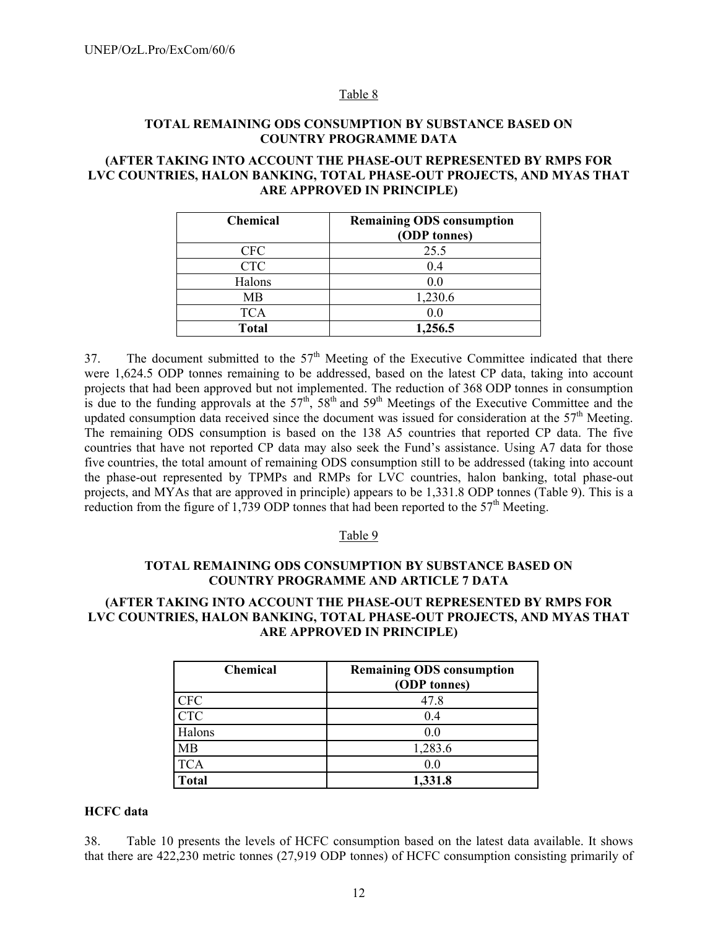#### Table 8

#### **TOTAL REMAINING ODS CONSUMPTION BY SUBSTANCE BASED ON COUNTRY PROGRAMME DATA**

#### **(AFTER TAKING INTO ACCOUNT THE PHASE-OUT REPRESENTED BY RMPS FOR LVC COUNTRIES, HALON BANKING, TOTAL PHASE-OUT PROJECTS, AND MYAS THAT ARE APPROVED IN PRINCIPLE)**

| <b>Chemical</b> | <b>Remaining ODS consumption</b><br>(ODP tonnes) |
|-----------------|--------------------------------------------------|
| <b>CFC</b>      | 25.5                                             |
| <b>CTC</b>      | 0.4                                              |
| Halons          | 0.0                                              |
| <b>MB</b>       | 1,230.6                                          |
| <b>TCA</b>      | 0.0                                              |
| <b>Total</b>    | 1,256.5                                          |

37. The document submitted to the  $57<sup>th</sup>$  Meeting of the Executive Committee indicated that there were 1,624.5 ODP tonnes remaining to be addressed, based on the latest CP data, taking into account projects that had been approved but not implemented. The reduction of 368 ODP tonnes in consumption is due to the funding approvals at the  $57<sup>th</sup>$ ,  $58<sup>th</sup>$  and  $59<sup>th</sup>$  Meetings of the Executive Committee and the updated consumption data received since the document was issued for consideration at the 57<sup>th</sup> Meeting. The remaining ODS consumption is based on the 138 A5 countries that reported CP data. The five countries that have not reported CP data may also seek the Fund's assistance. Using A7 data for those five countries, the total amount of remaining ODS consumption still to be addressed (taking into account the phase-out represented by TPMPs and RMPs for LVC countries, halon banking, total phase-out projects, and MYAs that are approved in principle) appears to be 1,331.8 ODP tonnes (Table 9). This is a reduction from the figure of 1,739 ODP tonnes that had been reported to the  $57<sup>th</sup>$  Meeting.

#### Table 9

#### **TOTAL REMAINING ODS CONSUMPTION BY SUBSTANCE BASED ON COUNTRY PROGRAMME AND ARTICLE 7 DATA**

#### **(AFTER TAKING INTO ACCOUNT THE PHASE-OUT REPRESENTED BY RMPS FOR LVC COUNTRIES, HALON BANKING, TOTAL PHASE-OUT PROJECTS, AND MYAS THAT ARE APPROVED IN PRINCIPLE)**

| <b>Chemical</b> | <b>Remaining ODS consumption</b><br>(ODP tonnes) |
|-----------------|--------------------------------------------------|
|                 |                                                  |
| <b>CFC</b>      | 47.8                                             |
| <b>CTC</b>      | 0.4                                              |
| Halons          | 0.0                                              |
| MB              | 1,283.6                                          |
| <b>TCA</b>      | 0.0                                              |
| <b>Total</b>    | 1,331.8                                          |

#### **HCFC data**

38. Table 10 presents the levels of HCFC consumption based on the latest data available. It shows that there are 422,230 metric tonnes (27,919 ODP tonnes) of HCFC consumption consisting primarily of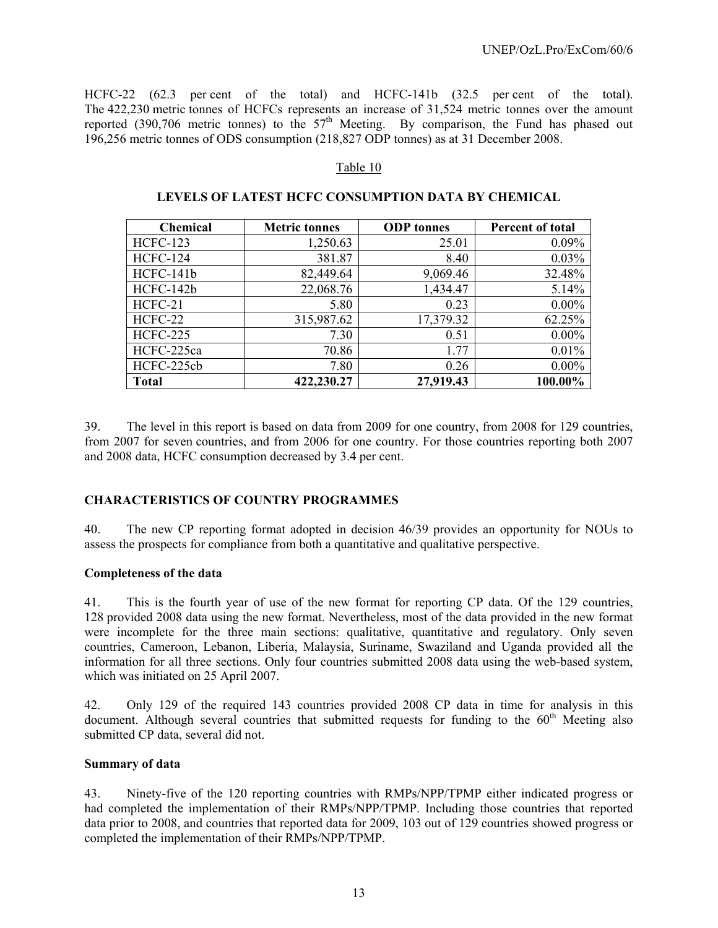HCFC-22 (62.3 per cent of the total) and HCFC-141b (32.5 per cent of the total). The 422,230 metric tonnes of HCFCs represents an increase of 31,524 metric tonnes over the amount reported (390,706 metric tonnes) to the  $57<sup>th</sup>$  Meeting. By comparison, the Fund has phased out 196,256 metric tonnes of ODS consumption (218,827 ODP tonnes) as at 31 December 2008.

#### Table 10

|  |  |  | LEVELS OF LATEST HCFC CONSUMPTION DATA BY CHEMICAL |  |
|--|--|--|----------------------------------------------------|--|
|--|--|--|----------------------------------------------------|--|

| <b>Chemical</b> | <b>Metric tonnes</b> | <b>ODP</b> tonnes | Percent of total |
|-----------------|----------------------|-------------------|------------------|
| <b>HCFC-123</b> | 1,250.63             | 25.01             | 0.09%            |
| <b>HCFC-124</b> | 381.87               | 8.40              | 0.03%            |
| HCFC-141b       | 82,449.64            | 9,069.46          | 32.48%           |
| HCFC-142b       | 22,068.76            | 1,434.47          | 5.14%            |
| HCFC-21         | 5.80                 | 0.23              | $0.00\%$         |
| HCFC-22         | 315,987.62           | 17,379.32         | 62.25%           |
| <b>HCFC-225</b> | 7.30                 | 0.51              | $0.00\%$         |
| HCFC-225ca      | 70.86                | 1.77              | 0.01%            |
| HCFC-225cb      | 7.80                 | 0.26              | $0.00\%$         |
| <b>Total</b>    | 422,230.27           | 27,919.43         | 100.00%          |

39. The level in this report is based on data from 2009 for one country, from 2008 for 129 countries, from 2007 for seven countries, and from 2006 for one country. For those countries reporting both 2007 and 2008 data, HCFC consumption decreased by 3.4 per cent.

#### **CHARACTERISTICS OF COUNTRY PROGRAMMES**

40. The new CP reporting format adopted in decision 46/39 provides an opportunity for NOUs to assess the prospects for compliance from both a quantitative and qualitative perspective.

#### **Completeness of the data**

41. This is the fourth year of use of the new format for reporting CP data. Of the 129 countries, 128 provided 2008 data using the new format. Nevertheless, most of the data provided in the new format were incomplete for the three main sections: qualitative, quantitative and regulatory. Only seven countries, Cameroon, Lebanon, Liberia, Malaysia, Suriname, Swaziland and Uganda provided all the information for all three sections. Only four countries submitted 2008 data using the web-based system, which was initiated on 25 April 2007.

42. Only 129 of the required 143 countries provided 2008 CP data in time for analysis in this document. Although several countries that submitted requests for funding to the  $60<sup>th</sup>$  Meeting also submitted CP data, several did not.

#### **Summary of data**

43. Ninety-five of the 120 reporting countries with RMPs/NPP/TPMP either indicated progress or had completed the implementation of their RMPs/NPP/TPMP. Including those countries that reported data prior to 2008, and countries that reported data for 2009, 103 out of 129 countries showed progress or completed the implementation of their RMPs/NPP/TPMP.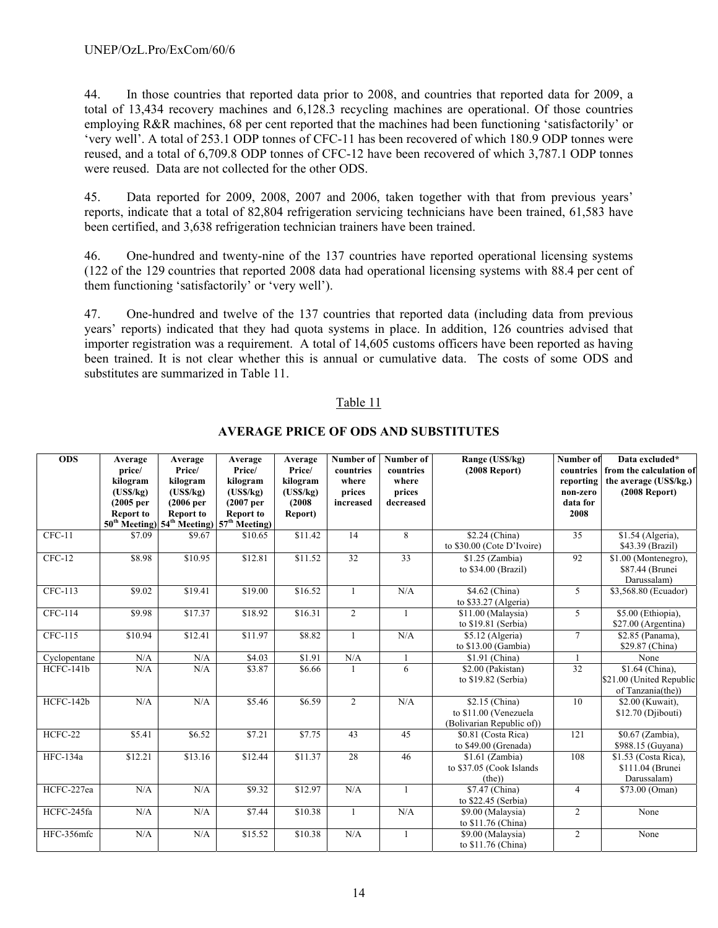44. In those countries that reported data prior to 2008, and countries that reported data for 2009, a total of 13,434 recovery machines and 6,128.3 recycling machines are operational. Of those countries employing R&R machines, 68 per cent reported that the machines had been functioning 'satisfactorily' or 'very well'. A total of 253.1 ODP tonnes of CFC-11 has been recovered of which 180.9 ODP tonnes were reused, and a total of 6,709.8 ODP tonnes of CFC-12 have been recovered of which 3,787.1 ODP tonnes were reused. Data are not collected for the other ODS.

45. Data reported for 2009, 2008, 2007 and 2006, taken together with that from previous years' reports, indicate that a total of 82,804 refrigeration servicing technicians have been trained, 61,583 have been certified, and 3,638 refrigeration technician trainers have been trained.

46. One-hundred and twenty-nine of the 137 countries have reported operational licensing systems (122 of the 129 countries that reported 2008 data had operational licensing systems with 88.4 per cent of them functioning 'satisfactorily' or 'very well').

47. One-hundred and twelve of the 137 countries that reported data (including data from previous years' reports) indicated that they had quota systems in place. In addition, 126 countries advised that importer registration was a requirement. A total of 14,605 customs officers have been reported as having been trained. It is not clear whether this is annual or cumulative data. The costs of some ODS and substitutes are summarized in Table 11.

#### Table 11

| <b>ODS</b>   | Average<br>price/<br>kilogram<br>(USS/kg)<br>(2005 <sub>per</sub> )<br><b>Report to</b> | Average<br>Price/<br>kilogram<br>(USS/kg)<br>(2006 <sub>per</sub> )<br><b>Report to</b> | Average<br>Price/<br>kilogram<br>(USS/kg)<br>(2007 <sub>per</sub> )<br><b>Report to</b><br>$50^{th}$ Meeting) $54^{th}$ Meeting) $57^{th}$ Meeting) | Average<br>Price/<br>kilogram<br>(USS/kg)<br>(2008)<br>Report) | Number of<br>countries<br>where<br>prices<br>increased | Number of<br>countries<br>where<br>prices<br>decreased | Range (US\$/kg)<br>$(2008$ Report)                                   | Number of<br>reporting<br>non-zero<br>data for<br>2008 | Data excluded*<br>countries from the calculation of<br>the average (US\$/kg.)<br>$(2008$ Report) |
|--------------|-----------------------------------------------------------------------------------------|-----------------------------------------------------------------------------------------|-----------------------------------------------------------------------------------------------------------------------------------------------------|----------------------------------------------------------------|--------------------------------------------------------|--------------------------------------------------------|----------------------------------------------------------------------|--------------------------------------------------------|--------------------------------------------------------------------------------------------------|
| $CFC-11$     | \$7.09                                                                                  | \$9.67                                                                                  | \$10.65                                                                                                                                             | \$11.42                                                        | 14                                                     | 8                                                      | \$2.24 (China)<br>to \$30.00 (Cote D'Ivoire)                         | 35                                                     | \$1.54 (Algeria),<br>\$43.39 (Brazil)                                                            |
| $CFC-12$     | \$8.98                                                                                  | \$10.95                                                                                 | \$12.81                                                                                                                                             | \$11.52                                                        | 32                                                     | 33                                                     | $$1.25$ (Zambia)<br>to \$34.00 (Brazil)                              | 92                                                     | \$1.00 (Montenegro),<br>\$87.44 (Brunei)<br>Darussalam)                                          |
| $CFC-113$    | \$9.02                                                                                  | \$19.41                                                                                 | \$19.00                                                                                                                                             | \$16.52                                                        | $\mathbf{1}$                                           | N/A                                                    | \$4.62 (China)<br>to \$33.27 (Algeria)                               | 5                                                      | \$3,568.80 (Ecuador)                                                                             |
| CFC-114      | \$9.98                                                                                  | \$17.37                                                                                 | \$18.92                                                                                                                                             | \$16.31                                                        | $\overline{2}$                                         | $\mathbf{1}$                                           | \$11.00 (Malaysia)<br>to \$19.81 (Serbia)                            | 5                                                      | \$5.00 (Ethiopia),<br>\$27.00 (Argentina)                                                        |
| CFC-115      | \$10.94                                                                                 | \$12.41                                                                                 | \$11.97                                                                                                                                             | \$8.82                                                         | $\mathbf{1}$                                           | N/A                                                    | \$5.12 (Algeria)<br>to \$13.00 (Gambia)                              | $\tau$                                                 | \$2.85 (Panama),<br>\$29.87 (China)                                                              |
| Cyclopentane | N/A                                                                                     | N/A                                                                                     | \$4.03                                                                                                                                              | \$1.91                                                         | N/A                                                    | $\mathbf{1}$                                           | \$1.91 (China)                                                       | 1                                                      | None                                                                                             |
| HCFC-141b    | N/A                                                                                     | N/A                                                                                     | \$3.87                                                                                                                                              | \$6.66                                                         |                                                        | 6                                                      | \$2.00 (Pakistan)<br>to \$19.82 (Serbia)                             | $\overline{32}$                                        | \$1.64 (China),<br>\$21.00 (United Republic<br>of Tanzania(the))                                 |
| HCFC-142b    | N/A                                                                                     | N/A                                                                                     | \$5.46                                                                                                                                              | \$6.59                                                         | $\overline{2}$                                         | N/A                                                    | \$2.15 (China)<br>to \$11.00 (Venezuela<br>(Bolivarian Republic of)) | 10                                                     | \$2.00 (Kuwait).<br>\$12.70 (Djibouti)                                                           |
| HCFC-22      | \$5.41                                                                                  | \$6.52                                                                                  | \$7.21                                                                                                                                              | \$7.75                                                         | 43                                                     | 45                                                     | \$0.81 (Costa Rica)<br>to \$49.00 (Grenada)                          | 121                                                    | \$0.67 (Zambia),<br>\$988.15 (Guyana)                                                            |
| HFC-134a     | \$12.21                                                                                 | \$13.16                                                                                 | \$12.44                                                                                                                                             | \$11.37                                                        | 28                                                     | 46                                                     | $$1.61$ (Zambia)<br>to \$37.05 (Cook Islands<br>(the))               | 108                                                    | \$1.53 (Costa Rica).<br>\$111.04 (Brunei<br>Darussalam)                                          |
| HCFC-227ea   | N/A                                                                                     | N/A                                                                                     | \$9.32                                                                                                                                              | \$12.97                                                        | N/A                                                    | 1                                                      | \$7.47 (China)<br>to $$22.45$ (Serbia)                               | $\overline{4}$                                         | \$73.00 (Oman)                                                                                   |
| HCFC-245fa   | N/A                                                                                     | N/A                                                                                     | \$7.44                                                                                                                                              | \$10.38                                                        | 1                                                      | N/A                                                    | \$9.00 (Malaysia)<br>to \$11.76 (China)                              | 2                                                      | None                                                                                             |
| HFC-356mfc   | N/A                                                                                     | N/A                                                                                     | \$15.52                                                                                                                                             | \$10.38                                                        | N/A                                                    | $\mathbf{1}$                                           | \$9.00 (Malaysia)<br>to \$11.76 (China)                              | $\overline{2}$                                         | None                                                                                             |

#### **AVERAGE PRICE OF ODS AND SUBSTITUTES**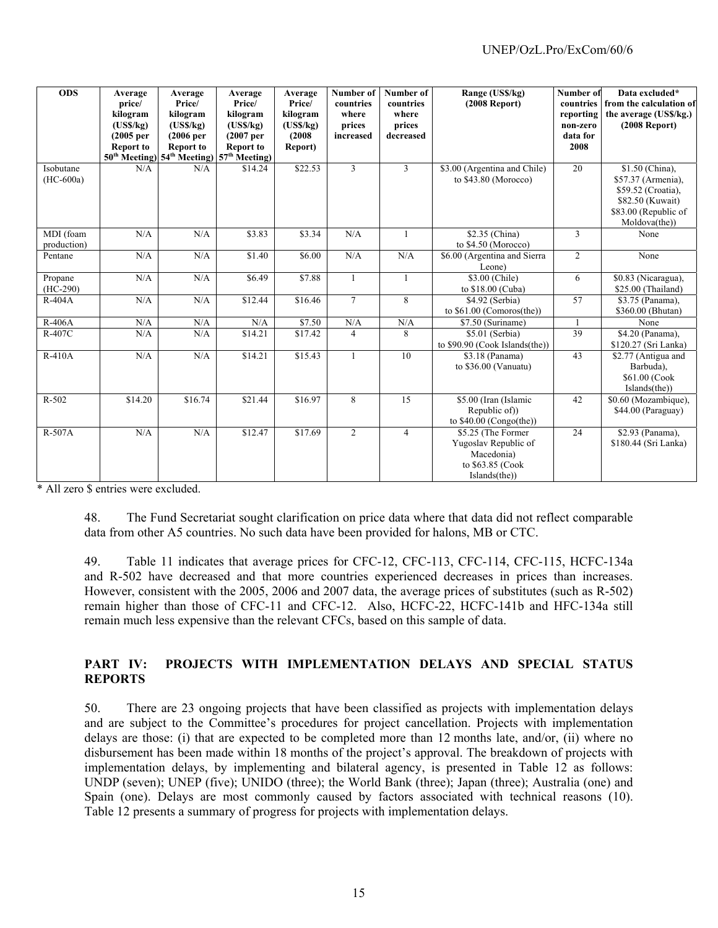| <b>ODS</b>               | Average<br>price/<br>kilogram<br>(USS/kg)<br>(2005 <sub>per</sub> )<br><b>Report to</b> | Average<br>Price/<br>kilogram<br>(USS/kg)<br>(2006 <sub>per</sub> )<br><b>Report to</b><br>50 <sup>th</sup> Meeting) 54 <sup>th</sup> Meeting) | Average<br>Price/<br>kilogram<br>(USS/kg)<br>(2007 <sub>per</sub> )<br><b>Report to</b><br>57 <sup>th</sup> Meeting) | Average<br>Price/<br>kilogram<br>(USS/kg)<br>(2008)<br>Report) | Number of<br>countries<br>where<br>prices<br>increased | Number of<br>countries<br>where<br>prices<br>decreased | Range (US\$/kg)<br>$(2008$ Report)                                                            | Number of<br>countries<br>reporting<br>non-zero<br>data for<br>2008 | Data excluded*<br>from the calculation of<br>the average (US\$/kg.)<br>$(2008$ Report)                                   |
|--------------------------|-----------------------------------------------------------------------------------------|------------------------------------------------------------------------------------------------------------------------------------------------|----------------------------------------------------------------------------------------------------------------------|----------------------------------------------------------------|--------------------------------------------------------|--------------------------------------------------------|-----------------------------------------------------------------------------------------------|---------------------------------------------------------------------|--------------------------------------------------------------------------------------------------------------------------|
| Isobutane<br>$(HC-600a)$ | N/A                                                                                     | N/A                                                                                                                                            | \$14.24                                                                                                              | \$22.53                                                        | 3                                                      | $\mathbf{3}$                                           | \$3.00 (Argentina and Chile)<br>to \$43.80 (Morocco)                                          | 20                                                                  | \$1.50 (China),<br>\$57.37 (Armenia),<br>\$59.52 (Croatia),<br>\$82.50 (Kuwait)<br>\$83.00 (Republic of<br>Moldova(the)) |
| MDI (foam<br>production) | N/A                                                                                     | N/A                                                                                                                                            | \$3.83                                                                                                               | \$3.34                                                         | N/A                                                    | 1                                                      | \$2.35 (China)<br>to \$4.50 (Morocco)                                                         | 3                                                                   | None                                                                                                                     |
| Pentane                  | N/A                                                                                     | N/A                                                                                                                                            | \$1.40                                                                                                               | \$6.00                                                         | N/A                                                    | N/A                                                    | \$6.00 (Argentina and Sierra<br>Leone)                                                        | $\overline{2}$                                                      | None                                                                                                                     |
| Propane<br>$(HC-290)$    | N/A                                                                                     | N/A                                                                                                                                            | \$6.49                                                                                                               | \$7.88                                                         | 1                                                      | -1                                                     | \$3.00 (Chile)<br>to \$18.00 (Cuba)                                                           | 6                                                                   | \$0.83 (Nicaragua).<br>\$25.00 (Thailand)                                                                                |
| $R-404A$                 | N/A                                                                                     | N/A                                                                                                                                            | $\overline{$}12.44$                                                                                                  | \$16.46                                                        | $\tau$                                                 | 8                                                      | \$4.92 (Serbia)<br>to \$61.00 (Comoros(the))                                                  | 57                                                                  | \$3.75 (Panama),<br>\$360.00 (Bhutan)                                                                                    |
| R-406A                   | N/A                                                                                     | N/A                                                                                                                                            | N/A                                                                                                                  | \$7.50                                                         | N/A                                                    | N/A                                                    | \$7.50 (Suriname)                                                                             | $\mathbf{1}$                                                        | None                                                                                                                     |
| R-407C                   | N/A                                                                                     | N/A                                                                                                                                            | \$14.21                                                                                                              | \$17.42                                                        | 4                                                      | 8                                                      | \$5.01 (Serbia)<br>to \$90.90 (Cook Islands(the))                                             | 39                                                                  | \$4.20 (Panama),<br>\$120.27 (Sri Lanka)                                                                                 |
| R-410A                   | N/A                                                                                     | N/A                                                                                                                                            | \$14.21                                                                                                              | \$15.43                                                        |                                                        | 10                                                     | \$3.18 (Panama)<br>to $$36.00$ (Vanuatu)                                                      | 43                                                                  | \$2.77 (Antigua and<br>Barbuda),<br>\$61.00 (Cook<br>Islands(the)                                                        |
| R-502                    | \$14.20                                                                                 | \$16.74                                                                                                                                        | \$21.44                                                                                                              | \$16.97                                                        | 8                                                      | 15                                                     | \$5.00 (Iran (Islamic<br>Republic of)<br>to $$40.00$ (Congo(the))                             | 42                                                                  | \$0.60 (Mozambique),<br>\$44.00 (Paraguay)                                                                               |
| R-507A                   | N/A                                                                                     | N/A                                                                                                                                            | \$12.47                                                                                                              | \$17.69                                                        | $\overline{2}$                                         | $\overline{4}$                                         | \$5.25 (The Former<br>Yugoslav Republic of<br>Macedonia)<br>to \$63.85 (Cook<br>Islands(the)) | 24                                                                  | \$2.93 (Panama),<br>\$180.44 (Sri Lanka)                                                                                 |

\* All zero \$ entries were excluded.

48. The Fund Secretariat sought clarification on price data where that data did not reflect comparable data from other A5 countries. No such data have been provided for halons, MB or CTC.

49. Table 11 indicates that average prices for CFC-12, CFC-113, CFC-114, CFC-115, HCFC-134a and R-502 have decreased and that more countries experienced decreases in prices than increases. However, consistent with the 2005, 2006 and 2007 data, the average prices of substitutes (such as R-502) remain higher than those of CFC-11 and CFC-12. Also, HCFC-22, HCFC-141b and HFC-134a still remain much less expensive than the relevant CFCs, based on this sample of data.

### **PART IV: PROJECTS WITH IMPLEMENTATION DELAYS AND SPECIAL STATUS REPORTS**

50. There are 23 ongoing projects that have been classified as projects with implementation delays and are subject to the Committee's procedures for project cancellation. Projects with implementation delays are those: (i) that are expected to be completed more than 12 months late, and/or, (ii) where no disbursement has been made within 18 months of the project's approval. The breakdown of projects with implementation delays, by implementing and bilateral agency, is presented in Table 12 as follows: UNDP (seven); UNEP (five); UNIDO (three); the World Bank (three); Japan (three); Australia (one) and Spain (one). Delays are most commonly caused by factors associated with technical reasons (10). Table 12 presents a summary of progress for projects with implementation delays.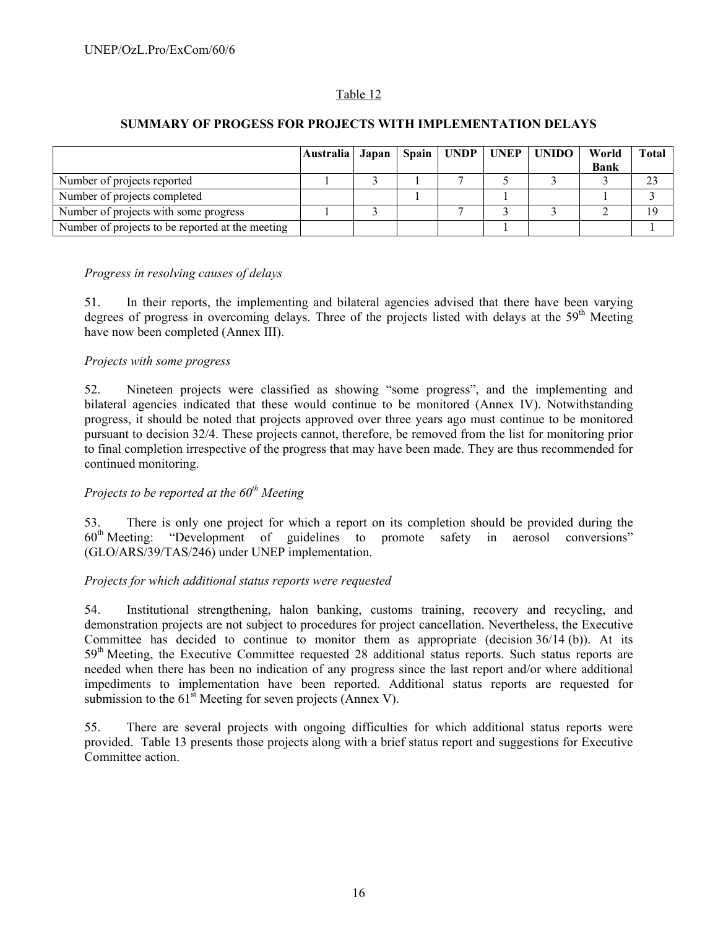### Table 12

#### **SUMMARY OF PROGESS FOR PROJECTS WITH IMPLEMENTATION DELAYS**

|                                                  | Australia   Japan |  |  | Spain   UNDP   UNEP   UNIDO | World       | <b>Total</b> |
|--------------------------------------------------|-------------------|--|--|-----------------------------|-------------|--------------|
|                                                  |                   |  |  |                             | <b>Bank</b> |              |
| Number of projects reported                      |                   |  |  |                             |             | 23           |
| Number of projects completed                     |                   |  |  |                             |             |              |
| Number of projects with some progress            |                   |  |  |                             |             | 19           |
| Number of projects to be reported at the meeting |                   |  |  |                             |             |              |

#### *Progress in resolving causes of delays*

51. In their reports, the implementing and bilateral agencies advised that there have been varying degrees of progress in overcoming delays. Three of the projects listed with delays at the 59<sup>th</sup> Meeting have now been completed (Annex III).

#### *Projects with some progress*

52. Nineteen projects were classified as showing "some progress", and the implementing and bilateral agencies indicated that these would continue to be monitored (Annex IV). Notwithstanding progress, it should be noted that projects approved over three years ago must continue to be monitored pursuant to decision 32/4. These projects cannot, therefore, be removed from the list for monitoring prior to final completion irrespective of the progress that may have been made. They are thus recommended for continued monitoring.

# *Projects to be reported at the 60<sup>th</sup> Meeting*

53. There is only one project for which a report on its completion should be provided during the 60th Meeting: "Development of guidelines to promote safety in aerosol conversions" (GLO/ARS/39/TAS/246) under UNEP implementation.

#### *Projects for which additional status reports were requested*

54. Institutional strengthening, halon banking, customs training, recovery and recycling, and demonstration projects are not subject to procedures for project cancellation. Nevertheless, the Executive Committee has decided to continue to monitor them as appropriate (decision  $36/14$  (b)). At its 59<sup>th</sup> Meeting, the Executive Committee requested 28 additional status reports. Such status reports are needed when there has been no indication of any progress since the last report and/or where additional impediments to implementation have been reported. Additional status reports are requested for submission to the  $61^{\text{st}}$  Meeting for seven projects (Annex V).

55. There are several projects with ongoing difficulties for which additional status reports were provided. Table 13 presents those projects along with a brief status report and suggestions for Executive Committee action.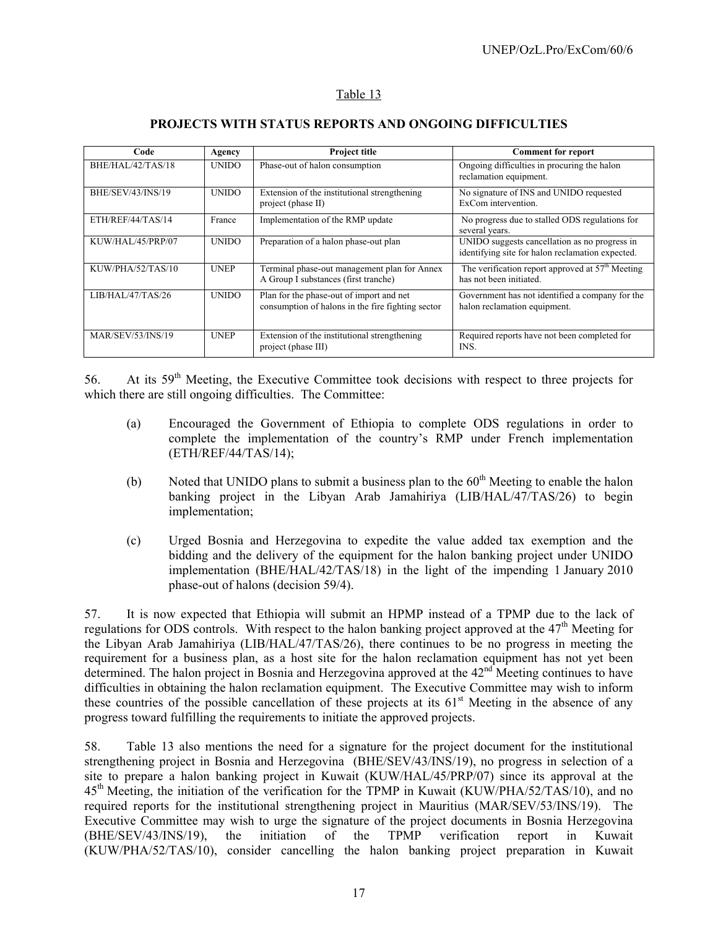#### Table 13

| Code              | Agency       | <b>Project title</b>                                                                          | <b>Comment for report</b>                                                                         |
|-------------------|--------------|-----------------------------------------------------------------------------------------------|---------------------------------------------------------------------------------------------------|
| BHE/HAL/42/TAS/18 | <b>UNIDO</b> | Phase-out of halon consumption                                                                | Ongoing difficulties in procuring the halon<br>reclamation equipment.                             |
| BHE/SEV/43/INS/19 | <b>UNIDO</b> | Extension of the institutional strengthening<br>project (phase II)                            | No signature of INS and UNIDO requested<br>ExCom intervention.                                    |
| ETH/REF/44/TAS/14 | France       | Implementation of the RMP update                                                              | No progress due to stalled ODS regulations for<br>several years.                                  |
| KUW/HAL/45/PRP/07 | <b>UNIDO</b> | Preparation of a halon phase-out plan                                                         | UNIDO suggests cancellation as no progress in<br>identifying site for halon reclamation expected. |
| KUW/PHA/52/TAS/10 | <b>UNEP</b>  | Terminal phase-out management plan for Annex<br>A Group I substances (first tranche)          | The verification report approved at $57th$ Meeting<br>has not been initiated.                     |
| LIB/HAL/47/TAS/26 | <b>UNIDO</b> | Plan for the phase-out of import and net<br>consumption of halons in the fire fighting sector | Government has not identified a company for the<br>halon reclamation equipment.                   |
| MAR/SEV/53/INS/19 | <b>UNEP</b>  | Extension of the institutional strengthening<br>project (phase III)                           | Required reports have not been completed for<br>INS.                                              |

#### **PROJECTS WITH STATUS REPORTS AND ONGOING DIFFICULTIES**

56. At its 59th Meeting, the Executive Committee took decisions with respect to three projects for which there are still ongoing difficulties. The Committee:

- (a) Encouraged the Government of Ethiopia to complete ODS regulations in order to complete the implementation of the country's RMP under French implementation (ETH/REF/44/TAS/14);
- (b) Noted that UNIDO plans to submit a business plan to the  $60<sup>th</sup>$  Meeting to enable the halon banking project in the Libyan Arab Jamahiriya (LIB/HAL/47/TAS/26) to begin implementation;
- (c) Urged Bosnia and Herzegovina to expedite the value added tax exemption and the bidding and the delivery of the equipment for the halon banking project under UNIDO implementation (BHE/HAL/42/TAS/18) in the light of the impending 1 January 2010 phase-out of halons (decision 59/4).

57. It is now expected that Ethiopia will submit an HPMP instead of a TPMP due to the lack of regulations for ODS controls. With respect to the halon banking project approved at the 47<sup>th</sup> Meeting for the Libyan Arab Jamahiriya (LIB/HAL/47/TAS/26), there continues to be no progress in meeting the requirement for a business plan, as a host site for the halon reclamation equipment has not yet been determined. The halon project in Bosnia and Herzegovina approved at the 42<sup>nd</sup> Meeting continues to have difficulties in obtaining the halon reclamation equipment. The Executive Committee may wish to inform these countries of the possible cancellation of these projects at its  $61<sup>st</sup>$  Meeting in the absence of any progress toward fulfilling the requirements to initiate the approved projects.

58. Table 13 also mentions the need for a signature for the project document for the institutional strengthening project in Bosnia and Herzegovina (BHE/SEV/43/INS/19), no progress in selection of a site to prepare a halon banking project in Kuwait (KUW/HAL/45/PRP/07) since its approval at the 45<sup>th</sup> Meeting, the initiation of the verification for the TPMP in Kuwait (KUW/PHA/52/TAS/10), and no required reports for the institutional strengthening project in Mauritius (MAR/SEV/53/INS/19). The Executive Committee may wish to urge the signature of the project documents in Bosnia Herzegovina (BHE/SEV/43/INS/19), the initiation of the TPMP verification report in Kuwait (KUW/PHA/52/TAS/10), consider cancelling the halon banking project preparation in Kuwait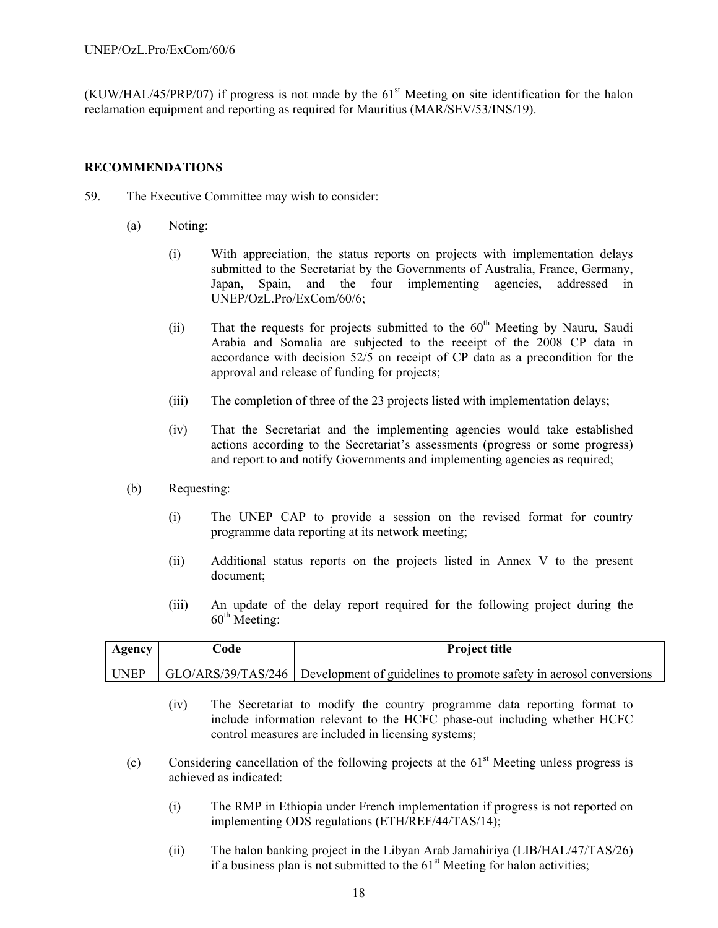$(KUW/HAL/45/PRP/07)$  if progress is not made by the  $61<sup>st</sup>$  Meeting on site identification for the halon reclamation equipment and reporting as required for Mauritius (MAR/SEV/53/INS/19).

#### **RECOMMENDATIONS**

- 59. The Executive Committee may wish to consider:
	- (a) Noting:
		- (i) With appreciation, the status reports on projects with implementation delays submitted to the Secretariat by the Governments of Australia, France, Germany, Japan, Spain, and the four implementing agencies, addressed in UNEP/OzL.Pro/ExCom/60/6;
		- (ii) That the requests for projects submitted to the  $60<sup>th</sup>$  Meeting by Nauru, Saudi Arabia and Somalia are subjected to the receipt of the 2008 CP data in accordance with decision 52/5 on receipt of CP data as a precondition for the approval and release of funding for projects;
		- (iii) The completion of three of the 23 projects listed with implementation delays;
		- (iv) That the Secretariat and the implementing agencies would take established actions according to the Secretariat's assessments (progress or some progress) and report to and notify Governments and implementing agencies as required;
	- (b) Requesting:
		- (i) The UNEP CAP to provide a session on the revised format for country programme data reporting at its network meeting;
		- (ii) Additional status reports on the projects listed in Annex V to the present document;
		- (iii) An update of the delay report required for the following project during the  $60<sup>th</sup>$  Meeting:

| <b>Agency</b> | `ode | <b>Project title</b>                                                                  |
|---------------|------|---------------------------------------------------------------------------------------|
| <b>UNEP</b>   |      | GLO/ARS/39/TAS/246 Development of guidelines to promote safety in aerosol conversions |

- (iv) The Secretariat to modify the country programme data reporting format to include information relevant to the HCFC phase-out including whether HCFC control measures are included in licensing systems;
- (c) Considering cancellation of the following projects at the  $61<sup>st</sup>$  Meeting unless progress is achieved as indicated:
	- (i) The RMP in Ethiopia under French implementation if progress is not reported on implementing ODS regulations (ETH/REF/44/TAS/14);
	- (ii) The halon banking project in the Libyan Arab Jamahiriya (LIB/HAL/47/TAS/26) if a business plan is not submitted to the  $61<sup>st</sup>$  Meeting for halon activities;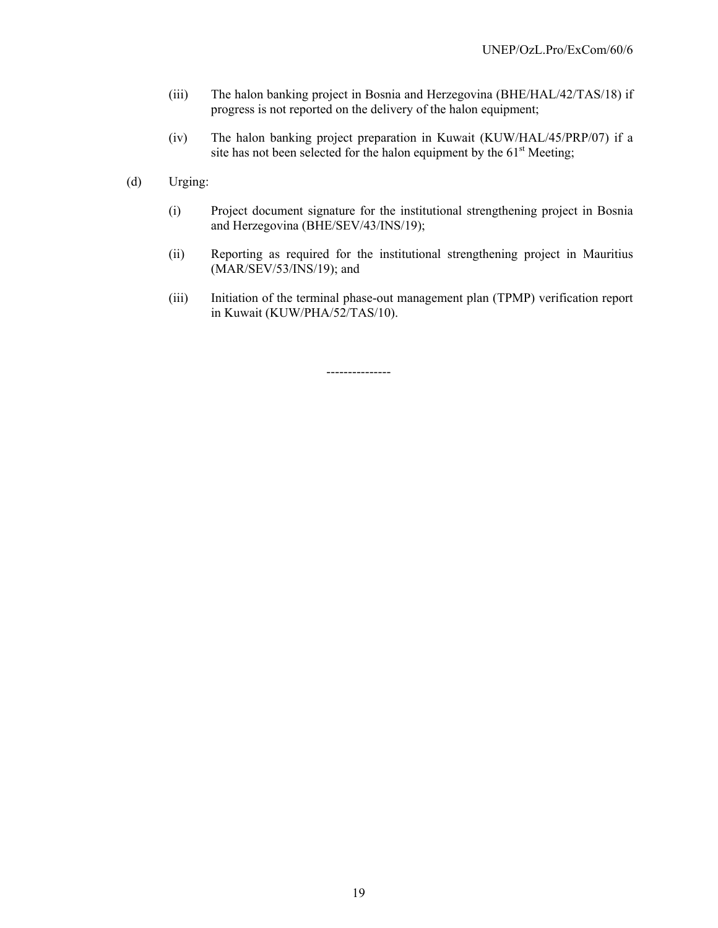- (iii) The halon banking project in Bosnia and Herzegovina (BHE/HAL/42/TAS/18) if progress is not reported on the delivery of the halon equipment;
- (iv) The halon banking project preparation in Kuwait (KUW/HAL/45/PRP/07) if a site has not been selected for the halon equipment by the  $61<sup>st</sup>$  Meeting;
- (d) Urging:
	- (i) Project document signature for the institutional strengthening project in Bosnia and Herzegovina (BHE/SEV/43/INS/19);
	- (ii) Reporting as required for the institutional strengthening project in Mauritius (MAR/SEV/53/INS/19); and
	- (iii) Initiation of the terminal phase-out management plan (TPMP) verification report in Kuwait (KUW/PHA/52/TAS/10).

---------------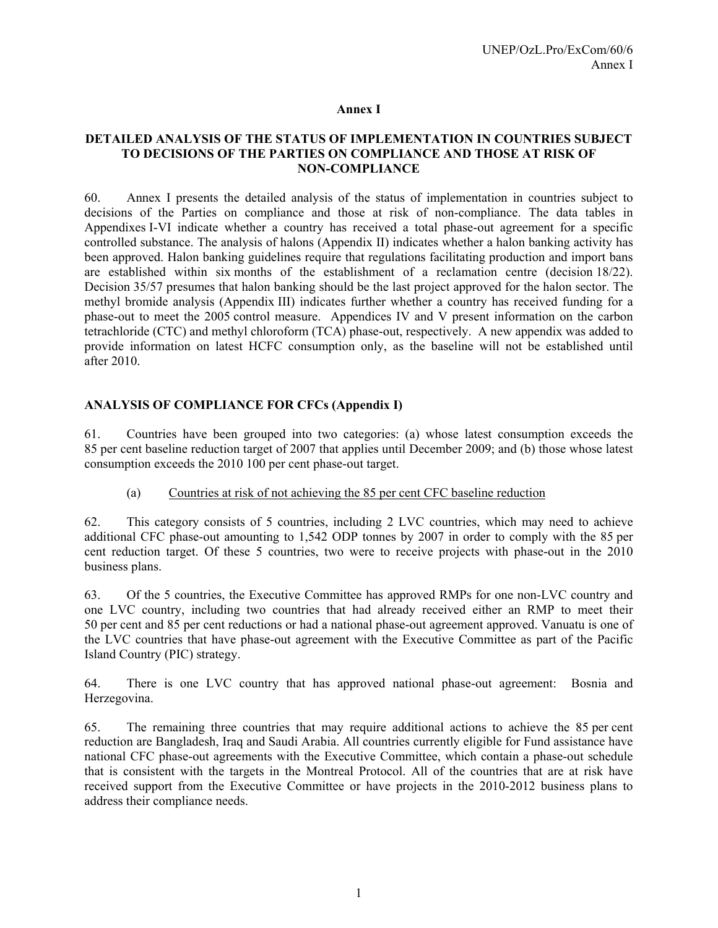#### **Annex I**

#### **DETAILED ANALYSIS OF THE STATUS OF IMPLEMENTATION IN COUNTRIES SUBJECT TO DECISIONS OF THE PARTIES ON COMPLIANCE AND THOSE AT RISK OF NON-COMPLIANCE**

60. Annex I presents the detailed analysis of the status of implementation in countries subject to decisions of the Parties on compliance and those at risk of non-compliance. The data tables in Appendixes I-VI indicate whether a country has received a total phase-out agreement for a specific controlled substance. The analysis of halons (Appendix II) indicates whether a halon banking activity has been approved. Halon banking guidelines require that regulations facilitating production and import bans are established within six months of the establishment of a reclamation centre (decision 18/22). Decision 35/57 presumes that halon banking should be the last project approved for the halon sector. The methyl bromide analysis (Appendix III) indicates further whether a country has received funding for a phase-out to meet the 2005 control measure. Appendices IV and V present information on the carbon tetrachloride (CTC) and methyl chloroform (TCA) phase-out, respectively. A new appendix was added to provide information on latest HCFC consumption only, as the baseline will not be established until after 2010.

### **ANALYSIS OF COMPLIANCE FOR CFCs (Appendix I)**

61. Countries have been grouped into two categories: (a) whose latest consumption exceeds the 85 per cent baseline reduction target of 2007 that applies until December 2009; and (b) those whose latest consumption exceeds the 2010 100 per cent phase-out target.

(a) Countries at risk of not achieving the 85 per cent CFC baseline reduction

62. This category consists of 5 countries, including 2 LVC countries, which may need to achieve additional CFC phase-out amounting to 1,542 ODP tonnes by 2007 in order to comply with the 85 per cent reduction target. Of these 5 countries, two were to receive projects with phase-out in the 2010 business plans.

63. Of the 5 countries, the Executive Committee has approved RMPs for one non-LVC country and one LVC country, including two countries that had already received either an RMP to meet their 50 per cent and 85 per cent reductions or had a national phase-out agreement approved. Vanuatu is one of the LVC countries that have phase-out agreement with the Executive Committee as part of the Pacific Island Country (PIC) strategy.

64. There is one LVC country that has approved national phase-out agreement: Bosnia and Herzegovina.

65. The remaining three countries that may require additional actions to achieve the 85 per cent reduction are Bangladesh, Iraq and Saudi Arabia. All countries currently eligible for Fund assistance have national CFC phase-out agreements with the Executive Committee, which contain a phase-out schedule that is consistent with the targets in the Montreal Protocol. All of the countries that are at risk have received support from the Executive Committee or have projects in the 2010-2012 business plans to address their compliance needs.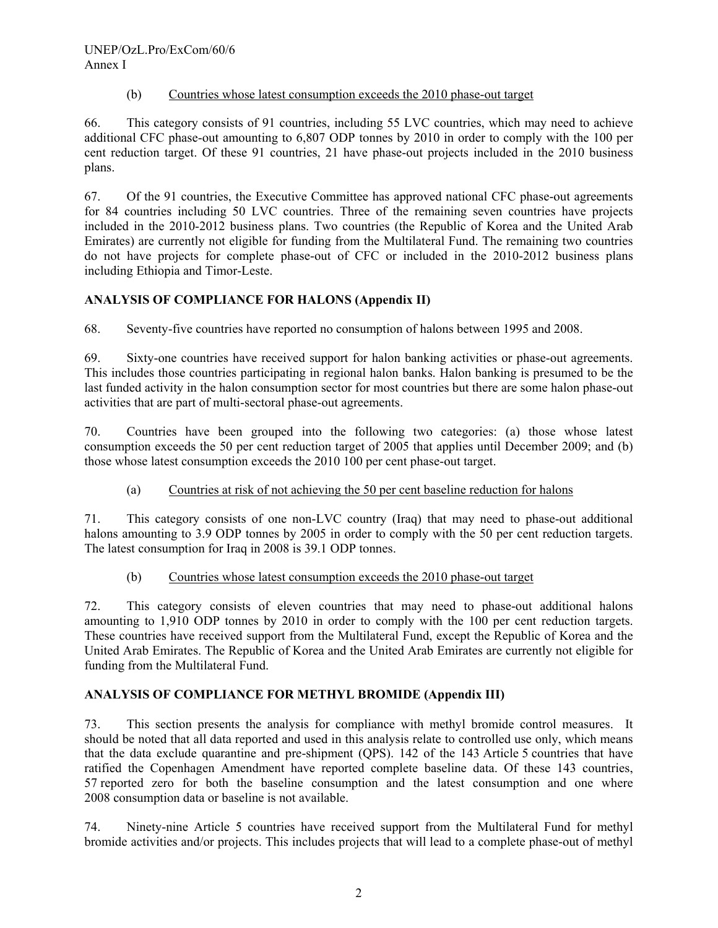#### (b) Countries whose latest consumption exceeds the 2010 phase-out target

66. This category consists of 91 countries, including 55 LVC countries, which may need to achieve additional CFC phase-out amounting to 6,807 ODP tonnes by 2010 in order to comply with the 100 per cent reduction target. Of these 91 countries, 21 have phase-out projects included in the 2010 business plans.

67. Of the 91 countries, the Executive Committee has approved national CFC phase-out agreements for 84 countries including 50 LVC countries. Three of the remaining seven countries have projects included in the 2010-2012 business plans. Two countries (the Republic of Korea and the United Arab Emirates) are currently not eligible for funding from the Multilateral Fund. The remaining two countries do not have projects for complete phase-out of CFC or included in the 2010-2012 business plans including Ethiopia and Timor-Leste.

# **ANALYSIS OF COMPLIANCE FOR HALONS (Appendix II)**

68. Seventy-five countries have reported no consumption of halons between 1995 and 2008.

69. Sixty-one countries have received support for halon banking activities or phase-out agreements. This includes those countries participating in regional halon banks. Halon banking is presumed to be the last funded activity in the halon consumption sector for most countries but there are some halon phase-out activities that are part of multi-sectoral phase-out agreements.

70. Countries have been grouped into the following two categories: (a) those whose latest consumption exceeds the 50 per cent reduction target of 2005 that applies until December 2009; and (b) those whose latest consumption exceeds the 2010 100 per cent phase-out target.

### (a) Countries at risk of not achieving the 50 per cent baseline reduction for halons

71. This category consists of one non-LVC country (Iraq) that may need to phase-out additional halons amounting to 3.9 ODP tonnes by 2005 in order to comply with the 50 per cent reduction targets. The latest consumption for Iraq in 2008 is 39.1 ODP tonnes.

### (b) Countries whose latest consumption exceeds the 2010 phase-out target

72. This category consists of eleven countries that may need to phase-out additional halons amounting to 1,910 ODP tonnes by 2010 in order to comply with the 100 per cent reduction targets. These countries have received support from the Multilateral Fund, except the Republic of Korea and the United Arab Emirates. The Republic of Korea and the United Arab Emirates are currently not eligible for funding from the Multilateral Fund.

### **ANALYSIS OF COMPLIANCE FOR METHYL BROMIDE (Appendix III)**

73. This section presents the analysis for compliance with methyl bromide control measures. It should be noted that all data reported and used in this analysis relate to controlled use only, which means that the data exclude quarantine and pre-shipment (QPS). 142 of the 143 Article 5 countries that have ratified the Copenhagen Amendment have reported complete baseline data. Of these 143 countries, 57 reported zero for both the baseline consumption and the latest consumption and one where 2008 consumption data or baseline is not available.

74. Ninety-nine Article 5 countries have received support from the Multilateral Fund for methyl bromide activities and/or projects. This includes projects that will lead to a complete phase-out of methyl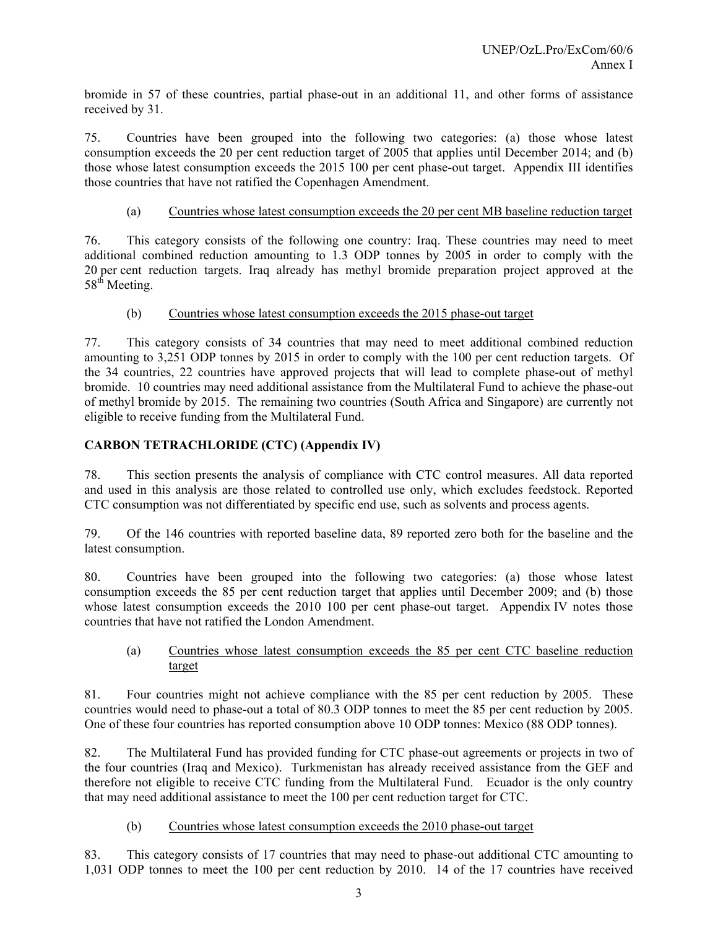bromide in 57 of these countries, partial phase-out in an additional 11, and other forms of assistance received by 31.

75. Countries have been grouped into the following two categories: (a) those whose latest consumption exceeds the 20 per cent reduction target of 2005 that applies until December 2014; and (b) those whose latest consumption exceeds the 2015 100 per cent phase-out target. Appendix III identifies those countries that have not ratified the Copenhagen Amendment.

#### (a) Countries whose latest consumption exceeds the 20 per cent MB baseline reduction target

76. This category consists of the following one country: Iraq. These countries may need to meet additional combined reduction amounting to 1.3 ODP tonnes by 2005 in order to comply with the 20 per cent reduction targets. Iraq already has methyl bromide preparation project approved at the 58<sup>th</sup> Meeting.

#### (b) Countries whose latest consumption exceeds the 2015 phase-out target

77. This category consists of 34 countries that may need to meet additional combined reduction amounting to 3,251 ODP tonnes by 2015 in order to comply with the 100 per cent reduction targets. Of the 34 countries, 22 countries have approved projects that will lead to complete phase-out of methyl bromide. 10 countries may need additional assistance from the Multilateral Fund to achieve the phase-out of methyl bromide by 2015. The remaining two countries (South Africa and Singapore) are currently not eligible to receive funding from the Multilateral Fund.

### **CARBON TETRACHLORIDE (CTC) (Appendix IV)**

78. This section presents the analysis of compliance with CTC control measures. All data reported and used in this analysis are those related to controlled use only, which excludes feedstock. Reported CTC consumption was not differentiated by specific end use, such as solvents and process agents.

79. Of the 146 countries with reported baseline data, 89 reported zero both for the baseline and the latest consumption.

80. Countries have been grouped into the following two categories: (a) those whose latest consumption exceeds the 85 per cent reduction target that applies until December 2009; and (b) those whose latest consumption exceeds the 2010 100 per cent phase-out target. Appendix IV notes those countries that have not ratified the London Amendment.

(a) Countries whose latest consumption exceeds the 85 per cent CTC baseline reduction target

81. Four countries might not achieve compliance with the 85 per cent reduction by 2005. These countries would need to phase-out a total of 80.3 ODP tonnes to meet the 85 per cent reduction by 2005. One of these four countries has reported consumption above 10 ODP tonnes: Mexico (88 ODP tonnes).

82. The Multilateral Fund has provided funding for CTC phase-out agreements or projects in two of the four countries (Iraq and Mexico). Turkmenistan has already received assistance from the GEF and therefore not eligible to receive CTC funding from the Multilateral Fund. Ecuador is the only country that may need additional assistance to meet the 100 per cent reduction target for CTC.

#### (b) Countries whose latest consumption exceeds the 2010 phase-out target

83. This category consists of 17 countries that may need to phase-out additional CTC amounting to 1,031 ODP tonnes to meet the 100 per cent reduction by 2010. 14 of the 17 countries have received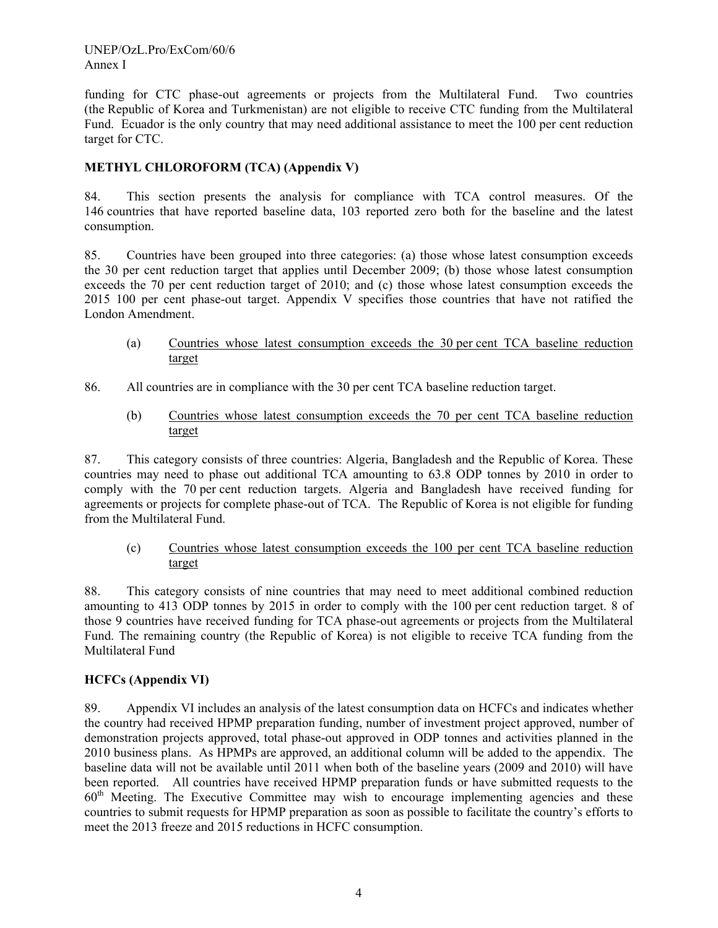funding for CTC phase-out agreements or projects from the Multilateral Fund. Two countries (the Republic of Korea and Turkmenistan) are not eligible to receive CTC funding from the Multilateral Fund. Ecuador is the only country that may need additional assistance to meet the 100 per cent reduction target for CTC.

# **METHYL CHLOROFORM (TCA) (Appendix V)**

84. This section presents the analysis for compliance with TCA control measures. Of the 146 countries that have reported baseline data, 103 reported zero both for the baseline and the latest consumption.

85. Countries have been grouped into three categories: (a) those whose latest consumption exceeds the 30 per cent reduction target that applies until December 2009; (b) those whose latest consumption exceeds the 70 per cent reduction target of 2010; and (c) those whose latest consumption exceeds the 2015 100 per cent phase-out target. Appendix V specifies those countries that have not ratified the London Amendment.

- (a) Countries whose latest consumption exceeds the 30 per cent TCA baseline reduction target
- 86. All countries are in compliance with the 30 per cent TCA baseline reduction target.
	- (b) Countries whose latest consumption exceeds the 70 per cent TCA baseline reduction target

87. This category consists of three countries: Algeria, Bangladesh and the Republic of Korea. These countries may need to phase out additional TCA amounting to 63.8 ODP tonnes by 2010 in order to comply with the 70 per cent reduction targets. Algeria and Bangladesh have received funding for agreements or projects for complete phase-out of TCA. The Republic of Korea is not eligible for funding from the Multilateral Fund.

(c) Countries whose latest consumption exceeds the 100 per cent TCA baseline reduction target

88. This category consists of nine countries that may need to meet additional combined reduction amounting to 413 ODP tonnes by 2015 in order to comply with the 100 per cent reduction target. 8 of those 9 countries have received funding for TCA phase-out agreements or projects from the Multilateral Fund. The remaining country (the Republic of Korea) is not eligible to receive TCA funding from the Multilateral Fund

### **HCFCs (Appendix VI)**

89. Appendix VI includes an analysis of the latest consumption data on HCFCs and indicates whether the country had received HPMP preparation funding, number of investment project approved, number of demonstration projects approved, total phase-out approved in ODP tonnes and activities planned in the 2010 business plans. As HPMPs are approved, an additional column will be added to the appendix. The baseline data will not be available until 2011 when both of the baseline years (2009 and 2010) will have been reported. All countries have received HPMP preparation funds or have submitted requests to the  $60<sup>th</sup>$  Meeting. The Executive Committee may wish to encourage implementing agencies and these countries to submit requests for HPMP preparation as soon as possible to facilitate the country's efforts to meet the 2013 freeze and 2015 reductions in HCFC consumption.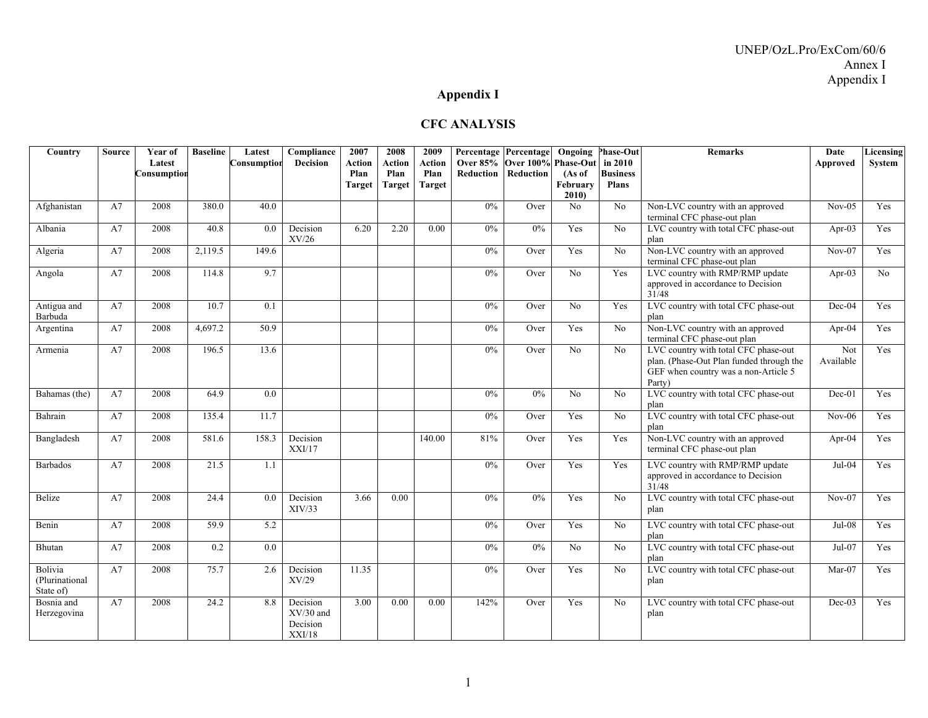# **Appendix I**

#### **CFC ANALYSIS**

| Country                                | <b>Source</b> | Year of               | <b>Baseline</b> | Latest           | Compliance                                    | 2007           | 2008           | 2009           |                  | Percentage Percentage                     | Ongoing         | <b>Phase-Out</b>           | <b>Remarks</b>                                                                                                                     | Date             | Licensing |
|----------------------------------------|---------------|-----------------------|-----------------|------------------|-----------------------------------------------|----------------|----------------|----------------|------------------|-------------------------------------------|-----------------|----------------------------|------------------------------------------------------------------------------------------------------------------------------------|------------------|-----------|
|                                        |               | Latest<br>Consumption |                 | Consumption      | <b>Decision</b>                               | Action<br>Plan | Action<br>Plan | Action<br>Plan | <b>Reduction</b> | Over 85% Over 100% Phase-Out<br>Reduction | (As of          | in 2010<br><b>Business</b> |                                                                                                                                    | Approved         | System    |
|                                        |               |                       |                 |                  |                                               | <b>Target</b>  | <b>Target</b>  | <b>Target</b>  |                  |                                           | February        | <b>Plans</b>               |                                                                                                                                    |                  |           |
|                                        |               |                       |                 |                  |                                               |                |                |                |                  |                                           | 2010)           |                            |                                                                                                                                    |                  |           |
| Afghanistan                            | A7            | 2008                  | 380.0           | 40.0             |                                               |                |                |                | 0%               | Over                                      | N <sub>o</sub>  | No                         | Non-LVC country with an approved<br>terminal CFC phase-out plan                                                                    | $Nov-05$         | Yes       |
| Albania                                | A7            | 2008                  | 40.8            | 0.0              | Decision<br>XV/26                             | 6.20           | 2.20           | 0.00           | $0\%$            | 0%                                        | Yes             | No                         | LVC country with total CFC phase-out<br>plan                                                                                       | Apr-03           | Yes       |
| Algeria                                | A7            | 2008                  | 2,119.5         | 149.6            |                                               |                |                |                | 0%               | Over                                      | Yes             | No                         | Non-LVC country with an approved<br>terminal CFC phase-out plan                                                                    | $Nov-07$         | Yes       |
| Angola                                 | A7            | 2008                  | 114.8           | 9.7              |                                               |                |                |                | 0%               | Over                                      | No              | Yes                        | LVC country with RMP/RMP update<br>approved in accordance to Decision<br>31/48                                                     | Apr- $03$        | No        |
| Antigua and<br>Barbuda                 | A7            | 2008                  | 10.7            | 0.1              |                                               |                |                |                | $0\%$            | Over                                      | No              | Yes                        | LVC country with total CFC phase-out<br>plan                                                                                       | Dec-04           | Yes       |
| Argentina                              | A7            | 2008                  | 4.697.2         | 50.9             |                                               |                |                |                | 0%               | Over                                      | Yes             | No                         | Non-LVC country with an approved<br>terminal CFC phase-out plan                                                                    | Apr-04           | Yes       |
| Armenia                                | A7            | 2008                  | 196.5           | 13.6             |                                               |                |                |                | 0%               | Over                                      | $\overline{No}$ | $\overline{No}$            | LVC country with total CFC phase-out<br>plan. (Phase-Out Plan funded through the<br>GEF when country was a non-Article 5<br>Party) | Not<br>Available | Yes       |
| Bahamas (the)                          | A7            | 2008                  | 64.9            | 0.0              |                                               |                |                |                | 0%               | 0%                                        | N <sub>o</sub>  | No                         | LVC country with total CFC phase-out<br>plan                                                                                       | $Dec-01$         | Yes       |
| Bahrain                                | A7            | 2008                  | 135.4           | 11.7             |                                               |                |                |                | 0%               | Over                                      | Yes             | No                         | LVC country with total CFC phase-out<br>plan                                                                                       | $Nov-06$         | Yes       |
| Bangladesh                             | A7            | 2008                  | 581.6           | 158.3            | Decision<br>XXI/17                            |                |                | 140.00         | 81%              | Over                                      | Yes             | Yes                        | Non-LVC country with an approved<br>terminal CFC phase-out plan                                                                    | Apr- $04$        | Yes       |
| <b>Barbados</b>                        | A7            | 2008                  | 21.5            | 1.1              |                                               |                |                |                | 0%               | Over                                      | Yes             | Yes                        | LVC country with RMP/RMP update<br>approved in accordance to Decision<br>31/48                                                     | $Jul-04$         | Yes       |
| Belize                                 | A7            | 2008                  | 24.4            | 0.0              | Decision<br>XIV/33                            | 3.66           | 0.00           |                | 0%               | $0\%$                                     | Yes             | No                         | LVC country with total CFC phase-out<br>plan                                                                                       | $Nov-07$         | Yes       |
| Benin                                  | A7            | 2008                  | 59.9            | 5.2              |                                               |                |                |                | $0\%$            | Over                                      | Yes             | No                         | LVC country with total CFC phase-out<br>plan                                                                                       | Jul-08           | Yes       |
| Bhutan                                 | A7            | 2008                  | 0.2             | $\overline{0.0}$ |                                               |                |                |                | 0%               | 0%                                        | No              | N <sub>0</sub>             | LVC country with total CFC phase-out<br>plan                                                                                       | $Jul-07$         | Yes       |
| Bolivia<br>(Plurinational<br>State of) | A7            | 2008                  | 75.7            | 2.6              | Decision<br>XV/29                             | 11.35          |                |                | $0\%$            | Over                                      | Yes             | No                         | LVC country with total CFC phase-out<br>plan                                                                                       | $Mar-07$         | Yes       |
| Bosnia and<br>Herzegovina              | A7            | 2008                  | 24.2            | 8.8              | Decision<br>$XV/30$ and<br>Decision<br>XXI/18 | 3.00           | 0.00           | 0.00           | 142%             | Over                                      | Yes             | No                         | LVC country with total CFC phase-out<br>plan                                                                                       | $Dec-03$         | Yes       |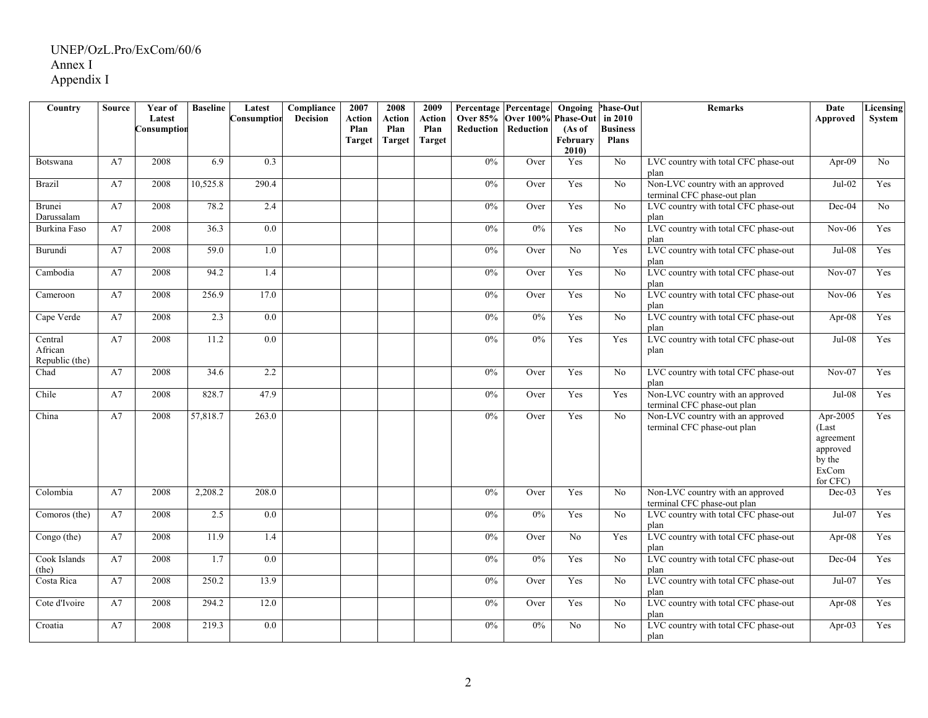| Country                              | Source | Year of               | <b>Baseline</b> | Latest      | Compliance      | 2007           | 2008           | 2009           | Percentage Percentage Ongoing |                                  |                | <b>Phase-Out</b>           | <b>Remarks</b>                                                  | Date                                                                      | <b>Licensing</b> |
|--------------------------------------|--------|-----------------------|-----------------|-------------|-----------------|----------------|----------------|----------------|-------------------------------|----------------------------------|----------------|----------------------------|-----------------------------------------------------------------|---------------------------------------------------------------------------|------------------|
|                                      |        | Latest<br>donsumption |                 | Consumption | <b>Decision</b> | Action<br>Plan | Action<br>Plan | Action<br>Plan | <b>Over 85%</b><br>Reduction  | Over 100% Phase-Out<br>Reduction | (As of         | in 2010<br><b>Business</b> |                                                                 | Approved                                                                  | System           |
|                                      |        |                       |                 |             |                 | Target         | <b>Target</b>  | <b>Target</b>  |                               |                                  | February       | <b>Plans</b>               |                                                                 |                                                                           |                  |
|                                      |        |                       |                 |             |                 |                |                |                |                               |                                  | 2010           |                            |                                                                 |                                                                           |                  |
| <b>Botswana</b>                      | A7     | 2008                  | 6.9             | 0.3         |                 |                |                |                | $0\%$                         | Over                             | Yes            | $\overline{No}$            | LVC country with total CFC phase-out<br>plan                    | Apr-09                                                                    | No               |
| <b>Brazil</b>                        | A7     | 2008                  | 10,525.8        | 290.4       |                 |                |                |                | 0%                            | Over                             | Yes            | $\overline{No}$            | Non-LVC country with an approved<br>terminal CFC phase-out plan | $Jul-02$                                                                  | Yes              |
| Brunei<br>Darussalam                 | A7     | 2008                  | 78.2            | 2.4         |                 |                |                |                | 0%                            | Over                             | Yes            | $\overline{No}$            | LVC country with total CFC phase-out<br>plan                    | $Dec-04$                                                                  | No               |
| Burkina Faso                         | A7     | 2008                  | 36.3            | 0.0         |                 |                |                |                | 0%                            | 0%                               | Yes            | No                         | LVC country with total CFC phase-out<br>plan                    | $Nov-06$                                                                  | Yes              |
| Burundi                              | A7     | 2008                  | 59.0            | 1.0         |                 |                |                |                | 0%                            | Over                             | No             | Yes                        | LVC country with total CFC phase-out<br>plan                    | $Jul-08$                                                                  | Yes              |
| Cambodia                             | A7     | 2008                  | 94.2            | 1.4         |                 |                |                |                | 0%                            | Over                             | Yes            | No                         | LVC country with total CFC phase-out<br>plan                    | $Nov-07$                                                                  | Yes              |
| Cameroon                             | A7     | 2008                  | 256.9           | 17.0        |                 |                |                |                | 0%                            | Over                             | Yes            | No                         | LVC country with total CFC phase-out<br>plan                    | $Nov-06$                                                                  | Yes              |
| Cape Verde                           | A7     | 2008                  | 2.3             | 0.0         |                 |                |                |                | 0%                            | 0%                               | Yes            | No                         | LVC country with total CFC phase-out<br>plan                    | Apr-08                                                                    | Yes              |
| Central<br>African<br>Republic (the) | A7     | 2008                  | 11.2            | 0.0         |                 |                |                |                | $0\%$                         | 0%                               | Yes            | Yes                        | LVC country with total CFC phase-out<br>plan                    | Jul-08                                                                    | Yes              |
| Chad                                 | A7     | 2008                  | 34.6            | 2.2         |                 |                |                |                | 0%                            | Over                             | Yes            | $\overline{No}$            | LVC country with total CFC phase-out<br>plan                    | $Nov-07$                                                                  | Yes              |
| Chile                                | A7     | 2008                  | 828.7           | 47.9        |                 |                |                |                | 0%                            | Over                             | Yes            | Yes                        | Non-LVC country with an approved<br>terminal CFC phase-out plan | $Jul-08$                                                                  | Yes              |
| China                                | A7     | 2008                  | 57,818.7        | 263.0       |                 |                |                |                | $0\%$                         | Over                             | Yes            | No                         | Non-LVC country with an approved<br>terminal CFC phase-out plan | Apr-2005<br>(Last<br>agreement<br>approved<br>by the<br>ExCom<br>for CFC) | Yes              |
| Colombia                             | A7     | 2008                  | 2,208.2         | 208.0       |                 |                |                |                | $0\%$                         | Over                             | Yes            | No                         | Non-LVC country with an approved<br>terminal CFC phase-out plan | $Dec-03$                                                                  | Yes              |
| Comoros (the)                        | A7     | 2008                  | 2.5             | 0.0         |                 |                |                |                | $0\%$                         | 0%                               | Yes            | No                         | LVC country with total CFC phase-out<br>plan                    | Jul-07                                                                    | Yes              |
| Congo (the)                          | A7     | 2008                  | 11.9            | 1.4         |                 |                |                |                | $0\%$                         | Over                             | No             | Yes                        | LVC country with total CFC phase-out<br>plan                    | Apr-08                                                                    | Yes              |
| Cook Islands<br>(the)                | A7     | 2008                  | 1.7             | 0.0         |                 |                |                |                | $0\%$                         | 0%                               | Yes            | N <sub>0</sub>             | LVC country with total CFC phase-out<br>plan                    | $Dec-04$                                                                  | Yes              |
| Costa Rica                           | A7     | 2008                  | 250.2           | 13.9        |                 |                |                |                | $0\%$                         | Over                             | Yes            | N <sub>0</sub>             | LVC country with total CFC phase-out<br>plan                    | Jul-07                                                                    | Yes              |
| Cote d'Ivoire                        | A7     | 2008                  | 294.2           | 12.0        |                 |                |                |                | $0\%$                         | Over                             | Yes            | No                         | LVC country with total CFC phase-out<br>plan                    | Apr-08                                                                    | Yes              |
| Croatia                              | A7     | 2008                  | 219.3           | 0.0         |                 |                |                |                | 0%                            | 0%                               | N <sub>0</sub> | N <sub>0</sub>             | LVC country with total CFC phase-out<br>plan                    | Apr- $03$                                                                 | Yes              |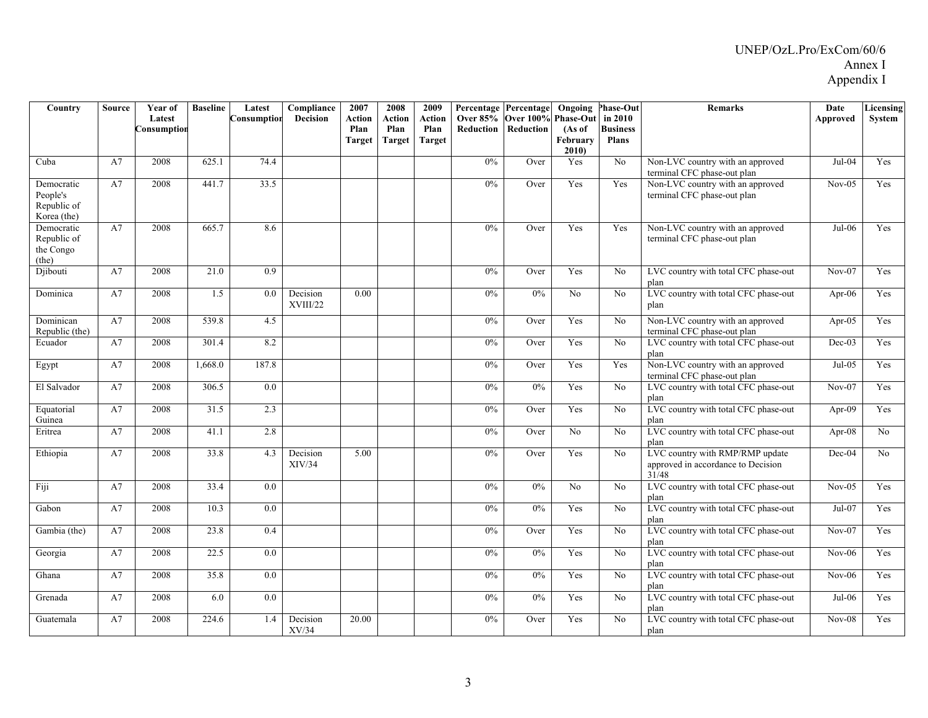| Country                                         | <b>Source</b> | Year of     | <b>Baseline</b> | Latest      | Compliance           | 2007   | 2008          | 2009          | Percentage Percentage        |                            | Ongoing           | <b>Phase-Out</b>                | <b>Remarks</b>                                                                 | Date      | Licensing  |
|-------------------------------------------------|---------------|-------------|-----------------|-------------|----------------------|--------|---------------|---------------|------------------------------|----------------------------|-------------------|---------------------------------|--------------------------------------------------------------------------------|-----------|------------|
|                                                 |               | Latest      |                 | Consumption | <b>Decision</b>      | Action | Action        | <b>Action</b> | Over 85% Over 100% Phase-Out |                            |                   | in 2010                         |                                                                                | Approved  | System     |
|                                                 |               | Consumption |                 |             |                      | Plan   | Plan          | Plan          |                              | <b>Reduction Reduction</b> | (As of            | <b>Business</b><br><b>Plans</b> |                                                                                |           |            |
|                                                 |               |             |                 |             |                      | Target | <b>Target</b> | <b>Target</b> |                              |                            | February<br>2010) |                                 |                                                                                |           |            |
| Cuba                                            | A7            | 2008        | 625.1           | 74.4        |                      |        |               |               | 0%                           | Over                       | Yes               | No                              | Non-LVC country with an approved                                               | Jul-04    | <b>Yes</b> |
| Democratic                                      | A7            | 2008        | 441.7           | 33.5        |                      |        |               |               | 0%                           | Over                       | Yes               | Yes                             | terminal CFC phase-out plan<br>Non-LVC country with an approved                | $Nov-05$  | Yes        |
| People's<br>Republic of                         |               |             |                 |             |                      |        |               |               |                              |                            |                   |                                 | terminal CFC phase-out plan                                                    |           |            |
| Korea (the)                                     |               |             |                 |             |                      |        |               |               |                              |                            |                   |                                 |                                                                                |           |            |
| Democratic<br>Republic of<br>the Congo<br>(the) | A7            | 2008        | 665.7           | 8.6         |                      |        |               |               | 0%                           | Over                       | Yes               | Yes                             | Non-LVC country with an approved<br>terminal CFC phase-out plan                | $Jul-06$  | Yes        |
| Djibouti                                        | A7            | 2008        | 21.0            | 0.9         |                      |        |               |               | 0%                           | Over                       | Yes               | N <sub>0</sub>                  | LVC country with total CFC phase-out<br>plan                                   | $Nov-07$  | Yes        |
| Dominica                                        | A7            | 2008        | 1.5             | 0.0         | Decision<br>XVIII/22 | 0.00   |               |               | 0%                           | 0%                         | No                | N <sub>o</sub>                  | LVC country with total CFC phase-out<br>plan                                   | Apr- $06$ | Yes        |
| Dominican<br>Republic (the)                     | A7            | 2008        | 539.8           | 4.5         |                      |        |               |               | 0%                           | Over                       | Yes               | No                              | Non-LVC country with an approved<br>terminal CFC phase-out plan                | Apr-05    | Yes        |
| Ecuador                                         | A7            | 2008        | 301.4           | 8.2         |                      |        |               |               | 0%                           | Over                       | Yes               | N <sub>0</sub>                  | LVC country with total CFC phase-out<br>plan                                   | $Dec-03$  | Yes        |
| Egypt                                           | A7            | 2008        | 1,668.0         | 187.8       |                      |        |               |               | $0\%$                        | Over                       | Yes               | Yes                             | Non-LVC country with an approved<br>terminal CFC phase-out plan                | $Jul-05$  | Yes        |
| El Salvador                                     | A7            | 2008        | 306.5           | 0.0         |                      |        |               |               | $0\%$                        | 0%                         | Yes               | No                              | LVC country with total CFC phase-out<br>plan                                   | $Nov-07$  | Yes        |
| Equatorial<br>Guinea                            | A7            | 2008        | 31.5            | 2.3         |                      |        |               |               | $0\%$                        | Over                       | Yes               | No                              | LVC country with total CFC phase-out<br>plan                                   | Apr-09    | Yes        |
| Eritrea                                         | A7            | 2008        | 41.1            | 2.8         |                      |        |               |               | $0\%$                        | Over                       | No                | No                              | LVC country with total CFC phase-out<br>plan                                   | Apr-08    | No.        |
| Ethiopia                                        | A7            | 2008        | 33.8            | 4.3         | Decision<br>XIV/34   | 5.00   |               |               | 0%                           | Over                       | Yes               | No                              | LVC country with RMP/RMP update<br>approved in accordance to Decision<br>31/48 | Dec-04    | No         |
| Fiji                                            | A7            | 2008        | 33.4            | 0.0         |                      |        |               |               | $0\%$                        | 0%                         | No                | No                              | LVC country with total CFC phase-out<br>plan                                   | $Nov-05$  | Yes        |
| Gabon                                           | A7            | 2008        | 10.3            | 0.0         |                      |        |               |               | 0%                           | 0%                         | Yes               | No                              | LVC country with total CFC phase-out<br>plan                                   | $Jul-07$  | Yes        |
| Gambia (the)                                    | A7            | 2008        | 23.8            | 0.4         |                      |        |               |               | $0\%$                        | Over                       | Yes               | No                              | LVC country with total CFC phase-out<br>plan                                   | $Nov-07$  | Yes        |
| Georgia                                         | A7            | 2008        | 22.5            | 0.0         |                      |        |               |               | 0%                           | 0%                         | Yes               | No                              | LVC country with total CFC phase-out<br>plan                                   | $Nov-06$  | Yes        |
| Ghana                                           | A7            | 2008        | 35.8            | 0.0         |                      |        |               |               | 0%                           | 0%                         | Yes               | N <sub>0</sub>                  | LVC country with total CFC phase-out<br>plan                                   | $Nov-06$  | Yes        |
| Grenada                                         | A7            | 2008        | 6.0             | 0.0         |                      |        |               |               | 0%                           | 0%                         | Yes               | No                              | LVC country with total CFC phase-out<br>plan                                   | $Jul-06$  | Yes        |
| Guatemala                                       | A7            | 2008        | 224.6           | 1.4         | Decision<br>XV/34    | 20.00  |               |               | 0%                           | Over                       | Yes               | No                              | LVC country with total CFC phase-out<br>plan                                   | $Nov-08$  | Yes        |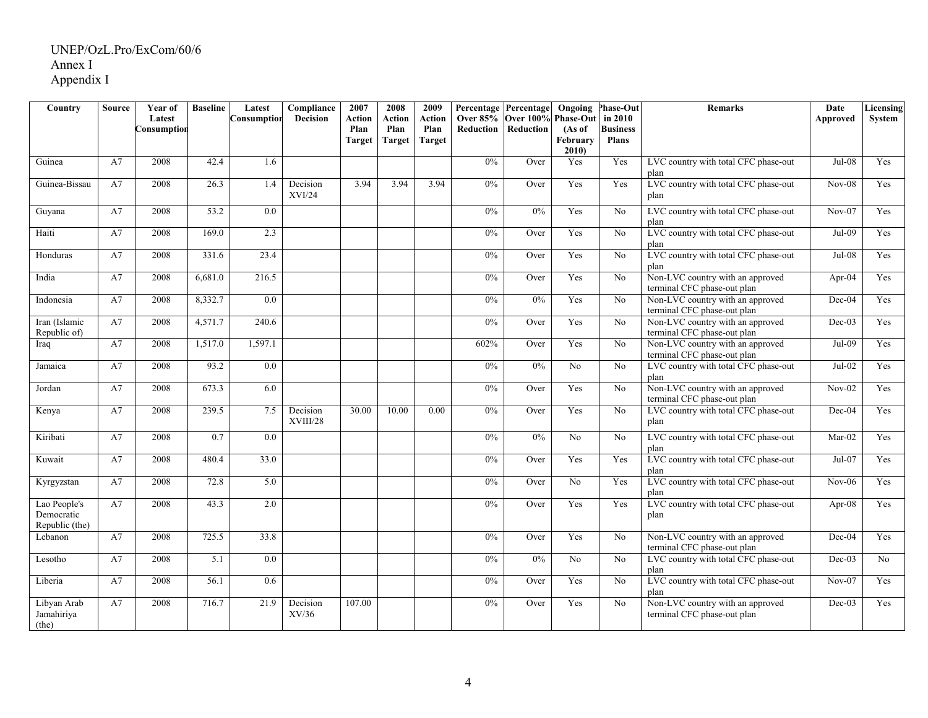| Country                                      | Source | Year of               | <b>Baseline</b>   | Latest           | Compliance                | 2007           | 2008           | 2009           | Percentage Percentage |                                                   |                  | <b>Ongoing Phase-Out</b> | Remarks                                                         | Date     | <b>Licensing</b> |
|----------------------------------------------|--------|-----------------------|-------------------|------------------|---------------------------|----------------|----------------|----------------|-----------------------|---------------------------------------------------|------------------|--------------------------|-----------------------------------------------------------------|----------|------------------|
|                                              |        | Latest<br>Consumption |                   | Consumption      | <b>Decision</b>           | Action<br>Plan | Action<br>Plan | Action<br>Plan | <b>Reduction</b>      | Over 85% Over 100% Phase-Out in 2010<br>Reduction | (As of           | <b>Business</b>          |                                                                 | Approved | System           |
|                                              |        |                       |                   |                  |                           | <b>Target</b>  | Target         | <b>Target</b>  |                       |                                                   | February<br>2010 | <b>Plans</b>             |                                                                 |          |                  |
| Guinea                                       | A7     | 2008                  | 42.4              | 1.6              |                           |                |                |                | $0\%$                 | Over                                              | Yes              | Yes                      | LVC country with total CFC phase-out<br>plan                    | Jul-08   | Yes              |
| Guinea-Bissau                                | A7     | 2008                  | $\overline{26.3}$ | $\overline{1.4}$ | Decision<br><b>XVI/24</b> | 3.94           | 3.94           | 3.94           | 0%                    | Over                                              | Yes              | Yes                      | LVC country with total CFC phase-out<br>plan                    | $Nov-08$ | Yes              |
| Guyana                                       | A7     | 2008                  | $\overline{53.2}$ | $\overline{0.0}$ |                           |                |                |                | 0%                    | 0%                                                | Yes              | No                       | LVC country with total CFC phase-out<br>plan                    | $Nov-07$ | Yes              |
| Haiti                                        | A7     | 2008                  | 169.0             | 2.3              |                           |                |                |                | 0%                    | Over                                              | Yes              | No                       | LVC country with total CFC phase-out<br>plan                    | $Jul-09$ | Yes              |
| Honduras                                     | A7     | 2008                  | 331.6             | 23.4             |                           |                |                |                | $0\%$                 | Over                                              | Yes              | N <sub>0</sub>           | LVC country with total CFC phase-out<br>plan                    | $Jul-08$ | Yes              |
| India                                        | A7     | 2008                  | 6,681.0           | 216.5            |                           |                |                |                | $0\%$                 | Over                                              | Yes              | No                       | Non-LVC country with an approved<br>terminal CFC phase-out plan | Apr-04   | Yes              |
| Indonesia                                    | A7     | 2008                  | 8,332.7           | 0.0              |                           |                |                |                | $0\%$                 | 0%                                                | Yes              | No                       | Non-LVC country with an approved<br>terminal CFC phase-out plan | $Dec-04$ | Yes              |
| Iran (Islamic<br>Republic of)                | A7     | 2008                  | 4.571.7           | 240.6            |                           |                |                |                | $0\%$                 | Over                                              | Yes              | No                       | Non-LVC country with an approved<br>terminal CFC phase-out plan | $Dec-03$ | Yes              |
| Iraq                                         | A7     | 2008                  | 1,517.0           | 1,597.1          |                           |                |                |                | 602%                  | Over                                              | Yes              | No                       | Non-LVC country with an approved<br>terminal CFC phase-out plan | Jul-09   | Yes              |
| Jamaica                                      | A7     | 2008                  | 93.2              | 0.0              |                           |                |                |                | $0\%$                 | 0%                                                | N <sub>o</sub>   | No                       | LVC country with total CFC phase-out<br>plan                    | Jul-02   | Yes              |
| Jordan                                       | A7     | 2008                  | 673.3             | 6.0              |                           |                |                |                | $0\%$                 | Over                                              | Yes              | $\rm No$                 | Non-LVC country with an approved<br>terminal CFC phase-out plan | $Nov-02$ | Yes              |
| Kenya                                        | A7     | 2008                  | 239.5             | 7.5              | Decision<br>XVIII/28      | 30.00          | 10.00          | 0.00           | $0\%$                 | Over                                              | Yes              | No                       | LVC country with total CFC phase-out<br>plan                    | $Dec-04$ | Yes              |
| Kiribati                                     | A7     | 2008                  | 0.7               | 0.0              |                           |                |                |                | 0%                    | 0%                                                | No               | No                       | LVC country with total CFC phase-out<br>plan                    | Mar-02   | Yes              |
| Kuwait                                       | A7     | 2008                  | 480.4             | 33.0             |                           |                |                |                | 0%                    | Over                                              | Yes              | Yes                      | LVC country with total CFC phase-out<br>plan                    | Jul-07   | Yes              |
| Kyrgyzstan                                   | A7     | 2008                  | 72.8              | 5.0              |                           |                |                |                | 0%                    | Over                                              | No               | Yes                      | LVC country with total CFC phase-out<br>plan                    | $Nov-06$ | Yes              |
| Lao People's<br>Democratic<br>Republic (the) | A7     | 2008                  | 43.3              | $\overline{2.0}$ |                           |                |                |                | 0%                    | Over                                              | Yes              | Yes                      | LVC country with total CFC phase-out<br>plan                    | Apr-08   | Yes              |
| Lebanon                                      | A7     | 2008                  | 725.5             | 33.8             |                           |                |                |                | 0%                    | Over                                              | Yes              | No                       | Non-LVC country with an approved<br>terminal CFC phase-out plan | Dec-04   | Yes              |
| Lesotho                                      | A7     | 2008                  | 5.1               | 0.0              |                           |                |                |                | 0%                    | 0%                                                | No               | $\overline{No}$          | LVC country with total CFC phase-out<br>plan                    | $Dec-03$ | No               |
| Liberia                                      | A7     | 2008                  | 56.1              | 0.6              |                           |                |                |                | 0%                    | Over                                              | Yes              | No                       | LVC country with total CFC phase-out<br>plan                    | $Nov-07$ | Yes              |
| Libyan Arab<br>Jamahiriya<br>(the)           | A7     | 2008                  | 716.7             | 21.9             | Decision<br>XV/36         | 107.00         |                |                | $0\%$                 | Over                                              | Yes              | No                       | Non-LVC country with an approved<br>terminal CFC phase-out plan | $Dec-03$ | Yes              |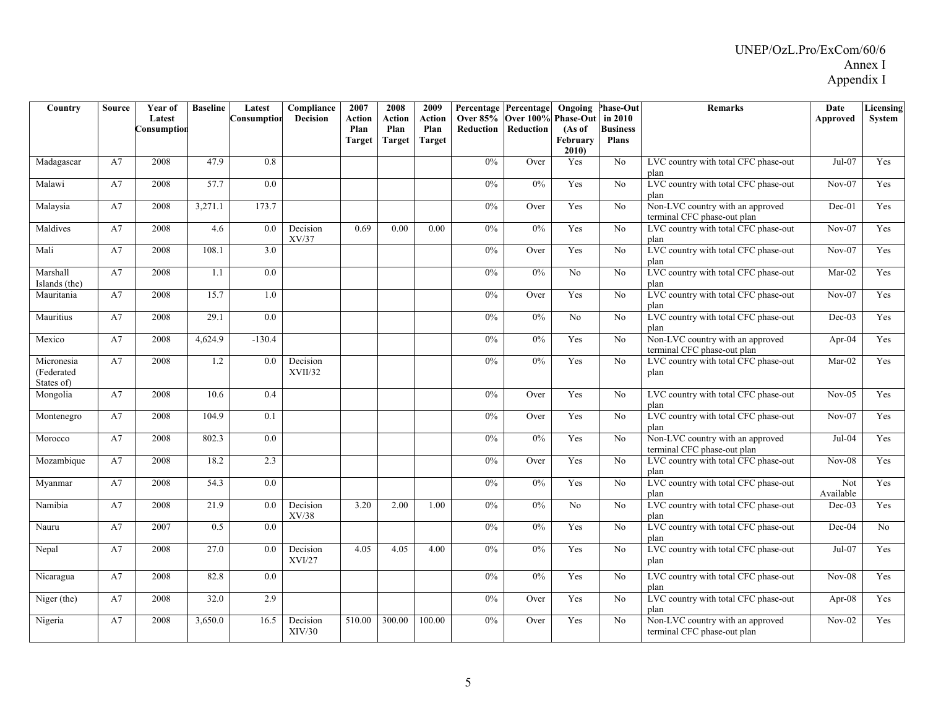| Country                                | <b>Source</b> | Year of               | <b>Baseline</b> | Latest             | Compliance          | 2007                            | 2008                     | 2009                                   | Percentage Percentage        |                               | Ongoing                                        | <b>Phase-Out</b>                           | <b>Remarks</b>                                                  | Date             | Licensing  |
|----------------------------------------|---------------|-----------------------|-----------------|--------------------|---------------------|---------------------------------|--------------------------|----------------------------------------|------------------------------|-------------------------------|------------------------------------------------|--------------------------------------------|-----------------------------------------------------------------|------------------|------------|
|                                        |               | Latest<br>Consumption |                 | <b>Consumption</b> | <b>Decision</b>     | Action<br>Plan<br><b>Target</b> | Action<br>Plan<br>Target | <b>Action</b><br>Plan<br><b>Target</b> | <b>Over 85%</b><br>Reduction | <b>Over 100%</b><br>Reduction | <b>Phase-Out</b><br>(As of<br>February<br>2010 | in 2010<br><b>Business</b><br><b>Plans</b> |                                                                 | Approved         | System     |
| Madagascar                             | A7            | 2008                  | 47.9            | 0.8                |                     |                                 |                          |                                        | 0%                           | Over                          | Yes                                            | No                                         | LVC country with total CFC phase-out<br>plan                    | Jul-07           | Yes        |
| Malawi                                 | A7            | 2008                  | 57.7            | 0.0                |                     |                                 |                          |                                        | 0%                           | 0%                            | Yes                                            | No                                         | LVC country with total CFC phase-out<br>plan                    | $Nov-07$         | Yes        |
| Malaysia                               | A7            | 2008                  | 3,271.1         | 173.7              |                     |                                 |                          |                                        | 0%                           | Over                          | Yes                                            | No                                         | Non-LVC country with an approved<br>terminal CFC phase-out plan | $Dec-01$         | Yes        |
| Maldives                               | A7            | 2008                  | 4.6             | 0.0                | Decision<br>XV/37   | 0.69                            | 0.00                     | 0.00                                   | 0%                           | 0%                            | Yes                                            | No                                         | LVC country with total CFC phase-out<br>plan                    | $Nov-07$         | Yes        |
| Mali                                   | A7            | 2008                  | 108.1           | 3.0                |                     |                                 |                          |                                        | 0%                           | Over                          | Yes                                            | No                                         | LVC country with total CFC phase-out<br>plan                    | $Nov-07$         | Yes        |
| Marshall<br>Islands (the)              | A7            | 2008                  | 1.1             | 0.0                |                     |                                 |                          |                                        | 0%                           | 0%                            | No                                             | No                                         | LVC country with total CFC phase-out<br>plan                    | Mar-02           | Yes        |
| Mauritania                             | A7            | 2008                  | 15.7            | 1.0                |                     |                                 |                          |                                        | 0%                           | Over                          | Yes                                            | No                                         | LVC country with total CFC phase-out<br>plan                    | $Nov-07$         | Yes        |
| Mauritius                              | A7            | 2008                  | 29.1            | 0.0                |                     |                                 |                          |                                        | 0%                           | $0\%$                         | N <sub>0</sub>                                 | N <sub>0</sub>                             | LVC country with total CFC phase-out<br>plan                    | $Dec-03$         | Yes        |
| Mexico                                 | A7            | 2008                  | 4,624.9         | $-130.4$           |                     |                                 |                          |                                        | 0%                           | 0%                            | Yes                                            | No                                         | Non-LVC country with an approved<br>terminal CFC phase-out plan | Apr-04           | Yes        |
| Micronesia<br>(Federated<br>States of) | A7            | 2008                  | 1.2             | 0.0                | Decision<br>XVII/32 |                                 |                          |                                        | 0%                           | 0%                            | Yes                                            | N <sub>0</sub>                             | LVC country with total CFC phase-out<br>plan                    | $Mar-02$         | Yes        |
| Mongolia                               | A7            | 2008                  | 10.6            | 0.4                |                     |                                 |                          |                                        | 0%                           | Over                          | Yes                                            | N <sub>0</sub>                             | LVC country with total CFC phase-out<br>plan                    | $Nov-05$         | <b>Yes</b> |
| Montenegro                             | A7            | 2008                  | 104.9           | 0.1                |                     |                                 |                          |                                        | $0\%$                        | Over                          | Yes                                            | No                                         | LVC country with total CFC phase-out<br>plan                    | $Nov-07$         | Yes        |
| Morocco                                | A7            | 2008                  | 802.3           | 0.0                |                     |                                 |                          |                                        | 0%                           | 0%                            | Yes                                            | N <sub>0</sub>                             | Non-LVC country with an approved<br>terminal CFC phase-out plan | $Jul-04$         | Yes        |
| Mozambique                             | A7            | 2008                  | 18.2            | 2.3                |                     |                                 |                          |                                        | 0%                           | Over                          | Yes                                            | N <sub>0</sub>                             | LVC country with total CFC phase-out<br>plan                    | $Nov-08$         | <b>Yes</b> |
| Myanmar                                | A7            | 2008                  | 54.3            | 0.0                |                     |                                 |                          |                                        | 0%                           | 0%                            | Yes                                            | No                                         | LVC country with total CFC phase-out<br>plan                    | Not<br>Available | Yes        |
| Namibia                                | A7            | 2008                  | 21.9            | 0.0                | Decision<br>XV/38   | 3.20                            | 2.00                     | 1.00                                   | 0%                           | 0%                            | No                                             | N <sub>0</sub>                             | LVC country with total CFC phase-out<br>plan                    | $Dec-03$         | Yes        |
| Nauru                                  | A7            | 2007                  | 0.5             | $\overline{0.0}$   |                     |                                 |                          |                                        | 0%                           | 0%                            | Yes                                            | No                                         | LVC country with total CFC phase-out<br>plan                    | Dec-04           | No         |
| Nepal                                  | A7            | 2008                  | 27.0            | 0.0                | Decision<br>XVI/27  | 4.05                            | 4.05                     | 4.00                                   | $0\%$                        | 0%                            | Yes                                            | No                                         | LVC country with total CFC phase-out<br>plan                    | Jul-07           | Yes        |
| Nicaragua                              | A7            | 2008                  | 82.8            | 0.0                |                     |                                 |                          |                                        | 0%                           | 0%                            | Yes                                            | No                                         | LVC country with total CFC phase-out<br>plan                    | $Nov-08$         | Yes        |
| Niger (the)                            | A7            | 2008                  | 32.0            | 2.9                |                     |                                 |                          |                                        | 0%                           | Over                          | Yes                                            | No                                         | LVC country with total CFC phase-out<br>plan                    | Apr-08           | Yes        |
| Nigeria                                | A7            | 2008                  | 3,650.0         | 16.5               | Decision<br>XIV/30  | 510.00                          | 300.00                   | 100.00                                 | 0%                           | Over                          | Yes                                            | No                                         | Non-LVC country with an approved<br>terminal CFC phase-out plan | $Nov-02$         | Yes        |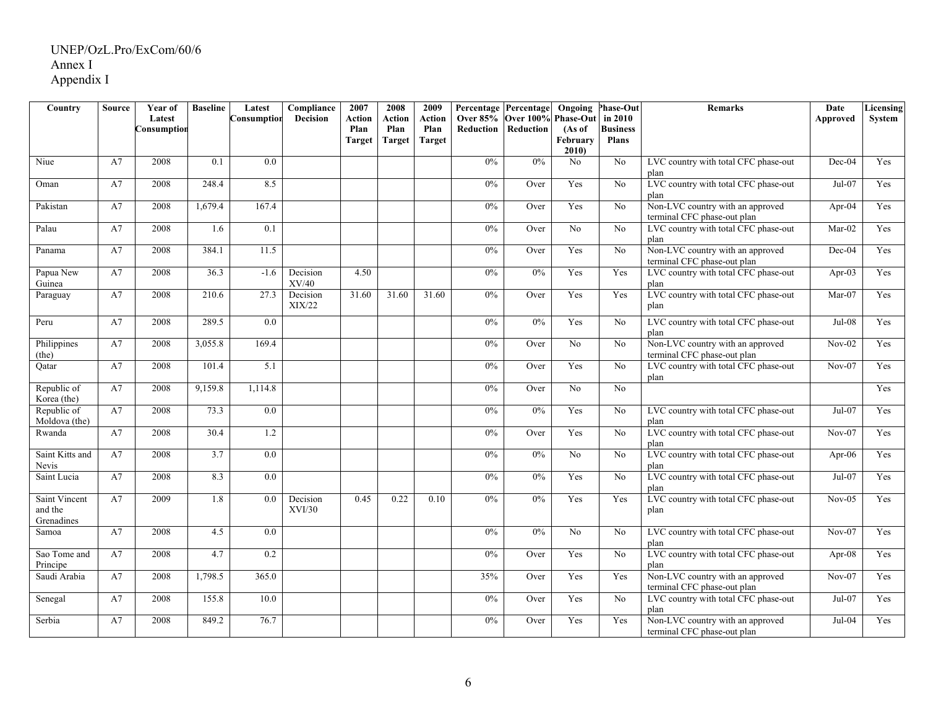| Country                                | <b>Source</b> | Year of     | <b>Baseline</b> | Latest           | Compliance         | 2007          | 2008   | 2009                  | Percentage Percentage |                              | Ongoing            | <b>Phase-Out</b>                | <b>Remarks</b>                                                  | Date      | Licensing  |
|----------------------------------------|---------------|-------------|-----------------|------------------|--------------------|---------------|--------|-----------------------|-----------------------|------------------------------|--------------------|---------------------------------|-----------------------------------------------------------------|-----------|------------|
|                                        |               | Latest      |                 | Consumption      | <b>Decision</b>    | <b>Action</b> | Action | Action                |                       | Over 85% Over 100% Phase-Out |                    | in 2010                         |                                                                 | Approved  | System     |
|                                        |               | Consumptior |                 |                  |                    | Plan          | Plan   | Plan<br><b>Target</b> |                       | Reduction Reduction          | (As of<br>February | <b>Business</b><br><b>Plans</b> |                                                                 |           |            |
|                                        |               |             |                 |                  |                    | <b>Target</b> | Target |                       |                       |                              | 2010               |                                 |                                                                 |           |            |
| Niue                                   | A7            | 2008        | 0.1             | $\overline{0.0}$ |                    |               |        |                       | 0%                    | 0%                           | No                 | $\overline{No}$                 | LVC country with total CFC phase-out<br>plan                    | Dec-04    | Yes        |
| Oman                                   | A7            | 2008        | 248.4           | 8.5              |                    |               |        |                       | 0%                    | Over                         | Yes                | $\overline{No}$                 | LVC country with total CFC phase-out<br>plan                    | $Jul-07$  | Yes        |
| Pakistan                               | A7            | 2008        | 1,679.4         | 167.4            |                    |               |        |                       | 0%                    | Over                         | Yes                | No                              | Non-LVC country with an approved<br>terminal CFC phase-out plan | Apr- $04$ | Yes        |
| Palau                                  | A7            | 2008        | 1.6             | 0.1              |                    |               |        |                       | 0%                    | Over                         | No                 | N <sub>0</sub>                  | LVC country with total CFC phase-out<br>plan                    | $Mar-02$  | Yes        |
| Panama                                 | A7            | 2008        | 384.1           | 11.5             |                    |               |        |                       | 0%                    | Over                         | Yes                | No                              | Non-LVC country with an approved<br>terminal CFC phase-out plan | Dec-04    | Yes        |
| Papua New<br>Guinea                    | A7            | 2008        | 36.3            | $-1.6$           | Decision<br>XV/40  | 4.50          |        |                       | 0%                    | 0%                           | Yes                | Yes                             | LVC country with total CFC phase-out<br>plan                    | Apr-03    | Yes        |
| Paraguay                               | A7            | 2008        | 210.6           | 27.3             | Decision<br>XIX/22 | 31.60         | 31.60  | 31.60                 | 0%                    | Over                         | Yes                | Yes                             | LVC country with total CFC phase-out<br>plan                    | $Mar-07$  | Yes        |
| Peru                                   | A7            | 2008        | 289.5           | 0.0              |                    |               |        |                       | 0%                    | 0%                           | Yes                | No                              | LVC country with total CFC phase-out<br>plan                    | $Jul-08$  | Yes        |
| Philippines<br>(the)                   | A7            | 2008        | 3.055.8         | 169.4            |                    |               |        |                       | $0\%$                 | Over                         | No                 | No                              | Non-LVC country with an approved<br>terminal CFC phase-out plan | $Nov-02$  | <b>Yes</b> |
| Qatar                                  | A7            | 2008        | 101.4           | 5.1              |                    |               |        |                       | $0\%$                 | Over                         | Yes                | No                              | LVC country with total CFC phase-out<br>plan                    | $Nov-07$  | Yes        |
| Republic of<br>Korea (the)             | A7            | 2008        | 9,159.8         | 1,114.8          |                    |               |        |                       | $0\%$                 | Over                         | No                 | No                              |                                                                 |           | Yes        |
| Republic of<br>Moldova (the)           | A7            | 2008        | 73.3            | 0.0              |                    |               |        |                       | 0%                    | 0%                           | Yes                | No                              | LVC country with total CFC phase-out<br>plan                    | $Jul-07$  | Yes        |
| Rwanda                                 | A7            | 2008        | 30.4            | 1.2              |                    |               |        |                       | 0%                    | Over                         | Yes                | No                              | LVC country with total CFC phase-out<br>plan                    | $Nov-07$  | Yes        |
| Saint Kitts and<br>Nevis               | A7            | 2008        | 3.7             | $\overline{0.0}$ |                    |               |        |                       | 0%                    | 0%                           | No                 | No                              | LVC country with total CFC phase-out<br>plan                    | Apr-06    | Yes        |
| Saint Lucia                            | A7            | 2008        | 8.3             | 0.0              |                    |               |        |                       | 0%                    | 0%                           | Yes                | No                              | LVC country with total CFC phase-out<br>plan                    | $Jul-07$  | Yes        |
| Saint Vincent<br>and the<br>Grenadines | A7            | 2009        | 1.8             | 0.0              | Decision<br>XVI/30 | 0.45          | 0.22   | 0.10                  | $0\%$                 | 0%                           | Yes                | Yes                             | LVC country with total CFC phase-out<br>plan                    | $Nov-05$  | Yes        |
| Samoa                                  | A7            | 2008        | 4.5             | 0.0              |                    |               |        |                       | 0%                    | 0%                           | $\overline{No}$    | No                              | LVC country with total CFC phase-out<br>plan                    | $Nov-07$  | Yes        |
| Sao Tome and<br>Principe               | A7            | 2008        | 4.7             | 0.2              |                    |               |        |                       | $0\%$                 | Over                         | Yes                | No                              | LVC country with total CFC phase-out<br>plan                    | Apr-08    | Yes        |
| Saudi Arabia                           | A7            | 2008        | 1,798.5         | 365.0            |                    |               |        |                       | 35%                   | Over                         | Yes                | Yes                             | Non-LVC country with an approved<br>terminal CFC phase-out plan | $Nov-07$  | Yes        |
| Senegal                                | A7            | 2008        | 155.8           | 10.0             |                    |               |        |                       | 0%                    | Over                         | Yes                | No                              | LVC country with total CFC phase-out<br>plan                    | Jul-07    | Yes        |
| Serbia                                 | A7            | 2008        | 849.2           | 76.7             |                    |               |        |                       | 0%                    | Over                         | Yes                | Yes                             | Non-LVC country with an approved<br>terminal CFC phase-out plan | Jul-04    | Yes        |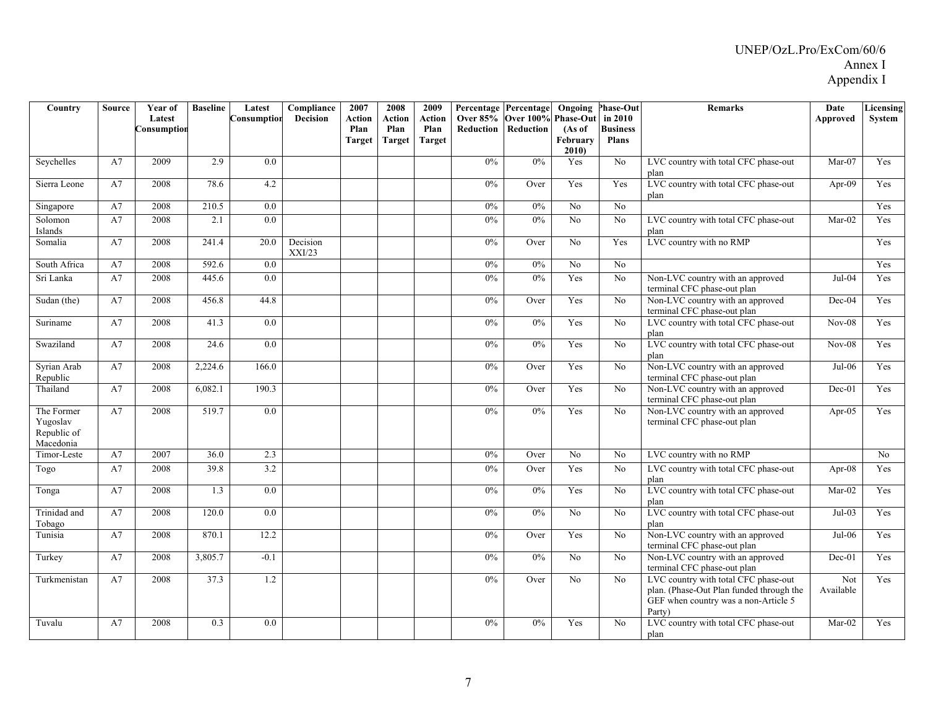| Country                                            | <b>Source</b> | Year of     | <b>Baseline</b> | Latest           | Compliance         | 2007           | 2008           | 2009           | Percentage Percentage |                                 | Ongoing                    | <b>Phase-Out</b>           | <b>Remarks</b>                                                                                                                     | Date             | Licensing |
|----------------------------------------------------|---------------|-------------|-----------------|------------------|--------------------|----------------|----------------|----------------|-----------------------|---------------------------------|----------------------------|----------------------------|------------------------------------------------------------------------------------------------------------------------------------|------------------|-----------|
|                                                    |               | Latest      |                 | Consumption      | <b>Decision</b>    | <b>Action</b>  | Action<br>Plan | Action<br>Plan | Reduction             | Over 85% Over 100%<br>Reduction | <b>Phase-Out</b><br>(As of | in 2010<br><b>Business</b> |                                                                                                                                    | Approved         | System    |
|                                                    |               | Consumption |                 |                  |                    | Plan<br>Target | Target         | <b>Target</b>  |                       |                                 | February                   | <b>Plans</b>               |                                                                                                                                    |                  |           |
|                                                    |               |             |                 |                  |                    |                |                |                |                       |                                 | 2010                       |                            |                                                                                                                                    |                  |           |
| Sevchelles                                         | A7            | 2009        | 2.9             | 0.0              |                    |                |                |                | 0%                    | 0%                              | Yes                        | No                         | LVC country with total CFC phase-out<br>plan                                                                                       | $Mar-07$         | Yes       |
| Sierra Leone                                       | A7            | 2008        | 78.6            | 4.2              |                    |                |                |                | 0%                    | Over                            | Yes                        | Yes                        | LVC country with total CFC phase-out                                                                                               | Apr-09           | Yes       |
|                                                    |               |             |                 |                  |                    |                |                |                |                       |                                 |                            |                            | plan                                                                                                                               |                  |           |
| Singapore                                          | A7            | 2008        | 210.5           | $\overline{0.0}$ |                    |                |                |                | 0%                    | 0%                              | No.                        | No                         |                                                                                                                                    |                  | Yes       |
| Solomon<br>Islands                                 | A7            | 2008        | 2.1             | 0.0              |                    |                |                |                | 0%                    | 0%                              | No                         | No                         | LVC country with total CFC phase-out<br>plan                                                                                       | $Mar-02$         | Yes       |
| Somalia                                            | A7            | 2008        | 241.4           | 20.0             | Decision<br>XXI/23 |                |                |                | 0%                    | Over                            | No                         | Yes                        | LVC country with no RMP                                                                                                            |                  | Yes       |
| South Africa                                       | A7            | 2008        | 592.6           | 0.0              |                    |                |                |                | $0\%$                 | 0%                              | No                         | N <sub>o</sub>             |                                                                                                                                    |                  | Yes       |
| Sri Lanka                                          | A7            | 2008        | 445.6           | 0.0              |                    |                |                |                | 0%                    | 0%                              | Yes                        | $\overline{No}$            | Non-LVC country with an approved<br>terminal CFC phase-out plan                                                                    | $Jul-04$         | Yes       |
| Sudan (the)                                        | A7            | 2008        | 456.8           | 44.8             |                    |                |                |                | 0%                    | Over                            | Yes                        | No                         | Non-LVC country with an approved<br>terminal CFC phase-out plan                                                                    | Dec-04           | Yes       |
| Suriname                                           | A7            | 2008        | 41.3            | 0.0              |                    |                |                |                | 0%                    | 0%                              | Yes                        | No                         | LVC country with total CFC phase-out<br>plan                                                                                       | $Nov-08$         | Yes       |
| Swaziland                                          | A7            | 2008        | 24.6            | 0.0              |                    |                |                |                | 0%                    | 0%                              | Yes                        | No                         | LVC country with total CFC phase-out<br>plan                                                                                       | $Nov-08$         | Yes       |
| Syrian Arab<br>Republic                            | A7            | 2008        | 2,224.6         | 166.0            |                    |                |                |                | $0\%$                 | Over                            | Yes                        | No                         | Non-LVC country with an approved<br>terminal CFC phase-out plan                                                                    | $Jul-06$         | Yes       |
| Thailand                                           | A7            | 2008        | 6,082.1         | 190.3            |                    |                |                |                | $0\%$                 | Over                            | Yes                        | No                         | Non-LVC country with an approved<br>terminal CFC phase-out plan                                                                    | $Dec-01$         | Yes       |
| The Former<br>Yugoslav<br>Republic of<br>Macedonia | A7            | 2008        | 519.7           | 0.0              |                    |                |                |                | $0\%$                 | 0%                              | Yes                        | No                         | Non-LVC country with an approved<br>terminal CFC phase-out plan                                                                    | Apr- $05$        | Yes       |
| Timor-Leste                                        | A7            | 2007        | 36.0            | 2.3              |                    |                |                |                | $0\%$                 | Over                            | N <sub>0</sub>             | No                         | LVC country with no RMP                                                                                                            |                  | No        |
| Togo                                               | A7            | 2008        | 39.8            | 3.2              |                    |                |                |                | 0%                    | Over                            | Yes                        | No                         | LVC country with total CFC phase-out<br>plan                                                                                       | Apr- $08$        | Yes       |
| Tonga                                              | A7            | 2008        | 1.3             | 0.0              |                    |                |                |                | $0\%$                 | 0%                              | Yes                        | No                         | LVC country with total CFC phase-out<br>plan                                                                                       | $Mar-02$         | Yes       |
| Trinidad and<br>Tobago                             | A7            | 2008        | 120.0           | 0.0              |                    |                |                |                | $0\%$                 | 0%                              | No                         | No                         | LVC country with total CFC phase-out<br>plan                                                                                       | $Jul-03$         | Yes       |
| Tunisia                                            | A7            | 2008        | 870.1           | 12.2             |                    |                |                |                | 0%                    | Over                            | Yes                        | N <sub>0</sub>             | Non-LVC country with an approved<br>terminal CFC phase-out plan                                                                    | Jul-06           | Yes       |
| Turkey                                             | A7            | 2008        | 3,805.7         | $-0.1$           |                    |                |                |                | 0%                    | 0%                              | N <sub>0</sub>             | No                         | Non-LVC country with an approved<br>terminal CFC phase-out plan                                                                    | $Dec-01$         | Yes       |
| Turkmenistan                                       | A7            | 2008        | 37.3            | 1.2              |                    |                |                |                | 0%                    | Over                            | No                         | No                         | LVC country with total CFC phase-out<br>plan. (Phase-Out Plan funded through the<br>GEF when country was a non-Article 5<br>Party) | Not<br>Available | Yes       |
| Tuvalu                                             | A7            | 2008        | 0.3             | 0.0              |                    |                |                |                | 0%                    | 0%                              | Yes                        | No                         | LVC country with total CFC phase-out<br>plan                                                                                       | $Mar-02$         | Yes       |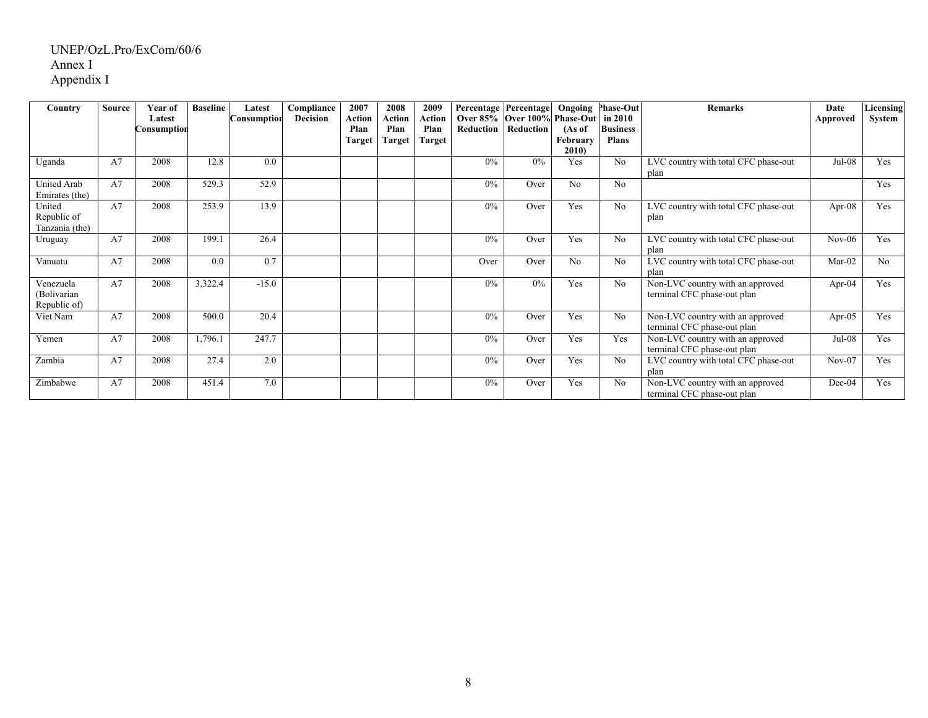| Country                                  | <b>Source</b> | Year of<br>Latest<br>Consumption | <b>Baseline</b> | Latest<br>Consumption | Compliance<br>Decision | 2007<br>Action<br>Plan<br><b>Target</b> | 2008<br>Action<br>Plan<br><b>Target</b> | 2009<br>Action<br>Plan<br><b>Target</b> | Percentage   Percentage  <br>Reduction | Over 85% Over 100% Phase-Out in 2010<br>Reduction | Ongoing<br>(As of<br>February | <b>Phase-Out</b><br><b>Business</b><br><b>Plans</b> | <b>Remarks</b>                                                  | Date<br>Approved | Licensing<br>System |
|------------------------------------------|---------------|----------------------------------|-----------------|-----------------------|------------------------|-----------------------------------------|-----------------------------------------|-----------------------------------------|----------------------------------------|---------------------------------------------------|-------------------------------|-----------------------------------------------------|-----------------------------------------------------------------|------------------|---------------------|
| Uganda                                   | A7            | 2008                             | 12.8            | 0.0                   |                        |                                         |                                         |                                         | $0\%$                                  | 0%                                                | 2010<br>Yes                   | N <sub>0</sub>                                      | LVC country with total CFC phase-out<br>plan                    | $Jul-08$         | <b>Yes</b>          |
| <b>United Arab</b><br>Emirates (the)     | A7            | 2008                             | 529.3           | 52.9                  |                        |                                         |                                         |                                         | $0\%$                                  | Over                                              | No                            | No                                                  |                                                                 |                  | Yes                 |
| United<br>Republic of<br>Tanzania (the)  | A7            | 2008                             | 253.9           | 13.9                  |                        |                                         |                                         |                                         | 0%                                     | Over                                              | Yes                           | N <sub>0</sub>                                      | LVC country with total CFC phase-out<br>plan                    | Apr- $08$        | Yes                 |
| Uruguay                                  | A7            | 2008                             | 199.1           | 26.4                  |                        |                                         |                                         |                                         | $0\%$                                  | Over                                              | Yes                           | N <sub>0</sub>                                      | LVC country with total CFC phase-out<br>plan                    | $Nov-06$         | <b>Yes</b>          |
| Vanuatu                                  | A7            | 2008                             | 0.0             | 0.7                   |                        |                                         |                                         |                                         | Over                                   | Over                                              | N <sub>0</sub>                | No                                                  | LVC country with total CFC phase-out<br>plan                    | $Mar-02$         | N <sub>0</sub>      |
| Venezuela<br>(Bolivarian<br>Republic of) | A7            | 2008                             | 3,322.4         | $-15.0$               |                        |                                         |                                         |                                         | 0%                                     | 0%                                                | Yes                           | No                                                  | Non-LVC country with an approved<br>terminal CFC phase-out plan | Apr- $04$        | Yes                 |
| Viet Nam                                 | A7            | 2008                             | 500.0           | 20.4                  |                        |                                         |                                         |                                         | 0%                                     | Over                                              | Yes                           | N <sub>0</sub>                                      | Non-LVC country with an approved<br>terminal CFC phase-out plan | Apr- $05$        | Yes                 |
| Yemen                                    | A7            | 2008                             | 1,796.1         | 247.7                 |                        |                                         |                                         |                                         | $0\%$                                  | Over                                              | Yes                           | Yes                                                 | Non-LVC country with an approved<br>terminal CFC phase-out plan | $Jul-08$         | Yes                 |
| Zambia                                   | A7            | 2008                             | 27.4            | 2.0                   |                        |                                         |                                         |                                         | 0%                                     | Over                                              | Yes                           | No                                                  | LVC country with total CFC phase-out<br>plan                    | $Nov-07$         | Yes                 |
| Zimbabwe                                 | A7            | 2008                             | 451.4           | 7.0                   |                        |                                         |                                         |                                         | 0%                                     | Over                                              | Yes                           | N <sub>0</sub>                                      | Non-LVC country with an approved<br>terminal CFC phase-out plan | Dec-04           | Yes                 |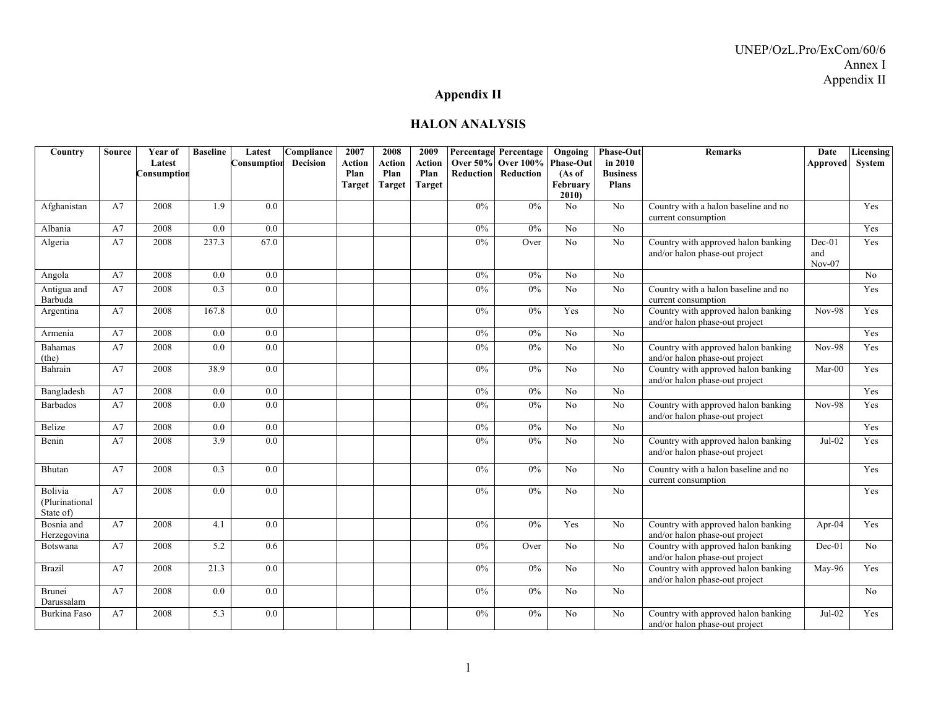# **Appendix II**

#### **HALON ANALYSIS**

| Country                                | <b>Source</b> | Year of               | <b>Baseline</b>  | Latest           | Compliance      | 2007                  | 2008           | 2009                  |       | Percentage Percentage                               | Ongoing        | <b>Phase-Out</b>           | <b>Remarks</b>                                                        | Date                      | Licensing |
|----------------------------------------|---------------|-----------------------|------------------|------------------|-----------------|-----------------------|----------------|-----------------------|-------|-----------------------------------------------------|----------------|----------------------------|-----------------------------------------------------------------------|---------------------------|-----------|
|                                        |               | Latest<br>Consumption |                  | Consumption      | <b>Decision</b> | <b>Action</b><br>Plan | Action<br>Plan | <b>Action</b><br>Plan |       | Over 50% Over 100% Phase-Out<br>Reduction Reduction | (As of         | in 2010<br><b>Business</b> |                                                                       | Approved                  | System    |
|                                        |               |                       |                  |                  |                 | <b>Target</b>         | <b>Target</b>  | <b>Target</b>         |       |                                                     | February       | <b>Plans</b>               |                                                                       |                           |           |
|                                        |               |                       |                  |                  |                 |                       |                |                       |       |                                                     | 2010           |                            |                                                                       |                           |           |
| Afghanistan                            | A7            | 2008                  | $\overline{1.9}$ | $\overline{0.0}$ |                 |                       |                |                       | $0\%$ | 0%                                                  | No             | No                         | Country with a halon baseline and no<br>current consumption           |                           | Yes       |
| Albania                                | A7            | 2008                  | 0.0              | 0.0              |                 |                       |                |                       | $0\%$ | 0%                                                  | N <sub>o</sub> | No                         |                                                                       |                           | Yes       |
| Algeria                                | A7            | 2008                  | 237.3            | 67.0             |                 |                       |                |                       | 0%    | Over                                                | No             | No                         | Country with approved halon banking<br>and/or halon phase-out project | $Dec-01$<br>and<br>Nov-07 | Yes       |
| Angola                                 | A7            | 2008                  | 0.0              | 0.0              |                 |                       |                |                       | $0\%$ | $0\%$                                               | No             | No                         |                                                                       |                           | No        |
| Antigua and<br>Barbuda                 | A7            | 2008                  | 0.3              | 0.0              |                 |                       |                |                       | 0%    | 0%                                                  | N <sub>o</sub> | No                         | Country with a halon baseline and no<br>current consumption           |                           | Yes       |
| Argentina                              | A7            | 2008                  | 167.8            | 0.0              |                 |                       |                |                       | $0\%$ | $0\%$                                               | Yes            | No                         | Country with approved halon banking<br>and/or halon phase-out project | <b>Nov-98</b>             | Yes       |
| Armenia                                | A7            | 2008                  | 0.0              | 0.0              |                 |                       |                |                       | $0\%$ | 0%                                                  | No             | No                         |                                                                       |                           | Yes       |
| Bahamas<br>(the)                       | A7            | 2008                  | 0.0              | 0.0              |                 |                       |                |                       | $0\%$ | 0%                                                  | N <sub>o</sub> | No                         | Country with approved halon banking<br>and/or halon phase-out project | <b>Nov-98</b>             | Yes       |
| Bahrain                                | A7            | 2008                  | 38.9             | 0.0              |                 |                       |                |                       | 0%    | 0%                                                  | No             | No                         | Country with approved halon banking<br>and/or halon phase-out project | $Mar-00$                  | Yes       |
| Bangladesh                             | A7            | 2008                  | 0.0              | 0.0              |                 |                       |                |                       | $0\%$ | $0\%$                                               | No             | No                         |                                                                       |                           | Yes       |
| <b>Barbados</b>                        | A7            | 2008                  | 0.0              | 0.0              |                 |                       |                |                       | 0%    | 0%                                                  | No             | No                         | Country with approved halon banking<br>and/or halon phase-out project | $Nov-98$                  | Yes       |
| Belize                                 | A7            | 2008                  | 0.0              | 0.0              |                 |                       |                |                       | $0\%$ | $0\%$                                               | No             | No                         |                                                                       |                           | Yes       |
| Benin                                  | A7            | 2008                  | 3.9              | 0.0              |                 |                       |                |                       | 0%    | 0%                                                  | No             | N <sub>0</sub>             | Country with approved halon banking<br>and/or halon phase-out project | $Jul-02$                  | Yes       |
| Bhutan                                 | A7            | 2008                  | 0.3              | 0.0              |                 |                       |                |                       | $0\%$ | $0\%$                                               | No             | No                         | Country with a halon baseline and no<br>current consumption           |                           | Yes       |
| Bolivia<br>(Plurinational<br>State of) | A7            | 2008                  | 0.0              | 0.0              |                 |                       |                |                       | $0\%$ | $0\%$                                               | N <sub>o</sub> | No                         |                                                                       |                           | Yes       |
| Bosnia and<br>Herzegovina              | A7            | 2008                  | 4.1              | 0.0              |                 |                       |                |                       | $0\%$ | 0%                                                  | Yes            | No                         | Country with approved halon banking<br>and/or halon phase-out project | Apr- $04$                 | Yes       |
| Botswana                               | A7            | 2008                  | 5.2              | 0.6              |                 |                       |                |                       | $0\%$ | Over                                                | No             | No                         | Country with approved halon banking<br>and/or halon phase-out project | Dec-01                    | No        |
| <b>Brazil</b>                          | A7            | 2008                  | 21.3             | 0.0              |                 |                       |                |                       | $0\%$ | $0\%$                                               | N <sub>0</sub> | No                         | Country with approved halon banking<br>and/or halon phase-out project | May-96                    | Yes       |
| <b>Brunei</b><br>Darussalam            | A7            | 2008                  | 0.0              | 0.0              |                 |                       |                |                       | 0%    | 0%                                                  | No             | No                         |                                                                       |                           | No        |
| Burkina Faso                           | A7            | 2008                  | 5.3              | 0.0              |                 |                       |                |                       | 0%    | $0\%$                                               | No             | N <sub>0</sub>             | Country with approved halon banking<br>and/or halon phase-out project | Jul-02                    | Yes       |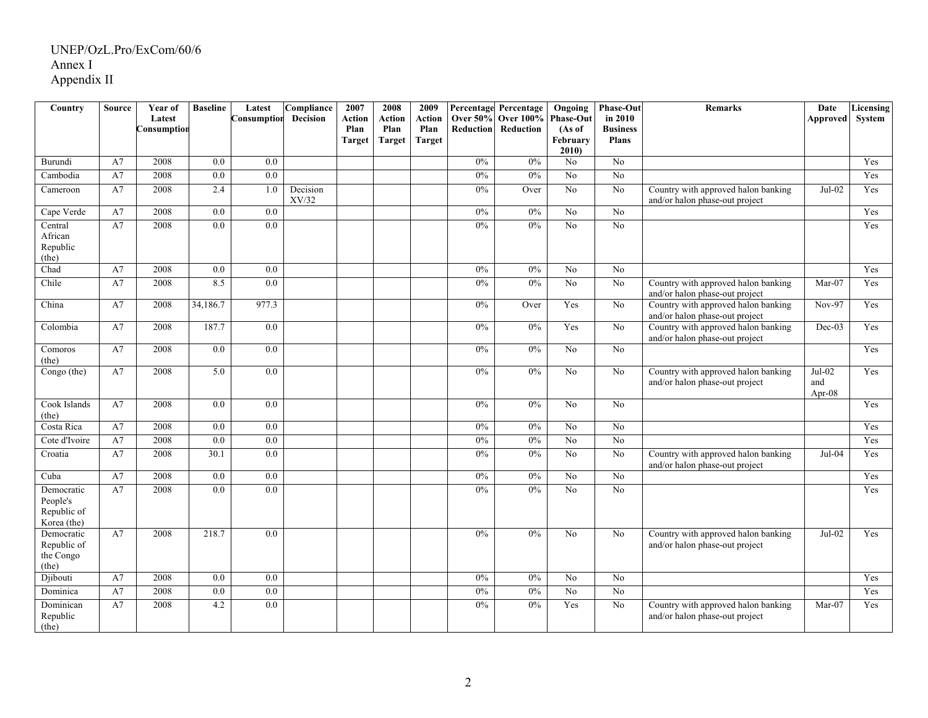| Country                                              | <b>Source</b> | Year of               | <b>Baseline</b>  | Latest      | Compliance        | 2007           | 2008           | 2009           |                                     | Percentage Percentage         | Ongoing                    | Phase-Out                  | Remarks                                                               | Date                         | Licensing |
|------------------------------------------------------|---------------|-----------------------|------------------|-------------|-------------------|----------------|----------------|----------------|-------------------------------------|-------------------------------|----------------------------|----------------------------|-----------------------------------------------------------------------|------------------------------|-----------|
|                                                      |               | Latest<br>Consumption |                  | Consumption | <b>Decision</b>   | Action<br>Plan | Action<br>Plan | Action<br>Plan | <b>Over 50%</b><br><b>Reduction</b> | <b>Over 100%</b><br>Reduction | <b>Phase-Out</b><br>(As of | in 2010<br><b>Business</b> |                                                                       | Approved                     | System    |
|                                                      |               |                       |                  |             |                   | <b>Target</b>  | <b>Target</b>  | <b>Target</b>  |                                     |                               | February                   | <b>Plans</b>               |                                                                       |                              |           |
|                                                      |               |                       |                  |             |                   |                |                |                |                                     |                               | 2010                       |                            |                                                                       |                              |           |
| Burundi                                              | A7            | 2008                  | 0.0              | 0.0         |                   |                |                |                | 0%                                  | 0%                            | No                         | N <sub>o</sub>             |                                                                       |                              | Yes       |
| Cambodia                                             | A7            | 2008                  | 0.0              | 0.0         |                   |                |                |                | 0%                                  | 0%                            | N <sub>0</sub>             | $\overline{No}$            |                                                                       |                              | Yes       |
| Cameroon                                             | A7            | 2008                  | 2.4              | 1.0         | Decision<br>XV/32 |                |                |                | 0%                                  | Over                          | N <sub>o</sub>             | N <sub>o</sub>             | Country with approved halon banking<br>and/or halon phase-out project | $Jul-02$                     | Yes       |
| Cape Verde                                           | A7            | 2008                  | $0.0\,$          | 0.0         |                   |                |                |                | 0%                                  | 0%                            | No                         | No.                        |                                                                       |                              | Yes       |
| Central<br>African<br>Republic<br>(the)              | A7            | 2008                  | 0.0              | 0.0         |                   |                |                |                | 0%                                  | $0\%$                         | N <sub>o</sub>             | N <sub>o</sub>             |                                                                       |                              | Yes       |
| Chad                                                 | A7            | 2008                  | 0.0              | 0.0         |                   |                |                |                | 0%                                  | $0\%$                         | N <sub>o</sub>             | N <sub>o</sub>             |                                                                       |                              | Yes       |
| Chile                                                | A7            | 2008                  | 8.5              | 0.0         |                   |                |                |                | 0%                                  | 0%                            | No                         | No                         | Country with approved halon banking<br>and/or halon phase-out project | $Mar-07$                     | Yes       |
| China                                                | A7            | 2008                  | 34,186.7         | 977.3       |                   |                |                |                | $0\%$                               | Over                          | Yes                        | No                         | Country with approved halon banking<br>and/or halon phase-out project | $Nov-97$                     | Yes       |
| Colombia                                             | A7            | 2008                  | 187.7            | $0.0\,$     |                   |                |                |                | 0%                                  | 0%                            | Yes                        | No                         | Country with approved halon banking<br>and/or halon phase-out project | Dec-03                       | Yes       |
| Comoros<br>(the)                                     | A7            | 2008                  | 0.0              | 0.0         |                   |                |                |                | $0\%$                               | $0\%$                         | N <sub>o</sub>             | N <sub>o</sub>             |                                                                       |                              | Yes       |
| Congo (the)                                          | A7            | 2008                  | 5.0              | 0.0         |                   |                |                |                | 0%                                  | 0%                            | No                         | No                         | Country with approved halon banking<br>and/or halon phase-out project | $Jul-02$<br>and<br>Apr- $08$ | Yes       |
| Cook Islands<br>(the)                                | A7            | 2008                  | 0.0              | 0.0         |                   |                |                |                | 0%                                  | 0%                            | No                         | No.                        |                                                                       |                              | Yes       |
| Costa Rica                                           | A7            | 2008                  | 0.0              | 0.0         |                   |                |                |                | 0%                                  | 0%                            | N <sub>o</sub>             | No                         |                                                                       |                              | Yes       |
| Cote d'Ivoire                                        | A7            | 2008                  | 0.0              | 0.0         |                   |                |                |                | 0%                                  | 0%                            | No                         | No.                        |                                                                       |                              | Yes       |
| Croatia                                              | A7            | 2008                  | 30.1             | 0.0         |                   |                |                |                | 0%                                  | $0\%$                         | N <sub>0</sub>             | No                         | Country with approved halon banking<br>and/or halon phase-out project | Jul-04                       | Yes       |
| Cuba                                                 | A7            | 2008                  | $\overline{0.0}$ | 0.0         |                   |                |                |                | 0%                                  | 0%                            | N <sub>o</sub>             | $\overline{No}$            |                                                                       |                              | Yes       |
| Democratic<br>People's<br>Republic of<br>Korea (the) | A7            | 2008                  | 0.0              | 0.0         |                   |                |                |                | 0%                                  | $0\%$                         | No                         | No                         |                                                                       |                              | Yes       |
| Democratic<br>Republic of<br>the Congo<br>(the)      | A7            | 2008                  | 218.7            | 0.0         |                   |                |                |                | 0%                                  | $0\%$                         | No                         | No                         | Country with approved halon banking<br>and/or halon phase-out project | $Jul-02$                     | Yes       |
| Djibouti                                             | A7            | 2008                  | 0.0              | 0.0         |                   |                |                |                | 0%                                  | $0\%$                         | N <sub>o</sub>             | No                         |                                                                       |                              | Yes       |
| Dominica                                             | A7            | 2008                  | 0.0              | 0.0         |                   |                |                |                | 0%                                  | 0%                            | $\overline{N_0}$           | No                         |                                                                       |                              | Yes       |
| Dominican<br>Republic<br>(the)                       | A7            | 2008                  | 4.2              | 0.0         |                   |                |                |                | 0%                                  | 0%                            | Yes                        | No                         | Country with approved halon banking<br>and/or halon phase-out project | $Mar-07$                     | Yes       |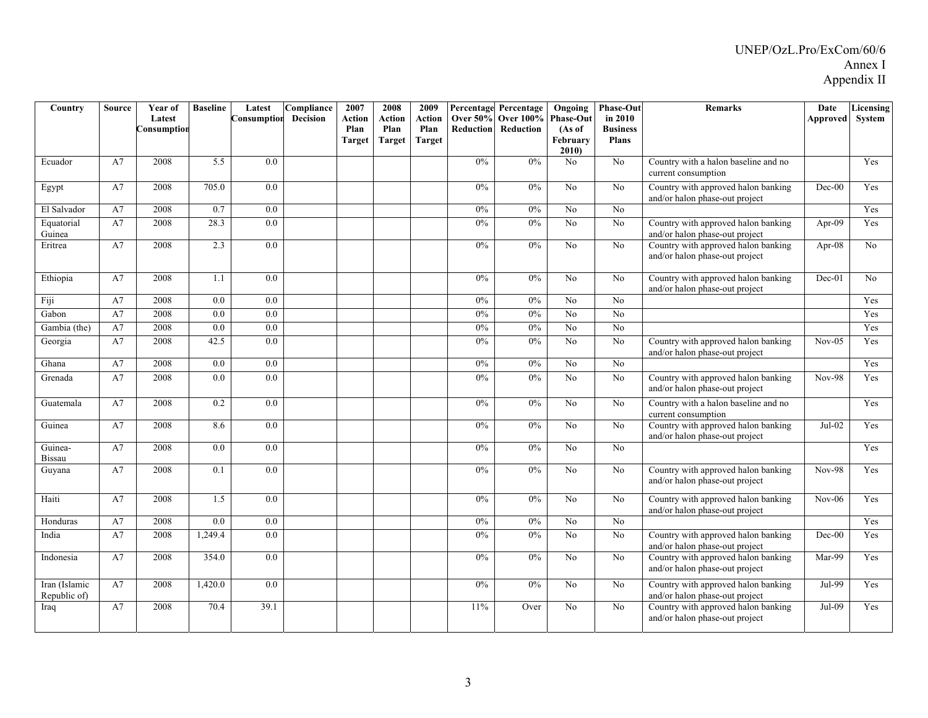| Country                       | Source | Year of<br>Latest<br>Consumption | <b>Baseline</b> | Latest<br>Consumption | $\overline{\text{Compliance}}$<br><b>Decision</b> | 2007<br>Action<br>Plan<br>Target | 2008<br>Action<br>Plan<br>Target | 2009<br>Action<br>Plan<br><b>Target</b> | <b>Over 50%</b><br><b>Reduction</b> | <b>Percentage Percentage</b><br><b>Over 100%</b><br>Reduction | $\overline{O}$ ngoing<br><b>Phase-Out</b><br>(As of<br>February<br>2010 | <b>Phase-Out</b><br>in 2010<br><b>Business</b><br><b>Plans</b> | <b>Remarks</b>                                                        | Date<br>Approved | Licensing<br>System |
|-------------------------------|--------|----------------------------------|-----------------|-----------------------|---------------------------------------------------|----------------------------------|----------------------------------|-----------------------------------------|-------------------------------------|---------------------------------------------------------------|-------------------------------------------------------------------------|----------------------------------------------------------------|-----------------------------------------------------------------------|------------------|---------------------|
| Ecuador                       | A7     | 2008                             | 5.5             | 0.0                   |                                                   |                                  |                                  |                                         | $0\%$                               | 0%                                                            | N <sub>o</sub>                                                          | N <sub>o</sub>                                                 | Country with a halon baseline and no<br>current consumption           |                  | Yes                 |
| Egypt                         | A7     | 2008                             | 705.0           | 0.0                   |                                                   |                                  |                                  |                                         | $0\%$                               | 0%                                                            | No                                                                      | N <sub>o</sub>                                                 | Country with approved halon banking<br>and/or halon phase-out project | $Dec-00$         | Yes                 |
| El Salvador                   | A7     | 2008                             | 0.7             | 0.0                   |                                                   |                                  |                                  |                                         | 0%                                  | 0%                                                            | No                                                                      | N <sub>o</sub>                                                 |                                                                       |                  | Yes                 |
| Equatorial<br>Guinea          | A7     | 2008                             | 28.3            | 0.0                   |                                                   |                                  |                                  |                                         | $0\%$                               | 0%                                                            | N <sub>o</sub>                                                          | No.                                                            | Country with approved halon banking<br>and/or halon phase-out project | Apr-09           | Yes                 |
| Eritrea                       | A7     | 2008                             | 2.3             | 0.0                   |                                                   |                                  |                                  |                                         | 0%                                  | 0%                                                            | No                                                                      | N <sub>o</sub>                                                 | Country with approved halon banking<br>and/or halon phase-out project | Apr-08           | No                  |
| Ethiopia                      | A7     | 2008                             | 1.1             | 0.0                   |                                                   |                                  |                                  |                                         | $0\%$                               | $0\%$                                                         | N <sub>o</sub>                                                          | N <sub>0</sub>                                                 | Country with approved halon banking<br>and/or halon phase-out project | Dec-01           | No                  |
| Fiji                          | A7     | 2008                             | 0.0             | 0.0                   |                                                   |                                  |                                  |                                         | 0%                                  | 0%                                                            | No                                                                      | No                                                             |                                                                       |                  | Yes                 |
| Gabon                         | A7     | 2008                             | 0.0             | 0.0                   |                                                   |                                  |                                  |                                         | 0%                                  | 0%                                                            | $\overline{No}$                                                         | N <sub>0</sub>                                                 |                                                                       |                  | Yes                 |
| Gambia (the)                  | A7     | 2008                             | 0.0             | 0.0                   |                                                   |                                  |                                  |                                         | $0\%$                               | $0\%$                                                         | No                                                                      | No                                                             |                                                                       |                  | Yes                 |
| Georgia                       | A7     | 2008                             | 42.5            | $\overline{0.0}$      |                                                   |                                  |                                  |                                         | $0\%$                               | 0%                                                            | No                                                                      | N <sub>o</sub>                                                 | Country with approved halon banking<br>and/or halon phase-out project | $Nov-05$         | Yes                 |
| Ghana                         | A7     | 2008                             | 0.0             | $\overline{0.0}$      |                                                   |                                  |                                  |                                         | $0\%$                               | $0\%$                                                         | $\rm No$                                                                | No                                                             |                                                                       |                  | Yes                 |
| Grenada                       | A7     | 2008                             | 0.0             | 0.0                   |                                                   |                                  |                                  |                                         | $0\%$                               | $0\%$                                                         | No                                                                      | N <sub>o</sub>                                                 | Country with approved halon banking<br>and/or halon phase-out project | <b>Nov-98</b>    | Yes                 |
| Guatemala                     | A7     | 2008                             | 0.2             | $\overline{0.0}$      |                                                   |                                  |                                  |                                         | 0%                                  | 0%                                                            | No                                                                      | N <sub>o</sub>                                                 | Country with a halon baseline and no<br>current consumption           |                  | Yes                 |
| Guinea                        | A7     | 2008                             | 8.6             | 0.0                   |                                                   |                                  |                                  |                                         | $0\%$                               | 0%                                                            | No                                                                      | No                                                             | Country with approved halon banking<br>and/or halon phase-out project | $Jul-02$         | Yes                 |
| Guinea-<br><b>Bissau</b>      | A7     | 2008                             | 0.0             | 0.0                   |                                                   |                                  |                                  |                                         | $0\%$                               | 0%                                                            | No                                                                      | No                                                             |                                                                       |                  | Yes                 |
| Guyana                        | A7     | 2008                             | 0.1             | 0.0                   |                                                   |                                  |                                  |                                         | 0%                                  | 0%                                                            | No                                                                      | N <sub>o</sub>                                                 | Country with approved halon banking<br>and/or halon phase-out project | <b>Nov-98</b>    | Yes                 |
| Haiti                         | A7     | 2008                             | 1.5             | 0.0                   |                                                   |                                  |                                  |                                         | $0\%$                               | 0%                                                            | N <sub>o</sub>                                                          | N <sub>o</sub>                                                 | Country with approved halon banking<br>and/or halon phase-out project | $Nov-06$         | Yes                 |
| Honduras                      | A7     | 2008                             | 0.0             | $\overline{0.0}$      |                                                   |                                  |                                  |                                         | 0%                                  | 0%                                                            | No                                                                      | No                                                             |                                                                       |                  | Yes                 |
| India                         | A7     | 2008                             | 1,249.4         | 0.0                   |                                                   |                                  |                                  |                                         | $0\%$                               | 0%                                                            | No                                                                      | No                                                             | Country with approved halon banking<br>and/or halon phase-out project | $Dec-00$         | Yes                 |
| Indonesia                     | A7     | 2008                             | 354.0           | 0.0                   |                                                   |                                  |                                  |                                         | $0\%$                               | 0%                                                            | N <sub>o</sub>                                                          | N <sub>o</sub>                                                 | Country with approved halon banking<br>and/or halon phase-out project | Mar-99           | Yes                 |
| Iran (Islamic<br>Republic of) | A7     | 2008                             | 1,420.0         | 0.0                   |                                                   |                                  |                                  |                                         | $0\%$                               | $0\%$                                                         | No                                                                      | No                                                             | Country with approved halon banking<br>and/or halon phase-out project | Jul-99           | Yes                 |
| Iraq                          | A7     | 2008                             | 70.4            | 39.1                  |                                                   |                                  |                                  |                                         | 11%                                 | Over                                                          | N <sub>0</sub>                                                          | No                                                             | Country with approved halon banking<br>and/or halon phase-out project | Jul-09           | Yes                 |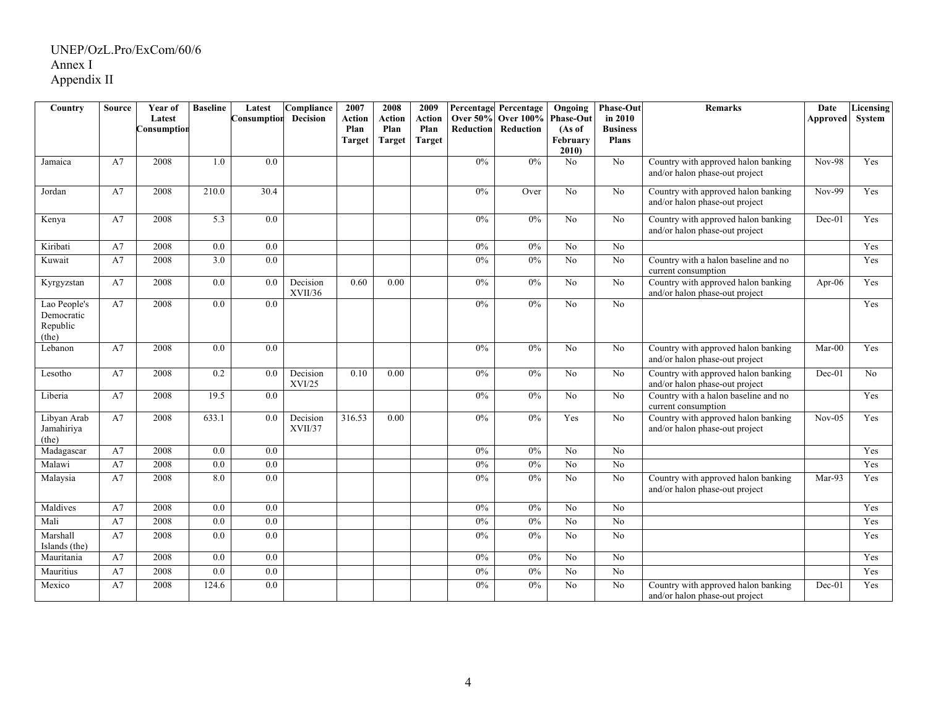| Country                                         | Source | Year of               | <b>Baseline</b>  | Latest           | Compliance          | 2007           | 2008           | 2009           |                  | Percentage Percentage                  | Ongoing                    | <b>Phase-Out</b>           | <b>Remarks</b>                                                        | Date      | Licensing |
|-------------------------------------------------|--------|-----------------------|------------------|------------------|---------------------|----------------|----------------|----------------|------------------|----------------------------------------|----------------------------|----------------------------|-----------------------------------------------------------------------|-----------|-----------|
|                                                 |        | Latest<br>Consumptior |                  | Consumption      | <b>Decision</b>     | Action<br>Plan | Action<br>Plan | Action<br>Plan | <b>Reduction</b> | <b>Over 50% Over 100%</b><br>Reduction | <b>Phase-Out</b><br>(As of | in 2010<br><b>Business</b> |                                                                       | Approved  | System    |
|                                                 |        |                       |                  |                  |                     | <b>Target</b>  | <b>Target</b>  | Target         |                  |                                        | February                   | <b>Plans</b>               |                                                                       |           |           |
|                                                 |        |                       |                  |                  |                     |                |                |                |                  |                                        | 2010)                      |                            |                                                                       |           |           |
| Jamaica                                         | A7     | 2008                  | 1.0              | $\overline{0.0}$ |                     |                |                |                | 0%               | 0%                                     | N <sub>o</sub>             | No                         | Country with approved halon banking<br>and/or halon phase-out project | $Nov-98$  | Yes       |
| Jordan                                          | A7     | 2008                  | 210.0            | 30.4             |                     |                |                |                | 0%               | Over                                   | No                         | No                         | Country with approved halon banking<br>and/or halon phase-out project | $Nov-99$  | Yes       |
| Kenya                                           | A7     | 2008                  | 5.3              | 0.0              |                     |                |                |                | 0%               | 0%                                     | N <sub>0</sub>             | N <sub>o</sub>             | Country with approved halon banking<br>and/or halon phase-out project | $Dec-01$  | Yes       |
| Kiribati                                        | A7     | 2008                  | 0.0              | $\overline{0.0}$ |                     |                |                |                | 0%               | 0%                                     | No                         | $\overline{No}$            |                                                                       |           | Yes       |
| Kuwait                                          | A7     | 2008                  | 3.0              | $\overline{0.0}$ |                     |                |                |                | 0%               | 0%                                     | $\overline{N_0}$           | $\overline{No}$            | Country with a halon baseline and no<br>current consumption           |           | Yes       |
| Kyrgyzstan                                      | A7     | 2008                  | 0.0              | 0.0              | Decision<br>XVII/36 | 0.60           | 0.00           |                | 0%               | $0\%$                                  | No                         | No                         | Country with approved halon banking<br>and/or halon phase-out project | Apr- $06$ | Yes       |
| Lao People's<br>Democratic<br>Republic<br>(the) | A7     | 2008                  | 0.0              | 0.0              |                     |                |                |                | 0%               | $0\%$                                  | N <sub>o</sub>             | N <sub>o</sub>             |                                                                       |           | Yes       |
| Lebanon                                         | A7     | 2008                  | 0.0              | 0.0              |                     |                |                |                | 0%               | 0%                                     | No                         | N <sub>o</sub>             | Country with approved halon banking<br>and/or halon phase-out project | Mar-00    | Yes       |
| Lesotho                                         | A7     | 2008                  | 0.2              | 0.0              | Decision<br>XVI/25  | 0.10           | 0.00           |                | 0%               | $0\%$                                  | No                         | No                         | Country with approved halon banking<br>and/or halon phase-out project | $Dec-01$  | No        |
| Liberia                                         | A7     | 2008                  | 19.5             | 0.0              |                     |                |                |                | 0%               | $0\%$                                  | No                         | No                         | Country with a halon baseline and no<br>current consumption           |           | Yes       |
| Libyan Arab<br>Jamahiriya<br>(the)              | A7     | 2008                  | 633.1            | 0.0              | Decision<br>XVII/37 | 316.53         | 0.00           |                | 0%               | $0\%$                                  | Yes                        | No                         | Country with approved halon banking<br>and/or halon phase-out project | $Nov-05$  | Yes       |
| Madagascar                                      | A7     | 2008                  | 0.0              | 0.0              |                     |                |                |                | $0\%$            | 0%                                     | N <sub>0</sub>             | No                         |                                                                       |           | Yes       |
| Malawi                                          | A7     | 2008                  | 0.0              | 0.0              |                     |                |                |                | 0%               | 0%                                     | No                         | $\overline{No}$            |                                                                       |           | Yes       |
| Malaysia                                        | A7     | 2008                  | 8.0              | 0.0              |                     |                |                |                | 0%               | 0%                                     | N <sub>o</sub>             | $\overline{No}$            | Country with approved halon banking<br>and/or halon phase-out project | Mar-93    | Yes       |
| Maldives                                        | A7     | 2008                  | $\overline{0.0}$ | $\overline{0.0}$ |                     |                |                |                | 0%               | 0%                                     | $\overline{N_0}$           | $\overline{No}$            |                                                                       |           | Yes       |
| Mali                                            | A7     | 2008                  | 0.0              | $\overline{0.0}$ |                     |                |                |                | 0%               | 0%                                     | $\overline{N_0}$           | $\overline{No}$            |                                                                       |           | Yes       |
| Marshall<br>Islands (the)                       | A7     | 2008                  | 0.0              | $\overline{0.0}$ |                     |                |                |                | 0%               | 0%                                     | $\overline{N_0}$           | $\overline{No}$            |                                                                       |           | Yes       |
| Mauritania                                      | A7     | 2008                  | 0.0              | 0.0              |                     |                |                |                | 0%               | $0\%$                                  | No                         | No                         |                                                                       |           | Yes       |
| Mauritius                                       | A7     | 2008                  | 0.0              | $\overline{0.0}$ |                     |                |                |                | 0%               | 0%                                     | N <sub>o</sub>             | N <sub>o</sub>             |                                                                       |           | Yes       |
| Mexico                                          | A7     | 2008                  | 124.6            | 0.0              |                     |                |                |                | $0\%$            | 0%                                     | No                         | N <sub>o</sub>             | Country with approved halon banking<br>and/or halon phase-out project | $Dec-01$  | Yes       |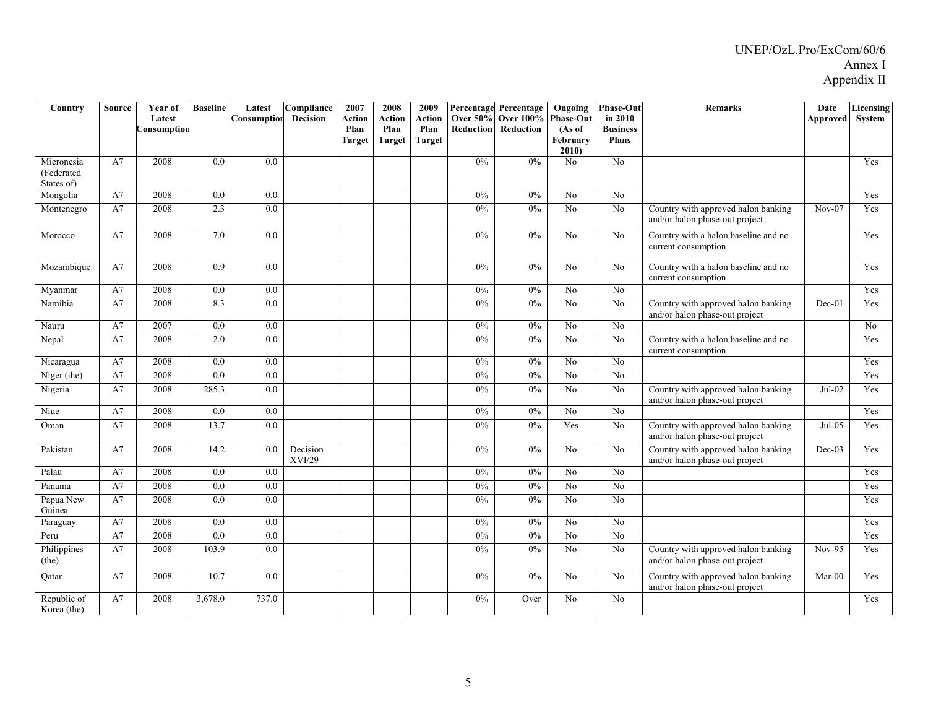| Country                    | Source | Year of<br>Latest | <b>Baseline</b> | Latest<br>Consumption | Compliance<br><b>Decision</b> | 2007<br>Action        | 2008<br>Action | 2009<br>Action        |                  | <b>Percentage Percentage</b><br><b>Over 50% Over 100%</b> | Ongoing<br><b>Phase-Out</b> | <b>Phase-Out</b><br>in 2010     | <b>Remarks</b>                                                        | Date<br>Approved | Licensing<br>System |
|----------------------------|--------|-------------------|-----------------|-----------------------|-------------------------------|-----------------------|----------------|-----------------------|------------------|-----------------------------------------------------------|-----------------------------|---------------------------------|-----------------------------------------------------------------------|------------------|---------------------|
|                            |        | Consumption       |                 |                       |                               | Plan<br><b>Target</b> | Plan<br>Target | Plan<br><b>Target</b> | <b>Reduction</b> | Reduction                                                 | (As of<br>February          | <b>Business</b><br><b>Plans</b> |                                                                       |                  |                     |
| Micronesia                 | A7     | 2008              | 0.0             | 0.0                   |                               |                       |                |                       | 0%               | 0%                                                        | 2010<br>N <sub>0</sub>      | No                              |                                                                       |                  | Yes                 |
| (Federated                 |        |                   |                 |                       |                               |                       |                |                       |                  |                                                           |                             |                                 |                                                                       |                  |                     |
| States of)                 |        | 2008              | 0.0             | 0.0                   |                               |                       |                |                       | $0\%$            | $0\%$                                                     |                             |                                 |                                                                       |                  |                     |
| Mongolia                   | A7     |                   |                 |                       |                               |                       |                |                       | 0%               |                                                           | No                          | No                              |                                                                       |                  | Yes                 |
| Montenegro                 | A7     | 2008              | 2.3             | 0.0                   |                               |                       |                |                       |                  | 0%                                                        | No                          | N <sub>o</sub>                  | Country with approved halon banking<br>and/or halon phase-out project | $Nov-07$         | Yes                 |
| Morocco                    | A7     | 2008              | 7.0             | 0.0                   |                               |                       |                |                       | $0\%$            | 0%                                                        | N <sub>0</sub>              | N <sub>o</sub>                  | Country with a halon baseline and no<br>current consumption           |                  | Yes                 |
| Mozambique                 | A7     | 2008              | 0.9             | 0.0                   |                               |                       |                |                       | 0%               | $0\%$                                                     | N <sub>o</sub>              | N <sub>o</sub>                  | Country with a halon baseline and no<br>current consumption           |                  | Yes                 |
| Myanmar                    | A7     | 2008              | 0.0             | 0.0                   |                               |                       |                |                       | 0%               | 0%                                                        | N <sub>o</sub>              | $\overline{No}$                 |                                                                       |                  | Yes                 |
| Namibia                    | A7     | 2008              | 8.3             | 0.0                   |                               |                       |                |                       | 0%               | 0%                                                        | $\overline{No}$             | $\overline{N_0}$                | Country with approved halon banking<br>and/or halon phase-out project | $Dec-01$         | Yes                 |
| Nauru                      | A7     | 2007              | 0.0             | 0.0                   |                               |                       |                |                       | 0%               | 0%                                                        | No                          | N <sub>o</sub>                  |                                                                       |                  | No                  |
| Nepal                      | A7     | 2008              | 2.0             | 0.0                   |                               |                       |                |                       | 0%               | 0%                                                        | N <sub>o</sub>              | N <sub>0</sub>                  | Country with a halon baseline and no<br>current consumption           |                  | Yes                 |
| Nicaragua                  | A7     | 2008              | 0.0             | 0.0                   |                               |                       |                |                       | $0\%$            | $0\%$                                                     | N <sub>0</sub>              | No                              |                                                                       |                  | Yes                 |
| Niger (the)                | A7     | 2008              | 0.0             | 0.0                   |                               |                       |                |                       | 0%               | 0%                                                        | No                          | No                              |                                                                       |                  | Yes                 |
| Nigeria                    | A7     | 2008              | 285.3           | 0.0                   |                               |                       |                |                       | 0%               | $0\%$                                                     | No                          | N <sub>o</sub>                  | Country with approved halon banking<br>and/or halon phase-out project | $Jul-02$         | Yes                 |
| Niue                       | A7     | 2008              | $0.0\,$         | 0.0                   |                               |                       |                |                       | $0\%$            | $0\%$                                                     | N <sub>o</sub>              | N <sub>o</sub>                  |                                                                       |                  | Yes                 |
| Oman                       | A7     | 2008              | 13.7            | 0.0                   |                               |                       |                |                       | $0\%$            | $0\%$                                                     | Yes                         | N <sub>o</sub>                  | Country with approved halon banking<br>and/or halon phase-out project | $Jul-05$         | Yes                 |
| Pakistan                   | A7     | 2008              | 14.2            | 0.0                   | Decision<br>XVI/29            |                       |                |                       | 0%               | $0\%$                                                     | No                          | N <sub>o</sub>                  | Country with approved halon banking<br>and/or halon phase-out project | $Dec-03$         | Yes                 |
| Palau                      | A7     | 2008              | 0.0             | 0.0                   |                               |                       |                |                       | $0\%$            | $0\%$                                                     | No                          | N <sub>o</sub>                  |                                                                       |                  | Yes                 |
| Panama                     | A7     | 2008              | 0.0             | 0.0                   |                               |                       |                |                       | $0\%$            | 0%                                                        | $\overline{No}$             | $\overline{No}$                 |                                                                       |                  | Yes                 |
| Papua New<br>Guinea        | A7     | 2008              | 0.0             | 0.0                   |                               |                       |                |                       | 0%               | $0\%$                                                     | No                          | No                              |                                                                       |                  | Yes                 |
| Paraguay                   | A7     | 2008              | 0.0             | 0.0                   |                               |                       |                |                       | 0%               | 0%                                                        | No                          | N <sub>o</sub>                  |                                                                       |                  | Yes                 |
| Peru                       | A7     | 2008              | 0.0             | 0.0                   |                               |                       |                |                       | $0\%$            | 0%                                                        | N <sub>o</sub>              | No                              |                                                                       |                  | Yes                 |
| Philippines<br>(the)       | A7     | 2008              | 103.9           | 0.0                   |                               |                       |                |                       | $0\%$            | $0\%$                                                     | No                          | No                              | Country with approved halon banking<br>and/or halon phase-out project | $Nov-95$         | Yes                 |
| Oatar                      | A7     | 2008              | 10.7            | 0.0                   |                               |                       |                |                       | $0\%$            | $0\%$                                                     | N <sub>0</sub>              | N <sub>0</sub>                  | Country with approved halon banking<br>and/or halon phase-out project | $Mar-00$         | Yes                 |
| Republic of<br>Korea (the) | A7     | 2008              | 3,678.0         | 737.0                 |                               |                       |                |                       | 0%               | Over                                                      | N <sub>0</sub>              | N <sub>0</sub>                  |                                                                       |                  | Yes                 |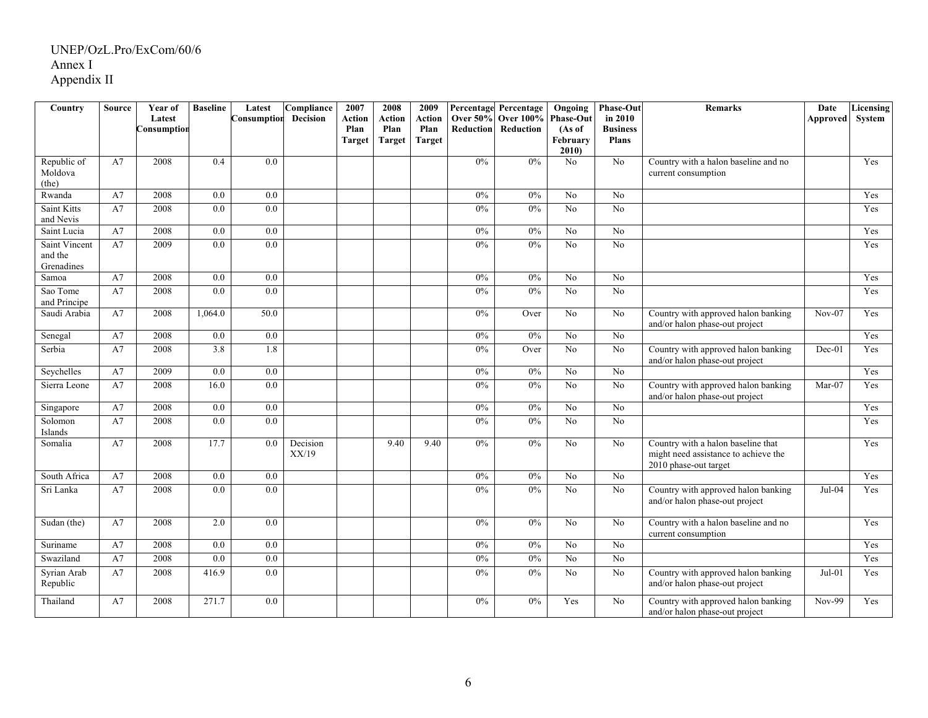| Country                      | <b>Source</b> | Year of<br>Latest | <b>Baseline</b>  | Latest<br>Consumption | Compliance<br>Decision | 2007<br>Action | 2008<br>Action | 2009<br>Action | <b>Over 50%</b>  | <b>Percentage Percentage</b><br><b>Over 100%</b> | Ongoing<br><b>Phase-Out</b> | <b>Phase-Out</b><br>in 2010 | <b>Remarks</b>                                                                                      | Date            | Licensing<br>System |
|------------------------------|---------------|-------------------|------------------|-----------------------|------------------------|----------------|----------------|----------------|------------------|--------------------------------------------------|-----------------------------|-----------------------------|-----------------------------------------------------------------------------------------------------|-----------------|---------------------|
|                              |               | Consumption       |                  |                       |                        | Plan           | Plan           | Plan           | <b>Reduction</b> | Reduction                                        | (As of                      | <b>Business</b>             |                                                                                                     | <b>Approved</b> |                     |
|                              |               |                   |                  |                       |                        | <b>Target</b>  | <b>Target</b>  | Target         |                  |                                                  | February<br>2010            | <b>Plans</b>                |                                                                                                     |                 |                     |
| Republic of                  | A7            | 2008              | 0.4              | 0.0                   |                        |                |                |                | 0%               | 0%                                               | N <sub>0</sub>              | No                          | Country with a halon baseline and no                                                                |                 | Yes                 |
| Moldova                      |               |                   |                  |                       |                        |                |                |                |                  |                                                  |                             |                             | current consumption                                                                                 |                 |                     |
| (the)<br>Rwanda              | A7            | 2008              | 0.0              | 0.0                   |                        |                |                |                | 0%               | 0%                                               | No                          | No                          |                                                                                                     |                 | Yes                 |
| Saint Kitts                  | A7            | 2008              | 0.0              | 0.0                   |                        |                |                |                | 0%               | 0%                                               | No                          | N <sub>o</sub>              |                                                                                                     |                 | Yes                 |
| and Nevis                    |               |                   |                  |                       |                        |                |                |                |                  |                                                  |                             |                             |                                                                                                     |                 |                     |
| Saint Lucia                  | A7            | 2008              | $\overline{0.0}$ | 0.0                   |                        |                |                |                | 0%               | 0%                                               | N <sub>o</sub>              | $\overline{No}$             |                                                                                                     |                 | Yes                 |
| Saint Vincent                | A7            | 2009              | 0.0              | $\overline{0.0}$      |                        |                |                |                | 0%               | 0%                                               | $\overline{No}$             | $\overline{No}$             |                                                                                                     |                 | Yes                 |
| and the<br>Grenadines        |               |                   |                  |                       |                        |                |                |                |                  |                                                  |                             |                             |                                                                                                     |                 |                     |
| Samoa                        | A7            | 2008              | 0.0              | 0.0                   |                        |                |                |                | $0\%$            | 0%                                               | N <sub>o</sub>              | N <sub>o</sub>              |                                                                                                     |                 | Yes                 |
| Sao Tome                     | A7            | 2008              | $\overline{0.0}$ | $\overline{0.0}$      |                        |                |                |                | 0%               | 0%                                               | $\overline{N_0}$            | $\overline{No}$             |                                                                                                     |                 | Yes                 |
| and Principe<br>Saudi Arabia | A7            | 2008              | 1,064.0          | 50.0                  |                        |                |                |                | 0%               |                                                  | No                          | N <sub>0</sub>              |                                                                                                     | $Nov-07$        | Yes                 |
|                              |               |                   |                  |                       |                        |                |                |                |                  | Over                                             |                             |                             | Country with approved halon banking<br>and/or halon phase-out project                               |                 |                     |
| Senegal                      | A7            | 2008              | 0.0              | $0.0\,$               |                        |                |                |                | $0\%$            | $0\%$                                            | No                          | No                          |                                                                                                     |                 | Yes                 |
| Serbia                       | A7            | 2008              | 3.8              | 1.8                   |                        |                |                |                | 0%               | Over                                             | $\overline{No}$             | $\overline{No}$             | Country with approved halon banking<br>and/or halon phase-out project                               | $Dec-01$        | Yes                 |
| Seychelles                   | A7            | 2009              | 0.0              | 0.0                   |                        |                |                |                | $0\%$            | $0\%$                                            | No                          | No                          |                                                                                                     |                 | Yes                 |
| Sierra Leone                 | A7            | 2008              | 16.0             | 0.0                   |                        |                |                |                | 0%               | 0%                                               | No                          | No                          | Country with approved halon banking<br>and/or halon phase-out project                               | $Mar-07$        | Yes                 |
| Singapore                    | A7            | 2008              | 0.0              | 0.0                   |                        |                |                |                | 0%               | $0\%$                                            | N <sub>o</sub>              | N <sub>o</sub>              |                                                                                                     |                 | Yes                 |
| Solomon<br>Islands           | A7            | 2008              | 0.0              | 0.0                   |                        |                |                |                | 0%               | $0\%$                                            | No                          | N <sub>o</sub>              |                                                                                                     |                 | Yes                 |
| Somalia                      | A7            | 2008              | 17.7             | 0.0                   | Decision<br>XX/19      |                | 9.40           | 9.40           | 0%               | 0%                                               | No                          | N <sub>o</sub>              | Country with a halon baseline that<br>might need assistance to achieve the<br>2010 phase-out target |                 | Yes                 |
| South Africa                 | A7            | 2008              | 0.0              | 0.0                   |                        |                |                |                | 0%               | 0%                                               | N <sub>o</sub>              | N <sub>o</sub>              |                                                                                                     |                 | Yes                 |
| Sri Lanka                    | A7            | 2008              | 0.0              | 0.0                   |                        |                |                |                | 0%               | $0\%$                                            | No                          | N <sub>o</sub>              | Country with approved halon banking<br>and/or halon phase-out project                               | Jul-04          | Yes                 |
| Sudan (the)                  | A7            | 2008              | 2.0              | 0.0                   |                        |                |                |                | 0%               | $0\%$                                            | N <sub>o</sub>              | N <sub>o</sub>              | Country with a halon baseline and no<br>current consumption                                         |                 | Yes                 |
| Suriname                     | A7            | 2008              | 0.0              | 0.0                   |                        |                |                |                | 0%               | 0%                                               | N <sub>o</sub>              | No                          |                                                                                                     |                 | Yes                 |
| Swaziland                    | A7            | 2008              | 0.0              | 0.0                   |                        |                |                |                | 0%               | 0%                                               | No                          | No                          |                                                                                                     |                 | Yes                 |
| Syrian Arab<br>Republic      | A7            | 2008              | 416.9            | 0.0                   |                        |                |                |                | 0%               | $0\%$                                            | N <sub>o</sub>              | No                          | Country with approved halon banking<br>and/or halon phase-out project                               | $Jul-01$        | Yes                 |
| Thailand                     | A7            | 2008              | 271.7            | 0.0                   |                        |                |                |                | $0\%$            | $0\%$                                            | Yes                         | N <sub>o</sub>              | Country with approved halon banking<br>and/or halon phase-out project                               | Nov-99          | Yes                 |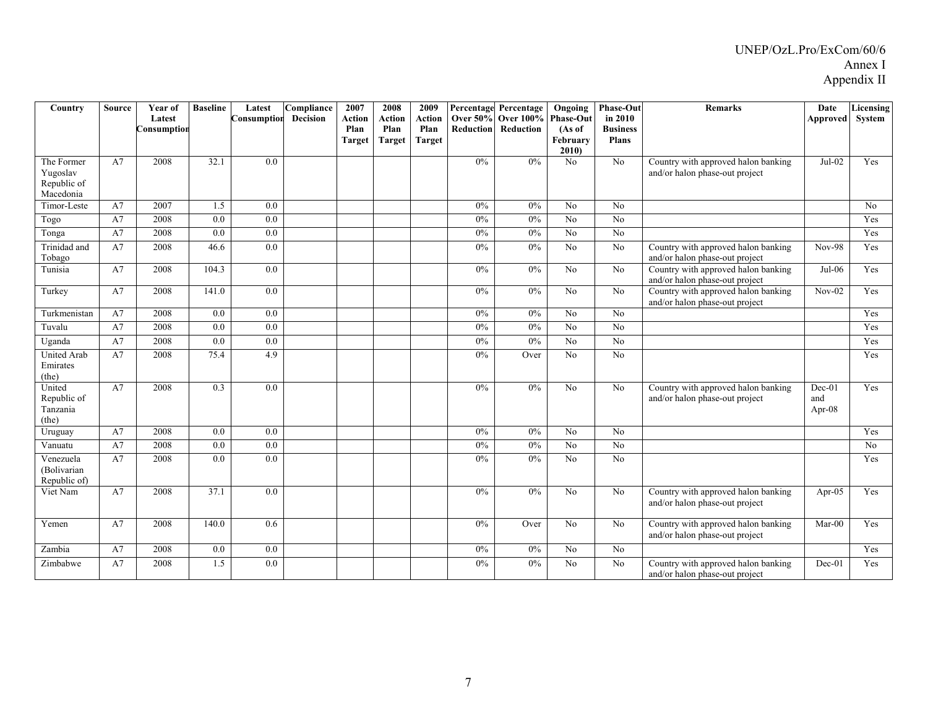| Country                                            | <b>Source</b> | Year of<br>Latest<br>Consumption | <b>Baseline</b> | Latest<br>Consumption | Compliance<br><b>Decision</b> | 2007<br><b>Action</b><br>Plan<br><b>Target</b> | 2008<br>Action<br>Plan<br><b>Target</b> | 2009<br><b>Action</b><br>Plan<br><b>Target</b> | Reduction | Percentage Percentage<br>Over 50% Over 100% Phase-Out<br>Reduction | Ongoing<br>(As of<br>February<br>2010 | <b>Phase-Out</b><br>in 2010<br><b>Business</b><br>Plans | <b>Remarks</b>                                                        | Date<br>Approved             | <b>Licensing</b><br>System |
|----------------------------------------------------|---------------|----------------------------------|-----------------|-----------------------|-------------------------------|------------------------------------------------|-----------------------------------------|------------------------------------------------|-----------|--------------------------------------------------------------------|---------------------------------------|---------------------------------------------------------|-----------------------------------------------------------------------|------------------------------|----------------------------|
| The Former<br>Yugoslav<br>Republic of<br>Macedonia | A7            | 2008                             | 32.1            | 0.0                   |                               |                                                |                                         |                                                | 0%        | 0%                                                                 | No                                    | $\overline{N_0}$                                        | Country with approved halon banking<br>and/or halon phase-out project | $Jul-02$                     | Yes                        |
| Timor-Leste                                        | A7            | 2007                             | 1.5             | 0.0                   |                               |                                                |                                         |                                                | 0%        | $0\%$                                                              | N <sub>o</sub>                        | No                                                      |                                                                       |                              | No                         |
| Togo                                               | A7            | 2008                             | 0.0             | 0.0                   |                               |                                                |                                         |                                                | 0%        | 0%                                                                 | $\overline{N_0}$                      | $\overline{N_0}$                                        |                                                                       |                              | Yes                        |
| Tonga                                              | A7            | 2008                             | 0.0             | 0.0                   |                               |                                                |                                         |                                                | 0%        | 0%                                                                 | No                                    | No                                                      |                                                                       |                              | Yes                        |
| Trinidad and<br>Tobago                             | A7            | 2008                             | 46.6            | 0.0                   |                               |                                                |                                         |                                                | 0%        | $0\%$                                                              | No                                    | No                                                      | Country with approved halon banking<br>and/or halon phase-out project | <b>Nov-98</b>                | Yes                        |
| Tunisia                                            | A7            | 2008                             | 104.3           | 0.0                   |                               |                                                |                                         |                                                | $0\%$     | $0\%$                                                              | No                                    | No                                                      | Country with approved halon banking<br>and/or halon phase-out project | Jul-06                       | Yes                        |
| Turkey                                             | A7            | 2008                             | 141.0           | 0.0                   |                               |                                                |                                         |                                                | $0\%$     | 0%                                                                 | No                                    | $\overline{N_0}$                                        | Country with approved halon banking<br>and/or halon phase-out project | $Nov-02$                     | Yes                        |
| Turkmenistan                                       | A7            | 2008                             | 0.0             | 0.0                   |                               |                                                |                                         |                                                | $0\%$     | 0%                                                                 | No                                    | No                                                      |                                                                       |                              | Yes                        |
| Tuvalu                                             | A7            | 2008                             | 0.0             | 0.0                   |                               |                                                |                                         |                                                | $0\%$     | $0\%$                                                              | No                                    | No                                                      |                                                                       |                              | Yes                        |
| Uganda                                             | A7            | 2008                             | 0.0             | $0.0\,$               |                               |                                                |                                         |                                                | $0\%$     | 0%                                                                 | No                                    | $\overline{N_0}$                                        |                                                                       |                              | Yes                        |
| <b>United Arab</b><br>Emirates<br>(the)            | A7            | 2008                             | 75.4            | 4.9                   |                               |                                                |                                         |                                                | 0%        | Over                                                               | N <sub>0</sub>                        | N <sub>0</sub>                                          |                                                                       |                              | Yes                        |
| United<br>Republic of<br>Tanzania<br>(the)         | A7            | 2008                             | 0.3             | 0.0                   |                               |                                                |                                         |                                                | 0%        | 0%                                                                 | No                                    | No                                                      | Country with approved halon banking<br>and/or halon phase-out project | $Dec-01$<br>and<br>Apr- $08$ | Yes                        |
| Uruguay                                            | A7            | 2008                             | 0.0             | 0.0                   |                               |                                                |                                         |                                                | 0%        | 0%                                                                 | No                                    | No                                                      |                                                                       |                              | Yes                        |
| Vanuatu                                            | A7            | 2008                             | 0.0             | 0.0                   |                               |                                                |                                         |                                                | 0%        | 0%                                                                 | No                                    | No                                                      |                                                                       |                              | No                         |
| Venezuela<br>(Bolivarian<br>Republic of)           | A7            | 2008                             | 0.0             | 0.0                   |                               |                                                |                                         |                                                | 0%        | 0%                                                                 | No                                    | No                                                      |                                                                       |                              | Yes                        |
| Viet Nam                                           | A7            | 2008                             | 37.1            | 0.0                   |                               |                                                |                                         |                                                | $0\%$     | 0%                                                                 | No                                    | N <sub>o</sub>                                          | Country with approved halon banking<br>and/or halon phase-out project | Apr- $05$                    | Yes                        |
| Yemen                                              | A7            | 2008                             | 140.0           | 0.6                   |                               |                                                |                                         |                                                | 0%        | Over                                                               | No                                    | No                                                      | Country with approved halon banking<br>and/or halon phase-out project | Mar-00                       | Yes                        |
| Zambia                                             | A7            | 2008                             | 0.0             | 0.0                   |                               |                                                |                                         |                                                | 0%        | $0\%$                                                              | No                                    | No                                                      |                                                                       |                              | Yes                        |
| Zimbabwe                                           | A7            | 2008                             | 1.5             | 0.0                   |                               |                                                |                                         |                                                | 0%        | 0%                                                                 | No                                    | No                                                      | Country with approved halon banking<br>and/or halon phase-out project | $Dec-01$                     | Yes                        |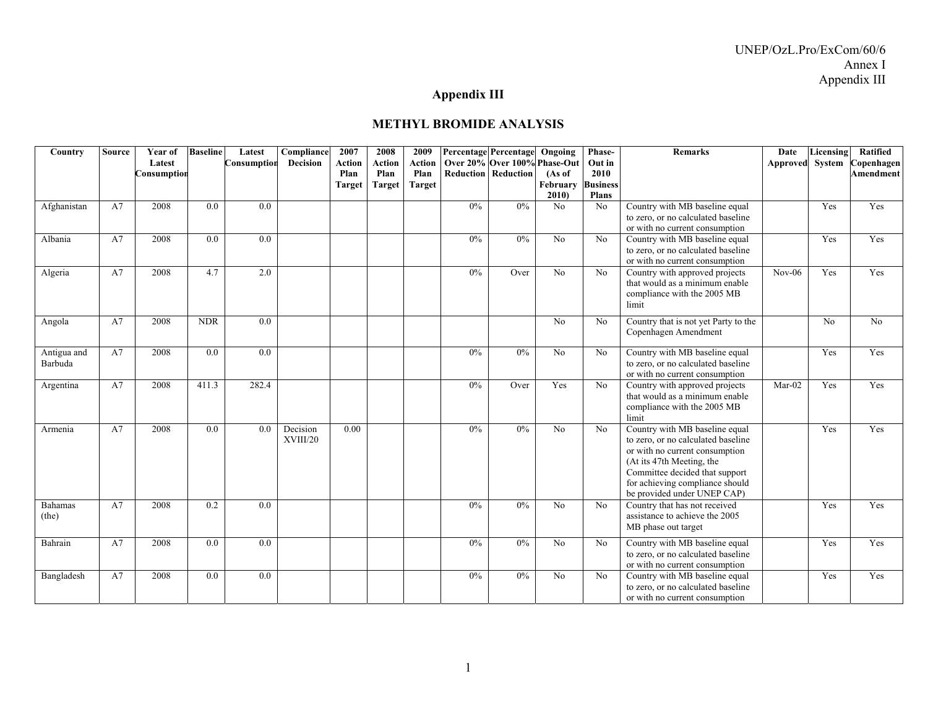### **Appendix III**

| Country                | <b>Source</b> | Year of<br>Latest<br>Consumption | <b>Baseline</b>  | Latest<br>Consumption | Compliance<br><b>Decision</b> | 2007<br><b>Action</b><br>Plan<br><b>Target</b> | 2008<br><b>Action</b><br>Plan<br><b>Target</b> | 2009<br>Action<br>Plan<br>Target |       | Percentage Percentage<br>Over 20% Over 100% Phase-Out<br><b>Reduction</b> Reduction | Ongoing<br>(As of<br>February<br>2010 | Phase-<br>Out in<br>2010<br><b>Business</b><br><b>Plans</b> | <b>Remarks</b>                                                                                                                                                                                                                          | Date<br>Approved | Licensing<br>System | <b>Ratified</b><br>Copenhagen<br><b>Amendment</b> |
|------------------------|---------------|----------------------------------|------------------|-----------------------|-------------------------------|------------------------------------------------|------------------------------------------------|----------------------------------|-------|-------------------------------------------------------------------------------------|---------------------------------------|-------------------------------------------------------------|-----------------------------------------------------------------------------------------------------------------------------------------------------------------------------------------------------------------------------------------|------------------|---------------------|---------------------------------------------------|
| Afghanistan            | A7            | 2008                             | 0.0              | 0.0                   |                               |                                                |                                                |                                  | $0\%$ | $0\%$                                                                               | No                                    | N <sub>0</sub>                                              | Country with MB baseline equal<br>to zero, or no calculated baseline<br>or with no current consumption                                                                                                                                  |                  | Yes                 | Yes                                               |
| Albania                | A7            | 2008                             | 0.0              | 0.0                   |                               |                                                |                                                |                                  | $0\%$ | $0\%$                                                                               | N <sub>0</sub>                        | N <sub>0</sub>                                              | Country with MB baseline equal<br>to zero, or no calculated baseline<br>or with no current consumption                                                                                                                                  |                  | Yes                 | Yes                                               |
| Algeria                | A7            | 2008                             | 4.7              | 2.0                   |                               |                                                |                                                |                                  | $0\%$ | Over                                                                                | No                                    | N <sub>0</sub>                                              | Country with approved projects<br>that would as a minimum enable<br>compliance with the 2005 MB<br>limit                                                                                                                                | $Nov-06$         | Yes                 | Yes                                               |
| Angola                 | A7            | 2008                             | <b>NDR</b>       | 0.0                   |                               |                                                |                                                |                                  |       |                                                                                     | No                                    | No                                                          | Country that is not yet Party to the<br>Copenhagen Amendment                                                                                                                                                                            |                  | No                  | $\overline{No}$                                   |
| Antigua and<br>Barbuda | A7            | 2008                             | 0.0              | 0.0                   |                               |                                                |                                                |                                  | 0%    | 0%                                                                                  | No                                    | N <sub>0</sub>                                              | Country with MB baseline equal<br>to zero, or no calculated baseline<br>or with no current consumption                                                                                                                                  |                  | Yes                 | Yes                                               |
| Argentina              | A7            | 2008                             | 411.3            | 282.4                 |                               |                                                |                                                |                                  | $0\%$ | Over                                                                                | Yes                                   | No                                                          | Country with approved projects<br>that would as a minimum enable<br>compliance with the 2005 MB<br>limit                                                                                                                                | $Mar-02$         | Yes                 | Yes                                               |
| Armenia                | A7            | 2008                             | $\overline{0.0}$ | 0.0                   | Decision<br>XVIII/20          | 0.00                                           |                                                |                                  | 0%    | 0%                                                                                  | No                                    | N <sub>0</sub>                                              | Country with MB baseline equal<br>to zero, or no calculated baseline<br>or with no current consumption<br>(At its 47th Meeting, the<br>Committee decided that support<br>for achieving compliance should<br>be provided under UNEP CAP) |                  | Yes                 | Yes                                               |
| Bahamas<br>(the)       | A7            | 2008                             | 0.2              | 0.0                   |                               |                                                |                                                |                                  | $0\%$ | 0%                                                                                  | No                                    | No                                                          | Country that has not received<br>assistance to achieve the 2005<br>MB phase out target                                                                                                                                                  |                  | Yes                 | Yes                                               |
| Bahrain                | A7            | 2008                             | 0.0              | 0.0                   |                               |                                                |                                                |                                  | $0\%$ | 0%                                                                                  | No                                    | No                                                          | Country with MB baseline equal<br>to zero, or no calculated baseline<br>or with no current consumption                                                                                                                                  |                  | Yes                 | Yes                                               |
| Bangladesh             | A7            | 2008                             | 0.0              | 0.0                   |                               |                                                |                                                |                                  | $0\%$ | 0%                                                                                  | No                                    | N <sub>0</sub>                                              | Country with MB baseline equal<br>to zero, or no calculated baseline<br>or with no current consumption                                                                                                                                  |                  | Yes                 | Yes                                               |

#### **METHYL BROMIDE ANALYSIS**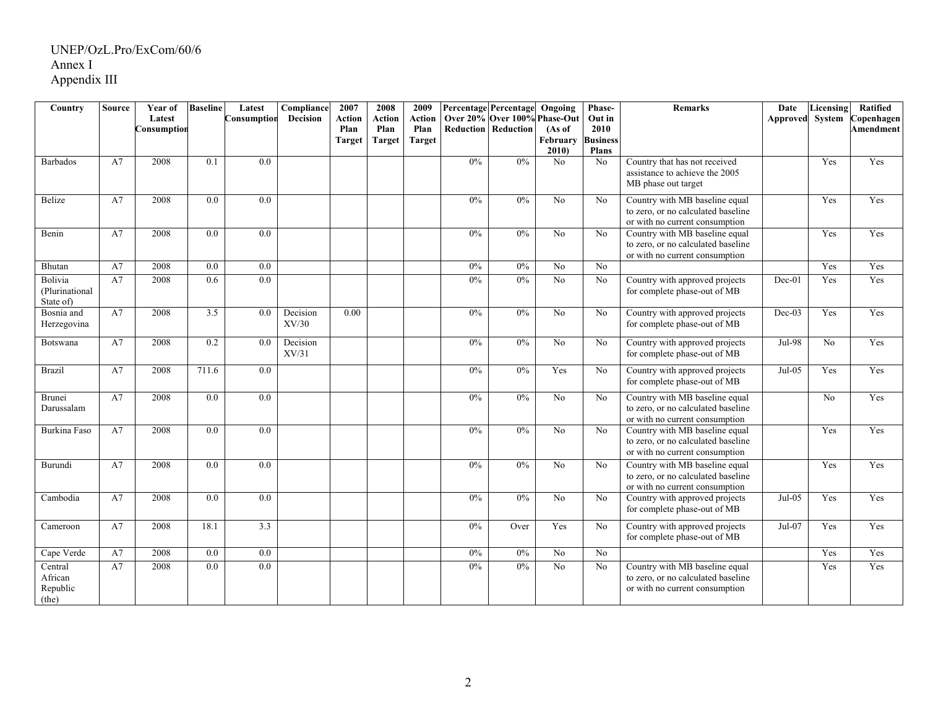| Country                                 | <b>Source</b> | Year of     | <b>Baseline</b>  | Latest      | Compliance        | 2007                  | 2008                  | 2009                  |                  | <b>Percentage Percentage Ongoing</b> |                    | Phase-                  | <b>Remarks</b>                                                                                         | Date     | Licensing      | Ratified   |
|-----------------------------------------|---------------|-------------|------------------|-------------|-------------------|-----------------------|-----------------------|-----------------------|------------------|--------------------------------------|--------------------|-------------------------|--------------------------------------------------------------------------------------------------------|----------|----------------|------------|
|                                         |               | Latest      |                  | Consumptior | <b>Decision</b>   | <b>Action</b>         | Action                | <b>Action</b>         |                  | Over 20% Over 100% Phase-Out         |                    | Out in                  |                                                                                                        | Approved | System         | Copenhagen |
|                                         |               | Consumption |                  |             |                   | Plan<br><b>Target</b> | Plan<br><b>Target</b> | Plan<br><b>Target</b> | <b>Reduction</b> | Reduction                            | (As of<br>February | 2010<br><b>Business</b> |                                                                                                        |          |                | Amendment  |
|                                         |               |             |                  |             |                   |                       |                       |                       |                  |                                      | 2010               | <b>Plans</b>            |                                                                                                        |          |                |            |
| <b>Barbados</b>                         | A7            | 2008        | 0.1              | 0.0         |                   |                       |                       |                       | 0%               | $0\%$                                | No                 | N <sub>o</sub>          | Country that has not received<br>assistance to achieve the 2005<br>MB phase out target                 |          | Yes            | Yes        |
| Belize                                  | A7            | 2008        | 0.0              | 0.0         |                   |                       |                       |                       | 0%               | 0%                                   | No                 | No.                     | Country with MB baseline equal<br>to zero, or no calculated baseline<br>or with no current consumption |          | Yes            | Yes        |
| Benin                                   | A7            | 2008        | 0.0              | 0.0         |                   |                       |                       |                       | 0%               | 0%                                   | No                 | N <sub>o</sub>          | Country with MB baseline equal<br>to zero, or no calculated baseline<br>or with no current consumption |          | Yes            | Yes        |
| Bhutan                                  | A7            | 2008        | $\overline{0.0}$ | 0.0         |                   |                       |                       |                       | 0%               | 0%                                   | No                 | No                      |                                                                                                        |          | Yes            | Yes        |
| Bolivia<br>(Plurinational<br>State of)  | A7            | 2008        | 0.6              | 0.0         |                   |                       |                       |                       | 0%               | 0%                                   | N <sub>o</sub>     | No.                     | Country with approved projects<br>for complete phase-out of MB                                         | Dec-01   | Yes            | Yes        |
| Bosnia and<br>Herzegovina               | A7            | 2008        | 3.5              | 0.0         | Decision<br>XV/30 | 0.00                  |                       |                       | 0%               | 0%                                   | No                 | N <sub>o</sub>          | Country with approved projects<br>for complete phase-out of MB                                         | $Dec-03$ | Yes            | Yes        |
| Botswana                                | A7            | 2008        | 0.2              | 0.0         | Decision<br>XV/31 |                       |                       |                       | 0%               | 0%                                   | No                 | N <sub>o</sub>          | Country with approved projects<br>for complete phase-out of MB                                         | Jul-98   | No             | Yes        |
| <b>Brazil</b>                           | A7            | 2008        | 711.6            | 0.0         |                   |                       |                       |                       | 0%               | $0\%$                                | Yes                | No.                     | Country with approved projects<br>for complete phase-out of MB                                         | $Jul-05$ | Yes            | Yes        |
| <b>Brunei</b><br>Darussalam             | A7            | 2008        | 0.0              | 0.0         |                   |                       |                       |                       | 0%               | 0%                                   | No                 | N <sub>o</sub>          | Country with MB baseline equal<br>to zero, or no calculated baseline<br>or with no current consumption |          | N <sub>0</sub> | Yes        |
| Burkina Faso                            | A7            | 2008        | 0.0              | 0.0         |                   |                       |                       |                       | 0%               | $0\%$                                | No                 | No                      | Country with MB baseline equal<br>to zero, or no calculated baseline<br>or with no current consumption |          | Yes            | Yes        |
| Burundi                                 | A7            | 2008        | 0.0              | 0.0         |                   |                       |                       |                       | 0%               | 0%                                   | No                 | No                      | Country with MB baseline equal<br>to zero, or no calculated baseline<br>or with no current consumption |          | Yes            | Yes        |
| Cambodia                                | A7            | 2008        | $\overline{0.0}$ | 0.0         |                   |                       |                       |                       | 0%               | 0%                                   | No                 | No.                     | Country with approved projects<br>for complete phase-out of MB                                         | $Jul-05$ | Yes            | Yes        |
| Cameroon                                | A7            | 2008        | 18.1             | 3.3         |                   |                       |                       |                       | 0%               | Over                                 | Yes                | N <sub>o</sub>          | Country with approved projects<br>for complete phase-out of MB                                         | Jul-07   | Yes            | Yes        |
| Cape Verde                              | A7            | 2008        | 0.0              | 0.0         |                   |                       |                       |                       | 0%               | 0%                                   | No                 | No                      |                                                                                                        |          | Yes            | Yes        |
| Central<br>African<br>Republic<br>(the) | A7            | 2008        | 0.0              | 0.0         |                   |                       |                       |                       | 0%               | 0%                                   | N <sub>0</sub>     | No                      | Country with MB baseline equal<br>to zero, or no calculated baseline<br>or with no current consumption |          | Yes            | Yes        |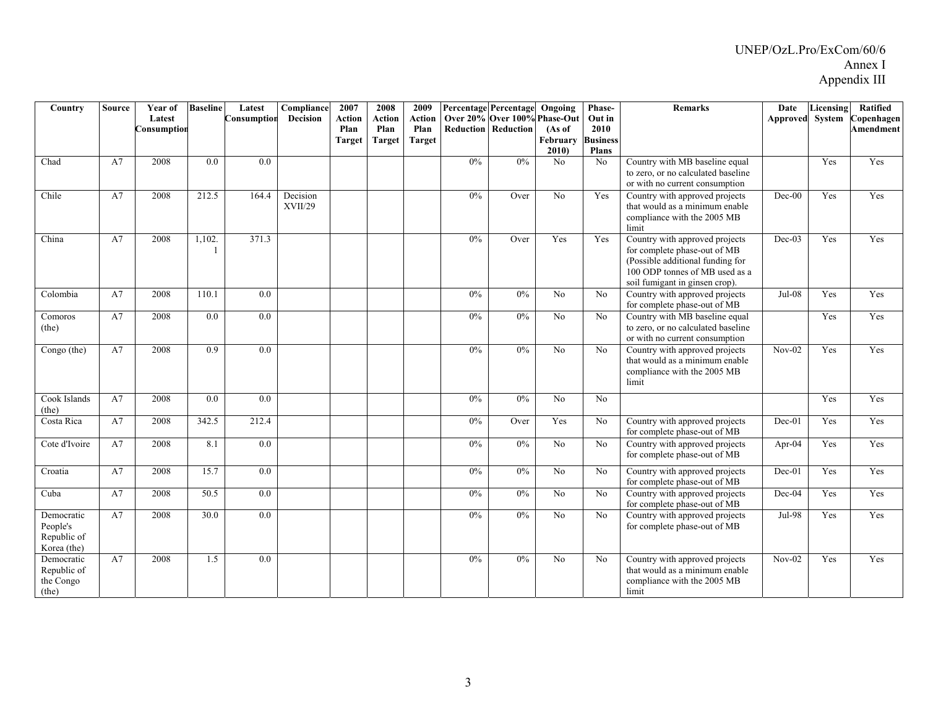| Country                                              | <b>Source</b> | Year of<br>Latest<br>Consumption | <b>Baseline</b> | Latest<br>Consumption | Compliance<br>Decision | 2007<br>Action<br>Plan<br><b>Target</b> | 2008<br><b>Action</b><br>Plan<br><b>Target</b> | 2009<br><b>Action</b><br>Plan<br><b>Target</b> |       | Percentage Percentage Ongoing<br>Over 20% Over 100% Phase-Out<br><b>Reduction Reduction</b> | (As of<br>February<br>2010 | Phase-<br>Out in<br>2010<br><b>Business</b><br><b>Plans</b> | Remarks                                                                                                                                                                | Date<br>Approved | Licensing<br>System | <b>Ratified</b><br>Copenhagen<br><b>Amendment</b> |
|------------------------------------------------------|---------------|----------------------------------|-----------------|-----------------------|------------------------|-----------------------------------------|------------------------------------------------|------------------------------------------------|-------|---------------------------------------------------------------------------------------------|----------------------------|-------------------------------------------------------------|------------------------------------------------------------------------------------------------------------------------------------------------------------------------|------------------|---------------------|---------------------------------------------------|
| Chad                                                 | A7            | 2008                             | 0.0             | $\overline{0.0}$      |                        |                                         |                                                |                                                | 0%    | 0%                                                                                          | N <sub>0</sub>             | N <sub>0</sub>                                              | Country with MB baseline equal<br>to zero, or no calculated baseline<br>or with no current consumption                                                                 |                  | Yes                 | Yes                                               |
| Chile                                                | A7            | 2008                             | 212.5           | 164.4                 | Decision<br>XVII/29    |                                         |                                                |                                                | 0%    | Over                                                                                        | $\overline{No}$            | Yes                                                         | Country with approved projects<br>that would as a minimum enable<br>compliance with the 2005 MB<br>limit                                                               | $Dec-00$         | Yes                 | Yes                                               |
| China                                                | A7            | 2008                             | 1,102.          | 371.3                 |                        |                                         |                                                |                                                | $0\%$ | Over                                                                                        | Yes                        | Yes                                                         | Country with approved projects<br>for complete phase-out of MB<br>(Possible additional funding for<br>100 ODP tonnes of MB used as a<br>soil fumigant in ginsen crop). | $Dec-03$         | Yes                 | Yes                                               |
| Colombia                                             | A7            | 2008                             | 110.1           | 0.0                   |                        |                                         |                                                |                                                | 0%    | $0\%$                                                                                       | No                         | No                                                          | Country with approved projects<br>for complete phase-out of MB                                                                                                         | $Jul-08$         | Yes                 | Yes                                               |
| Comoros<br>(the)                                     | A7            | 2008                             | 0.0             | 0.0                   |                        |                                         |                                                |                                                | 0%    | $0\%$                                                                                       | No                         | No                                                          | Country with MB baseline equal<br>to zero, or no calculated baseline<br>or with no current consumption                                                                 |                  | Yes                 | Yes                                               |
| Congo (the)                                          | A7            | 2008                             | 0.9             | 0.0                   |                        |                                         |                                                |                                                | 0%    | 0%                                                                                          | No                         | No                                                          | Country with approved projects<br>that would as a minimum enable<br>compliance with the 2005 MB<br>limit                                                               | $Nov-02$         | Yes                 | Yes                                               |
| Cook Islands<br>(the)                                | A7            | 2008                             | 0.0             | 0.0                   |                        |                                         |                                                |                                                | $0\%$ | $0\%$                                                                                       | No                         | N <sub>0</sub>                                              |                                                                                                                                                                        |                  | Yes                 | Yes                                               |
| Costa Rica                                           | A7            | 2008                             | 342.5           | 212.4                 |                        |                                         |                                                |                                                | $0\%$ | Over                                                                                        | Yes                        | No                                                          | Country with approved projects<br>for complete phase-out of MB                                                                                                         | $Dec-01$         | Yes                 | Yes                                               |
| Cote d'Ivoire                                        | A7            | 2008                             | 8.1             | 0.0                   |                        |                                         |                                                |                                                | $0\%$ | $0\%$                                                                                       | N <sub>o</sub>             | No                                                          | Country with approved projects<br>for complete phase-out of MB                                                                                                         | Apr- $04$        | Yes                 | Yes                                               |
| Croatia                                              | A7            | 2008                             | 15.7            | 0.0                   |                        |                                         |                                                |                                                | $0\%$ | 0%                                                                                          | No                         | No                                                          | Country with approved projects<br>for complete phase-out of MB                                                                                                         | $Dec-01$         | Yes                 | Yes                                               |
| Cuba                                                 | A7            | 2008                             | 50.5            | 0.0                   |                        |                                         |                                                |                                                | $0\%$ | $0\%$                                                                                       | No                         | No                                                          | Country with approved projects<br>for complete phase-out of MB                                                                                                         | Dec-04           | Yes                 | Yes                                               |
| Democratic<br>People's<br>Republic of<br>Korea (the) | A7            | 2008                             | 30.0            | 0.0                   |                        |                                         |                                                |                                                | $0\%$ | $0\%$                                                                                       | No                         | No                                                          | Country with approved projects<br>for complete phase-out of MB                                                                                                         | Jul-98           | Yes                 | Yes                                               |
| Democratic<br>Republic of<br>the Congo<br>(the)      | A7            | 2008                             | 1.5             | 0.0                   |                        |                                         |                                                |                                                | 0%    | $0\%$                                                                                       | No                         | No                                                          | Country with approved projects<br>that would as a minimum enable<br>compliance with the 2005 MB<br>limit                                                               | $Nov-02$         | Yes                 | Yes                                               |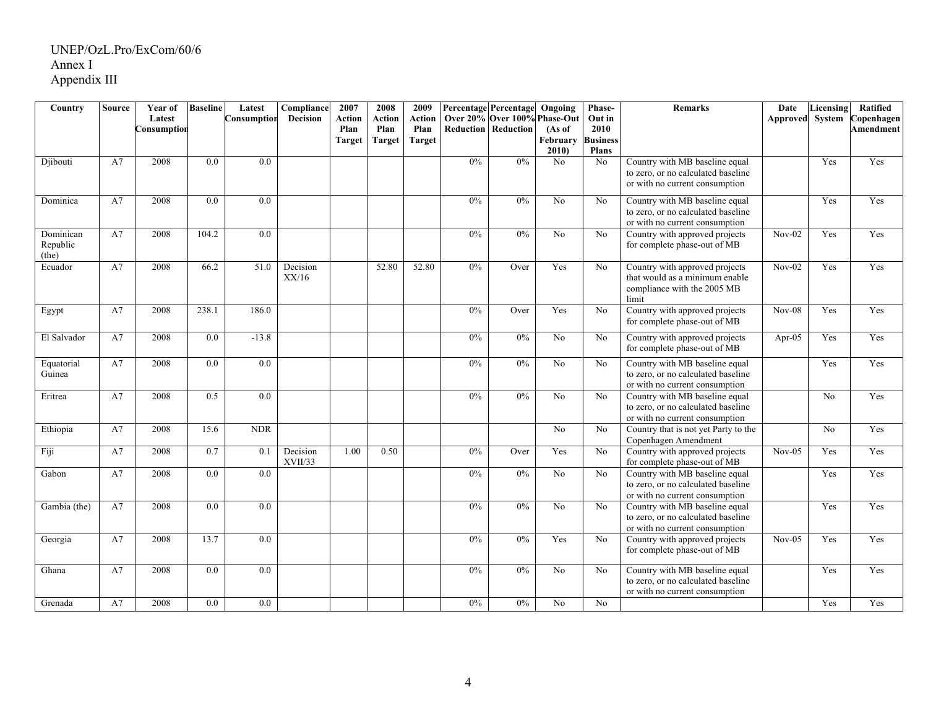| Country      | <b>Source</b> | Year of     | <b>Baseline</b>  | Latest           | Compliance      | 2007          | 2008          | 2009          |                  | <b>Percentage Percentage</b> | Ongoing         | Phase-          | <b>Remarks</b>                                                 | Date            | Licensing | Ratified   |
|--------------|---------------|-------------|------------------|------------------|-----------------|---------------|---------------|---------------|------------------|------------------------------|-----------------|-----------------|----------------------------------------------------------------|-----------------|-----------|------------|
|              |               | Latest      |                  | Consumption      | <b>Decision</b> | Action        | Action        | Action        |                  | Over 20% Over 100% Phase-Out |                 | Out in          |                                                                | Approved System |           | Copenhagen |
|              |               | Consumption |                  |                  |                 | Plan          | Plan          | Plan          | <b>Reduction</b> | Reduction                    | (As of          | 2010            |                                                                |                 |           | Amendment  |
|              |               |             |                  |                  |                 | <b>Target</b> | <b>Target</b> | <b>Target</b> |                  |                              | February        | <b>Business</b> |                                                                |                 |           |            |
|              |               |             |                  |                  |                 |               |               |               |                  |                              | 2010            | <b>Plans</b>    |                                                                |                 |           |            |
| Djibouti     | A7            | 2008        | 0.0              | $\overline{0.0}$ |                 |               |               |               | 0%               | 0%                           | No              | No              | Country with MB baseline equal                                 |                 | Yes       | Yes        |
|              |               |             |                  |                  |                 |               |               |               |                  |                              |                 |                 | to zero, or no calculated baseline                             |                 |           |            |
|              |               |             |                  |                  |                 |               |               |               |                  |                              |                 |                 | or with no current consumption                                 |                 |           |            |
| Dominica     | A7            | 2008        | 0.0              | 0.0              |                 |               |               |               | 0%               | $0\%$                        | No              | No              | Country with MB baseline equal                                 |                 | Yes       | Yes        |
|              |               |             |                  |                  |                 |               |               |               |                  |                              |                 |                 | to zero, or no calculated baseline                             |                 |           |            |
|              |               |             |                  |                  |                 |               |               |               |                  |                              |                 |                 | or with no current consumption                                 |                 |           |            |
| Dominican    | A7            | 2008        | 104.2            | $\overline{0.0}$ |                 |               |               |               | 0%               | 0%                           | No              | No              | Country with approved projects                                 | $Nov-02$        | Yes       | Yes        |
| Republic     |               |             |                  |                  |                 |               |               |               |                  |                              |                 |                 | for complete phase-out of MB                                   |                 |           |            |
| (the)        |               |             |                  |                  |                 |               |               |               |                  |                              |                 |                 |                                                                |                 |           |            |
| Ecuador      | A7            | 2008        | 66.2             | 51.0             | Decision        |               | 52.80         | 52.80         | 0%               | Over                         | Yes             | No              | Country with approved projects                                 | $Nov-02$        | Yes       | Yes        |
|              |               |             |                  |                  | XX/16           |               |               |               |                  |                              |                 |                 | that would as a minimum enable                                 |                 |           |            |
|              |               |             |                  |                  |                 |               |               |               |                  |                              |                 |                 | compliance with the 2005 MB                                    |                 |           |            |
|              |               | 2008        |                  |                  |                 |               |               |               |                  |                              |                 |                 | limit                                                          |                 |           |            |
| Egypt        | A7            |             | 238.1            | 186.0            |                 |               |               |               | 0%               | Over                         | Yes             | No              | Country with approved projects                                 | $Nov-08$        | Yes       | Yes        |
|              |               |             |                  |                  |                 |               |               |               |                  |                              |                 |                 | for complete phase-out of MB                                   |                 |           |            |
| El Salvador  | A7            | 2008        | $\overline{0.0}$ | $-13.8$          |                 |               |               |               | 0%               | 0%                           | $\overline{No}$ | No              | Country with approved projects                                 | Apr- $05$       | Yes       | Yes        |
|              |               |             |                  |                  |                 |               |               |               |                  |                              |                 |                 | for complete phase-out of MB                                   |                 |           |            |
| Equatorial   | A7            | 2008        | 0.0              | 0.0              |                 |               |               |               | 0%               | 0%                           | N <sub>o</sub>  | No              | Country with MB baseline equal                                 |                 | Yes       | Yes        |
| Guinea       |               |             |                  |                  |                 |               |               |               |                  |                              |                 |                 | to zero, or no calculated baseline                             |                 |           |            |
|              |               |             |                  |                  |                 |               |               |               |                  |                              |                 |                 | or with no current consumption                                 |                 |           |            |
| Eritrea      | A7            | 2008        | 0.5              | 0.0              |                 |               |               |               | 0%               | 0%                           | No              | No              | Country with MB baseline equal                                 |                 | No        | Yes        |
|              |               |             |                  |                  |                 |               |               |               |                  |                              |                 |                 | to zero, or no calculated baseline                             |                 |           |            |
|              |               |             |                  |                  |                 |               |               |               |                  |                              |                 |                 | or with no current consumption                                 |                 |           |            |
| Ethiopia     | A7            | 2008        | 15.6             | <b>NDR</b>       |                 |               |               |               |                  |                              | No              | N <sub>0</sub>  | Country that is not yet Party to the                           |                 | No.       | Yes        |
|              |               |             |                  |                  |                 |               |               |               |                  |                              |                 |                 | Copenhagen Amendment                                           |                 |           |            |
| Fiji         | A7            | 2008        | 0.7              | 0.1              | Decision        | 1.00          | 0.50          |               | 0%               | Over                         | Yes             | No              | Country with approved projects                                 | $Nov-05$        | Yes       | Yes        |
|              |               |             |                  |                  | XVII/33         |               |               |               |                  |                              |                 |                 | for complete phase-out of MB                                   |                 |           |            |
| Gabon        | A7            | 2008        | 0.0              | 0.0              |                 |               |               |               | 0%               | $0\%$                        | N <sub>o</sub>  | No              | Country with MB baseline equal                                 |                 | Yes       | Yes        |
|              |               |             |                  |                  |                 |               |               |               |                  |                              |                 |                 | to zero, or no calculated baseline                             |                 |           |            |
|              |               |             |                  |                  |                 |               |               |               |                  |                              |                 |                 | or with no current consumption                                 |                 |           |            |
| Gambia (the) | A7            | 2008        | 0.0              | $\overline{0.0}$ |                 |               |               |               | 0%               | 0%                           | No              | $\overline{No}$ | Country with MB baseline equal                                 |                 | Yes       | Yes        |
|              |               |             |                  |                  |                 |               |               |               |                  |                              |                 |                 | to zero, or no calculated baseline                             |                 |           |            |
|              | A7            | 2008        | 13.7             | 0.0              |                 |               |               |               | 0%               | 0%                           | Yes             | No              | or with no current consumption                                 |                 | Yes       | Yes        |
| Georgia      |               |             |                  |                  |                 |               |               |               |                  |                              |                 |                 | Country with approved projects<br>for complete phase-out of MB | $Nov-05$        |           |            |
|              |               |             |                  |                  |                 |               |               |               |                  |                              |                 |                 |                                                                |                 |           |            |
| Ghana        | A7            | 2008        | 0.0              | 0.0              |                 |               |               |               | 0%               | $0\%$                        | N <sub>o</sub>  | N <sub>o</sub>  | Country with MB baseline equal                                 |                 | Yes       | Yes        |
|              |               |             |                  |                  |                 |               |               |               |                  |                              |                 |                 | to zero, or no calculated baseline                             |                 |           |            |
|              |               |             |                  |                  |                 |               |               |               |                  |                              |                 |                 | or with no current consumption                                 |                 |           |            |
| Grenada      | A7            | 2008        | 0.0              | $0.0\,$          |                 |               |               |               | $0\%$            | $0\%$                        | No              | No              |                                                                |                 | Yes       | Yes        |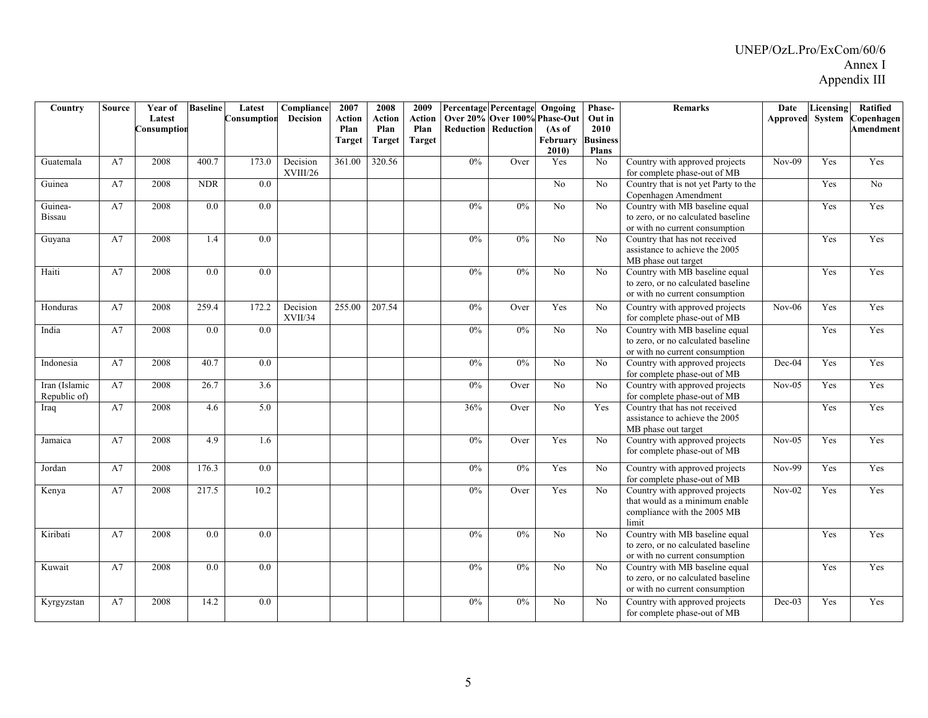| Country                       | <b>Source</b> | Year of<br>Latest | <b>Baseline</b> | Latest<br>Consumption | Compliance<br><b>Decision</b> | 2007<br>Action | 2008<br>Action        | 2009<br>Action        |                  | <b>Percentage Percentage</b><br>Over 20% Over 100% Phase-Out | Ongoing                    | Phase-<br>Out in                        | <b>Remarks</b>                                                                                           | Date<br>Approved | Licensing<br>System | Ratified<br>Copenhagen |
|-------------------------------|---------------|-------------------|-----------------|-----------------------|-------------------------------|----------------|-----------------------|-----------------------|------------------|--------------------------------------------------------------|----------------------------|-----------------------------------------|----------------------------------------------------------------------------------------------------------|------------------|---------------------|------------------------|
|                               |               | Consumption       |                 |                       |                               | Plan<br>Target | Plan<br><b>Target</b> | Plan<br><b>Target</b> | <b>Reduction</b> | Reduction                                                    | (As of<br>February<br>2010 | 2010<br><b>Business</b><br><b>Plans</b> |                                                                                                          |                  |                     | <b>Amendment</b>       |
| Guatemala                     | A7            | 2008              | 400.7           | 173.0                 | Decision<br>XVIII/26          | 361.00         | 320.56                |                       | 0%               | Over                                                         | Yes                        | N <sub>o</sub>                          | Country with approved projects<br>for complete phase-out of MB                                           | $Nov-09$         | Yes                 | Yes                    |
| Guinea                        | A7            | 2008              | <b>NDR</b>      | 0.0                   |                               |                |                       |                       |                  |                                                              | No                         | No                                      | Country that is not yet Party to the<br>Copenhagen Amendment                                             |                  | Yes                 | No                     |
| Guinea-<br><b>Bissau</b>      | A7            | 2008              | 0.0             | 0.0                   |                               |                |                       |                       | 0%               | $0\%$                                                        | N <sub>0</sub>             | No                                      | Country with MB baseline equal<br>to zero, or no calculated baseline<br>or with no current consumption   |                  | Yes                 | Yes                    |
| Guyana                        | A7            | 2008              | 1.4             | 0.0                   |                               |                |                       |                       | 0%               | $0\%$                                                        | N <sub>o</sub>             | No                                      | Country that has not received<br>assistance to achieve the 2005<br>MB phase out target                   |                  | Yes                 | Yes                    |
| Haiti                         | A7            | 2008              | 0.0             | 0.0                   |                               |                |                       |                       | 0%               | 0%                                                           | No                         | No                                      | Country with MB baseline equal<br>to zero, or no calculated baseline<br>or with no current consumption   |                  | Yes                 | Yes                    |
| Honduras                      | A7            | 2008              | 259.4           | 172.2                 | Decision<br>XVII/34           | 255.00         | 207.54                |                       | 0%               | Over                                                         | Yes                        | No                                      | Country with approved projects<br>for complete phase-out of MB                                           | $Nov-06$         | Yes                 | Yes                    |
| India                         | A7            | 2008              | 0.0             | 0.0                   |                               |                |                       |                       | 0%               | $0\%$                                                        | N <sub>0</sub>             | No                                      | Country with MB baseline equal<br>to zero, or no calculated baseline<br>or with no current consumption   |                  | Yes                 | Yes                    |
| Indonesia                     | A7            | 2008              | 40.7            | 0.0                   |                               |                |                       |                       | $0\%$            | 0%                                                           | No                         | N <sub>o</sub>                          | Country with approved projects<br>for complete phase-out of MB                                           | Dec-04           | Yes                 | Yes                    |
| Iran (Islamic<br>Republic of) | A7            | 2008              | 26.7            | 3.6                   |                               |                |                       |                       | $0\%$            | Over                                                         | N <sub>o</sub>             | No                                      | Country with approved projects<br>for complete phase-out of MB                                           | $Nov-05$         | Yes                 | Yes                    |
| Iraq                          | A7            | 2008              | 4.6             | 5.0                   |                               |                |                       |                       | 36%              | Over                                                         | No                         | Yes                                     | Country that has not received<br>assistance to achieve the 2005<br>MB phase out target                   |                  | Yes                 | Yes                    |
| Jamaica                       | A7            | 2008              | 4.9             | 1.6                   |                               |                |                       |                       | $0\%$            | Over                                                         | Yes                        | No                                      | Country with approved projects<br>for complete phase-out of MB                                           | $Nov-05$         | Yes                 | Yes                    |
| Jordan                        | A7            | 2008              | 176.3           | 0.0                   |                               |                |                       |                       | $0\%$            | 0%                                                           | Yes                        | No                                      | Country with approved projects<br>for complete phase-out of MB                                           | $Nov-99$         | Yes                 | Yes                    |
| Kenya                         | A7            | 2008              | 217.5           | 10.2                  |                               |                |                       |                       | $0\%$            | Over                                                         | Yes                        | N <sub>0</sub>                          | Country with approved projects<br>that would as a minimum enable<br>compliance with the 2005 MB<br>limit | $Nov-02$         | Yes                 | Yes                    |
| Kiribati                      | A7            | 2008              | 0.0             | 0.0                   |                               |                |                       |                       | 0%               | 0%                                                           | No                         | No                                      | Country with MB baseline equal<br>to zero, or no calculated baseline<br>or with no current consumption   |                  | Yes                 | Yes                    |
| Kuwait                        | A7            | 2008              | 0.0             | 0.0                   |                               |                |                       |                       | $0\%$            | $0\%$                                                        | No                         | No                                      | Country with MB baseline equal<br>to zero, or no calculated baseline<br>or with no current consumption   |                  | Yes                 | Yes                    |
| Kyrgyzstan                    | A7            | 2008              | 14.2            | 0.0                   |                               |                |                       |                       | $0\%$            | $0\%$                                                        | N <sub>o</sub>             | No                                      | Country with approved projects<br>for complete phase-out of MB                                           | Dec-03           | Yes                 | Yes                    |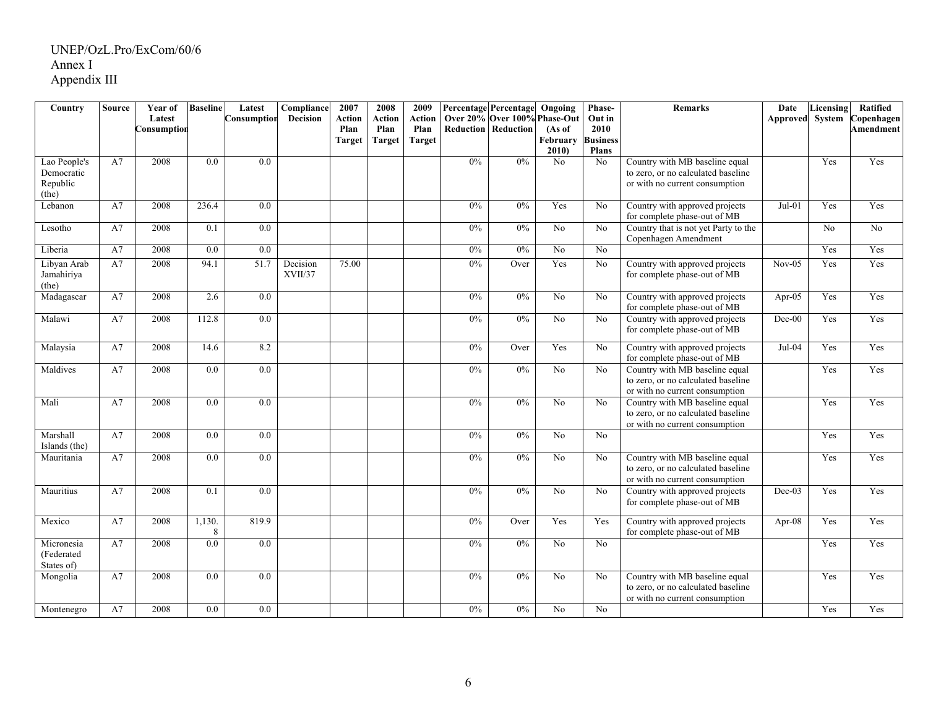| Country       | <b>Source</b> | Year of     | <b>Baseline</b> | Latest           | Compliance | 2007          | 2008          | 2009          |                  | <b>Percentage Percentage</b> | Ongoing           | Phase-                          | <b>Remarks</b>                       | Date                   | Licensing | Ratified        |
|---------------|---------------|-------------|-----------------|------------------|------------|---------------|---------------|---------------|------------------|------------------------------|-------------------|---------------------------------|--------------------------------------|------------------------|-----------|-----------------|
|               |               | Latest      |                 | Consumptior      | Decision   | Action        | Action        | Action        |                  | Over 20% Over 100% Phase-Out |                   | Out in                          |                                      | <b>Approved</b> System |           | Copenhagen      |
|               |               | Consumptior |                 |                  |            | Plan          | Plan          | Plan          | <b>Reduction</b> | Reduction                    | (As of            | 2010                            |                                      |                        |           | Amendment       |
|               |               |             |                 |                  |            | <b>Target</b> | <b>Target</b> | <b>Target</b> |                  |                              | February<br>2010) | <b>Business</b><br><b>Plans</b> |                                      |                        |           |                 |
| Lao People's  | A7            | 2008        | 0.0             | 0.0              |            |               |               |               | 0%               | $0\%$                        | N <sub>o</sub>    | No                              | Country with MB baseline equal       |                        | Yes       | Yes             |
| Democratic    |               |             |                 |                  |            |               |               |               |                  |                              |                   |                                 | to zero, or no calculated baseline   |                        |           |                 |
| Republic      |               |             |                 |                  |            |               |               |               |                  |                              |                   |                                 | or with no current consumption       |                        |           |                 |
| (the)         |               |             |                 |                  |            |               |               |               |                  |                              |                   |                                 |                                      |                        |           |                 |
| Lebanon       | A7            | 2008        | 236.4           | $\overline{0.0}$ |            |               |               |               | 0%               | 0%                           | Yes               | No                              | Country with approved projects       | $Jul-01$               | Yes       | Yes             |
|               |               |             |                 |                  |            |               |               |               |                  |                              |                   |                                 | for complete phase-out of MB         |                        |           |                 |
| Lesotho       | A7            | 2008        | 0.1             | $\overline{0.0}$ |            |               |               |               | 0%               | 0%                           | $\overline{No}$   | $\overline{No}$                 | Country that is not yet Party to the |                        | No        | $\overline{No}$ |
|               |               |             |                 |                  |            |               |               |               |                  |                              |                   |                                 | Copenhagen Amendment                 |                        |           |                 |
| Liberia       | A7            | 2008        | 0.0             | 0.0              |            |               |               |               | 0%               | 0%                           | No                | No                              |                                      |                        | Yes       | Yes             |
| Libyan Arab   | A7            | 2008        | 94.1            | 51.7             | Decision   | 75.00         |               |               | 0%               | Over                         | Yes               | No                              | Country with approved projects       | $Nov-05$               | Yes       | Yes             |
| Jamahiriya    |               |             |                 |                  | XVII/37    |               |               |               |                  |                              |                   |                                 | for complete phase-out of MB         |                        |           |                 |
| (the)         |               |             |                 |                  |            |               |               |               |                  |                              |                   |                                 |                                      |                        |           |                 |
| Madagascar    | A7            | 2008        | 2.6             | 0.0              |            |               |               |               | 0%               | 0%                           | No                | No                              | Country with approved projects       | Apr-05                 | Yes       | Yes             |
|               |               |             |                 |                  |            |               |               |               |                  |                              |                   |                                 | for complete phase-out of MB         |                        |           |                 |
| Malawi        | A7            | 2008        | 112.8           | 0.0              |            |               |               |               | 0%               | 0%                           | No                | No                              | Country with approved projects       | $Dec-00$               | Yes       | Yes             |
|               |               |             |                 |                  |            |               |               |               |                  |                              |                   |                                 | for complete phase-out of MB         |                        |           |                 |
| Malaysia      | A7            | 2008        | 14.6            | 8.2              |            |               |               |               | 0%               | Over                         | Yes               | No                              | Country with approved projects       | Jul-04                 | Yes       | Yes             |
|               |               |             |                 |                  |            |               |               |               |                  |                              |                   |                                 | for complete phase-out of MB         |                        |           |                 |
| Maldives      | A7            | 2008        | 0.0             | 0.0              |            |               |               |               | 0%               | $0\%$                        | No                | No                              | Country with MB baseline equal       |                        | Yes       | Yes             |
|               |               |             |                 |                  |            |               |               |               |                  |                              |                   |                                 | to zero, or no calculated baseline   |                        |           |                 |
|               |               |             |                 |                  |            |               |               |               |                  |                              |                   |                                 | or with no current consumption       |                        |           |                 |
| Mali          | A7            | 2008        | 0.0             | 0.0              |            |               |               |               | 0%               | 0%                           | N <sub>o</sub>    | No                              | Country with MB baseline equal       |                        | Yes       | Yes             |
|               |               |             |                 |                  |            |               |               |               |                  |                              |                   |                                 | to zero, or no calculated baseline   |                        |           |                 |
|               |               |             |                 |                  |            |               |               |               |                  |                              |                   |                                 | or with no current consumption       |                        |           |                 |
| Marshall      | A7            | 2008        | 0.0             | 0.0              |            |               |               |               | 0%               | $0\%$                        | No                | No                              |                                      |                        | Yes       | Yes             |
| Islands (the) |               |             |                 |                  |            |               |               |               |                  |                              |                   |                                 |                                      |                        |           |                 |
| Mauritania    | A7            | 2008        | 0.0             | 0.0              |            |               |               |               | 0%               | 0%                           | N <sub>o</sub>    | No                              | Country with MB baseline equal       |                        | Yes       | Yes             |
|               |               |             |                 |                  |            |               |               |               |                  |                              |                   |                                 | to zero, or no calculated baseline   |                        |           |                 |
|               |               |             |                 |                  |            |               |               |               |                  |                              |                   |                                 | or with no current consumption       |                        |           |                 |
| Mauritius     | A7            | 2008        | 0.1             | 0.0              |            |               |               |               | 0%               | 0%                           | No                | No                              | Country with approved projects       | $Dec-03$               | Yes       | Yes             |
|               |               |             |                 |                  |            |               |               |               |                  |                              |                   |                                 | for complete phase-out of MB         |                        |           |                 |
| Mexico        | A7            | 2008        | 1,130.          | 819.9            |            |               |               |               | 0%               | Over                         | Yes               | Yes                             | Country with approved projects       | Apr- $08$              | Yes       | Yes             |
|               |               |             | 8               |                  |            |               |               |               |                  |                              |                   |                                 | for complete phase-out of MB         |                        |           |                 |
| Micronesia    | A7            | 2008        | 0.0             | 0.0              |            |               |               |               | 0%               | $0\%$                        | No                | N <sub>o</sub>                  |                                      |                        | Yes       | Yes             |
| (Federated    |               |             |                 |                  |            |               |               |               |                  |                              |                   |                                 |                                      |                        |           |                 |
| States of)    |               |             |                 |                  |            |               |               |               |                  |                              |                   |                                 |                                      |                        |           |                 |
| Mongolia      | A7            | 2008        | 0.0             | 0.0              |            |               |               |               | 0%               | $0\%$                        | No                | No                              | Country with MB baseline equal       |                        | Yes       | Yes             |
|               |               |             |                 |                  |            |               |               |               |                  |                              |                   |                                 | to zero, or no calculated baseline   |                        |           |                 |
|               |               |             |                 |                  |            |               |               |               |                  |                              |                   |                                 | or with no current consumption       |                        |           |                 |
| Montenegro    | A7            | 2008        | 0.0             | 0.0              |            |               |               |               | $0\%$            | $0\%$                        | N <sub>o</sub>    | No                              |                                      |                        | Yes       | Yes             |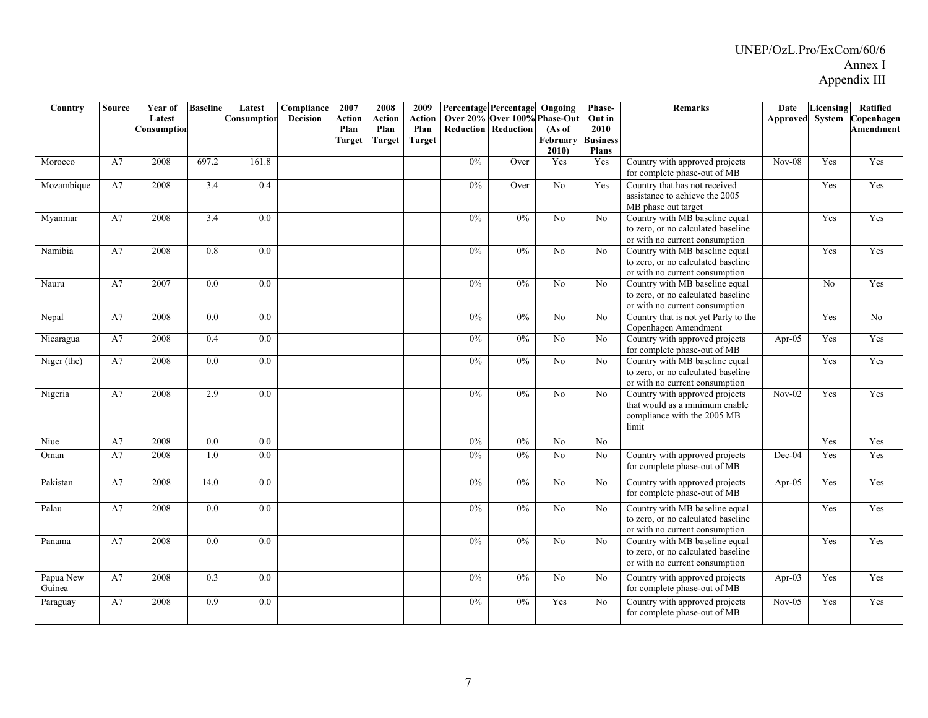| Country             | <b>Source</b> | Year of<br>Latest<br>Consumptior | <b>Baseline</b>  | Latest<br>Consumption | Compliance<br><b>Decision</b> | 2007<br>Action<br>Plan<br>Target | 2008<br><b>Action</b><br>Plan<br><b>Target</b> | 2009<br>Action<br>Plan<br><b>Target</b> | Reduction | Percentage Percentage Ongoing<br>Over 20% Over 100% Phase-Out<br>Reduction | (As of<br>February<br>2010) | Phase-<br>Out in<br>2010<br><b>Business</b><br><b>Plans</b> | <b>Remarks</b>                                                                                           | Date<br>Approved | Licensing<br>System | Ratified<br>Copenhagen<br><b>Amendment</b> |
|---------------------|---------------|----------------------------------|------------------|-----------------------|-------------------------------|----------------------------------|------------------------------------------------|-----------------------------------------|-----------|----------------------------------------------------------------------------|-----------------------------|-------------------------------------------------------------|----------------------------------------------------------------------------------------------------------|------------------|---------------------|--------------------------------------------|
| Morocco             | A7            | 2008                             | 697.2            | 161.8                 |                               |                                  |                                                |                                         | 0%        | Over                                                                       | Yes                         | Yes                                                         | Country with approved projects<br>for complete phase-out of MB                                           | $Nov-08$         | Yes                 | Yes                                        |
| Mozambique          | A7            | 2008                             | 3.4              | 0.4                   |                               |                                  |                                                |                                         | $0\%$     | Over                                                                       | No                          | Yes                                                         | Country that has not received<br>assistance to achieve the 2005<br>MB phase out target                   |                  | Yes                 | Yes                                        |
| Myanmar             | A7            | 2008                             | $\overline{3.4}$ | $\overline{0.0}$      |                               |                                  |                                                |                                         | 0%        | 0%                                                                         | $\overline{No}$             | No                                                          | Country with MB baseline equal<br>to zero, or no calculated baseline<br>or with no current consumption   |                  | Yes                 | Yes                                        |
| Namibia             | A7            | 2008                             | 0.8              | 0.0                   |                               |                                  |                                                |                                         | $0\%$     | $0\%$                                                                      | No                          | N <sub>o</sub>                                              | Country with MB baseline equal<br>to zero, or no calculated baseline<br>or with no current consumption   |                  | Yes                 | Yes                                        |
| Nauru               | A7            | 2007                             | 0.0              | 0.0                   |                               |                                  |                                                |                                         | $0\%$     | $0\%$                                                                      | N <sub>o</sub>              | No                                                          | Country with MB baseline equal<br>to zero, or no calculated baseline<br>or with no current consumption   |                  | No                  | Yes                                        |
| Nepal               | A7            | 2008                             | $\overline{0.0}$ | $\overline{0.0}$      |                               |                                  |                                                |                                         | 0%        | 0%                                                                         | N <sub>o</sub>              | No                                                          | Country that is not yet Party to the<br>Copenhagen Amendment                                             |                  | Yes                 | N <sub>o</sub>                             |
| Nicaragua           | A7            | 2008                             | 0.4              | 0.0                   |                               |                                  |                                                |                                         | $0\%$     | $0\%$                                                                      | No                          | No                                                          | Country with approved projects<br>for complete phase-out of MB                                           | Apr-05           | Yes                 | Yes                                        |
| Niger (the)         | A7            | 2008                             | 0.0              | 0.0                   |                               |                                  |                                                |                                         | 0%        | 0%                                                                         | No                          | No                                                          | Country with MB baseline equal<br>to zero, or no calculated baseline<br>or with no current consumption   |                  | Yes                 | Yes                                        |
| Nigeria             | A7            | 2008                             | 2.9              | 0.0                   |                               |                                  |                                                |                                         | 0%        | $0\%$                                                                      | No                          | N <sub>0</sub>                                              | Country with approved projects<br>that would as a minimum enable<br>compliance with the 2005 MB<br>limit | $Nov-02$         | Yes                 | Yes                                        |
| Niue                | A7            | 2008                             | $\overline{0.0}$ | $\overline{0.0}$      |                               |                                  |                                                |                                         | 0%        | 0%                                                                         | $\overline{No}$             | $\overline{N_0}$                                            |                                                                                                          |                  | Yes                 | Yes                                        |
| Oman                | A7            | 2008                             | 1.0              | 0.0                   |                               |                                  |                                                |                                         | $0\%$     | $0\%$                                                                      | No                          | N <sub>0</sub>                                              | Country with approved projects<br>for complete phase-out of MB                                           | Dec-04           | Yes                 | Yes                                        |
| Pakistan            | A7            | 2008                             | 14.0             | $\overline{0.0}$      |                               |                                  |                                                |                                         | 0%        | 0%                                                                         | $\overline{No}$             | No                                                          | Country with approved projects<br>for complete phase-out of MB                                           | Apr-05           | Yes                 | Yes                                        |
| Palau               | A7            | 2008                             | $\overline{0.0}$ | $\overline{0.0}$      |                               |                                  |                                                |                                         | 0%        | 0%                                                                         | $\overline{No}$             | $\overline{No}$                                             | Country with MB baseline equal<br>to zero, or no calculated baseline<br>or with no current consumption   |                  | Yes                 | Yes                                        |
| Panama              | A7            | 2008                             | $\overline{0.0}$ | $\overline{0.0}$      |                               |                                  |                                                |                                         | 0%        | 0%                                                                         | $\overline{No}$             | N <sub>o</sub>                                              | Country with MB baseline equal<br>to zero, or no calculated baseline<br>or with no current consumption   |                  | Yes                 | Yes                                        |
| Papua New<br>Guinea | A7            | 2008                             | $\overline{0.3}$ | $\overline{0.0}$      |                               |                                  |                                                |                                         | 0%        | 0%                                                                         | $\overline{No}$             | $\overline{No}$                                             | Country with approved projects<br>for complete phase-out of MB                                           | Apr- $03$        | Yes                 | Yes                                        |
| Paraguay            | A7            | 2008                             | 0.9              | 0.0                   |                               |                                  |                                                |                                         | 0%        | $0\%$                                                                      | Yes                         | No                                                          | Country with approved projects<br>for complete phase-out of MB                                           | $Nov-05$         | Yes                 | Yes                                        |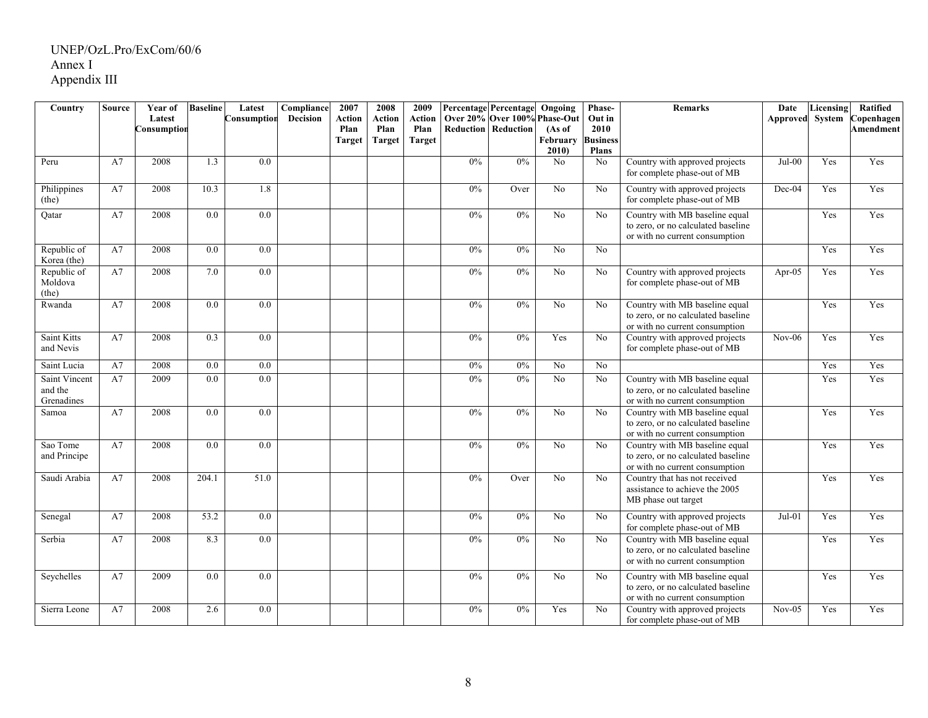| Country                         | <b>Source</b> | Year of     | <b>Baseline</b>  | Latest           | Compliance      | 2007   | 2008          | 2009          |       | <b>Percentage Percentage</b> | Ongoing         | Phase-          | <b>Remarks</b>                                                                                         | Date            | Licensing | Ratified   |
|---------------------------------|---------------|-------------|------------------|------------------|-----------------|--------|---------------|---------------|-------|------------------------------|-----------------|-----------------|--------------------------------------------------------------------------------------------------------|-----------------|-----------|------------|
|                                 |               | Latest      |                  | Consumption      | <b>Decision</b> | Action | <b>Action</b> | Action        |       | Over 20% Over 100% Phase-Out |                 | Out in          |                                                                                                        | Approved System |           | Copenhagen |
|                                 |               | Consumption |                  |                  |                 | Plan   | Plan          | Plan          |       | <b>Reduction   Reduction</b> | (As of          | 2010            |                                                                                                        |                 |           | Amendment  |
|                                 |               |             |                  |                  |                 | Target | <b>Target</b> | <b>Target</b> |       |                              | February        | <b>Business</b> |                                                                                                        |                 |           |            |
|                                 |               | 2008        |                  | $\overline{0.0}$ |                 |        |               |               | 0%    | 0%                           | 2010            | <b>Plans</b>    |                                                                                                        |                 |           | Yes        |
| Peru                            | A7            |             | 1.3              |                  |                 |        |               |               |       |                              | N <sub>o</sub>  | N <sub>o</sub>  | Country with approved projects<br>for complete phase-out of MB                                         | $Jul-00$        | Yes       |            |
| Philippines<br>(the)            | A7            | 2008        | 10.3             | 1.8              |                 |        |               |               | 0%    | Over                         | N <sub>o</sub>  | No              | Country with approved projects<br>for complete phase-out of MB                                         | Dec-04          | Yes       | Yes        |
| Qatar                           | A7            | 2008        | 0.0              | 0.0              |                 |        |               |               | 0%    | 0%                           | N <sub>o</sub>  | No              | Country with MB baseline equal<br>to zero, or no calculated baseline<br>or with no current consumption |                 | Yes       | Yes        |
| Republic of<br>Korea (the)      | A7            | 2008        | 0.0              | $\overline{0.0}$ |                 |        |               |               | 0%    | 0%                           | No              | No              |                                                                                                        |                 | Yes       | Yes        |
| Republic of<br>Moldova<br>(the) | A7            | 2008        | 7.0              | 0.0              |                 |        |               |               | $0\%$ | $0\%$                        | N <sub>o</sub>  | N <sub>o</sub>  | Country with approved projects<br>for complete phase-out of MB                                         | Apr- $05$       | Yes       | Yes        |
| Rwanda                          | A7            | 2008        | 0.0              | 0.0              |                 |        |               |               | $0\%$ | 0%                           | No              | No              | Country with MB baseline equal<br>to zero, or no calculated baseline<br>or with no current consumption |                 | Yes       | Yes        |
| Saint Kitts<br>and Nevis        | A7            | 2008        | 0.3              | 0.0              |                 |        |               |               | 0%    | 0%                           | Yes             | N <sub>o</sub>  | Country with approved projects<br>for complete phase-out of MB                                         | $Nov-06$        | Yes       | Yes        |
| Saint Lucia                     | A7            | 2008        | 0.0              | 0.0              |                 |        |               |               | 0%    | 0%                           | N <sub>o</sub>  | N <sub>o</sub>  |                                                                                                        |                 | Yes       | Yes        |
| Saint Vincent<br>and the        | A7            | 2009        | $\overline{0.0}$ | $\overline{0.0}$ |                 |        |               |               | 0%    | 0%                           | $\overline{No}$ | $\overline{No}$ | Country with MB baseline equal<br>to zero, or no calculated baseline                                   |                 | Yes       | Yes        |
| Grenadines                      |               |             |                  |                  |                 |        |               |               |       |                              |                 |                 | or with no current consumption                                                                         |                 |           |            |
| Samoa                           | A7            | 2008        | 0.0              | 0.0              |                 |        |               |               | 0%    | 0%                           | No              | No              | Country with MB baseline equal<br>to zero, or no calculated baseline<br>or with no current consumption |                 | Yes       | Yes        |
| Sao Tome<br>and Principe        | A7            | 2008        | 0.0              | 0.0              |                 |        |               |               | 0%    | 0%                           | No              | No              | Country with MB baseline equal<br>to zero, or no calculated baseline<br>or with no current consumption |                 | Yes       | Yes        |
| Saudi Arabia                    | A7            | 2008        | 204.1            | 51.0             |                 |        |               |               | $0\%$ | Over                         | N <sub>o</sub>  | N <sub>o</sub>  | Country that has not received<br>assistance to achieve the 2005<br>MB phase out target                 |                 | Yes       | Yes        |
| Senegal                         | A7            | 2008        | 53.2             | 0.0              |                 |        |               |               | 0%    | $0\%$                        | No              | N <sub>o</sub>  | Country with approved projects<br>for complete phase-out of MB                                         | $Jul-01$        | Yes       | Yes        |
| Serbia                          | A7            | 2008        | 8.3              | 0.0              |                 |        |               |               | 0%    | 0%                           | $\overline{No}$ | $\overline{No}$ | Country with MB baseline equal<br>to zero, or no calculated baseline<br>or with no current consumption |                 | Yes       | Yes        |
| Seychelles                      | A7            | 2009        | 0.0              | 0.0              |                 |        |               |               | $0\%$ | $0\%$                        | No              | No              | Country with MB baseline equal<br>to zero, or no calculated baseline<br>or with no current consumption |                 | Yes       | Yes        |
| Sierra Leone                    | A7            | 2008        | 2.6              | 0.0              |                 |        |               |               | 0%    | 0%                           | Yes             | N <sub>o</sub>  | Country with approved projects<br>for complete phase-out of MB                                         | $Nov-05$        | Yes       | Yes        |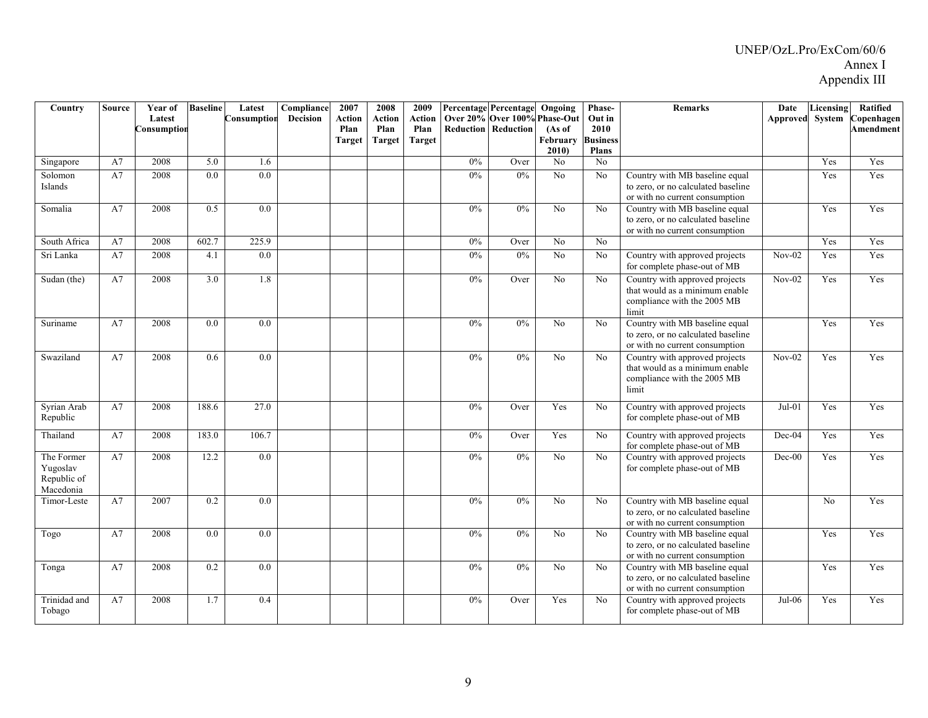| Country                                            | <b>Source</b> | <b>Year of</b><br>Latest<br>Consumption | <b>Baseline</b>  | Latest<br>Consumptior | Compliance<br><b>Decision</b> | 2007<br><b>Action</b><br>Plan<br><b>Target</b> | 2008<br>Action<br>Plan<br>Target | 2009<br>Action<br>Plan<br><b>Target</b> |       | <b>Percentage Percentage</b><br>Over 20% Over 100% Phase-Out<br><b>Reduction Reduction</b> | Ongoing<br>(As of<br>February<br>2010 | Phase-<br>Out in<br>2010<br><b>Business</b><br><b>Plans</b> | <b>Remarks</b>                                                                                           | Date<br>Approved | Licensing<br>System | Ratified<br>Copenhagen<br>Amendment |
|----------------------------------------------------|---------------|-----------------------------------------|------------------|-----------------------|-------------------------------|------------------------------------------------|----------------------------------|-----------------------------------------|-------|--------------------------------------------------------------------------------------------|---------------------------------------|-------------------------------------------------------------|----------------------------------------------------------------------------------------------------------|------------------|---------------------|-------------------------------------|
| Singapore                                          | A7            | 2008                                    | 5.0              | 1.6                   |                               |                                                |                                  |                                         | $0\%$ | Over                                                                                       | No                                    | N <sub>0</sub>                                              |                                                                                                          |                  | Yes                 | Yes                                 |
| Solomon<br>Islands                                 | A7            | 2008                                    | 0.0              | 0.0                   |                               |                                                |                                  |                                         | 0%    | 0%                                                                                         | No                                    | N <sub>0</sub>                                              | Country with MB baseline equal<br>to zero, or no calculated baseline<br>or with no current consumption   |                  | Yes                 | Yes                                 |
| Somalia                                            | A7            | 2008                                    | $\overline{0.5}$ | $\overline{0.0}$      |                               |                                                |                                  |                                         | $0\%$ | 0%                                                                                         | No                                    | No                                                          | Country with MB baseline equal<br>to zero, or no calculated baseline<br>or with no current consumption   |                  | Yes                 | Yes                                 |
| South Africa                                       | A7            | 2008                                    | 602.7            | 225.9                 |                               |                                                |                                  |                                         | $0\%$ | Over                                                                                       | No                                    | N <sub>0</sub>                                              |                                                                                                          |                  | Yes                 | Yes                                 |
| Sri Lanka                                          | A7            | 2008                                    | 4.1              | 0.0                   |                               |                                                |                                  |                                         | 0%    | 0%                                                                                         | $\overline{No}$                       | No                                                          | Country with approved projects<br>for complete phase-out of MB                                           | $Nov-02$         | Yes                 | Yes                                 |
| Sudan (the)                                        | A7            | 2008                                    | $\overline{3.0}$ | 1.8                   |                               |                                                |                                  |                                         | 0%    | Over                                                                                       | N <sub>o</sub>                        | No                                                          | Country with approved projects<br>that would as a minimum enable<br>compliance with the 2005 MB<br>limit | $Nov-02$         | Yes                 | Yes                                 |
| Suriname                                           | A7            | 2008                                    | 0.0              | 0.0                   |                               |                                                |                                  |                                         | 0%    | 0%                                                                                         | N <sub>0</sub>                        | N <sub>o</sub>                                              | Country with MB baseline equal<br>to zero, or no calculated baseline<br>or with no current consumption   |                  | Yes                 | Yes                                 |
| Swaziland                                          | A7            | 2008                                    | 0.6              | 0.0                   |                               |                                                |                                  |                                         | 0%    | 0%                                                                                         | N <sub>o</sub>                        | No                                                          | Country with approved projects<br>that would as a minimum enable<br>compliance with the 2005 MB<br>limit | $Nov-02$         | Yes                 | Yes                                 |
| Syrian Arab<br>Republic                            | A7            | 2008                                    | 188.6            | $\overline{27.0}$     |                               |                                                |                                  |                                         | 0%    | Over                                                                                       | Yes                                   | No                                                          | Country with approved projects<br>for complete phase-out of MB                                           | $Jul-01$         | Yes                 | Yes                                 |
| Thailand                                           | A7            | 2008                                    | 183.0            | 106.7                 |                               |                                                |                                  |                                         | 0%    | Over                                                                                       | Yes                                   | No                                                          | Country with approved projects<br>for complete phase-out of MB                                           | Dec-04           | Yes                 | Yes                                 |
| The Former<br>Yugoslav<br>Republic of<br>Macedonia | A7            | 2008                                    | 12.2             | $0.0\,$               |                               |                                                |                                  |                                         | $0\%$ | $0\%$                                                                                      | No                                    | N <sub>0</sub>                                              | Country with approved projects<br>for complete phase-out of MB                                           | $Dec-00$         | Yes                 | Yes                                 |
| Timor-Leste                                        | A7            | 2007                                    | $\overline{0.2}$ | 0.0                   |                               |                                                |                                  |                                         | 0%    | 0%                                                                                         | N <sub>o</sub>                        | No                                                          | Country with MB baseline equal<br>to zero, or no calculated baseline<br>or with no current consumption   |                  | No                  | Yes                                 |
| Togo                                               | A7            | 2008                                    | 0.0              | 0.0                   |                               |                                                |                                  |                                         | $0\%$ | $0\%$                                                                                      | No                                    | No                                                          | Country with MB baseline equal<br>to zero, or no calculated baseline<br>or with no current consumption   |                  | Yes                 | Yes                                 |
| Tonga                                              | A7            | 2008                                    | 0.2              | 0.0                   |                               |                                                |                                  |                                         | 0%    | 0%                                                                                         | $\overline{No}$                       | No                                                          | Country with MB baseline equal<br>to zero, or no calculated baseline<br>or with no current consumption   |                  | Yes                 | Yes                                 |
| Trinidad and<br>Tobago                             | A7            | 2008                                    | 1.7              | 0.4                   |                               |                                                |                                  |                                         | 0%    | Over                                                                                       | Yes                                   | N <sub>o</sub>                                              | Country with approved projects<br>for complete phase-out of MB                                           | Jul-06           | Yes                 | Yes                                 |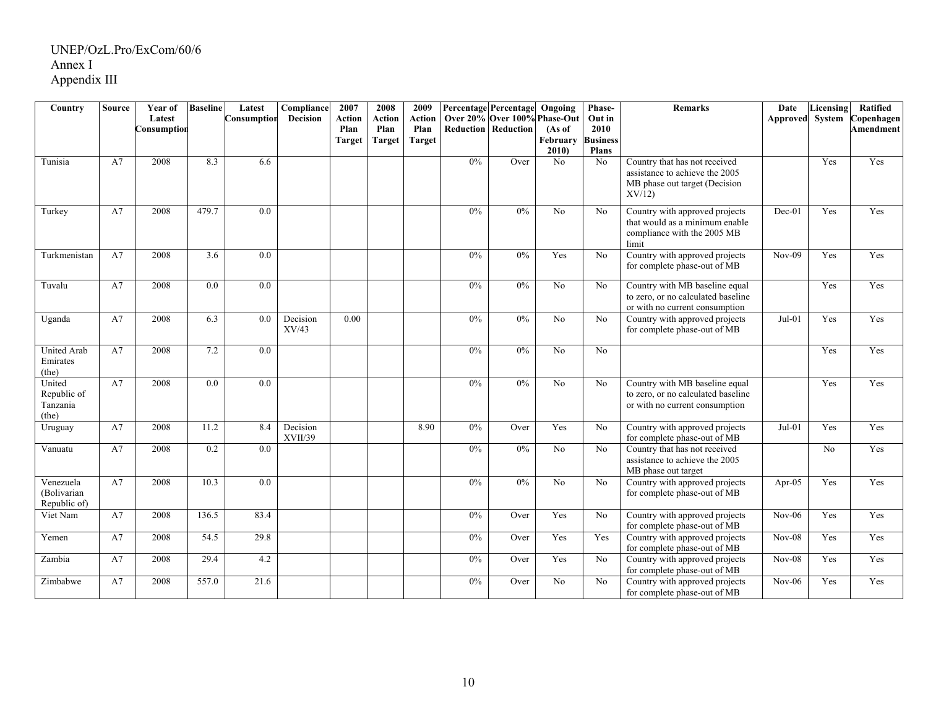| Country                                    | <b>Source</b> | Year of     | <b>Baseline</b>   | Latest      | Compliance          | 2007   | 2008          | 2009          |       | Percentage Percentage        | Ongoing          | Phase-                          | <b>Remarks</b>                                                                                            | Date            | Licensing | <b>Ratified</b>  |
|--------------------------------------------|---------------|-------------|-------------------|-------------|---------------------|--------|---------------|---------------|-------|------------------------------|------------------|---------------------------------|-----------------------------------------------------------------------------------------------------------|-----------------|-----------|------------------|
|                                            |               | Latest      |                   | Consumption | <b>Decision</b>     | Action | <b>Action</b> | <b>Action</b> |       | Over 20% Over 100% Phase-Out |                  | Out in                          |                                                                                                           | Approved System |           | Copenhagen       |
|                                            |               | Consumption |                   |             |                     | Plan   | Plan          | Plan          |       | <b>Reduction Reduction</b>   | (As of           | 2010                            |                                                                                                           |                 |           | <b>Amendment</b> |
|                                            |               |             |                   |             |                     | Target | <b>Target</b> | <b>Target</b> |       |                              | February<br>2010 | <b>Business</b><br><b>Plans</b> |                                                                                                           |                 |           |                  |
| Tunisia                                    | A7            | 2008        | 8.3               | 6.6         |                     |        |               |               | 0%    | Over                         | No               | N <sub>0</sub>                  | Country that has not received<br>assistance to achieve the 2005<br>MB phase out target (Decision<br>XV/12 |                 | Yes       | Yes              |
| Turkey                                     | A7            | 2008        | 479.7             | 0.0         |                     |        |               |               | 0%    | 0%                           | N <sub>o</sub>   | No                              | Country with approved projects<br>that would as a minimum enable<br>compliance with the 2005 MB<br>limit  | $Dec-01$        | Yes       | Yes              |
| Turkmenistan                               | A7            | 2008        | 3.6               | 0.0         |                     |        |               |               | 0%    | 0%                           | Yes              | No                              | Country with approved projects<br>for complete phase-out of MB                                            | $Nov-09$        | Yes       | Yes              |
| Tuvalu                                     | A7            | 2008        | 0.0               | 0.0         |                     |        |               |               | 0%    | $0\%$                        | No               | No                              | Country with MB baseline equal<br>to zero, or no calculated baseline<br>or with no current consumption    |                 | Yes       | Yes              |
| Uganda                                     | A7            | 2008        | 6.3               | 0.0         | Decision<br>XV/43   | 0.00   |               |               | $0\%$ | $0\%$                        | No               | No                              | Country with approved projects<br>for complete phase-out of MB                                            | $Jul-01$        | Yes       | Yes              |
| <b>United Arab</b><br>Emirates<br>(the)    | A7            | 2008        | 7.2               | 0.0         |                     |        |               |               | 0%    | 0%                           | No               | No                              |                                                                                                           |                 | Yes       | Yes              |
| United<br>Republic of<br>Tanzania<br>(the) | A7            | 2008        | 0.0               | 0.0         |                     |        |               |               | 0%    | 0%                           | No               | N <sub>o</sub>                  | Country with MB baseline equal<br>to zero, or no calculated baseline<br>or with no current consumption    |                 | Yes       | Yes              |
| Uruguay                                    | A7            | 2008        | 11.2              | 8.4         | Decision<br>XVII/39 |        |               | 8.90          | 0%    | Over                         | Yes              | No                              | Country with approved projects<br>for complete phase-out of MB                                            | $Jul-01$        | Yes       | Yes              |
| Vanuatu                                    | A7            | 2008        | 0.2               | 0.0         |                     |        |               |               | 0%    | 0%                           | $\overline{No}$  | No                              | Country that has not received<br>assistance to achieve the 2005<br>MB phase out target                    |                 | No        | Yes              |
| Venezuela<br>(Bolivarian<br>Republic of)   | A7            | 2008        | 10.3              | 0.0         |                     |        |               |               | 0%    | $0\%$                        | No               | No                              | Country with approved projects<br>for complete phase-out of MB                                            | Apr- $05$       | Yes       | Yes              |
| Viet Nam                                   | A7            | 2008        | 136.5             | 83.4        |                     |        |               |               | 0%    | Over                         | Yes              | No                              | Country with approved projects<br>for complete phase-out of MB                                            | $Nov-06$        | Yes       | Yes              |
| Yemen                                      | A7            | 2008        | $\overline{54.5}$ | 29.8        |                     |        |               |               | 0%    | Over                         | Yes              | Yes                             | Country with approved projects<br>for complete phase-out of MB                                            | $Nov-08$        | Yes       | Yes              |
| Zambia                                     | A7            | 2008        | 29.4              | 4.2         |                     |        |               |               | 0%    | Over                         | Yes              | No                              | Country with approved projects<br>for complete phase-out of MB                                            | $Nov-08$        | Yes       | Yes              |
| Zimbabwe                                   | A7            | 2008        | 557.0             | 21.6        |                     |        |               |               | 0%    | Over                         | $\overline{No}$  | No                              | Country with approved projects<br>for complete phase-out of MB                                            | $Nov-06$        | Yes       | Yes              |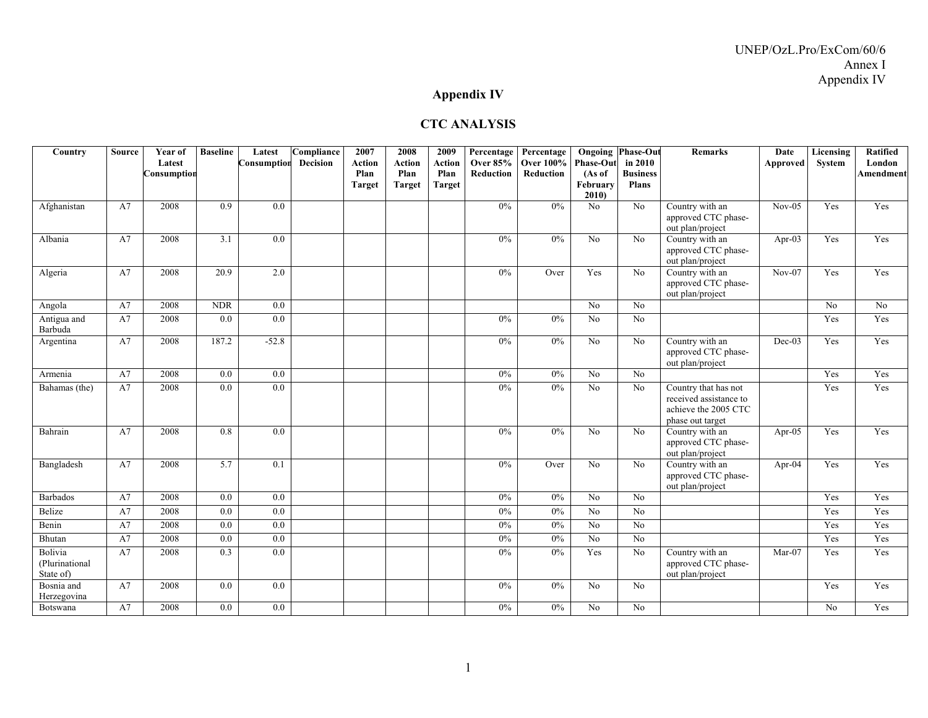### **Appendix IV**

#### **CTC ANALYSIS**

| Country                                | <b>Source</b> | Year of<br>Latest | <b>Baseline</b> | Latest<br>Consumption | Compliance<br><b>Decision</b> | 2007<br><b>Action</b> | 2008<br>Action        | 2009<br><b>Action</b> | Percentage<br><b>Over 85%</b><br>Reduction | Percentage<br><b>Over 100%</b><br>Reduction | <b>Phase-Out</b>           | <b>Ongoing Phase-Out</b><br>in 2010 | <b>Remarks</b>                                                                             | Date<br>Approved | Licensing<br>System | Ratified<br>London |
|----------------------------------------|---------------|-------------------|-----------------|-----------------------|-------------------------------|-----------------------|-----------------------|-----------------------|--------------------------------------------|---------------------------------------------|----------------------------|-------------------------------------|--------------------------------------------------------------------------------------------|------------------|---------------------|--------------------|
|                                        |               | Consumption       |                 |                       |                               | Plan<br><b>Target</b> | Plan<br><b>Target</b> | Plan<br><b>Target</b> |                                            |                                             | (As of<br>February<br>2010 | <b>Business</b><br><b>Plans</b>     |                                                                                            |                  |                     | <b>Amendment</b>   |
| Afghanistan                            | A7            | 2008              | 0.9             | 0.0                   |                               |                       |                       |                       | $0\%$                                      | $0\%$                                       | No                         | No.                                 | Country with an<br>approved CTC phase-<br>out plan/project                                 | $Nov-05$         | Yes                 | Yes                |
| Albania                                | A7            | 2008              | 3.1             | 0.0                   |                               |                       |                       |                       | $0\%$                                      | $0\%$                                       | N <sub>o</sub>             | No                                  | Country with an<br>approved CTC phase-<br>out plan/project                                 | Apr-03           | Yes                 | Yes                |
| Algeria                                | A7            | 2008              | 20.9            | 2.0                   |                               |                       |                       |                       | $0\%$                                      | Over                                        | Yes                        | N <sub>0</sub>                      | Country with an<br>approved CTC phase-<br>out plan/project                                 | $Nov-07$         | Yes                 | Yes                |
| Angola                                 | A7            | 2008              | <b>NDR</b>      | $\overline{0.0}$      |                               |                       |                       |                       |                                            |                                             | No                         | No                                  |                                                                                            |                  | No                  | No                 |
| Antigua and<br>Barbuda                 | A7            | 2008              | 0.0             | $\overline{0.0}$      |                               |                       |                       |                       | 0%                                         | 0%                                          | No                         | No                                  |                                                                                            |                  | Yes                 | Yes                |
| Argentina                              | A7            | 2008              | 187.2           | $-52.8$               |                               |                       |                       |                       | 0%                                         | 0%                                          | No                         | N <sub>0</sub>                      | Country with an<br>approved CTC phase-<br>out plan/project                                 | $Dec-03$         | Yes                 | Yes                |
| Armenia                                | A7            | 2008              | 0.0             | 0.0                   |                               |                       |                       |                       | 0%                                         | 0%                                          | No                         | No                                  |                                                                                            |                  | Yes                 | Yes                |
| Bahamas (the)                          | A7            | 2008              | 0.0             | $\overline{0.0}$      |                               |                       |                       |                       | $0\%$                                      | $0\%$                                       | No                         | No                                  | Country that has not<br>received assistance to<br>achieve the 2005 CTC<br>phase out target |                  | Yes                 | Yes                |
| Bahrain                                | A7            | 2008              | 0.8             | $\overline{0.0}$      |                               |                       |                       |                       | 0%                                         | 0%                                          | $\overline{No}$            | No                                  | Country with an<br>approved CTC phase-<br>out plan/project                                 | Apr-05           | Yes                 | Yes                |
| Bangladesh                             | A7            | 2008              | 5.7             | 0.1                   |                               |                       |                       |                       | 0%                                         | Over                                        | $\overline{No}$            | No                                  | Country with an<br>approved CTC phase-<br>out plan/project                                 | Apr-04           | Yes                 | Yes                |
| <b>Barbados</b>                        | A7            | 2008              | 0.0             | 0.0                   |                               |                       |                       |                       | $0\%$                                      | 0%                                          | $\overline{No}$            | No                                  |                                                                                            |                  | Yes                 | Yes                |
| Belize                                 | A7            | 2008              | 0.0             | 0.0                   |                               |                       |                       |                       | $0\%$                                      | 0%                                          | No                         | No                                  |                                                                                            |                  | Yes                 | Yes                |
| Benin                                  | A7            | 2008              | 0.0             | $0.0\,$               |                               |                       |                       |                       | $0\%$                                      | $0\%$                                       | No                         | No                                  |                                                                                            |                  | Yes                 | Yes                |
| Bhutan                                 | A7            | 2008              | 0.0             | 0.0                   |                               |                       |                       |                       | $0\%$                                      | $0\%$                                       | No                         | No                                  |                                                                                            |                  | Yes                 | Yes                |
| Bolivia<br>(Plurinational<br>State of) | A7            | 2008              | 0.3             | $\overline{0.0}$      |                               |                       |                       |                       | $0\%$                                      | 0%                                          | Yes                        | $\rm No$                            | Country with an<br>approved CTC phase-<br>out plan/project                                 | Mar-07           | Yes                 | Yes                |
| Bosnia and<br>Herzegovina              | A7            | 2008              | 0.0             | 0.0                   |                               |                       |                       |                       | $0\%$                                      | 0%                                          | No                         | No                                  |                                                                                            |                  | Yes                 | Yes                |
| Botswana                               | A7            | 2008              | 0.0             | 0.0                   |                               |                       |                       |                       | $0\%$                                      | $0\%$                                       | N <sub>o</sub>             | No                                  |                                                                                            |                  | No                  | Yes                |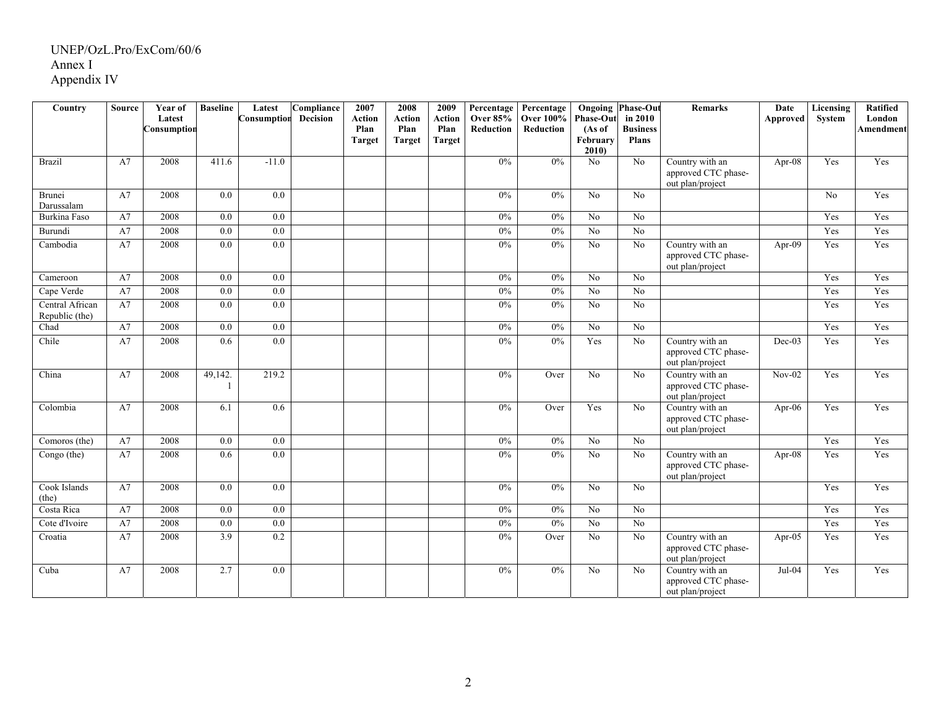| Country                           | <b>Source</b> | Year of<br>Latest<br>Consumption | <b>Baseline</b>  | Latest<br>Consumption | Compliance<br><b>Decision</b> | 2007<br><b>Action</b><br>Plan<br><b>Target</b> | 2008<br><b>Action</b><br>Plan<br><b>Target</b> | 2009<br><b>Action</b><br>Plan<br><b>Target</b> | Percentage<br><b>Over 85%</b><br><b>Reduction</b> | Percentage<br><b>Over 100%</b><br>Reduction | <b>Phase-Out</b><br>(As of<br>February<br>2010 | <b>Ongoing Phase-Out</b><br>in 2010<br><b>Business</b><br><b>Plans</b> | <b>Remarks</b>                                             | Date<br><b>Approved</b> | Licensing<br>System | <b>Ratified</b><br>London<br>Amendment |
|-----------------------------------|---------------|----------------------------------|------------------|-----------------------|-------------------------------|------------------------------------------------|------------------------------------------------|------------------------------------------------|---------------------------------------------------|---------------------------------------------|------------------------------------------------|------------------------------------------------------------------------|------------------------------------------------------------|-------------------------|---------------------|----------------------------------------|
| <b>Brazil</b>                     | A7            | 2008                             | 411.6            | $-11.0$               |                               |                                                |                                                |                                                | 0%                                                | 0%                                          | No                                             | No                                                                     | Country with an<br>approved CTC phase-<br>out plan/project | Apr-08                  | Yes                 | Yes                                    |
| Brunei<br>Darussalam              | A7            | 2008                             | 0.0              | 0.0                   |                               |                                                |                                                |                                                | $0\%$                                             | $0\%$                                       | No                                             | No                                                                     |                                                            |                         | N <sub>o</sub>      | Yes                                    |
| Burkina Faso                      | A7            | 2008                             | 0.0              | $\overline{0.0}$      |                               |                                                |                                                |                                                | $0\%$                                             | $0\%$                                       | No                                             | No                                                                     |                                                            |                         | Yes                 | Yes                                    |
| Burundi                           | A7            | 2008                             | 0.0              | 0.0                   |                               |                                                |                                                |                                                | $0\%$                                             | $0\%$                                       | $\overline{No}$                                | No                                                                     |                                                            |                         | Yes                 | Yes                                    |
| Cambodia                          | A7            | 2008                             | $\overline{0.0}$ | 0.0                   |                               |                                                |                                                |                                                | 0%                                                | $0\%$                                       | $\overline{No}$                                | $\overline{No}$                                                        | Country with an<br>approved CTC phase-<br>out plan/project | Apr- $09$               | Yes                 | Yes                                    |
| Cameroon                          | A7            | 2008                             | 0.0              | 0.0                   |                               |                                                |                                                |                                                | $0\%$                                             | $0\%$                                       | No                                             | No                                                                     |                                                            |                         | Yes                 | Yes                                    |
| Cape Verde                        | A7            | 2008                             | 0.0              | $\overline{0.0}$      |                               |                                                |                                                |                                                | 0%                                                | $0\%$                                       | $\overline{No}$                                | $\overline{No}$                                                        |                                                            |                         | Yes                 | Yes                                    |
| Central African<br>Republic (the) | A7            | 2008                             | 0.0              | $\overline{0.0}$      |                               |                                                |                                                |                                                | $0\%$                                             | $0\%$                                       | No                                             | $\overline{No}$                                                        |                                                            |                         | Yes                 | Yes                                    |
| Chad                              | A7            | 2008                             | 0.0              | 0.0                   |                               |                                                |                                                |                                                | $0\%$                                             | 0%                                          | No                                             | No                                                                     |                                                            |                         | Yes                 | Yes                                    |
| Chile                             | A7            | 2008                             | 0.6              | 0.0                   |                               |                                                |                                                |                                                | 0%                                                | $0\%$                                       | Yes                                            | $\overline{No}$                                                        | Country with an<br>approved CTC phase-<br>out plan/project | $Dec-03$                | Yes                 | Yes                                    |
| China                             | A7            | 2008                             | 49,142.<br>1     | 219.2                 |                               |                                                |                                                |                                                | 0%                                                | Over                                        | $\overline{No}$                                | $\overline{No}$                                                        | Country with an<br>approved CTC phase-<br>out plan/project | $Nov-02$                | Yes                 | Yes                                    |
| Colombia                          | A7            | 2008                             | 6.1              | 0.6                   |                               |                                                |                                                |                                                | $0\%$                                             | Over                                        | Yes                                            | N <sub>o</sub>                                                         | Country with an<br>approved CTC phase-<br>out plan/project | Apr-06                  | Yes                 | Yes                                    |
| Comoros (the)                     | A7            | 2008                             | 0.0              | 0.0                   |                               |                                                |                                                |                                                | $0\%$                                             | $0\%$                                       | No                                             | No                                                                     |                                                            |                         | Yes                 | Yes                                    |
| Congo (the)                       | A7            | 2008                             | 0.6              | 0.0                   |                               |                                                |                                                |                                                | $0\%$                                             | $0\%$                                       | No                                             | No                                                                     | Country with an<br>approved CTC phase-<br>out plan/project | $Apr-08$                | Yes                 | Yes                                    |
| Cook Islands<br>(the)             | A7            | 2008                             | 0.0              | $\overline{0.0}$      |                               |                                                |                                                |                                                | $0\%$                                             | 0%                                          | No                                             | No                                                                     |                                                            |                         | Yes                 | Yes                                    |
| Costa Rica                        | A7            | 2008                             | 0.0              | $\overline{0.0}$      |                               |                                                |                                                |                                                | $0\%$                                             | 0%                                          | No                                             | No                                                                     |                                                            |                         | Yes                 | Yes                                    |
| Cote d'Ivoire                     | A7            | 2008                             | 0.0              | 0.0                   |                               |                                                |                                                |                                                | $0\%$                                             | $0\%$                                       | No                                             | No                                                                     |                                                            |                         | Yes                 | Yes                                    |
| Croatia                           | A7            | 2008                             | 3.9              | $\overline{0.2}$      |                               |                                                |                                                |                                                | $0\%$                                             | Over                                        | No                                             | N <sub>o</sub>                                                         | Country with an<br>approved CTC phase-<br>out plan/project | Apr- $05$               | Yes                 | Yes                                    |
| Cuba                              | A7            | 2008                             | 2.7              | $\overline{0.0}$      |                               |                                                |                                                |                                                | 0%                                                | $0\%$                                       | $\overline{No}$                                | No                                                                     | Country with an<br>approved CTC phase-<br>out plan/project | $Jul-04$                | Yes                 | Yes                                    |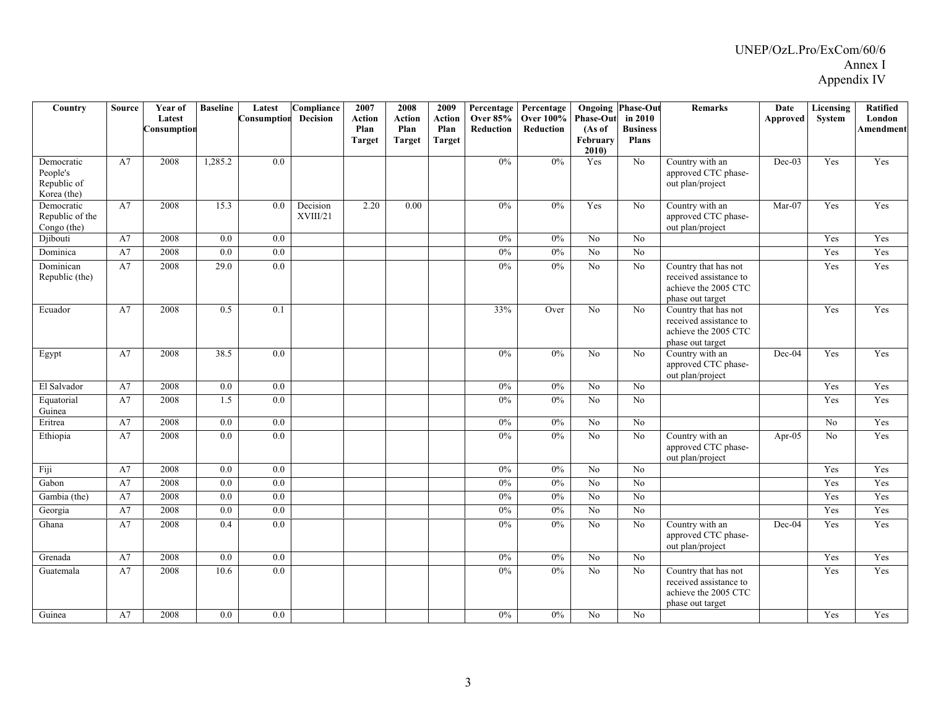| Country                                              | <b>Source</b> | Year of<br>Latest<br>Consumption | <b>Baseline</b>  | Latest<br>Consumption | Compliance<br><b>Decision</b> | 2007<br><b>Action</b><br>Plan<br><b>Target</b> | 2008<br>Action<br>Plan<br><b>Target</b> | 2009<br><b>Action</b><br>Plan<br><b>Target</b> | Percentage<br><b>Over 85%</b><br>Reduction | Percentage<br><b>Over 100%</b><br>Reduction | <b>Phase-Out</b><br>(As of<br>February | <b>Ongoing Phase-Out</b><br>in 2010<br><b>Business</b><br><b>Plans</b> | <b>Remarks</b>                                                                             | Date<br>Approved | <b>Licensing</b><br>System | Ratified<br>London<br><b>Amendment</b> |
|------------------------------------------------------|---------------|----------------------------------|------------------|-----------------------|-------------------------------|------------------------------------------------|-----------------------------------------|------------------------------------------------|--------------------------------------------|---------------------------------------------|----------------------------------------|------------------------------------------------------------------------|--------------------------------------------------------------------------------------------|------------------|----------------------------|----------------------------------------|
| Democratic<br>People's<br>Republic of<br>Korea (the) | A7            | 2008                             | 1,285.2          | 0.0                   |                               |                                                |                                         |                                                | 0%                                         | 0%                                          | 2010<br>Yes                            | N <sub>o</sub>                                                         | Country with an<br>approved CTC phase-<br>out plan/project                                 | $Dec-03$         | Yes                        | Yes                                    |
| Democratic<br>Republic of the<br>Congo (the)         | A7            | 2008                             | 15.3             | 0.0                   | Decision<br>XVIII/21          | 2.20                                           | 0.00                                    |                                                | $0\%$                                      | $0\%$                                       | Yes                                    | N <sub>0</sub>                                                         | Country with an<br>approved CTC phase-<br>out plan/project                                 | Mar-07           | Yes                        | Yes                                    |
| Djibouti                                             | A7            | 2008                             | 0.0              | 0.0                   |                               |                                                |                                         |                                                | $0\%$                                      | $0\%$                                       | N <sub>o</sub>                         | No                                                                     |                                                                                            |                  | Yes                        | Yes                                    |
| Dominica                                             | A7            | 2008                             | $\overline{0.0}$ | 0.0                   |                               |                                                |                                         |                                                | 0%                                         | $0\%$                                       | $\overline{No}$                        | $\overline{No}$                                                        |                                                                                            |                  | Yes                        | Yes                                    |
| Dominican<br>Republic (the)                          | A7            | 2008                             | 29.0             | $\overline{0.0}$      |                               |                                                |                                         |                                                | $0\%$                                      | 0%                                          | No                                     | N <sub>o</sub>                                                         | Country that has not<br>received assistance to<br>achieve the 2005 CTC<br>phase out target |                  | Yes                        | Yes                                    |
| Ecuador                                              | A7            | 2008                             | 0.5              | 0.1                   |                               |                                                |                                         |                                                | 33%                                        | Over                                        | No                                     | N <sub>o</sub>                                                         | Country that has not<br>received assistance to<br>achieve the 2005 CTC<br>phase out target |                  | Yes                        | Yes                                    |
| Egypt                                                | A7            | 2008                             | 38.5             | 0.0                   |                               |                                                |                                         |                                                | $0\%$                                      | $0\%$                                       | No                                     | No                                                                     | Country with an<br>approved CTC phase-<br>out plan/project                                 | Dec-04           | Yes                        | Yes                                    |
| El Salvador                                          | A7            | 2008                             | 0.0              | 0.0                   |                               |                                                |                                         |                                                | $0\%$                                      | $0\%$                                       | $\rm No$                               | No                                                                     |                                                                                            |                  | Yes                        | Yes                                    |
| Equatorial<br>Guinea                                 | A7            | 2008                             | 1.5              | $\overline{0.0}$      |                               |                                                |                                         |                                                | $0\%$                                      | 0%                                          | $\overline{No}$                        | No                                                                     |                                                                                            |                  | Yes                        | Yes                                    |
| Eritrea                                              | A7            | 2008                             | 0.0              | 0.0                   |                               |                                                |                                         |                                                | 0%                                         | $0\%$                                       | $\overline{No}$                        | No                                                                     |                                                                                            |                  | $\overline{No}$            | Yes                                    |
| Ethiopia                                             | A7            | 2008                             | 0.0              | 0.0                   |                               |                                                |                                         |                                                | $0\%$                                      | $0\%$                                       | No                                     | No                                                                     | Country with an<br>approved CTC phase-<br>out plan/project                                 | Apr-05           | N <sub>o</sub>             | Yes                                    |
| Fiji                                                 | A7            | 2008                             | 0.0              | 0.0                   |                               |                                                |                                         |                                                | $0\%$                                      | $0\%$                                       | No                                     | No                                                                     |                                                                                            |                  | Yes                        | Yes                                    |
| Gabon                                                | A7            | 2008                             | 0.0              | 0.0                   |                               |                                                |                                         |                                                | 0%                                         | $0\%$                                       | $\overline{No}$                        | $\overline{No}$                                                        |                                                                                            |                  | Yes                        | Yes                                    |
| Gambia (the)                                         | A7            | 2008                             | 0.0              | $\overline{0.0}$      |                               |                                                |                                         |                                                | $0\%$                                      | $0\%$                                       | $\overline{No}$                        | No                                                                     |                                                                                            |                  | Yes                        | Yes                                    |
| Georgia                                              | A7            | 2008                             | 0.0              | 0.0                   |                               |                                                |                                         |                                                | 0%                                         | $0\%$                                       | $\overline{No}$                        | N <sub>o</sub>                                                         |                                                                                            |                  | Yes                        | Yes                                    |
| Ghana                                                | A7            | 2008                             | 0.4              | $\overline{0.0}$      |                               |                                                |                                         |                                                | 0%                                         | 0%                                          | $\overline{No}$                        | $\overline{No}$                                                        | Country with an<br>approved CTC phase-<br>out plan/project                                 | $Dec-04$         | Yes                        | Yes                                    |
| Grenada                                              | A7            | 2008                             | $\overline{0.0}$ | 0.0                   |                               |                                                |                                         |                                                | 0%                                         | 0%                                          | $\overline{No}$                        | $\overline{No}$                                                        |                                                                                            |                  | Yes                        | Yes                                    |
| Guatemala                                            | A7            | 2008                             | 10.6             | 0.0                   |                               |                                                |                                         |                                                | $0\%$                                      | 0%                                          | No                                     | N <sub>o</sub>                                                         | Country that has not<br>received assistance to<br>achieve the 2005 CTC<br>phase out target |                  | Yes                        | Yes                                    |
| Guinea                                               | A7            | 2008                             | 0.0              | 0.0                   |                               |                                                |                                         |                                                | $0\%$                                      | $0\%$                                       | No                                     | No                                                                     |                                                                                            |                  | Yes                        | Yes                                    |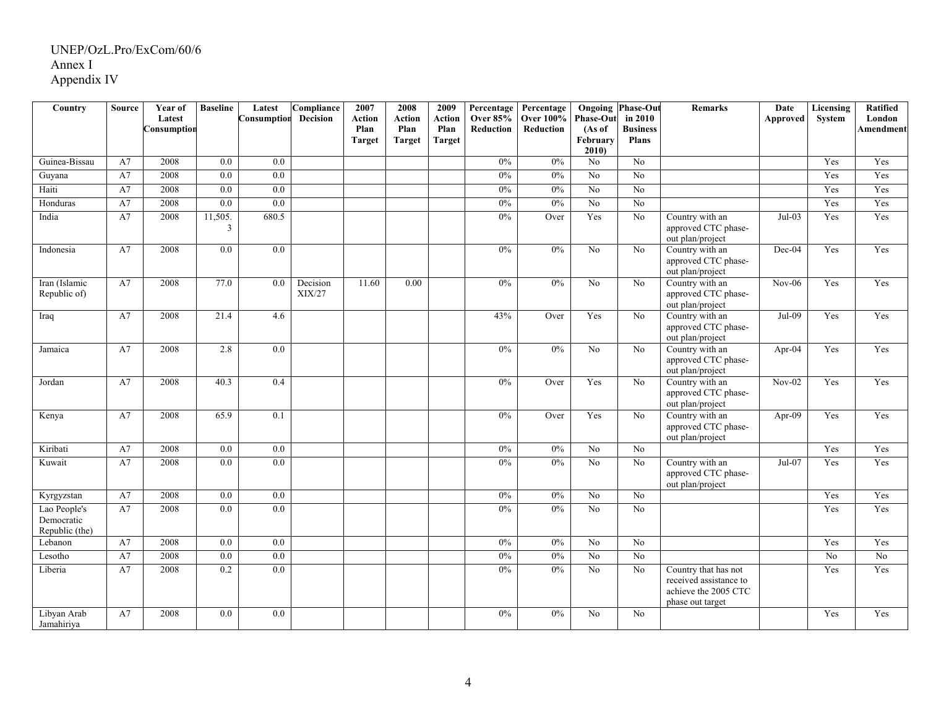| Country                                      | Source | Year of<br>Latest<br>Consumption | <b>Baseline</b>  | Latest<br>Consumption | Compliance<br>Decision | 2007<br><b>Action</b><br>Plan<br>Target | 2008<br>Action<br>Plan<br><b>Target</b> | 2009<br>Action<br>Plan<br>Target | Percentage<br><b>Over 85%</b><br>Reduction | Percentage<br><b>Over 100%</b><br>Reduction | <b>Phase-Out</b><br>(As of<br>February<br>2010 | <b>Ongoing Phase-Out</b><br>in 2010<br><b>Business</b><br><b>Plans</b> | Remarks                                                                                    | Date<br>Approved | Licensing<br><b>System</b> | Ratified<br>London<br><b>Amendment</b> |
|----------------------------------------------|--------|----------------------------------|------------------|-----------------------|------------------------|-----------------------------------------|-----------------------------------------|----------------------------------|--------------------------------------------|---------------------------------------------|------------------------------------------------|------------------------------------------------------------------------|--------------------------------------------------------------------------------------------|------------------|----------------------------|----------------------------------------|
| Guinea-Bissau                                | A7     | 2008                             | 0.0              | $\overline{0.0}$      |                        |                                         |                                         |                                  | 0%                                         | 0%                                          | No                                             | No                                                                     |                                                                                            |                  | Yes                        | Yes                                    |
| Guyana                                       | A7     | 2008                             | 0.0              | $\overline{0.0}$      |                        |                                         |                                         |                                  | 0%                                         | 0%                                          | $\overline{N_0}$                               | $\overline{N_0}$                                                       |                                                                                            |                  | Yes                        | Yes                                    |
| Haiti                                        | A7     | 2008                             | $\overline{0.0}$ | 0.0                   |                        |                                         |                                         |                                  | 0%                                         | 0%                                          | N <sub>0</sub>                                 | $\overline{No}$                                                        |                                                                                            |                  | Yes                        | Yes                                    |
| Honduras                                     | A7     | 2008                             | $\overline{0.0}$ | 0.0                   |                        |                                         |                                         |                                  | 0%                                         | 0%                                          | $\overline{No}$                                | $\overline{No}$                                                        |                                                                                            |                  | Yes                        | Yes                                    |
| India                                        | A7     | 2008                             | 11,505.<br>3     | 680.5                 |                        |                                         |                                         |                                  | 0%                                         | Over                                        | Yes                                            | $\overline{No}$                                                        | Country with an<br>approved CTC phase-<br>out plan/project                                 | $Jul-03$         | Yes                        | Yes                                    |
| Indonesia                                    | A7     | 2008                             | 0.0              | 0.0                   |                        |                                         |                                         |                                  | $0\%$                                      | 0%                                          | No                                             | No                                                                     | Country with an<br>approved CTC phase-<br>out plan/project                                 | Dec-04           | Yes                        | Yes                                    |
| Iran (Islamic<br>Republic of)                | A7     | 2008                             | 77.0             | 0.0                   | Decision<br>XIX/27     | 11.60                                   | 0.00                                    |                                  | 0%                                         | 0%                                          | $\overline{No}$                                | No                                                                     | Country with an<br>approved CTC phase-<br>out plan/project                                 | $Nov-06$         | Yes                        | Yes                                    |
| Iraq                                         | A7     | 2008                             | 21.4             | 4.6                   |                        |                                         |                                         |                                  | 43%                                        | Over                                        | Yes                                            | $\overline{No}$                                                        | Country with an<br>approved CTC phase-<br>out plan/project                                 | $Jul-09$         | Yes                        | Yes                                    |
| Jamaica                                      | A7     | 2008                             | 2.8              | $\overline{0.0}$      |                        |                                         |                                         |                                  | 0%                                         | 0%                                          | $\overline{No}$                                | No                                                                     | Country with an<br>approved CTC phase-<br>out plan/project                                 | Apr-04           | Yes                        | Yes                                    |
| Jordan                                       | A7     | 2008                             | 40.3             | 0.4                   |                        |                                         |                                         |                                  | $0\%$                                      | Over                                        | Yes                                            | N <sub>0</sub>                                                         | Country with an<br>approved CTC phase-<br>out plan/project                                 | $Nov-02$         | Yes                        | Yes                                    |
| Kenya                                        | A7     | 2008                             | 65.9             | 0.1                   |                        |                                         |                                         |                                  | 0%                                         | Over                                        | Yes                                            | No                                                                     | Country with an<br>approved CTC phase-<br>out plan/project                                 | Apr-09           | Yes                        | Yes                                    |
| Kiribati                                     | A7     | 2008                             | $\overline{0.0}$ | 0.0                   |                        |                                         |                                         |                                  | 0%                                         | 0%                                          | $\overline{No}$                                | $\overline{No}$                                                        |                                                                                            |                  | Yes                        | Yes                                    |
| Kuwait                                       | A7     | 2008                             | 0.0              | $\overline{0.0}$      |                        |                                         |                                         |                                  | $0\%$                                      | 0%                                          | No                                             | N <sub>o</sub>                                                         | Country with an<br>approved CTC phase-<br>out plan/project                                 | $Jul-07$         | Yes                        | Yes                                    |
| Kyrgyzstan                                   | A7     | 2008                             | 0.0              | $\overline{0.0}$      |                        |                                         |                                         |                                  | $0\%$                                      | 0%                                          | $\overline{No}$                                | $\overline{No}$                                                        |                                                                                            |                  | Yes                        | Yes                                    |
| Lao People's<br>Democratic<br>Republic (the) | A7     | 2008                             | 0.0              | 0.0                   |                        |                                         |                                         |                                  | $0\%$                                      | $0\%$                                       | No                                             | No                                                                     |                                                                                            |                  | Yes                        | Yes                                    |
| Lebanon                                      | A7     | 2008                             | 0.0              | 0.0                   |                        |                                         |                                         |                                  | $0\%$                                      | 0%                                          | $\overline{No}$                                | N <sub>o</sub>                                                         |                                                                                            |                  | Yes                        | Yes                                    |
| Lesotho                                      | A7     | 2008                             | 0.0              | 0.0                   |                        |                                         |                                         |                                  | $0\%$                                      | 0%                                          | $\overline{No}$                                | N <sub>o</sub>                                                         |                                                                                            |                  | No                         | $\overline{No}$                        |
| Liberia                                      | A7     | 2008                             | 0.2              | $\overline{0.0}$      |                        |                                         |                                         |                                  | $0\%$                                      | 0%                                          | $\overline{No}$                                | No                                                                     | Country that has not<br>received assistance to<br>achieve the 2005 CTC<br>phase out target |                  | Yes                        | Yes                                    |
| Libyan Arab<br>Jamahiriya                    | A7     | 2008                             | $\overline{0.0}$ | $\overline{0.0}$      |                        |                                         |                                         |                                  | 0%                                         | 0%                                          | $\overline{No}$                                | No                                                                     |                                                                                            |                  | Yes                        | Yes                                    |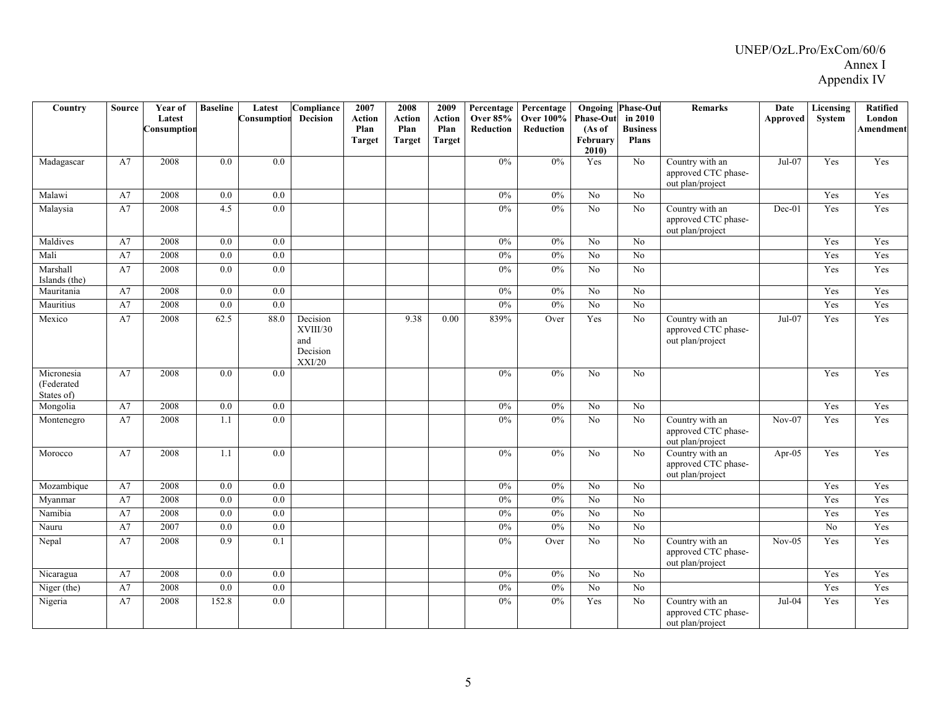| Country                                | <b>Source</b> | Year of     | <b>Baseline</b>  | Latest           | Compliance                                        | 2007           | 2008           | 2009           | Percentage                          | Percentage                    |                            | <b>Ongoing Phase-Out</b>   | <b>Remarks</b>                                             | Date      | Licensing      | Ratified                   |
|----------------------------------------|---------------|-------------|------------------|------------------|---------------------------------------------------|----------------|----------------|----------------|-------------------------------------|-------------------------------|----------------------------|----------------------------|------------------------------------------------------------|-----------|----------------|----------------------------|
|                                        |               | Latest      |                  | Consumption      | <b>Decision</b>                                   | Action<br>Plan | Action<br>Plan | Action<br>Plan | <b>Over 85%</b><br><b>Reduction</b> | <b>Over 100%</b><br>Reduction | <b>Phase-Out</b><br>(As of | in 2010<br><b>Business</b> |                                                            | Approved  | System         | London<br><b>Amendment</b> |
|                                        |               | Consumption |                  |                  |                                                   | <b>Target</b>  | <b>Target</b>  | <b>Target</b>  |                                     |                               | February                   | <b>Plans</b>               |                                                            |           |                |                            |
|                                        |               |             |                  |                  |                                                   |                |                |                |                                     |                               | 2010)                      |                            |                                                            |           |                |                            |
| Madagascar                             | A7            | 2008        | $\overline{0.0}$ | $\overline{0.0}$ |                                                   |                |                |                | 0%                                  | 0%                            | Yes                        | $\overline{No}$            | Country with an<br>approved CTC phase-<br>out plan/project | $Jul-07$  | Yes            | Yes                        |
| Malawi                                 | A7            | 2008        | 0.0              | 0.0              |                                                   |                |                |                | $0\%$                               | 0%                            | No                         | No                         |                                                            |           | Yes            | Yes                        |
| Malaysia                               | A7            | 2008        | 4.5              | 0.0              |                                                   |                |                |                | $0\%$                               | 0%                            | $\overline{No}$            | $\overline{No}$            | Country with an<br>approved CTC phase-<br>out plan/project | $Dec-01$  | Yes            | Yes                        |
| Maldives                               | A7            | 2008        | 0.0              | 0.0              |                                                   |                |                |                | $0\%$                               | 0%                            | No                         | $\overline{No}$            |                                                            |           | Yes            | Yes                        |
| Mali                                   | A7            | 2008        | 0.0              | $\overline{0.0}$ |                                                   |                |                |                | $0\%$                               | 0%                            | N <sub>0</sub>             | $\overline{No}$            |                                                            |           | Yes            | Yes                        |
| Marshall<br>Islands (the)              | A7            | 2008        | 0.0              | 0.0              |                                                   |                |                |                | $0\%$                               | $0\%$                         | No                         | N <sub>o</sub>             |                                                            |           | Yes            | Yes                        |
| Mauritania                             | A7            | 2008        | 0.0              | $\overline{0.0}$ |                                                   |                |                |                | 0%                                  | 0%                            | $\overline{No}$            | $\overline{N_0}$           |                                                            |           | Yes            | Yes                        |
| Mauritius                              | A7            | 2008        | 0.0              | 0.0              |                                                   |                |                |                | 0%                                  | 0%                            | No                         | $\overline{No}$            |                                                            |           | Yes            | Yes                        |
| Mexico                                 | A7            | 2008        | 62.5             | 88.0             | Decision<br>XVIII/30<br>and<br>Decision<br>XXI/20 |                | 9.38           | 0.00           | 839%                                | Over                          | Yes                        | $\rm No$                   | Country with an<br>approved CTC phase-<br>out plan/project | $Jul-07$  | Yes            | Yes                        |
| Micronesia<br>(Federated<br>States of) | A7            | 2008        | 0.0              | 0.0              |                                                   |                |                |                | 0%                                  | 0%                            | N <sub>o</sub>             | N <sub>o</sub>             |                                                            |           | Yes            | Yes                        |
| Mongolia                               | A7            | 2008        | 0.0              | 0.0              |                                                   |                |                |                | 0%                                  | 0%                            | $\overline{No}$            | $\overline{N_0}$           |                                                            |           | Yes            | Yes                        |
| Montenegro                             | A7            | 2008        | 1.1              | 0.0              |                                                   |                |                |                | 0%                                  | 0%                            | $\overline{No}$            | $\overline{No}$            | Country with an<br>approved CTC phase-<br>out plan/project | $Nov-07$  | Yes            | Yes                        |
| Morocco                                | A7            | 2008        | 1.1              | 0.0              |                                                   |                |                |                | $0\%$                               | $0\%$                         | No                         | $\rm No$                   | Country with an<br>approved CTC phase-<br>out plan/project | Apr- $05$ | Yes            | Yes                        |
| Mozambique                             | A7            | 2008        | 0.0              | $\overline{0.0}$ |                                                   |                |                |                | 0%                                  | 0%                            | $\overline{No}$            | $\overline{No}$            |                                                            |           | Yes            | Yes                        |
| Myanmar                                | A7            | 2008        | 0.0              | $\overline{0.0}$ |                                                   |                |                |                | 0%                                  | 0%                            | N <sub>0</sub>             | $\overline{N_0}$           |                                                            |           | Yes            | Yes                        |
| Namibia                                | A7            | 2008        | $\overline{0.0}$ | $\overline{0.0}$ |                                                   |                |                |                | 0%                                  | $0\%$                         | $\overline{No}$            | $\overline{No}$            |                                                            |           | Yes            | Yes                        |
| Nauru                                  | A7            | 2007        | 0.0              | 0.0              |                                                   |                |                |                | 0%                                  | $0\%$                         | N <sub>0</sub>             | No                         |                                                            |           | N <sub>0</sub> | Yes                        |
| Nepal                                  | A7            | 2008        | 0.9              | 0.1              |                                                   |                |                |                | $0\%$                               | Over                          | N <sub>0</sub>             | No                         | Country with an<br>approved CTC phase-<br>out plan/project | $Nov-05$  | Yes            | Yes                        |
| Nicaragua                              | A7            | 2008        | 0.0              | 0.0              |                                                   |                |                |                | $0\%$                               | 0%                            | $\overline{N_0}$           | $\overline{N_0}$           |                                                            |           | Yes            | Yes                        |
| Niger (the)                            | A7            | 2008        | 0.0              | 0.0              |                                                   |                |                |                | 0%                                  | 0%                            | $\overline{No}$            | $\overline{No}$            |                                                            |           | Yes            | Yes                        |
| Nigeria                                | A7            | 2008        | 152.8            | 0.0              |                                                   |                |                |                | 0%                                  | 0%                            | Yes                        | No                         | Country with an<br>approved CTC phase-<br>out plan/project | $Jul-04$  | Yes            | Yes                        |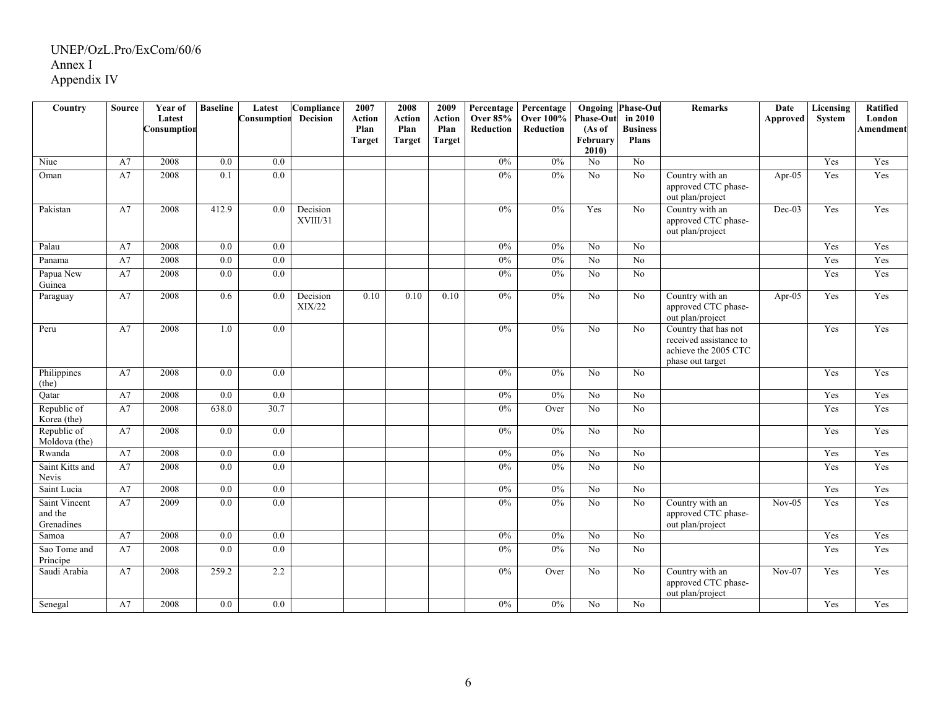| Country                                | <b>Source</b> | Year of<br>Latest<br>Consumptior | <b>Baseline</b> | Latest<br>Consumption | Compliance<br><b>Decision</b> | 2007<br><b>Action</b><br>Plan<br><b>Target</b> | 2008<br><b>Action</b><br>Plan<br><b>Target</b> | 2009<br>Action<br>Plan<br><b>Target</b> | Percentage<br><b>Over 85%</b><br>Reduction | Percentage<br><b>Over 100%</b><br>Reduction | <b>Phase-Out</b><br>(As of<br>February<br>2010 | <b>Ongoing Phase-Out</b><br>in 2010<br><b>Business</b><br><b>Plans</b> | <b>Remarks</b>                                                                             | Date<br>Approved | <b>Licensing</b><br>System | Ratified<br>London<br>Amendment |
|----------------------------------------|---------------|----------------------------------|-----------------|-----------------------|-------------------------------|------------------------------------------------|------------------------------------------------|-----------------------------------------|--------------------------------------------|---------------------------------------------|------------------------------------------------|------------------------------------------------------------------------|--------------------------------------------------------------------------------------------|------------------|----------------------------|---------------------------------|
| Niue                                   | A7            | 2008                             | 0.0             | 0.0                   |                               |                                                |                                                |                                         | 0%                                         | 0%                                          | No                                             | No                                                                     |                                                                                            |                  | Yes                        | Yes                             |
| Oman                                   | A7            | 2008                             | 0.1             | $\overline{0.0}$      |                               |                                                |                                                |                                         | 0%                                         | 0%                                          | $\overline{No}$                                | N <sub>0</sub>                                                         | Country with an<br>approved CTC phase-<br>out plan/project                                 | Apr-05           | Yes                        | Yes                             |
| Pakistan                               | A7            | 2008                             | 412.9           | 0.0                   | Decision<br>XVIII/31          |                                                |                                                |                                         | 0%                                         | 0%                                          | Yes                                            | N <sub>0</sub>                                                         | Country with an<br>approved CTC phase-<br>out plan/project                                 | $Dec-03$         | Yes                        | Yes                             |
| Palau                                  | A7            | 2008                             | 0.0             | 0.0                   |                               |                                                |                                                |                                         | 0%                                         | 0%                                          | No                                             | No                                                                     |                                                                                            |                  | Yes                        | Yes                             |
| Panama                                 | A7            | 2008                             | 0.0             | 0.0                   |                               |                                                |                                                |                                         | 0%                                         | 0%                                          | $\overline{No}$                                | No                                                                     |                                                                                            |                  | Yes                        | Yes                             |
| Papua New<br>Guinea                    | A7            | 2008                             | 0.0             | 0.0                   |                               |                                                |                                                |                                         | 0%                                         | 0%                                          | $\overline{N_0}$                               | No                                                                     |                                                                                            |                  | Yes                        | Yes                             |
| Paraguay                               | A7            | 2008                             | 0.6             | 0.0                   | Decision<br>XIX/22            | 0.10                                           | 0.10                                           | 0.10                                    | 0%                                         | 0%                                          | $\overline{No}$                                | $\rm No$                                                               | Country with an<br>approved CTC phase-<br>out plan/project                                 | $Apr-05$         | Yes                        | Yes                             |
| Peru                                   | A7            | 2008                             | 1.0             | 0.0                   |                               |                                                |                                                |                                         | 0%                                         | 0%                                          | $\overline{No}$                                | No                                                                     | Country that has not<br>received assistance to<br>achieve the 2005 CTC<br>phase out target |                  | Yes                        | Yes                             |
| Philippines<br>(the)                   | A7            | 2008                             | 0.0             | 0.0                   |                               |                                                |                                                |                                         | 0%                                         | $0\%$                                       | No                                             | No                                                                     |                                                                                            |                  | Yes                        | Yes                             |
| Qatar                                  | A7            | 2008                             | 0.0             | 0.0                   |                               |                                                |                                                |                                         | 0%                                         | 0%                                          | N <sub>o</sub>                                 | N <sub>0</sub>                                                         |                                                                                            |                  | Yes                        | Yes                             |
| Republic of<br>Korea (the)             | A7            | 2008                             | 638.0           | 30.7                  |                               |                                                |                                                |                                         | 0%                                         | Over                                        | No                                             | N <sub>0</sub>                                                         |                                                                                            |                  | Yes                        | Yes                             |
| Republic of<br>Moldova (the)           | A7            | 2008                             | 0.0             | $0.0\,$               |                               |                                                |                                                |                                         | $0\%$                                      | $0\%$                                       | $\rm No$                                       | No                                                                     |                                                                                            |                  | Yes                        | Yes                             |
| Rwanda                                 | A7            | 2008                             | $0.0\,$         | 0.0                   |                               |                                                |                                                |                                         | 0%                                         | 0%                                          | No                                             | No                                                                     |                                                                                            |                  | Yes                        | Yes                             |
| Saint Kitts and<br>Nevis               | A7            | 2008                             | 0.0             | 0.0                   |                               |                                                |                                                |                                         | 0%                                         | 0%                                          | No                                             | N <sub>o</sub>                                                         |                                                                                            |                  | Yes                        | Yes                             |
| Saint Lucia                            | A7            | 2008                             | 0.0             | 0.0                   |                               |                                                |                                                |                                         | 0%                                         | 0%                                          | $\overline{No}$                                | No                                                                     |                                                                                            |                  | Yes                        | Yes                             |
| Saint Vincent<br>and the<br>Grenadines | A7            | 2009                             | 0.0             | $\overline{0.0}$      |                               |                                                |                                                |                                         | 0%                                         | 0%                                          | $\overline{N_0}$                               | No                                                                     | Country with an<br>approved CTC phase-<br>out plan/project                                 | $Nov-05$         | Yes                        | Yes                             |
| Samoa                                  | A7            | 2008                             | 0.0             | 0.0                   |                               |                                                |                                                |                                         | 0%                                         | 0%                                          | $\overline{No}$                                | No                                                                     |                                                                                            |                  | Yes                        | Yes                             |
| Sao Tome and<br>Principe               | A7            | 2008                             | 0.0             | 0.0                   |                               |                                                |                                                |                                         | 0%                                         | 0%                                          | $\overline{No}$                                | No                                                                     |                                                                                            |                  | Yes                        | Yes                             |
| Saudi Arabia                           | A7            | 2008                             | 259.2           | 2.2                   |                               |                                                |                                                |                                         | 0%                                         | Over                                        | N <sub>0</sub>                                 | No                                                                     | Country with an<br>approved CTC phase-<br>out plan/project                                 | $Nov-07$         | Yes                        | Yes                             |
| Senegal                                | A7            | 2008                             | 0.0             | 0.0                   |                               |                                                |                                                |                                         | $0\%$                                      | $0\%$                                       | No                                             | N <sub>o</sub>                                                         |                                                                                            |                  | Yes                        | Yes                             |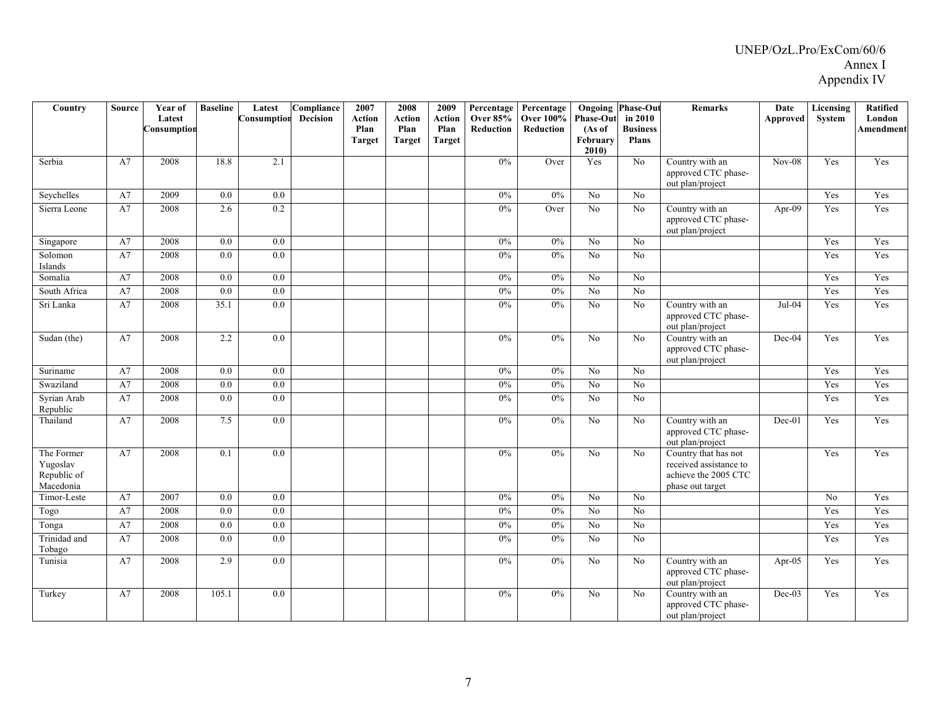| Country                                            | <b>Source</b> | Year of<br>Latest<br>onsumption' | <b>Baseline</b>  | Latest<br>Consumption | Compliance<br><b>Decision</b> | 2007<br><b>Action</b><br>Plan<br><b>Target</b> | 2008<br><b>Action</b><br>Plan<br><b>Target</b> | 2009<br><b>Action</b><br>Plan<br><b>Target</b> | Percentage<br><b>Over 85%</b><br>Reduction | Percentage<br><b>Over 100%</b><br>Reduction | <b>Phase-Out</b><br>(As of<br>February<br>2010 | <b>Ongoing Phase-Out</b><br>in 2010<br><b>Business</b><br><b>Plans</b> | <b>Remarks</b>                                                                             | <b>Date</b><br>Approved | Licensing<br>System | <b>Ratified</b><br>London<br><b>Amendment</b> |
|----------------------------------------------------|---------------|----------------------------------|------------------|-----------------------|-------------------------------|------------------------------------------------|------------------------------------------------|------------------------------------------------|--------------------------------------------|---------------------------------------------|------------------------------------------------|------------------------------------------------------------------------|--------------------------------------------------------------------------------------------|-------------------------|---------------------|-----------------------------------------------|
| Serbia                                             | A7            | 2008                             | 18.8             | 2.1                   |                               |                                                |                                                |                                                | 0%                                         | Over                                        | Yes                                            | No                                                                     | Country with an<br>approved CTC phase-<br>out plan/project                                 | $Nov-08$                | Yes                 | Yes                                           |
| Seychelles                                         | A7            | 2009                             | 0.0              | 0.0                   |                               |                                                |                                                |                                                | $0\%$                                      | $0\%$                                       | No                                             | N <sub>o</sub>                                                         |                                                                                            |                         | Yes                 | Yes                                           |
| Sierra Leone                                       | A7            | 2008                             | 2.6              | 0.2                   |                               |                                                |                                                |                                                | 0%                                         | Over                                        | $\overline{No}$                                | N <sub>o</sub>                                                         | Country with an<br>approved CTC phase-<br>out plan/project                                 | $Apr-09$                | Yes                 | Yes                                           |
| Singapore                                          | A7            | 2008                             | 0.0              | 0.0                   |                               |                                                |                                                |                                                | $0\%$                                      | $0\%$                                       | N <sub>o</sub>                                 | No                                                                     |                                                                                            |                         | Yes                 | Yes                                           |
| Solomon<br>Islands                                 | A7            | 2008                             | 0.0              | $\overline{0.0}$      |                               |                                                |                                                |                                                | 0%                                         | 0%                                          | No                                             | No                                                                     |                                                                                            |                         | Yes                 | Yes                                           |
| Somalia                                            | A7            | 2008                             | 0.0              | 0.0                   |                               |                                                |                                                |                                                | $0\%$                                      | 0%                                          | No                                             | N <sub>o</sub>                                                         |                                                                                            |                         | Yes                 | Yes                                           |
| South Africa                                       | A7            | 2008                             | 0.0              | 0.0                   |                               |                                                |                                                |                                                | $0\%$                                      | 0%                                          | N <sub>0</sub>                                 | N <sub>o</sub>                                                         |                                                                                            |                         | Yes                 | Yes                                           |
| Sri Lanka                                          | A7            | 2008                             | 35.1             | 0.0                   |                               |                                                |                                                |                                                | 0%                                         | 0%                                          | No                                             | N <sub>o</sub>                                                         | Country with an<br>approved CTC phase-<br>out plan/project                                 | $Jul-04$                | Yes                 | Yes                                           |
| Sudan (the)                                        | A7            | 2008                             | 2.2              | 0.0                   |                               |                                                |                                                |                                                | $0\%$                                      | $0\%$                                       | No                                             | $\rm No$                                                               | Country with an<br>approved CTC phase-<br>out plan/project                                 | Dec-04                  | Yes                 | Yes                                           |
| Suriname                                           | A7            | 2008                             | $\overline{0.0}$ | $\overline{0.0}$      |                               |                                                |                                                |                                                | 0%                                         | 0%                                          | $\overline{No}$                                | $\overline{No}$                                                        |                                                                                            |                         | Yes                 | Yes                                           |
| Swaziland                                          | A7            | 2008                             | $\overline{0.0}$ | $\overline{0.0}$      |                               |                                                |                                                |                                                | $0\%$                                      | $0\%$                                       | No                                             | No                                                                     |                                                                                            |                         | Yes                 | Yes                                           |
| Syrian Arab<br>Republic                            | A7            | 2008                             | $0.0\,$          | 0.0                   |                               |                                                |                                                |                                                | $0\%$                                      | $0\%$                                       | N <sub>0</sub>                                 | N <sub>o</sub>                                                         |                                                                                            |                         | Yes                 | Yes                                           |
| Thailand                                           | A7            | 2008                             | 7.5              | 0.0                   |                               |                                                |                                                |                                                | 0%                                         | 0%                                          | $\overline{No}$                                | No                                                                     | Country with an<br>approved CTC phase-<br>out plan/project                                 | $Dec-01$                | Yes                 | Yes                                           |
| The Former<br>Yugoslav<br>Republic of<br>Macedonia | A7            | 2008                             | 0.1              | 0.0                   |                               |                                                |                                                |                                                | 0%                                         | 0%                                          | N <sub>o</sub>                                 | N <sub>0</sub>                                                         | Country that has not<br>received assistance to<br>achieve the 2005 CTC<br>phase out target |                         | Yes                 | Yes                                           |
| Timor-Leste                                        | A7            | 2007                             | 0.0              | 0.0                   |                               |                                                |                                                |                                                | $0\%$                                      | $0\%$                                       | No                                             | $\rm No$                                                               |                                                                                            |                         | No                  | Yes                                           |
| Togo                                               | A7            | 2008                             | 0.0              | 0.0                   |                               |                                                |                                                |                                                | 0%                                         | 0%                                          | No                                             | N <sub>o</sub>                                                         |                                                                                            |                         | Yes                 | Yes                                           |
| Tonga                                              | A7            | 2008                             | 0.0              | $\overline{0.0}$      |                               |                                                |                                                |                                                | 0%                                         | 0%                                          | $\overline{No}$                                | $\overline{No}$                                                        |                                                                                            |                         | Yes                 | Yes                                           |
| Trinidad and<br>Tobago                             | A7            | 2008                             | 0.0              | $\overline{0.0}$      |                               |                                                |                                                |                                                | 0%                                         | 0%                                          | N <sub>o</sub>                                 | N <sub>o</sub>                                                         |                                                                                            |                         | Yes                 | Yes                                           |
| Tunisia                                            | A7            | 2008                             | 2.9              | 0.0                   |                               |                                                |                                                |                                                | $0\%$                                      | $0\%$                                       | No                                             | No                                                                     | Country with an<br>approved CTC phase-<br>out plan/project                                 | Apr- $05$               | Yes                 | Yes                                           |
| Turkey                                             | A7            | 2008                             | 105.1            | 0.0                   |                               |                                                |                                                |                                                | 0%                                         | $0\%$                                       | N <sub>o</sub>                                 | N <sub>0</sub>                                                         | Country with an<br>approved CTC phase-<br>out plan/project                                 | $Dec-03$                | Yes                 | Yes                                           |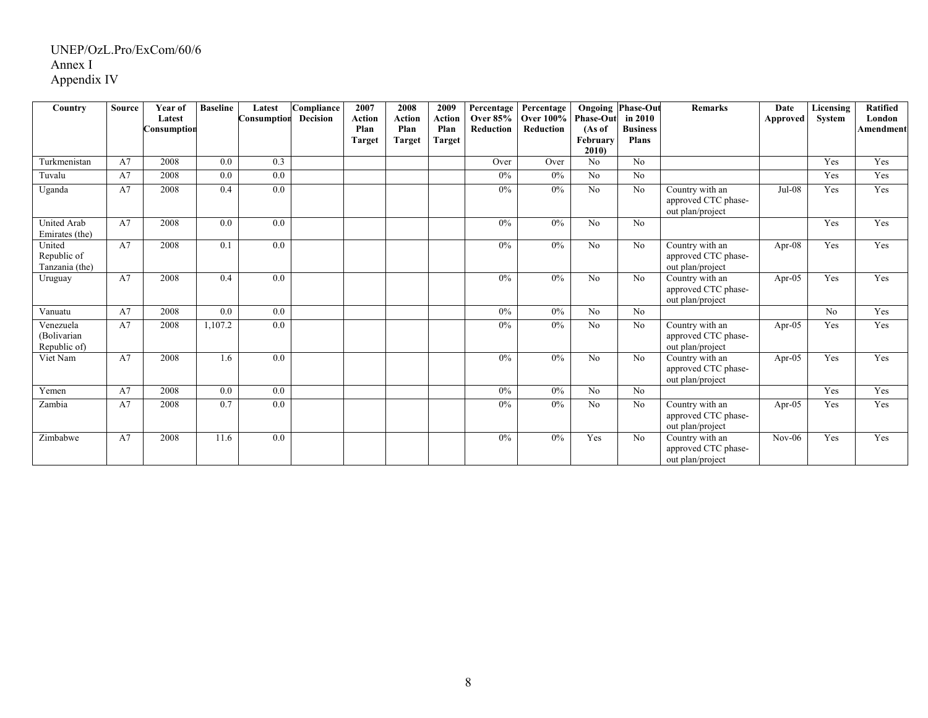| Country                                  | <b>Source</b> | Year of<br>Latest<br>Consumptior | <b>Baseline</b> | Latest<br>Consumption | Compliance<br><b>Decision</b> | 2007<br>Action<br>Plan<br><b>Target</b> | 2008<br>Action<br>Plan<br><b>Target</b> | 2009<br>Action<br>Plan<br>Target | Percentage<br><b>Over 85%</b><br>Reduction | Percentage<br><b>Over 100%</b><br>Reduction | <b>Phase-Out</b><br>(As of<br>February<br>2010 | <b>Ongoing Phase-Out</b><br>in 2010<br><b>Business</b><br><b>Plans</b> | <b>Remarks</b>                                             | Date<br><b>Approved</b> | Licensing<br>System | <b>Ratified</b><br>London<br>Amendment |
|------------------------------------------|---------------|----------------------------------|-----------------|-----------------------|-------------------------------|-----------------------------------------|-----------------------------------------|----------------------------------|--------------------------------------------|---------------------------------------------|------------------------------------------------|------------------------------------------------------------------------|------------------------------------------------------------|-------------------------|---------------------|----------------------------------------|
| Turkmenistan                             | A7            | 2008                             | 0.0             | 0.3                   |                               |                                         |                                         |                                  | Over                                       | Over                                        | No                                             | No                                                                     |                                                            |                         | Yes                 | Yes                                    |
| Tuvalu                                   | A7            | 2008                             | 0.0             | 0.0                   |                               |                                         |                                         |                                  | 0%                                         | $0\%$                                       | No                                             | No                                                                     |                                                            |                         | Yes                 | Yes                                    |
| Uganda                                   | A7            | 2008                             | 0.4             | 0.0                   |                               |                                         |                                         |                                  | $0\%$                                      | $0\%$                                       | No                                             | No                                                                     | Country with an<br>approved CTC phase-<br>out plan/project | $Jul-08$                | Yes                 | Yes                                    |
| <b>United Arab</b><br>Emirates (the)     | A7            | 2008                             | 0.0             | 0.0                   |                               |                                         |                                         |                                  | $0\%$                                      | $0\%$                                       | No                                             | No                                                                     |                                                            |                         | Yes                 | Yes                                    |
| United<br>Republic of<br>Tanzania (the)  | A7            | 2008                             | 0.1             | 0.0                   |                               |                                         |                                         |                                  | $0\%$                                      | $0\%$                                       | No                                             | No                                                                     | Country with an<br>approved CTC phase-<br>out plan/project | Apr-08                  | Yes                 | Yes                                    |
| Uruguay                                  | A7            | 2008                             | 0.4             | 0.0                   |                               |                                         |                                         |                                  | 0%                                         | 0%                                          | No                                             | No                                                                     | Country with an<br>approved CTC phase-<br>out plan/project | Apr-05                  | Yes                 | Yes                                    |
| Vanuatu                                  | A7            | 2008                             | 0.0             | 0.0                   |                               |                                         |                                         |                                  | $0\%$                                      | $0\%$                                       | No                                             | No                                                                     |                                                            |                         | No                  | Yes                                    |
| Venezuela<br>(Bolivarian<br>Republic of) | A7            | 2008                             | 1,107.2         | 0.0                   |                               |                                         |                                         |                                  | 0%                                         | $0\%$                                       | No                                             | No                                                                     | Country with an<br>approved CTC phase-<br>out plan/project | Apr- $05$               | Yes                 | Yes                                    |
| Viet Nam                                 | A7            | 2008                             | 1.6             | 0.0                   |                               |                                         |                                         |                                  | 0%                                         | 0%                                          | No                                             | No                                                                     | Country with an<br>approved CTC phase-<br>out plan/project | Apr-05                  | Yes                 | Yes                                    |
| Yemen                                    | A7            | 2008                             | 0.0             | 0.0                   |                               |                                         |                                         |                                  | 0%                                         | $0\%$                                       | No                                             | No                                                                     |                                                            |                         | Yes                 | Yes                                    |
| Zambia                                   | A7            | 2008                             | 0.7             | 0.0                   |                               |                                         |                                         |                                  | 0%                                         | $0\%$                                       | No                                             | N <sub>0</sub>                                                         | Country with an<br>approved CTC phase-<br>out plan/project | Apr-05                  | Yes                 | Yes                                    |
| Zimbabwe                                 | A7            | 2008                             | 11.6            | 0.0                   |                               |                                         |                                         |                                  | $0\%$                                      | $0\%$                                       | Yes                                            | No                                                                     | Country with an<br>approved CTC phase-<br>out plan/project | $Nov-06$                | Yes                 | Yes                                    |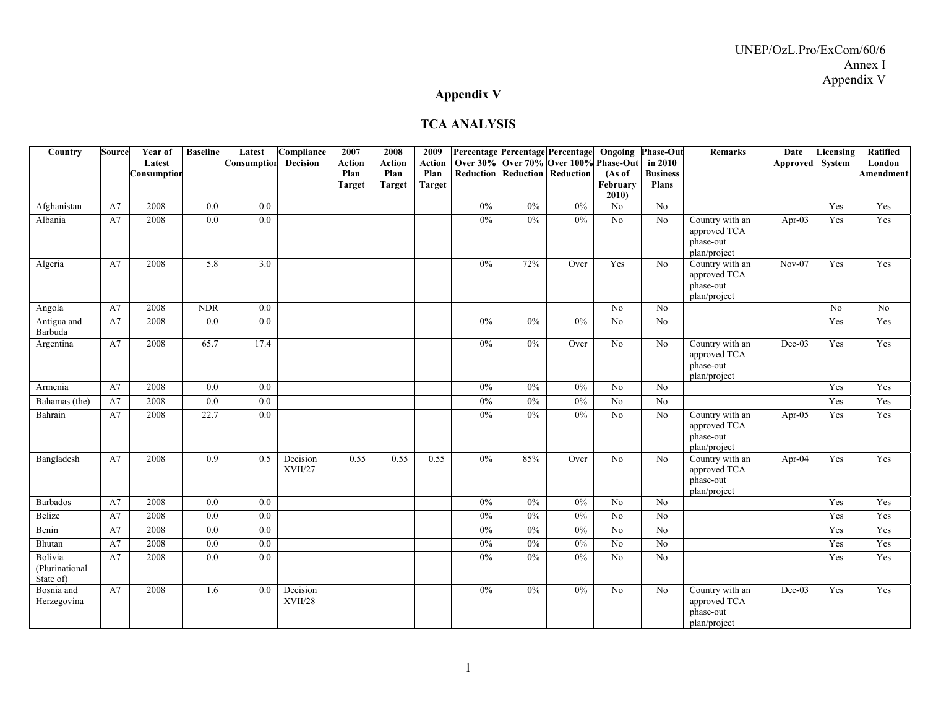### **Appendix V**

#### **TCA ANALYSIS**

| Country                                | Source | Year of     | <b>Baseline</b>  | Latest           | Compliance                 | 2007                  | 2008           | 2009           |       |       | Percentage Percentage Percentage                                              | Ongoing         | <b>Phase-Out</b>           | <b>Remarks</b>                                               | Date            | Licensing       | <b>Ratified</b>            |
|----------------------------------------|--------|-------------|------------------|------------------|----------------------------|-----------------------|----------------|----------------|-------|-------|-------------------------------------------------------------------------------|-----------------|----------------------------|--------------------------------------------------------------|-----------------|-----------------|----------------------------|
|                                        |        | Latest      |                  | Consumption      | <b>Decision</b>            | <b>Action</b><br>Plan | Action<br>Plan | Action<br>Plan |       |       | Over 30% Over 70% Over 100% Phase-Out<br><b>Reduction Reduction Reduction</b> | (As of          | in 2010<br><b>Business</b> |                                                              | Approved System |                 | London<br><b>Amendment</b> |
|                                        |        | Consumption |                  |                  |                            | <b>Target</b>         | <b>Target</b>  | <b>Target</b>  |       |       |                                                                               | February        | <b>Plans</b>               |                                                              |                 |                 |                            |
|                                        |        |             |                  |                  |                            |                       |                |                |       |       |                                                                               | 2010            |                            |                                                              |                 |                 |                            |
| Afghanistan                            | A7     | 2008        | 0.0              | 0.0              |                            |                       |                |                | $0\%$ | $0\%$ | 0%                                                                            | No              | No                         |                                                              |                 | Yes             | Yes                        |
| Albania                                | A7     | 2008        | $\overline{0.0}$ | $\overline{0.0}$ |                            |                       |                |                | 0%    | 0%    | 0%                                                                            | $\overline{No}$ | $\overline{No}$            | Country with an<br>approved TCA<br>phase-out<br>plan/project | Apr- $03$       | Yes             | Yes                        |
| Algeria                                | A7     | 2008        | 5.8              | 3.0              |                            |                       |                |                | $0\%$ | 72%   | Over                                                                          | Yes             | No                         | Country with an<br>approved TCA<br>phase-out<br>plan/project | $Nov-07$        | Yes             | Yes                        |
| Angola                                 | A7     | 2008        | <b>NDR</b>       | 0.0              |                            |                       |                |                |       |       |                                                                               | $\overline{No}$ | No                         |                                                              |                 | $\overline{No}$ | N <sub>0</sub>             |
| Antigua and<br>Barbuda                 | A7     | 2008        | 0.0              | 0.0              |                            |                       |                |                | 0%    | 0%    | 0%                                                                            | No              | No                         |                                                              |                 | Yes             | Yes                        |
| Argentina                              | A7     | 2008        | 65.7             | 17.4             |                            |                       |                |                | 0%    | 0%    | Over                                                                          | N <sub>o</sub>  | No                         | Country with an<br>approved TCA<br>phase-out<br>plan/project | $Dec-03$        | Yes             | Yes                        |
| Armenia                                | A7     | 2008        | 0.0              | 0.0              |                            |                       |                |                | $0\%$ | 0%    | 0%                                                                            | N <sub>o</sub>  | No                         |                                                              |                 | Yes             | Yes                        |
| Bahamas (the)                          | A7     | 2008        | 0.0              | 0.0              |                            |                       |                |                | $0\%$ | $0\%$ | 0%                                                                            | $\overline{No}$ | No                         |                                                              |                 | Yes             | Yes                        |
| Bahrain                                | A7     | 2008        | 22.7             | 0.0              |                            |                       |                |                | 0%    | 0%    | 0%                                                                            | No              | No                         | Country with an<br>approved TCA<br>phase-out<br>plan/project | Apr-05          | Yes             | Yes                        |
| Bangladesh                             | A7     | 2008        | 0.9              | 0.5              | Decision<br><b>XVII/27</b> | 0.55                  | 0.55           | 0.55           | 0%    | 85%   | Over                                                                          | No              | No                         | Country with an<br>approved TCA<br>phase-out<br>plan/project | Apr- $04$       | Yes             | Yes                        |
| <b>Barbados</b>                        | A7     | 2008        | 0.0              | 0.0              |                            |                       |                |                | 0%    | 0%    | 0%                                                                            | No              | N <sub>0</sub>             |                                                              |                 | Yes             | Yes                        |
| Belize                                 | A7     | 2008        | $0.0\,$          | 0.0              |                            |                       |                |                | 0%    | 0%    | $0\%$                                                                         | $\overline{No}$ | No                         |                                                              |                 | Yes             | Yes                        |
| Benin                                  | A7     | 2008        | 0.0              | $0.0\,$          |                            |                       |                |                | 0%    | $0\%$ | $0\%$                                                                         | N <sub>o</sub>  | No                         |                                                              |                 | Yes             | Yes                        |
| Bhutan                                 | A7     | 2008        | 0.0              | 0.0              |                            |                       |                |                | 0%    | $0\%$ | 0%                                                                            | N <sub>o</sub>  | $\overline{No}$            |                                                              |                 | Yes             | Yes                        |
| Bolivia<br>(Plurinational<br>State of) | A7     | 2008        | 0.0              | 0.0              |                            |                       |                |                | 0%    | $0\%$ | 0%                                                                            | No              | No                         |                                                              |                 | Yes             | Yes                        |
| Bosnia and<br>Herzegovina              | A7     | 2008        | 1.6              | $0.0\,$          | Decision<br>XVII/28        |                       |                |                | 0%    | $0\%$ | 0%                                                                            | No              | No                         | Country with an<br>approved TCA<br>phase-out<br>plan/project | $Dec-03$        | Yes             | Yes                        |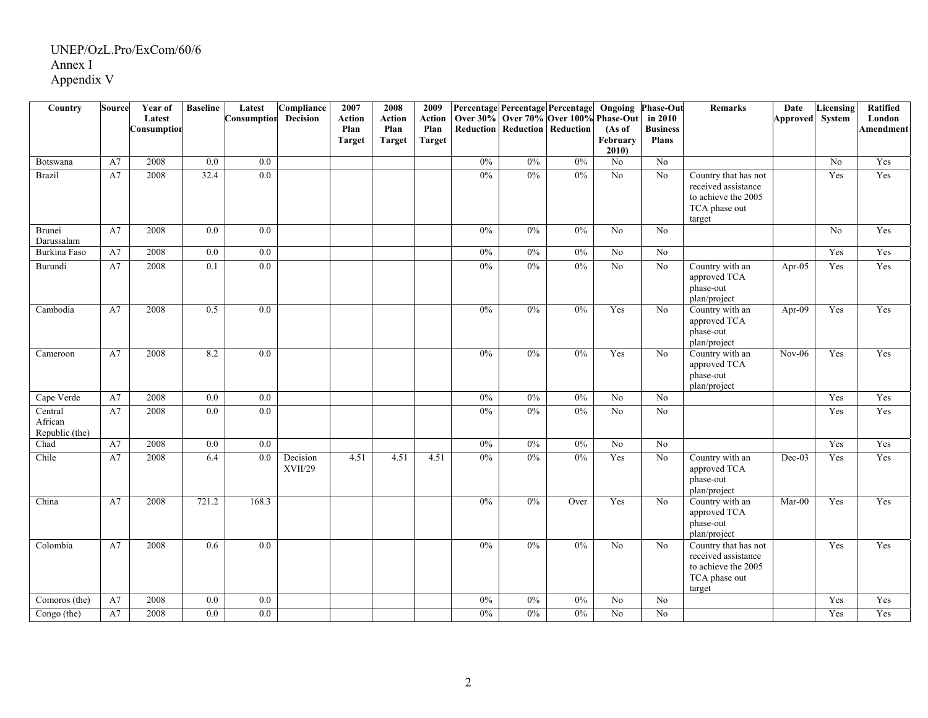| Country                              | <b>Source</b> | Year of<br>Latest<br>Consumptior | <b>Baseline</b> | Latest<br>Consumption | Compliance<br>Decision | 2007<br>Action<br>Plan | 2008<br>Action<br>Plan | 2009<br><b>Action</b><br>Plan |       |    | Percentage Percentage Percentage<br>Over 30% Over 70% Over 100%<br><b>Reduction Reduction Reduction</b> | Ongoing<br><b>Phase-Out</b><br>(As of | <b>Phase-Out</b><br>in 2010<br><b>Business</b> | <b>Remarks</b>                                                                                | Date<br>Approved System | Licensing | Ratified<br>London<br>Amendment |
|--------------------------------------|---------------|----------------------------------|-----------------|-----------------------|------------------------|------------------------|------------------------|-------------------------------|-------|----|---------------------------------------------------------------------------------------------------------|---------------------------------------|------------------------------------------------|-----------------------------------------------------------------------------------------------|-------------------------|-----------|---------------------------------|
|                                      |               |                                  |                 |                       |                        | <b>Target</b>          | <b>Target</b>          | <b>Target</b>                 |       |    |                                                                                                         | February<br>2010                      | <b>Plans</b>                                   |                                                                                               |                         |           |                                 |
| Botswana                             | A7            | 2008                             | 0.0             | 0.0                   |                        |                        |                        |                               | 0%    | 0% | 0%                                                                                                      | No                                    | $\overline{N_0}$                               |                                                                                               |                         | No        | Yes                             |
| <b>Brazil</b>                        | A7            | 2008                             | 32.4            | $\overline{0.0}$      |                        |                        |                        |                               | $0\%$ | 0% | 0%                                                                                                      | $\overline{No}$                       | $\overline{No}$                                | Country that has not<br>received assistance<br>to achieve the 2005<br>TCA phase out<br>target |                         | Yes       | Yes                             |
| Brunei<br>Darussalam                 | A7            | 2008                             | 0.0             | 0.0                   |                        |                        |                        |                               | 0%    | 0% | 0%                                                                                                      | No                                    | N <sub>o</sub>                                 |                                                                                               |                         | No        | Yes                             |
| <b>Burkina</b> Faso                  | A7            | 2008                             | 0.0             | 0.0                   |                        |                        |                        |                               | 0%    | 0% | 0%                                                                                                      | $\overline{No}$                       | N <sub>o</sub>                                 |                                                                                               |                         | Yes       | Yes                             |
| Burundi                              | A7            | 2008                             | 0.1             | 0.0                   |                        |                        |                        |                               | 0%    | 0% | 0%                                                                                                      | $\overline{No}$                       | $\overline{No}$                                | Country with an<br>approved TCA<br>phase-out<br>plan/project                                  | Apr-05                  | Yes       | Yes                             |
| Cambodia                             | A7            | 2008                             | 0.5             | 0.0                   |                        |                        |                        |                               | 0%    | 0% | 0%                                                                                                      | Yes                                   | No                                             | Country with an<br>approved TCA<br>phase-out<br>plan/project                                  | Apr-09                  | Yes       | Yes                             |
| Cameroon                             | A7            | 2008                             | 8.2             | 0.0                   |                        |                        |                        |                               | 0%    | 0% | 0%                                                                                                      | Yes                                   | No                                             | Country with an<br>approved TCA<br>phase-out<br>plan/project                                  | $Nov-06$                | Yes       | Yes                             |
| Cape Verde                           | A7            | 2008                             | 0.0             | $0.0\,$               |                        |                        |                        |                               | 0%    | 0% | 0%                                                                                                      | $\overline{No}$                       | N <sub>o</sub>                                 |                                                                                               |                         | Yes       | Yes                             |
| Central<br>African<br>Republic (the) | A7            | 2008                             | 0.0             | $\overline{0.0}$      |                        |                        |                        |                               | 0%    | 0% | 0%                                                                                                      | $\overline{No}$                       | $\overline{N_0}$                               |                                                                                               |                         | Yes       | Yes                             |
| Chad                                 | A7            | 2008                             | 0.0             | 0.0                   |                        |                        |                        |                               | 0%    | 0% | 0%                                                                                                      | $\overline{No}$                       | $\overline{No}$                                |                                                                                               |                         | Yes       | Yes                             |
| Chile                                | A7            | 2008                             | 6.4             | 0.0                   | Decision<br>XVII/29    | 4.51                   | 4.51                   | 4.51                          | 0%    | 0% | 0%                                                                                                      | Yes                                   | $\rm No$                                       | Country with an<br>approved TCA<br>phase-out<br>plan/project                                  | Dec-03                  | Yes       | Yes                             |
| China                                | A7            | 2008                             | 721.2           | 168.3                 |                        |                        |                        |                               | 0%    | 0% | Over                                                                                                    | Yes                                   | No                                             | Country with an<br>approved TCA<br>phase-out<br>plan/project                                  | $Mar-00$                | Yes       | Yes                             |
| Colombia                             | A7            | 2008                             | 0.6             | 0.0                   |                        |                        |                        |                               | 0%    | 0% | 0%                                                                                                      | No                                    | No                                             | Country that has not<br>received assistance<br>to achieve the 2005<br>TCA phase out<br>target |                         | Yes       | Yes                             |
| Comoros (the)                        | A7            | 2008                             | 0.0             | $0.0\,$               |                        |                        |                        |                               | 0%    | 0% | 0%                                                                                                      | No                                    | N <sub>o</sub>                                 |                                                                                               |                         | Yes       | Yes                             |
| Congo (the)                          | A7            | 2008                             | 0.0             | $0.0\,$               |                        |                        |                        |                               | $0\%$ | 0% | 0%                                                                                                      | No                                    | N <sub>o</sub>                                 |                                                                                               |                         | Yes       | Yes                             |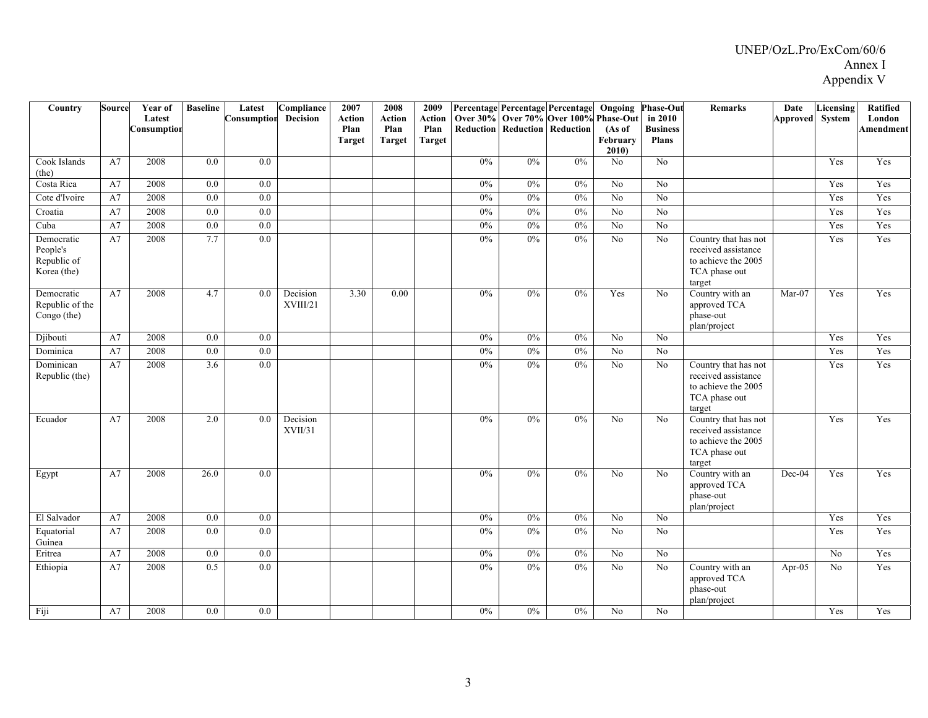| Country                                              | Source | Year of               | <b>Baseline</b>  | Latest           | Compliance           | 2007                  | 2008           | 2009           |       |                                          | Percentage Percentage Percentage | Ongoing                    | <b>Phase-Out</b>           | <b>Remarks</b>                                                                                | Date                | Licensing        | <b>Ratified</b>     |
|------------------------------------------------------|--------|-----------------------|------------------|------------------|----------------------|-----------------------|----------------|----------------|-------|------------------------------------------|----------------------------------|----------------------------|----------------------------|-----------------------------------------------------------------------------------------------|---------------------|------------------|---------------------|
|                                                      |        | Latest<br>Consumption |                  | Consumption      | Decision             | <b>Action</b><br>Plan | Action<br>Plan | Action<br>Plan |       | <b>Reduction   Reduction   Reduction</b> | Over 30% Over 70% Over 100%      | <b>Phase-Out</b><br>(As of | in 2010<br><b>Business</b> |                                                                                               | Approved System     |                  | London<br>Amendment |
|                                                      |        |                       |                  |                  |                      | <b>Target</b>         | <b>Target</b>  | Target         |       |                                          |                                  | February                   | <b>Plans</b>               |                                                                                               |                     |                  |                     |
| Cook Islands                                         | A7     | 2008                  | 0.0              | 0.0              |                      |                       |                |                | 0%    | 0%                                       | 0%                               | 2010<br>N <sub>o</sub>     | N <sub>o</sub>             |                                                                                               |                     | Yes              | Yes                 |
| (the)                                                |        |                       |                  |                  |                      |                       |                |                |       |                                          |                                  |                            |                            |                                                                                               |                     |                  |                     |
| Costa Rica                                           | A7     | 2008                  | 0.0              | 0.0              |                      |                       |                |                | $0\%$ | 0%                                       | 0%                               | No                         | N <sub>0</sub>             |                                                                                               |                     | Yes              | Yes                 |
| Cote d'Ivoire                                        | A7     | 2008                  | $\overline{0.0}$ | 0.0              |                      |                       |                |                | 0%    | 0%                                       | 0%                               | $\overline{No}$            | N <sub>o</sub>             |                                                                                               |                     | Yes              | Yes                 |
| Croatia                                              | A7     | 2008                  | 0.0              | 0.0              |                      |                       |                |                | $0\%$ | 0%                                       | 0%                               | No                         | N <sub>0</sub>             |                                                                                               |                     | Yes              | Yes                 |
| Cuba                                                 | A7     | 2008                  | $\overline{0.0}$ | 0.0              |                      |                       |                |                | 0%    | 0%                                       | 0%                               | $\overline{No}$            | N <sub>o</sub>             |                                                                                               |                     | Yes              | Yes                 |
| Democratic<br>People's<br>Republic of<br>Korea (the) | A7     | 2008                  | 7.7              | $\overline{0.0}$ |                      |                       |                |                | 0%    | 0%                                       | 0%                               | $\overline{N_0}$           | N <sub>o</sub>             | Country that has not<br>received assistance<br>to achieve the 2005<br>TCA phase out<br>target |                     | Yes              | Yes                 |
| Democratic<br>Republic of the<br>Congo (the)         | A7     | 2008                  | 4.7              | 0.0              | Decision<br>XVIII/21 | 3.30                  | 0.00           |                | 0%    | 0%                                       | 0%                               | Yes                        | No                         | Country with an<br>approved TCA<br>phase-out<br>plan/project                                  | $\overline{Mar-07}$ | Yes              | Yes                 |
| Djibouti                                             | A7     | 2008                  | $0.0\,$          | 0.0              |                      |                       |                |                | 0%    | 0%                                       | 0%                               | $\overline{No}$            | No                         |                                                                                               |                     | Yes              | Yes                 |
| Dominica                                             | A7     | 2008                  | 0.0              | 0.0              |                      |                       |                |                | 0%    | 0%                                       | 0%                               | $\overline{No}$            | N <sub>o</sub>             |                                                                                               |                     | Yes              | Yes                 |
| Dominican<br>Republic (the)                          | A7     | 2008                  | 3.6              | 0.0              |                      |                       |                |                | $0\%$ | $0\%$                                    | 0%                               | No                         | No                         | Country that has not<br>received assistance<br>to achieve the 2005<br>TCA phase out<br>target |                     | Yes              | Yes                 |
| Ecuador                                              | A7     | 2008                  | $2.0\,$          | 0.0              | Decision<br>XVII/31  |                       |                |                | $0\%$ | 0%                                       | 0%                               | No                         | N <sub>0</sub>             | Country that has not<br>received assistance<br>to achieve the 2005<br>TCA phase out<br>target |                     | Yes              | Yes                 |
| Egypt                                                | A7     | 2008                  | 26.0             | 0.0              |                      |                       |                |                | $0\%$ | 0%                                       | 0%                               | No                         | No                         | Country with an<br>approved TCA<br>phase-out<br>plan/project                                  | Dec-04              | Yes              | Yes                 |
| El Salvador                                          | A7     | 2008                  | 0.0              | 0.0              |                      |                       |                |                | 0%    | 0%                                       | 0%                               | $\overline{N_0}$           | N <sub>o</sub>             |                                                                                               |                     | Yes              | Yes                 |
| Equatorial<br>Guinea                                 | A7     | 2008                  | $0.0\,$          | 0.0              |                      |                       |                |                | 0%    | 0%                                       | 0%                               | $\overline{No}$            | No                         |                                                                                               |                     | Yes              | Yes                 |
| Eritrea                                              | A7     | 2008                  | 0.0              | 0.0              |                      |                       |                |                | 0%    | 0%                                       | 0%                               | $\overline{No}$            | $\overline{No}$            |                                                                                               |                     | $\overline{N_0}$ | Yes                 |
| Ethiopia                                             | A7     | 2008                  | 0.5              | 0.0              |                      |                       |                |                | 0%    | 0%                                       | 0%                               | No                         | N <sub>o</sub>             | Country with an<br>approved TCA<br>phase-out<br>plan/project                                  | Apr- $05$           | No               | Yes                 |
| Fiji                                                 | A7     | 2008                  | 0.0              | 0.0              |                      |                       |                |                | 0%    | 0%                                       | 0%                               | N <sub>o</sub>             | No                         |                                                                                               |                     | Yes              | Yes                 |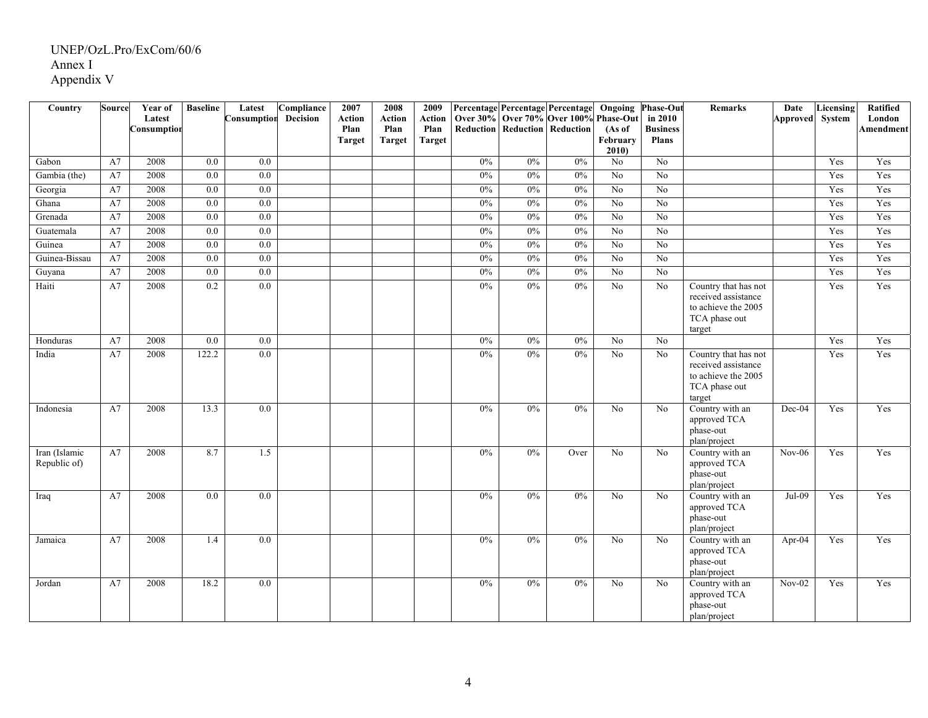| Country                       | <b>Source</b> | Year of               | <b>Baseline</b>  | Latest           | Compliance | 2007           | 2008                  | 2009           |       | Percentage Percentage Percentage                             |       |                     | <b>Ongoing Phase-Out</b>   | <b>Remarks</b>                                                                                | Date            | Licensing | Ratified            |
|-------------------------------|---------------|-----------------------|------------------|------------------|------------|----------------|-----------------------|----------------|-------|--------------------------------------------------------------|-------|---------------------|----------------------------|-----------------------------------------------------------------------------------------------|-----------------|-----------|---------------------|
|                               |               | Latest<br>Consumptior |                  | Consumption      | Decision   | Action<br>Plan | <b>Action</b><br>Plan | Action<br>Plan |       | Over 30% Over 70% Over 100%<br>Reduction Reduction Reduction |       | Phase-Out<br>(As of | in 2010<br><b>Business</b> |                                                                                               | Approved System |           | London<br>Amendment |
|                               |               |                       |                  |                  |            | <b>Target</b>  | <b>Target</b>         | Target         |       |                                                              |       | February            | <b>Plans</b>               |                                                                                               |                 |           |                     |
|                               |               |                       |                  |                  |            |                |                       |                |       |                                                              |       | 2010                |                            |                                                                                               |                 |           |                     |
| Gabon                         | A7            | 2008                  | 0.0              | 0.0              |            |                |                       |                | $0\%$ | 0%                                                           | 0%    | No                  | N <sub>o</sub>             |                                                                                               |                 | Yes       | Yes                 |
| Gambia (the)                  | A7            | 2008                  | 0.0              | $\overline{0.0}$ |            |                |                       |                | 0%    | 0%                                                           | 0%    | $\overline{N_0}$    | $\overline{No}$            |                                                                                               |                 | Yes       | Yes                 |
| Georgia                       | A7            | 2008                  | 0.0              | 0.0              |            |                |                       |                | 0%    | 0%                                                           | 0%    | $\overline{No}$     | $\overline{No}$            |                                                                                               |                 | Yes       | Yes                 |
| Ghana                         | A7            | 2008                  | 0.0              | 0.0              |            |                |                       |                | 0%    | 0%                                                           | 0%    | $\overline{No}$     | $\overline{No}$            |                                                                                               |                 | Yes       | Yes                 |
| Grenada                       | A7            | 2008                  | 0.0              | 0.0              |            |                |                       |                | $0\%$ | 0%                                                           | 0%    | $\overline{N_0}$    | $\overline{N_0}$           |                                                                                               |                 | Yes       | Yes                 |
| Guatemala                     | A7            | 2008                  | 0.0              | 0.0              |            |                |                       |                | 0%    | 0%                                                           | 0%    | No                  | N <sub>o</sub>             |                                                                                               |                 | Yes       | Yes                 |
| Guinea                        | A7            | 2008                  | 0.0              | 0.0              |            |                |                       |                | $0\%$ | $0\%$                                                        | 0%    | No                  | N <sub>o</sub>             |                                                                                               |                 | Yes       | Yes                 |
| Guinea-Bissau                 | A7            | 2008                  | 0.0              | 0.0              |            |                |                       |                | 0%    | 0%                                                           | 0%    | $\overline{No}$     | $\overline{No}$            |                                                                                               |                 | Yes       | Yes                 |
| Guyana                        | A7            | 2008                  | 0.0              | 0.0              |            |                |                       |                | 0%    | 0%                                                           | 0%    | N <sub>o</sub>      | N <sub>o</sub>             |                                                                                               |                 | Yes       | Yes                 |
| Haiti                         | A7            | 2008                  | 0.2              | $\overline{0.0}$ |            |                |                       |                | $0\%$ | 0%                                                           | 0%    | No                  | No                         | Country that has not<br>received assistance<br>to achieve the 2005<br>TCA phase out<br>target |                 | Yes       | Yes                 |
| Honduras                      | A7            | 2008                  | $\overline{0.0}$ | 0.0              |            |                |                       |                | 0%    | 0%                                                           | 0%    | $\overline{No}$     | $\overline{No}$            |                                                                                               |                 | Yes       | Yes                 |
| India                         | A7            | 2008                  | 122.2            | 0.0              |            |                |                       |                | $0\%$ | 0%                                                           | 0%    | $\overline{No}$     | No                         | Country that has not<br>received assistance<br>to achieve the 2005<br>TCA phase out<br>target |                 | Yes       | Yes                 |
| Indonesia                     | A7            | 2008                  | 13.3             | 0.0              |            |                |                       |                | 0%    | 0%                                                           | 0%    | No                  | No                         | Country with an<br>approved TCA<br>phase-out<br>plan/project                                  | Dec-04          | Yes       | Yes                 |
| Iran (Islamic<br>Republic of) | A7            | 2008                  | 8.7              | 1.5              |            |                |                       |                | 0%    | 0%                                                           | Over  | $\overline{No}$     | No                         | Country with an<br>approved TCA<br>phase-out<br>plan/project                                  | $Nov-06$        | Yes       | Yes                 |
| Iraq                          | A7            | 2008                  | 0.0              | 0.0              |            |                |                       |                | 0%    | 0%                                                           | 0%    | No                  | N <sub>o</sub>             | Country with an<br>approved TCA<br>phase-out<br>plan/project                                  | $Jul-09$        | Yes       | Yes                 |
| Jamaica                       | A7            | 2008                  | 1.4              | $0.0\,$          |            |                |                       |                | $0\%$ | 0%                                                           | $0\%$ | No                  | No                         | Country with an<br>approved TCA<br>phase-out<br>plan/project                                  | Apr-04          | Yes       | Yes                 |
| Jordan                        | A7            | 2008                  | 18.2             | $0.0\,$          |            |                |                       |                | 0%    | 0%                                                           | 0%    | No                  | N <sub>0</sub>             | Country with an<br>approved TCA<br>phase-out<br>plan/project                                  | $Nov-02$        | Yes       | Yes                 |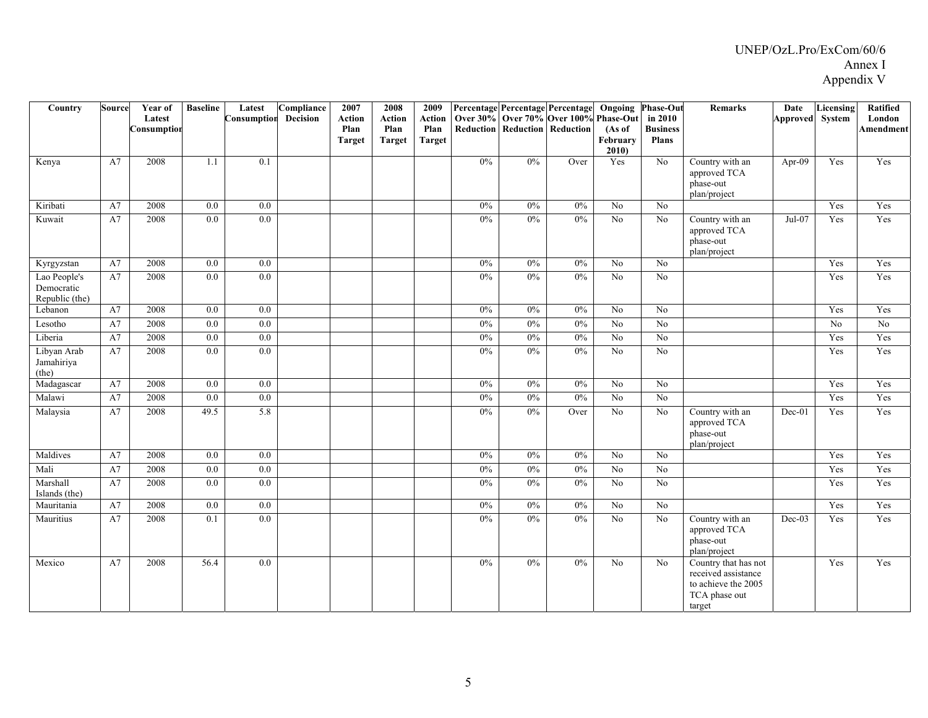| Country                                      | <b>Source</b> | Year of<br>Latest<br>Consumption | <b>Baseline</b>  | Latest<br>Consumption | Compliance<br>Decision | 2007<br><b>Action</b><br>Plan<br><b>Target</b> | 2008<br><b>Action</b><br>Plan<br><b>Target</b> | 2009<br><b>Action</b><br>Plan<br><b>Target</b> |       |       | Percentage Percentage Percentage<br>Over 30% Over 70% Over 100%<br><b>Reduction   Reduction   Reduction</b> | Ongoing<br>Phase-Out<br>(As of<br>February<br>2010) | <b>Phase-Out</b><br>in 2010<br><b>Business</b><br><b>Plans</b> | <b>Remarks</b>                                                                                | Date<br>Approved System | Licensing | <b>Ratified</b><br>London<br>Amendment |
|----------------------------------------------|---------------|----------------------------------|------------------|-----------------------|------------------------|------------------------------------------------|------------------------------------------------|------------------------------------------------|-------|-------|-------------------------------------------------------------------------------------------------------------|-----------------------------------------------------|----------------------------------------------------------------|-----------------------------------------------------------------------------------------------|-------------------------|-----------|----------------------------------------|
| Kenya                                        | A7            | 2008                             | 1.1              | 0.1                   |                        |                                                |                                                |                                                | $0\%$ | $0\%$ | Over                                                                                                        | Yes                                                 | No                                                             | Country with an<br>approved TCA<br>phase-out<br>plan/project                                  | Apr-09                  | Yes       | Yes                                    |
| Kiribati                                     | A7            | 2008                             | 0.0              | 0.0                   |                        |                                                |                                                |                                                | 0%    | 0%    | 0%                                                                                                          | No                                                  | No                                                             |                                                                                               |                         | Yes       | Yes                                    |
| Kuwait                                       | A7            | 2008                             | 0.0              | 0.0                   |                        |                                                |                                                |                                                | $0\%$ | $0\%$ | 0%                                                                                                          | $\overline{No}$                                     | No                                                             | Country with an<br>approved TCA<br>phase-out<br>plan/project                                  | Jul-07                  | Yes       | Yes                                    |
| Kyrgyzstan                                   | A7            | 2008                             | 0.0              | 0.0                   |                        |                                                |                                                |                                                | $0\%$ | 0%    | 0%                                                                                                          | No                                                  | No                                                             |                                                                                               |                         | Yes       | Yes                                    |
| Lao People's<br>Democratic<br>Republic (the) | A7            | 2008                             | 0.0              | 0.0                   |                        |                                                |                                                |                                                | $0\%$ | 0%    | 0%                                                                                                          | N <sub>o</sub>                                      | No                                                             |                                                                                               |                         | Yes       | Yes                                    |
| Lebanon                                      | A7            | 2008                             | $\overline{0.0}$ | $\overline{0.0}$      |                        |                                                |                                                |                                                | $0\%$ | $0\%$ | 0%                                                                                                          | $\overline{No}$                                     | $\overline{No}$                                                |                                                                                               |                         | Yes       | Yes                                    |
| Lesotho                                      | A7            | 2008                             | $0.0\,$          | 0.0                   |                        |                                                |                                                |                                                | $0\%$ | 0%    | 0%                                                                                                          | $\overline{No}$                                     | $\rm No$                                                       |                                                                                               |                         | $\rm No$  | No                                     |
| Liberia                                      | A7            | 2008                             | $0.0\,$          | 0.0                   |                        |                                                |                                                |                                                | $0\%$ | 0%    | 0%                                                                                                          | $\overline{No}$                                     | $\overline{No}$                                                |                                                                                               |                         | Yes       | Yes                                    |
| Libyan Arab<br>Jamahiriya<br>(the)           | A7            | 2008                             | 0.0              | $\overline{0.0}$      |                        |                                                |                                                |                                                | $0\%$ | 0%    | 0%                                                                                                          | $\overline{No}$                                     | $\overline{No}$                                                |                                                                                               |                         | Yes       | Yes                                    |
| Madagascar                                   | A7            | 2008                             | 0.0              | 0.0                   |                        |                                                |                                                |                                                | 0%    | 0%    | 0%                                                                                                          | No                                                  | No                                                             |                                                                                               |                         | Yes       | Yes                                    |
| Malawi                                       | A7            | 2008                             | 0.0              | 0.0                   |                        |                                                |                                                |                                                | 0%    | 0%    | 0%                                                                                                          | $\overline{No}$                                     | $\overline{No}$                                                |                                                                                               |                         | Yes       | Yes                                    |
| Malaysia                                     | A7            | 2008                             | 49.5             | 5.8                   |                        |                                                |                                                |                                                | 0%    | 0%    | Over                                                                                                        | No                                                  | $\rm No$                                                       | Country with an<br>approved TCA<br>phase-out<br>plan/project                                  | Dec-01                  | Yes       | Yes                                    |
| Maldives                                     | A7            | 2008                             | 0.0              | 0.0                   |                        |                                                |                                                |                                                | 0%    | 0%    | 0%                                                                                                          | $\overline{No}$                                     | No                                                             |                                                                                               |                         | Yes       | Yes                                    |
| Mali                                         | A7            | 2008                             | 0.0              | $0.0\,$               |                        |                                                |                                                |                                                | $0\%$ | $0\%$ | $0\%$                                                                                                       | $\rm No$                                            | No                                                             |                                                                                               |                         | Yes       | Yes                                    |
| Marshall<br>Islands (the)                    | A7            | 2008                             | $0.0\,$          | $0.0\,$               |                        |                                                |                                                |                                                | $0\%$ | 0%    | 0%                                                                                                          | N <sub>o</sub>                                      | No                                                             |                                                                                               |                         | Yes       | Yes                                    |
| Mauritania                                   | A7            | 2008                             | 0.0              | $0.0\,$               |                        |                                                |                                                |                                                | $0\%$ | $0\%$ | 0%                                                                                                          | No                                                  | No                                                             |                                                                                               |                         | Yes       | Yes                                    |
| Mauritius                                    | A7            | 2008                             | 0.1              | 0.0                   |                        |                                                |                                                |                                                | $0\%$ | $0\%$ | 0%                                                                                                          | No                                                  | $\rm No$                                                       | Country with an<br>approved TCA<br>phase-out<br>plan/project                                  | Dec-03                  | Yes       | Yes                                    |
| Mexico                                       | A7            | 2008                             | 56.4             | 0.0                   |                        |                                                |                                                |                                                | 0%    | 0%    | 0%                                                                                                          | $\overline{No}$                                     | No                                                             | Country that has not<br>received assistance<br>to achieve the 2005<br>TCA phase out<br>target |                         | Yes       | Yes                                    |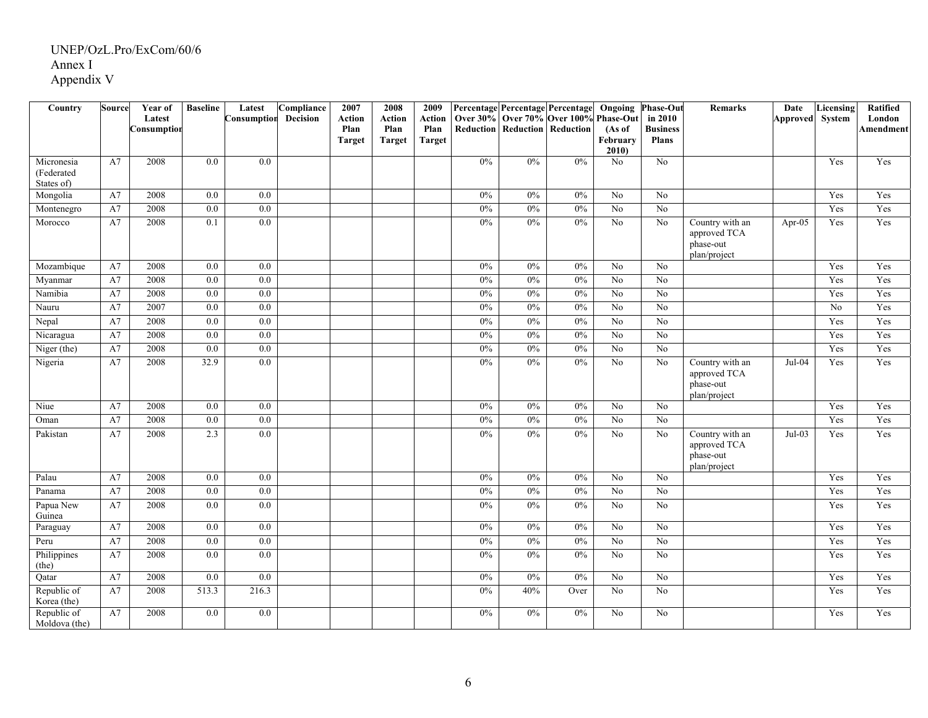| $\overline{\mathrm{Country}}$          | Source   | Year of<br>Latest | <b>Baseline</b>  | Latest<br>Consumption | Compliance<br>Decision | 2007<br><b>Action</b> | 2008<br><b>Action</b> | 2009<br><b>Action</b> |       | Percentage Percentage Percentage<br>Over 30% Over 70% Over 100% |       | $\overline{O}$ ngoing<br><b>Phase-Out</b> | Phase-Out<br>in 2010            | <b>Remarks</b>                                               | Date<br>Approved System | <b>Licensing</b> | Ratified<br>London |
|----------------------------------------|----------|-------------------|------------------|-----------------------|------------------------|-----------------------|-----------------------|-----------------------|-------|-----------------------------------------------------------------|-------|-------------------------------------------|---------------------------------|--------------------------------------------------------------|-------------------------|------------------|--------------------|
|                                        |          | Consumption       |                  |                       |                        | Plan<br><b>Target</b> | Plan<br><b>Target</b> | Plan<br><b>Target</b> |       | <b>Reduction   Reduction   Reduction</b>                        |       | (As of<br>February<br>2010)               | <b>Business</b><br><b>Plans</b> |                                                              |                         |                  | <b>Amendment</b>   |
| Micronesia<br>(Federated<br>States of) | A7       | 2008              | 0.0              | 0.0                   |                        |                       |                       |                       | $0\%$ | $0\%$                                                           | 0%    | N <sub>o</sub>                            | No                              |                                                              |                         | Yes              | Yes                |
| Mongolia                               | A7       | 2008              | 0.0              | $0.0\,$               |                        |                       |                       |                       | $0\%$ | 0%                                                              | 0%    | No                                        | No                              |                                                              |                         | Yes              | Yes                |
| Montenegro                             | $\rm A7$ | 2008              | 0.0              | 0.0                   |                        |                       |                       |                       | $0\%$ | 0%                                                              | 0%    | N <sub>0</sub>                            | $\rm No$                        |                                                              |                         | Yes              | Yes                |
| Morocco                                | A7       | 2008              | 0.1              | 0.0                   |                        |                       |                       |                       | 0%    | 0%                                                              | 0%    | No                                        | $\rm No$                        | Country with an<br>approved TCA<br>phase-out<br>plan/project | Apr-05                  | Yes              | Yes                |
| Mozambique                             | A7       | 2008              | $0.0\,$          | 0.0                   |                        |                       |                       |                       | 0%    | 0%                                                              | 0%    | No                                        | No                              |                                                              |                         | Yes              | Yes                |
| Myanmar                                | A7       | 2008              | $0.0\,$          | 0.0                   |                        |                       |                       |                       | $0\%$ | 0%                                                              | 0%    | N <sub>o</sub>                            | No                              |                                                              |                         | Yes              | Yes                |
| Namibia                                | A7       | 2008              | $\overline{0.0}$ | 0.0                   |                        |                       |                       |                       | 0%    | 0%                                                              | 0%    | $\overline{No}$                           | No                              |                                                              |                         | Yes              | Yes                |
| Nauru                                  | A7       | 2007              | 0.0              | 0.0                   |                        |                       |                       |                       | 0%    | 0%                                                              | 0%    | $\overline{No}$                           | No                              |                                                              |                         | $\overline{No}$  | Yes                |
| Nepal                                  | A7       | 2008              | 0.0              | 0.0                   |                        |                       |                       |                       | 0%    | 0%                                                              | 0%    | $\overline{No}$                           | No                              |                                                              |                         | Yes              | Yes                |
| Nicaragua                              | A7       | 2008              | 0.0              | 0.0                   |                        |                       |                       |                       | 0%    | 0%                                                              | 0%    | N <sub>o</sub>                            | $\rm No$                        |                                                              |                         | Yes              | Yes                |
| Niger (the)                            | A7       | 2008              | 0.0              | 0.0                   |                        |                       |                       |                       | 0%    | 0%                                                              | 0%    | $\overline{No}$                           | No                              |                                                              |                         | Yes              | Yes                |
| Nigeria                                | A7       | 2008              | 32.9             | 0.0                   |                        |                       |                       |                       | 0%    | 0%                                                              | 0%    | N <sub>0</sub>                            | N <sub>0</sub>                  | Country with an<br>approved TCA<br>phase-out<br>plan/project | $Jul-04$                | Yes              | Yes                |
| Niue                                   | A7       | 2008              | 0.0              | 0.0                   |                        |                       |                       |                       | 0%    | 0%                                                              | 0%    | No                                        | No                              |                                                              |                         | Yes              | Yes                |
| Oman                                   | A7       | 2008              | 0.0              | 0.0                   |                        |                       |                       |                       | 0%    | $0\%$                                                           | 0%    | N <sub>0</sub>                            | $\overline{No}$                 |                                                              |                         | Yes              | Yes                |
| Pakistan                               | A7       | 2008              | 2.3              | 0.0                   |                        |                       |                       |                       | $0\%$ | 0%                                                              | 0%    | No                                        | $\rm No$                        | Country with an<br>approved TCA<br>phase-out<br>plan/project | $Jul-03$                | Yes              | Yes                |
| Palau                                  | A7       | 2008              | 0.0              | $0.0\,$               |                        |                       |                       |                       | $0\%$ | $0\%$                                                           | $0\%$ | No                                        | No                              |                                                              |                         | Yes              | Yes                |
| Panama                                 | A7       | 2008              | 0.0              | 0.0                   |                        |                       |                       |                       | 0%    | 0%                                                              | 0%    | $\overline{No}$                           | No                              |                                                              |                         | Yes              | Yes                |
| Papua New<br>Guinea                    | A7       | 2008              | 0.0              | 0.0                   |                        |                       |                       |                       | 0%    | 0%                                                              | 0%    | N <sub>o</sub>                            | No                              |                                                              |                         | Yes              | Yes                |
| Paraguay                               | A7       | 2008              | 0.0              | 0.0                   |                        |                       |                       |                       | $0\%$ | $0\%$                                                           | 0%    | $\overline{No}$                           | No                              |                                                              |                         | Yes              | Yes                |
| Peru                                   | A7       | 2008              | 0.0              | 0.0                   |                        |                       |                       |                       | 0%    | 0%                                                              | 0%    | $\overline{No}$                           | $\overline{No}$                 |                                                              |                         | Yes              | Yes                |
| Philippines<br>(the)                   | A7       | 2008              | $0.0\,$          | 0.0                   |                        |                       |                       |                       | 0%    | 0%                                                              | 0%    | N <sub>o</sub>                            | No                              |                                                              |                         | Yes              | Yes                |
| Qatar                                  | A7       | 2008              | 0.0              | 0.0                   |                        |                       |                       |                       | $0\%$ | $0\%$                                                           | 0%    | $\overline{No}$                           | $\rm No$                        |                                                              |                         | Yes              | Yes                |
| Republic of<br>Korea (the)             | A7       | 2008              | 513.3            | 216.3                 |                        |                       |                       |                       | $0\%$ | 40%                                                             | Over  | N <sub>o</sub>                            | $\rm No$                        |                                                              |                         | Yes              | Yes                |
| Republic of<br>Moldova (the)           | A7       | 2008              | 0.0              | 0.0                   |                        |                       |                       |                       | $0\%$ | $0\%$                                                           | $0\%$ | N <sub>o</sub>                            | No                              |                                                              |                         | Yes              | Yes                |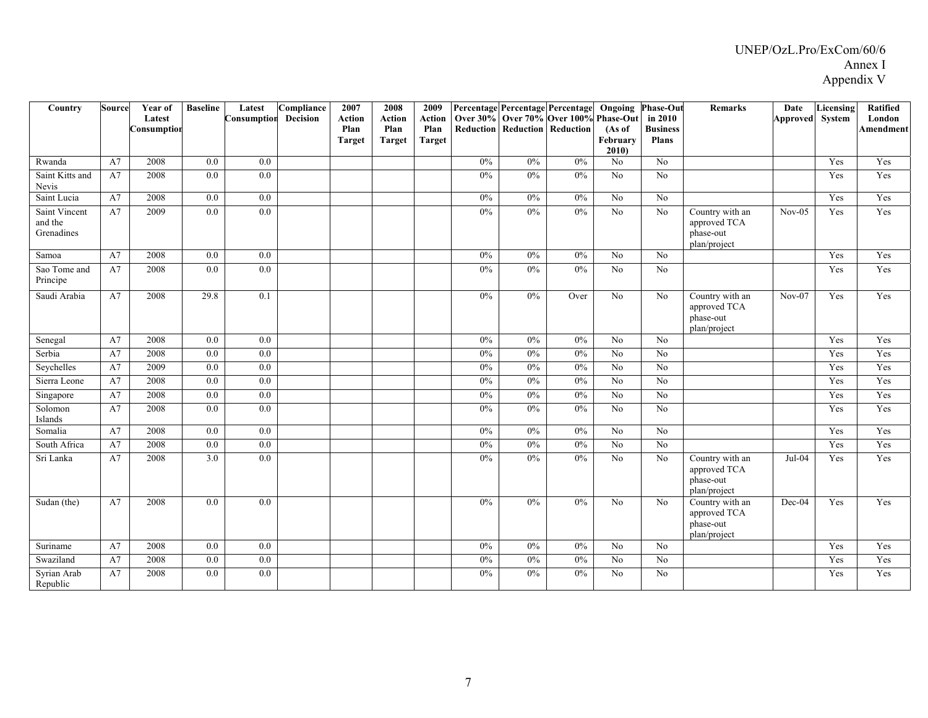| Country                                | Source | Year of<br>Latest<br>Consumption | <b>Baseline</b>  | Latest<br>Consumption | Compliance<br><b>Decision</b> | 2007<br><b>Action</b><br>Plan<br><b>Target</b> | 2008<br><b>Action</b><br>Plan<br><b>Target</b> | 2009<br><b>Action</b><br>Plan<br><b>Target</b> |       |       | Percentage Percentage Percentage<br>Over 30% Over 70% Over 100%<br>Reduction Reduction Reduction | Ongoing<br>Phase-Out<br>(As of<br>February<br>2010 | <b>Phase-Out</b><br>in 2010<br><b>Business</b><br><b>Plans</b> | <b>Remarks</b>                                               | Date<br>Approved System | Licensing | Ratified<br>London<br><b>Amendment</b> |
|----------------------------------------|--------|----------------------------------|------------------|-----------------------|-------------------------------|------------------------------------------------|------------------------------------------------|------------------------------------------------|-------|-------|--------------------------------------------------------------------------------------------------|----------------------------------------------------|----------------------------------------------------------------|--------------------------------------------------------------|-------------------------|-----------|----------------------------------------|
| Rwanda                                 | A7     | 2008                             | 0.0              | 0.0                   |                               |                                                |                                                |                                                | 0%    | 0%    | 0%                                                                                               | No                                                 | $\overline{No}$                                                |                                                              |                         | Yes       | Yes                                    |
| Saint Kitts and<br>Nevis               | A7     | 2008                             | $\overline{0.0}$ | 0.0                   |                               |                                                |                                                |                                                | 0%    | 0%    | 0%                                                                                               | $\overline{No}$                                    | N <sub>0</sub>                                                 |                                                              |                         | Yes       | Yes                                    |
| Saint Lucia                            | A7     | 2008                             | 0.0              | 0.0                   |                               |                                                |                                                |                                                | 0%    | 0%    | 0%                                                                                               | $\overline{No}$                                    | $\overline{No}$                                                |                                                              |                         | Yes       | Yes                                    |
| Saint Vincent<br>and the<br>Grenadines | A7     | 2009                             | 0.0              | $\overline{0.0}$      |                               |                                                |                                                |                                                | 0%    | 0%    | 0%                                                                                               | $\overline{No}$                                    | No                                                             | Country with an<br>approved TCA<br>phase-out<br>plan/project | $Nov-05$                | Yes       | Yes                                    |
| Samoa                                  | A7     | 2008                             | 0.0              | 0.0                   |                               |                                                |                                                |                                                | 0%    | 0%    | 0%                                                                                               | No                                                 | No                                                             |                                                              |                         | Yes       | Yes                                    |
| Sao Tome and<br>Principe               | A7     | 2008                             | 0.0              | 0.0                   |                               |                                                |                                                |                                                | $0\%$ | $0\%$ | 0%                                                                                               | No                                                 | No                                                             |                                                              |                         | Yes       | Yes                                    |
| Saudi Arabia                           | A7     | 2008                             | 29.8             | 0.1                   |                               |                                                |                                                |                                                | $0\%$ | 0%    | Over                                                                                             | No                                                 | N <sub>0</sub>                                                 | Country with an<br>approved TCA<br>phase-out<br>plan/project | $Nov-07$                | Yes       | Yes                                    |
| Senegal                                | A7     | 2008                             | 0.0              | 0.0                   |                               |                                                |                                                |                                                | 0%    | $0\%$ | 0%                                                                                               | No                                                 | N <sub>o</sub>                                                 |                                                              |                         | Yes       | Yes                                    |
| Serbia                                 | A7     | 2008                             | 0.0              | 0.0                   |                               |                                                |                                                |                                                | 0%    | 0%    | 0%                                                                                               | $\overline{N_0}$                                   | No                                                             |                                                              |                         | Yes       | Yes                                    |
| Seychelles                             | A7     | 2009                             | 0.0              | 0.0                   |                               |                                                |                                                |                                                | 0%    | 0%    | 0%                                                                                               | $\overline{No}$                                    | N <sub>o</sub>                                                 |                                                              |                         | Yes       | Yes                                    |
| Sierra Leone                           | A7     | 2008                             | $0.0\,$          | 0.0                   |                               |                                                |                                                |                                                | 0%    | $0\%$ | 0%                                                                                               | $\overline{No}$                                    | N <sub>0</sub>                                                 |                                                              |                         | Yes       | Yes                                    |
| Singapore                              | A7     | 2008                             | 0.0              | $0.0\,$               |                               |                                                |                                                |                                                | $0\%$ | 0%    | 0%                                                                                               | N <sub>o</sub>                                     | N <sub>o</sub>                                                 |                                                              |                         | Yes       | Yes                                    |
| Solomon<br>Islands                     | A7     | 2008                             | 0.0              | 0.0                   |                               |                                                |                                                |                                                | $0\%$ | 0%    | 0%                                                                                               | N <sub>o</sub>                                     | N <sub>o</sub>                                                 |                                                              |                         | Yes       | Yes                                    |
| Somalia                                | A7     | 2008                             | 0.0              | 0.0                   |                               |                                                |                                                |                                                | 0%    | 0%    | 0%                                                                                               | $\overline{N_0}$                                   | N <sub>o</sub>                                                 |                                                              |                         | Yes       | Yes                                    |
| South Africa                           | A7     | 2008                             | $0.0\,$          | $0.0\,$               |                               |                                                |                                                |                                                | 0%    | 0%    | 0%                                                                                               | No                                                 | N <sub>o</sub>                                                 |                                                              |                         | Yes       | Yes                                    |
| Sri Lanka                              | A7     | 2008                             | $\overline{3.0}$ | $\overline{0.0}$      |                               |                                                |                                                |                                                | 0%    | 0%    | 0%                                                                                               | $\overline{No}$                                    | No                                                             | Country with an<br>approved TCA<br>phase-out<br>plan/project | Jul-04                  | Yes       | Yes                                    |
| Sudan (the)                            | A7     | 2008                             | 0.0              | 0.0                   |                               |                                                |                                                |                                                | 0%    | 0%    | 0%                                                                                               | No                                                 | No                                                             | Country with an<br>approved TCA<br>phase-out<br>plan/project | Dec-04                  | Yes       | Yes                                    |
| Suriname                               | A7     | 2008                             | 0.0              | 0.0                   |                               |                                                |                                                |                                                | $0\%$ | 0%    | 0%                                                                                               | N <sub>o</sub>                                     | No                                                             |                                                              |                         | Yes       | Yes                                    |
| Swaziland                              | A7     | 2008                             | 0.0              | 0.0                   |                               |                                                |                                                |                                                | $0\%$ | 0%    | 0%                                                                                               | $\overline{No}$                                    | No                                                             |                                                              |                         | Yes       | Yes                                    |
| Syrian Arab<br>Republic                | A7     | 2008                             | 0.0              | 0.0                   |                               |                                                |                                                |                                                | $0\%$ | 0%    | 0%                                                                                               | N <sub>o</sub>                                     | No                                                             |                                                              |                         | Yes       | Yes                                    |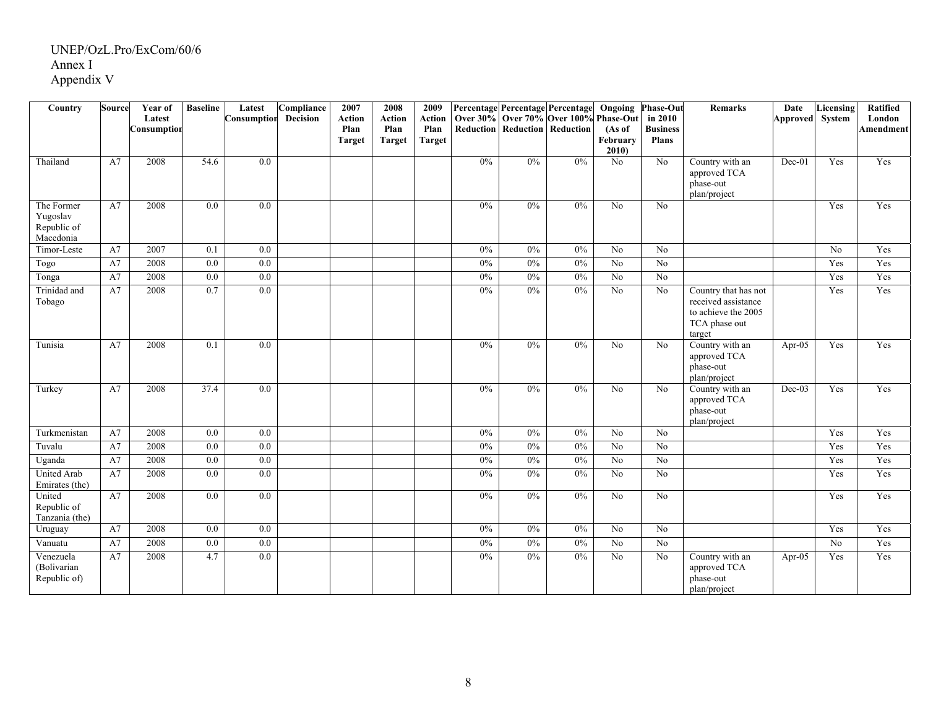| Country                                            | <b>Source</b> | Year of<br>Latest | <b>Baseline</b>  | Latest<br>Consumption | Compliance<br>Decision | 2007<br><b>Action</b> | 2008<br><b>Action</b> | 2009<br>Action |       |       | Percentage Percentage Percentage<br>Over 30% Over 70% Over 100% | Ongoing<br>Phase-Out       | <b>Phase-Out</b><br>in 2010     | <b>Remarks</b>                                                                                | Date<br>Approved System | Licensing       | <b>Ratified</b><br>London |
|----------------------------------------------------|---------------|-------------------|------------------|-----------------------|------------------------|-----------------------|-----------------------|----------------|-------|-------|-----------------------------------------------------------------|----------------------------|---------------------------------|-----------------------------------------------------------------------------------------------|-------------------------|-----------------|---------------------------|
|                                                    |               | Consumption       |                  |                       |                        | Plan<br><b>Target</b> | Plan<br><b>Target</b> | Plan<br>Target |       |       | <b>Reduction   Reduction   Reduction</b>                        | (As of<br>February<br>2010 | <b>Business</b><br><b>Plans</b> |                                                                                               |                         |                 | <b>Amendment</b>          |
| Thailand                                           | A7            | 2008              | 54.6             | 0.0                   |                        |                       |                       |                | $0\%$ | $0\%$ | 0%                                                              | No                         | No                              | Country with an<br>approved TCA<br>phase-out<br>plan/project                                  | Dec-01                  | Yes             | Yes                       |
| The Former<br>Yugoslav<br>Republic of<br>Macedonia | A7            | 2008              | 0.0              | 0.0                   |                        |                       |                       |                | 0%    | 0%    | 0%                                                              | No                         | N <sub>o</sub>                  |                                                                                               |                         | Yes             | Yes                       |
| Timor-Leste                                        | A7            | 2007              | 0.1              | 0.0                   |                        |                       |                       |                | 0%    | 0%    | 0%                                                              | No                         | No                              |                                                                                               |                         | No              | Yes                       |
| Togo                                               | A7            | 2008              | 0.0              | 0.0                   |                        |                       |                       |                | 0%    | 0%    | 0%                                                              | No                         | No                              |                                                                                               |                         | Yes             | Yes                       |
| Tonga                                              | A7            | 2008              | 0.0              | 0.0                   |                        |                       |                       |                | $0\%$ | $0\%$ | 0%                                                              | No                         | No                              |                                                                                               |                         | Yes             | Yes                       |
| Trinidad and<br>Tobago                             | A7            | 2008              | 0.7              | 0.0                   |                        |                       |                       |                | $0\%$ | 0%    | 0%                                                              | $\overline{N_0}$           | N <sub>o</sub>                  | Country that has not<br>received assistance<br>to achieve the 2005<br>TCA phase out<br>target |                         | Yes             | Yes                       |
| Tunisia                                            | A7            | 2008              | 0.1              | $\overline{0.0}$      |                        |                       |                       |                | 0%    | 0%    | 0%                                                              | $\overline{No}$            | No                              | Country with an<br>approved TCA<br>phase-out<br>plan/project                                  | Apr-05                  | Yes             | Yes                       |
| Turkey                                             | A7            | 2008              | 37.4             | 0.0                   |                        |                       |                       |                | 0%    | 0%    | 0%                                                              | No                         | No                              | Country with an<br>approved TCA<br>phase-out<br>plan/project                                  | $Dec-03$                | Yes             | Yes                       |
| Turkmenistan                                       | A7            | 2008              | 0.0              | 0.0                   |                        |                       |                       |                | 0%    | 0%    | 0%                                                              | $\overline{No}$            | No                              |                                                                                               |                         | Yes             | Yes                       |
| Tuvalu                                             | A7            | 2008              | 0.0              | 0.0                   |                        |                       |                       |                | 0%    | 0%    | 0%                                                              | $\overline{No}$            | N <sub>o</sub>                  |                                                                                               |                         | Yes             | Yes                       |
| Uganda                                             | A7            | 2008              | 0.0              | 0.0                   |                        |                       |                       |                | 0%    | 0%    | 0%                                                              | No                         | $\overline{No}$                 |                                                                                               |                         | Yes             | Yes                       |
| <b>United Arab</b><br>Emirates (the)               | A7            | 2008              | $\overline{0.0}$ | $\overline{0.0}$      |                        |                       |                       |                | 0%    | 0%    | 0%                                                              | $\overline{No}$            | $\overline{No}$                 |                                                                                               |                         | Yes             | Yes                       |
| United<br>Republic of<br>Tanzania (the)            | A7            | 2008              | 0.0              | 0.0                   |                        |                       |                       |                | $0\%$ | 0%    | 0%                                                              | N <sub>o</sub>             | No                              |                                                                                               |                         | Yes             | Yes                       |
| Uruguay                                            | A7            | 2008              | $0.0\,$          | 0.0                   |                        |                       |                       |                | $0\%$ | 0%    | 0%                                                              | N <sub>o</sub>             | N <sub>o</sub>                  |                                                                                               |                         | Yes             | Yes                       |
| Vanuatu                                            | A7            | 2008              | 0.0              | 0.0                   |                        |                       |                       |                | 0%    | 0%    | 0%                                                              | $\overline{No}$            | $\overline{No}$                 |                                                                                               |                         | $\overline{No}$ | Yes                       |
| Venezuela<br>(Bolivarian<br>Republic of)           | A7            | 2008              | 4.7              | $0.0\,$               |                        |                       |                       |                | $0\%$ | 0%    | $0\%$                                                           | No                         | No                              | Country with an<br>approved TCA<br>phase-out<br>plan/project                                  | Apr- $05$               | Yes             | Yes                       |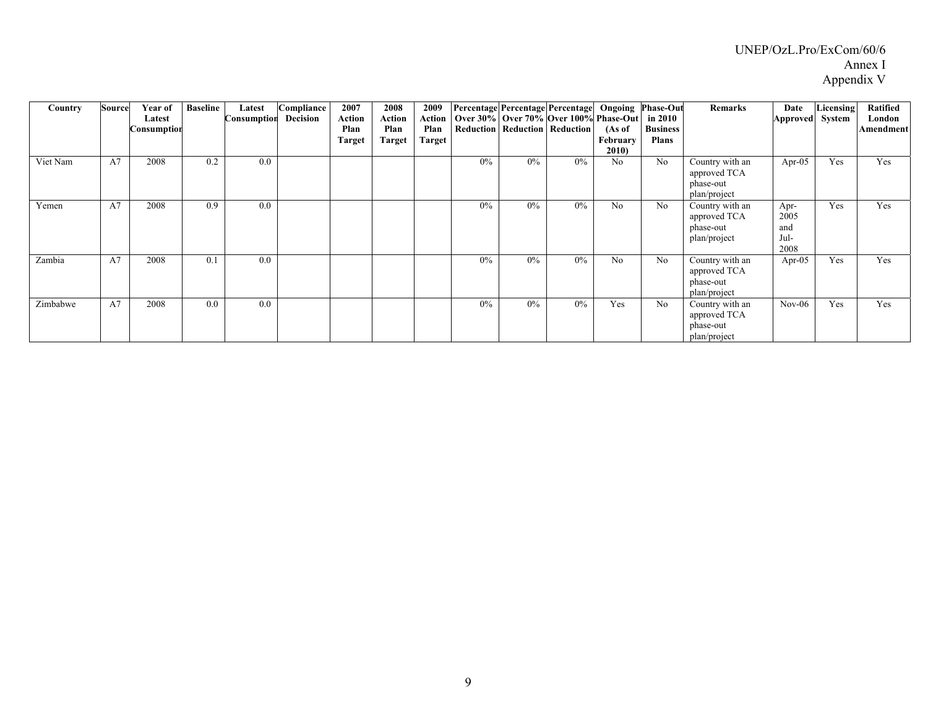| Country  | Source | Year of<br>Latest<br>Consumption | <b>Baseline</b> | Latest<br>Consumption | Compliance<br>Decision | 2007<br>Action<br>Plan<br><b>Target</b> | 2008<br>Action<br>Plan<br>Target | 2009<br>Action<br>Plan<br>Target | Percentage Percentage Percentage |       | Over 30% Over 70% Over 100% Phase-Out<br>Reduction Reduction Reduction | (As of<br>February<br>2010) | <b>Ongoing Phase-Out</b><br>in 2010<br><b>Business</b><br><b>Plans</b> | Remarks                                                      | Date<br>Approved System             | Licensing | <b>Ratified</b><br>London<br>Amendment |
|----------|--------|----------------------------------|-----------------|-----------------------|------------------------|-----------------------------------------|----------------------------------|----------------------------------|----------------------------------|-------|------------------------------------------------------------------------|-----------------------------|------------------------------------------------------------------------|--------------------------------------------------------------|-------------------------------------|-----------|----------------------------------------|
| Viet Nam | A7     | 2008                             | 0.2             | 0.0                   |                        |                                         |                                  |                                  | $0\%$                            | $0\%$ | $0\%$                                                                  | N <sub>o</sub>              | No                                                                     | Country with an<br>approved TCA<br>phase-out<br>plan/project | Apr- $05$                           | Yes       | Yes                                    |
| Yemen    | A7     | 2008                             | 0.9             | 0.0                   |                        |                                         |                                  |                                  | 0%                               | $0\%$ | $0\%$                                                                  | No                          | No                                                                     | Country with an<br>approved TCA<br>phase-out<br>plan/project | Apr-<br>2005<br>and<br>Jul-<br>2008 | Yes       | Yes                                    |
| Zambia   | A7     | 2008                             | 0.1             | 0.0                   |                        |                                         |                                  |                                  | 0%                               | $0\%$ | $0\%$                                                                  | No                          | No                                                                     | Country with an<br>approved TCA<br>phase-out<br>plan/project | Apr- $05$                           | Yes       | Yes                                    |
| Zimbabwe | A7     | 2008                             | 0.0             | 0.0                   |                        |                                         |                                  |                                  | 0%                               | $0\%$ | $0\%$                                                                  | Yes                         | No                                                                     | Country with an<br>approved TCA<br>phase-out<br>plan/project | $Nov-06$                            | Yes       | Yes                                    |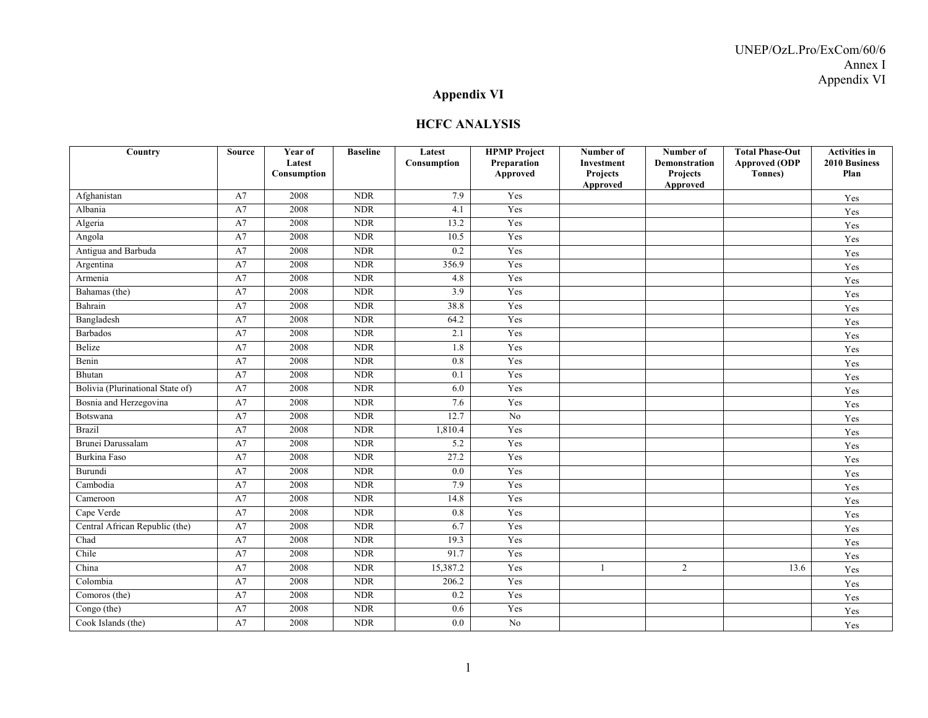### **Appendix VI**

#### **HCFC ANALYSIS**

| Country                          | Source   | Year of<br>Latest | <b>Baseline</b> | Latest<br>Consumption | <b>HPMP</b> Project<br>Preparation | Number of<br><b>Investment</b> | Number of<br><b>Demonstration</b> | <b>Total Phase-Out</b><br><b>Approved (ODP</b> | <b>Activities in</b><br>2010 Business<br>Plan |
|----------------------------------|----------|-------------------|-----------------|-----------------------|------------------------------------|--------------------------------|-----------------------------------|------------------------------------------------|-----------------------------------------------|
|                                  |          | Consumption       |                 |                       | Approved                           | Projects<br>Approved           | <b>Projects</b><br>Approved       | Tonnes)                                        |                                               |
| Afghanistan                      | A7       | 2008              | NDR             | 7.9                   | Yes                                |                                |                                   |                                                | Yes                                           |
| Albania                          | A7       | 2008              | <b>NDR</b>      | 4.1                   | Yes                                |                                |                                   |                                                | Yes                                           |
| Algeria                          | A7       | 2008              | <b>NDR</b>      | 13.2                  | Yes                                |                                |                                   |                                                | Yes                                           |
| Angola                           | A7       | 2008              | <b>NDR</b>      | 10.5                  | Yes                                |                                |                                   |                                                | Yes                                           |
| Antigua and Barbuda              | A7       | 2008              | <b>NDR</b>      | 0.2                   | Yes                                |                                |                                   |                                                | Yes                                           |
| Argentina                        | A7       | 2008              | <b>NDR</b>      | 356.9                 | Yes                                |                                |                                   |                                                | Yes                                           |
| Armenia                          | A7       | 2008              | <b>NDR</b>      | 4.8                   | Yes                                |                                |                                   |                                                | Yes                                           |
| Bahamas (the)                    | A7       | 2008              | NDR             | 3.9                   | Yes                                |                                |                                   |                                                | Yes                                           |
| Bahrain                          | $\rm A7$ | 2008              | <b>NDR</b>      | 38.8                  | Yes                                |                                |                                   |                                                | Yes                                           |
| Bangladesh                       | A7       | 2008              | <b>NDR</b>      | 64.2                  | Yes                                |                                |                                   |                                                | Yes                                           |
| <b>Barbados</b>                  | A7       | 2008              | <b>NDR</b>      | 2.1                   | Yes                                |                                |                                   |                                                | Yes                                           |
| <b>Belize</b>                    | A7       | 2008              | <b>NDR</b>      | 1.8                   | Yes                                |                                |                                   |                                                | Yes                                           |
| Benin                            | A7       | 2008              | <b>NDR</b>      | 0.8                   | Yes                                |                                |                                   |                                                | Yes                                           |
| Bhutan                           | A7       | 2008              | <b>NDR</b>      | 0.1                   | Yes                                |                                |                                   |                                                | Yes                                           |
| Bolivia (Plurinational State of) | A7       | 2008              | <b>NDR</b>      | 6.0                   | Yes                                |                                |                                   |                                                | Yes                                           |
| Bosnia and Herzegovina           | A7       | 2008              | <b>NDR</b>      | 7.6                   | Yes                                |                                |                                   |                                                | Yes                                           |
| Botswana                         | A7       | 2008              | <b>NDR</b>      | 12.7                  | N <sub>o</sub>                     |                                |                                   |                                                | Yes                                           |
| <b>Brazil</b>                    | A7       | 2008              | <b>NDR</b>      | 1,810.4               | Yes                                |                                |                                   |                                                | Yes                                           |
| Brunei Darussalam                | A7       | 2008              | <b>NDR</b>      | 5.2                   | Yes                                |                                |                                   |                                                | Yes                                           |
| Burkina Faso                     | A7       | 2008              | <b>NDR</b>      | 27.2                  | Yes                                |                                |                                   |                                                | Yes                                           |
| <b>Burundi</b>                   | A7       | 2008              | <b>NDR</b>      | 0.0                   | Yes                                |                                |                                   |                                                | Yes                                           |
| Cambodia                         | A7       | 2008              | <b>NDR</b>      | 7.9                   | Yes                                |                                |                                   |                                                | Yes                                           |
| Cameroon                         | A7       | 2008              | <b>NDR</b>      | 14.8                  | Yes                                |                                |                                   |                                                | Yes                                           |
| Cape Verde                       | A7       | 2008              | NDR             | 0.8                   | Yes                                |                                |                                   |                                                | Yes                                           |
| Central African Republic (the)   | A7       | 2008              | <b>NDR</b>      | 6.7                   | Yes                                |                                |                                   |                                                | Yes                                           |
| Chad                             | A7       | 2008              | <b>NDR</b>      | 19.3                  | Yes                                |                                |                                   |                                                | Yes                                           |
| Chile                            | A7       | 2008              | <b>NDR</b>      | 91.7                  | Yes                                |                                |                                   |                                                | Yes                                           |
| China                            | A7       | 2008              | <b>NDR</b>      | 15,387.2              | Yes                                | -1                             | 2                                 | 13.6                                           | Yes                                           |
| Colombia                         | A7       | 2008              | <b>NDR</b>      | 206.2                 | Yes                                |                                |                                   |                                                | Yes                                           |
| Comoros (the)                    | A7       | 2008              | <b>NDR</b>      | 0.2                   | Yes                                |                                |                                   |                                                | Yes                                           |
| Congo (the)                      | A7       | 2008              | <b>NDR</b>      | 0.6                   | Yes                                |                                |                                   |                                                | Yes                                           |
| Cook Islands (the)               | A7       | 2008              | <b>NDR</b>      | 0.0                   | N <sub>o</sub>                     |                                |                                   |                                                | Yes                                           |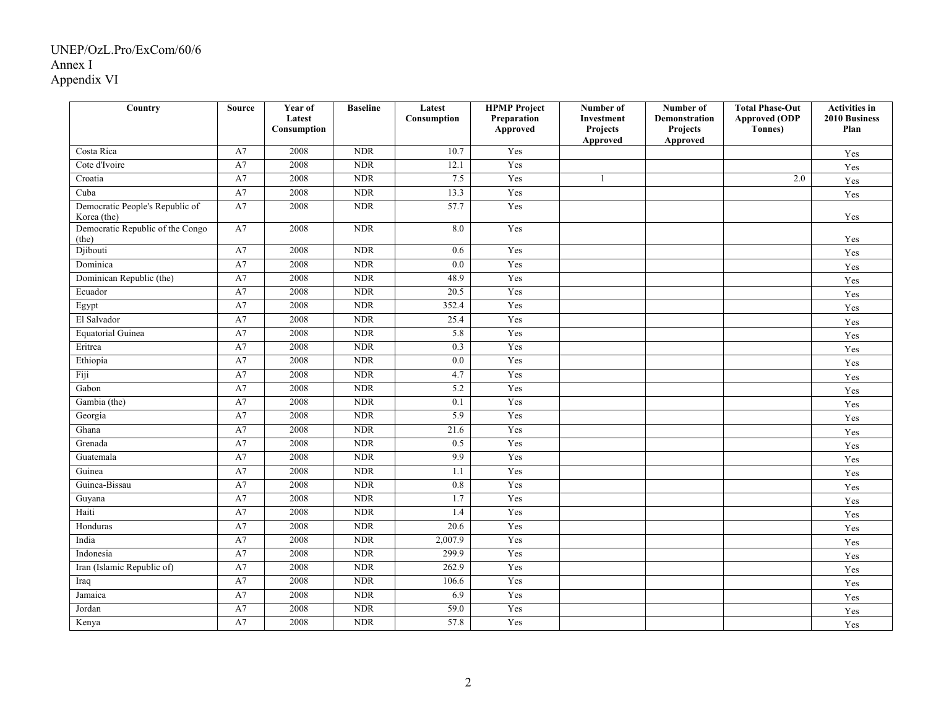| Country                                        | <b>Source</b> | Year of<br>Latest | <b>Baseline</b>             | Latest<br>Consumption | <b>HPMP</b> Project<br>Preparation | Number of<br>Investment | Number of<br>Demonstration | <b>Total Phase-Out</b><br><b>Approved (ODP</b> | <b>Activities in</b><br>2010 Business |
|------------------------------------------------|---------------|-------------------|-----------------------------|-----------------------|------------------------------------|-------------------------|----------------------------|------------------------------------------------|---------------------------------------|
|                                                |               | Consumption       |                             |                       | Approved                           | Projects<br>Approved    | Projects<br>Approved       | Tonnes)                                        | Plan                                  |
| Costa Rica                                     | A7            | 2008              | NDR                         | 10.7                  | Yes                                |                         |                            |                                                | Yes                                   |
| Cote d'Ivoire                                  | A7            | 2008              | <b>NDR</b>                  | 12.1                  | Yes                                |                         |                            |                                                | Yes                                   |
| Croatia                                        | A7            | 2008              | <b>NDR</b>                  | 7.5                   | Yes                                | 1                       |                            | 2.0                                            | Yes                                   |
| Cuba                                           | A7            | 2008              | <b>NDR</b>                  | 13.3                  | Yes                                |                         |                            |                                                | Yes                                   |
| Democratic People's Republic of<br>Korea (the) | A7            | 2008              | <b>NDR</b>                  | 57.7                  | Yes                                |                         |                            |                                                | Yes                                   |
| Democratic Republic of the Congo<br>(the)      | A7            | 2008              | NDR                         | 8.0                   | Yes                                |                         |                            |                                                | Yes                                   |
| Djibouti                                       | A7            | 2008              | <b>NDR</b>                  | 0.6                   | Yes                                |                         |                            |                                                | Yes                                   |
| Dominica                                       | A7            | 2008              | <b>NDR</b>                  | 0.0                   | Yes                                |                         |                            |                                                | Yes                                   |
| Dominican Republic (the)                       | A7            | 2008              | <b>NDR</b>                  | 48.9                  | Yes                                |                         |                            |                                                | Yes                                   |
| Ecuador                                        | A7            | 2008              | <b>NDR</b>                  | 20.5                  | Yes                                |                         |                            |                                                | Yes                                   |
| Egypt                                          | A7            | 2008              | <b>NDR</b>                  | 352.4                 | Yes                                |                         |                            |                                                | Yes                                   |
| El Salvador                                    | A7            | 2008              | <b>NDR</b>                  | 25.4                  | Yes                                |                         |                            |                                                | Yes                                   |
| Equatorial Guinea                              | A7            | 2008              | <b>NDR</b>                  | 5.8                   | Yes                                |                         |                            |                                                | Yes                                   |
| Eritrea                                        | A7            | 2008              | <b>NDR</b>                  | 0.3                   | Yes                                |                         |                            |                                                | Yes                                   |
| Ethiopia                                       | A7            | 2008              | <b>NDR</b>                  | 0.0                   | Yes                                |                         |                            |                                                | Yes                                   |
| Fiji                                           | A7            | 2008              | <b>NDR</b>                  | 4.7                   | Yes                                |                         |                            |                                                | Yes                                   |
| Gabon                                          | A7            | 2008              | <b>NDR</b>                  | 5.2                   | Yes                                |                         |                            |                                                | Yes                                   |
| Gambia (the)                                   | A7            | 2008              | <b>NDR</b>                  | 0.1                   | Yes                                |                         |                            |                                                | Yes                                   |
| Georgia                                        | A7            | 2008              | <b>NDR</b>                  | 5.9                   | Yes                                |                         |                            |                                                | Yes                                   |
| Ghana                                          | A7            | 2008              | <b>NDR</b>                  | 21.6                  | Yes                                |                         |                            |                                                | Yes                                   |
| Grenada                                        | A7            | 2008              | <b>NDR</b>                  | 0.5                   | Yes                                |                         |                            |                                                | Yes                                   |
| Guatemala                                      | A7            | 2008              | <b>NDR</b>                  | 9.9                   | Yes                                |                         |                            |                                                | Yes                                   |
| Guinea                                         | A7            | 2008              | <b>NDR</b>                  | 1.1                   | Yes                                |                         |                            |                                                | Yes                                   |
| Guinea-Bissau                                  | A7            | 2008              | <b>NDR</b>                  | 0.8                   | Yes                                |                         |                            |                                                | Yes                                   |
| Guyana                                         | A7            | 2008              | <b>NDR</b>                  | 1.7                   | Yes                                |                         |                            |                                                | Yes                                   |
| Haiti                                          | A7            | 2008              | <b>NDR</b>                  | 1.4                   | Yes                                |                         |                            |                                                | Yes                                   |
| Honduras                                       | A7            | 2008              | NDR                         | 20.6                  | Yes                                |                         |                            |                                                | Yes                                   |
| India                                          | A7            | 2008              | <b>NDR</b>                  | 2,007.9               | Yes                                |                         |                            |                                                | Yes                                   |
| Indonesia                                      | A7            | 2008              | $\ensuremath{\mathsf{NDR}}$ | 299.9                 | Yes                                |                         |                            |                                                | Yes                                   |
| Iran (Islamic Republic of)                     | A7            | 2008              | <b>NDR</b>                  | 262.9                 | Yes                                |                         |                            |                                                | Yes                                   |
| Iraq                                           | A7            | 2008              | <b>NDR</b>                  | 106.6                 | Yes                                |                         |                            |                                                | Yes                                   |
| Jamaica                                        | A7            | 2008              | <b>NDR</b>                  | 6.9                   | Yes                                |                         |                            |                                                | Yes                                   |
| Jordan                                         | A7            | 2008              | <b>NDR</b>                  | 59.0                  | Yes                                |                         |                            |                                                | Yes                                   |
| Kenya                                          | A7            | 2008              | <b>NDR</b>                  | 57.8                  | Yes                                |                         |                            |                                                | Yes                                   |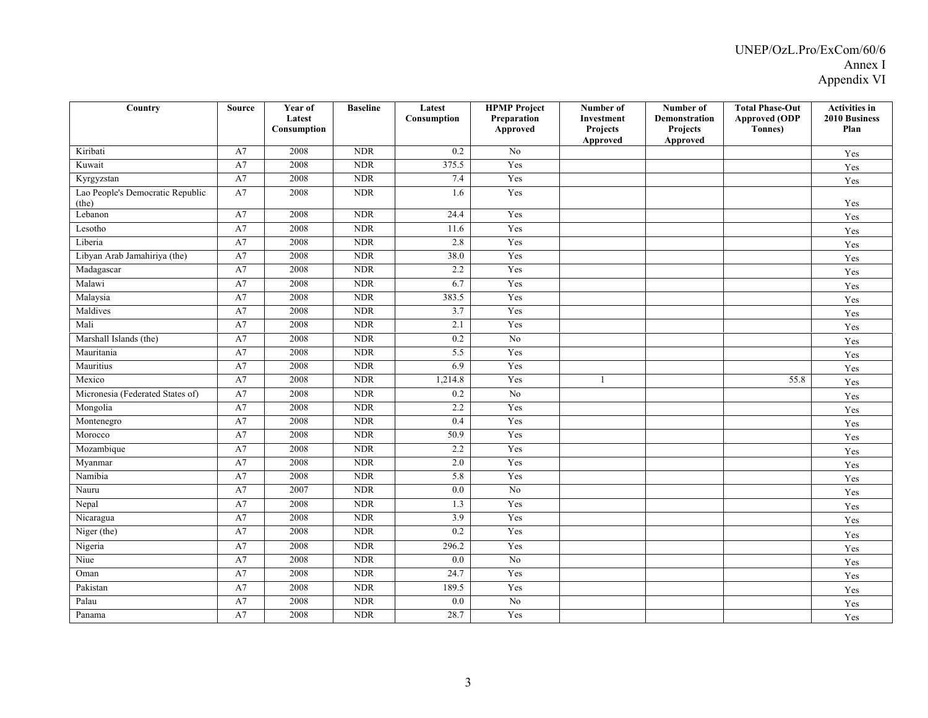| $\overline{\mathrm{Country}}$             | <b>Source</b> | Year of<br>Latest<br>Consumption | <b>Baseline</b> | Latest<br>Consumption | <b>HPMP</b> Project<br>Preparation<br>Approved | Number of<br>Investment<br>Projects<br>Approved | Number of<br><b>Demonstration</b><br>Projects<br>Approved | <b>Total Phase-Out</b><br><b>Approved (ODP</b><br>Tonnes) | <b>Activities in</b><br><b>2010 Business</b><br>Plan |
|-------------------------------------------|---------------|----------------------------------|-----------------|-----------------------|------------------------------------------------|-------------------------------------------------|-----------------------------------------------------------|-----------------------------------------------------------|------------------------------------------------------|
| Kiribati                                  | A7            | 2008                             | <b>NDR</b>      | 0.2                   | No                                             |                                                 |                                                           |                                                           | Yes                                                  |
| Kuwait                                    | A7            | 2008                             | <b>NDR</b>      | 375.5                 | Yes                                            |                                                 |                                                           |                                                           | Yes                                                  |
| Kyrgyzstan                                | A7            | 2008                             | $\rm NDR$       | 7.4                   | Yes                                            |                                                 |                                                           |                                                           | Yes                                                  |
| Lao People's Democratic Republic<br>(the) | A7            | 2008                             | <b>NDR</b>      | 1.6                   | Yes                                            |                                                 |                                                           |                                                           | Yes                                                  |
| Lebanon                                   | A7            | 2008                             | <b>NDR</b>      | 24.4                  | Yes                                            |                                                 |                                                           |                                                           | Yes                                                  |
| Lesotho                                   | A7            | 2008                             | <b>NDR</b>      | 11.6                  | Yes                                            |                                                 |                                                           |                                                           | Yes                                                  |
| Liberia                                   | A7            | 2008                             | <b>NDR</b>      | 2.8                   | Yes                                            |                                                 |                                                           |                                                           | Yes                                                  |
| Libyan Arab Jamahiriya (the)              | A7            | 2008                             | <b>NDR</b>      | 38.0                  | Yes                                            |                                                 |                                                           |                                                           | Yes                                                  |
| Madagascar                                | A7            | 2008                             | <b>NDR</b>      | 2.2                   | Yes                                            |                                                 |                                                           |                                                           | Yes                                                  |
| Malawi                                    | A7            | 2008                             | <b>NDR</b>      | 6.7                   | Yes                                            |                                                 |                                                           |                                                           | Yes                                                  |
| Malaysia                                  | A7            | 2008                             | <b>NDR</b>      | 383.5                 | Yes                                            |                                                 |                                                           |                                                           | Yes                                                  |
| Maldives                                  | A7            | 2008                             | <b>NDR</b>      | 3.7                   | Yes                                            |                                                 |                                                           |                                                           | Yes                                                  |
| Mali                                      | A7            | 2008                             | <b>NDR</b>      | 2.1                   | Yes                                            |                                                 |                                                           |                                                           | Yes                                                  |
| Marshall Islands (the)                    | A7            | 2008                             | <b>NDR</b>      | 0.2                   | N <sub>0</sub>                                 |                                                 |                                                           |                                                           | Yes                                                  |
| Mauritania                                | A7            | 2008                             | <b>NDR</b>      | 5.5                   | Yes                                            |                                                 |                                                           |                                                           | Yes                                                  |
| Mauritius                                 | A7            | 2008                             | <b>NDR</b>      | 6.9                   | Yes                                            |                                                 |                                                           |                                                           | Yes                                                  |
| Mexico                                    | $\rm A7$      | 2008                             | <b>NDR</b>      | 1,214.8               | Yes                                            | -1                                              |                                                           | 55.8                                                      | Yes                                                  |
| Micronesia (Federated States of)          | A7            | 2008                             | <b>NDR</b>      | 0.2                   | N <sub>o</sub>                                 |                                                 |                                                           |                                                           | Yes                                                  |
| Mongolia                                  | A7            | 2008                             | <b>NDR</b>      | 2.2                   | Yes                                            |                                                 |                                                           |                                                           | Yes                                                  |
| Montenegro                                | A7            | 2008                             | <b>NDR</b>      | 0.4                   | Yes                                            |                                                 |                                                           |                                                           | Yes                                                  |
| Morocco                                   | A7            | 2008                             | <b>NDR</b>      | 50.9                  | Yes                                            |                                                 |                                                           |                                                           | Yes                                                  |
| Mozambique                                | A7            | 2008                             | <b>NDR</b>      | 2.2                   | Yes                                            |                                                 |                                                           |                                                           | Yes                                                  |
| Myanmar                                   | $\rm A7$      | 2008                             | <b>NDR</b>      | 2.0                   | Yes                                            |                                                 |                                                           |                                                           | Yes                                                  |
| Namibia                                   | A7            | 2008                             | <b>NDR</b>      | 5.8                   | Yes                                            |                                                 |                                                           |                                                           | Yes                                                  |
| Nauru                                     | A7            | 2007                             | <b>NDR</b>      | 0.0                   | N <sub>0</sub>                                 |                                                 |                                                           |                                                           | Yes                                                  |
| Nepal                                     | A7            | 2008                             | <b>NDR</b>      | 1.3                   | Yes                                            |                                                 |                                                           |                                                           | Yes                                                  |
| Nicaragua                                 | A7            | 2008                             | <b>NDR</b>      | 3.9                   | Yes                                            |                                                 |                                                           |                                                           | Yes                                                  |
| Niger (the)                               | A7            | 2008                             | <b>NDR</b>      | 0.2                   | Yes                                            |                                                 |                                                           |                                                           | Yes                                                  |
| Nigeria                                   | A7            | 2008                             | <b>NDR</b>      | 296.2                 | Yes                                            |                                                 |                                                           |                                                           | Yes                                                  |
| Niue                                      | A7            | 2008                             | <b>NDR</b>      | 0.0                   | N <sub>0</sub>                                 |                                                 |                                                           |                                                           | Yes                                                  |
| Oman                                      | A7            | 2008                             | <b>NDR</b>      | 24.7                  | Yes                                            |                                                 |                                                           |                                                           | Yes                                                  |
| Pakistan                                  | A7            | 2008                             | <b>NDR</b>      | 189.5                 | Yes                                            |                                                 |                                                           |                                                           | Yes                                                  |
| Palau                                     | A7            | 2008                             | <b>NDR</b>      | 0.0                   | No                                             |                                                 |                                                           |                                                           | Yes                                                  |
| Panama                                    | A7            | 2008                             | <b>NDR</b>      | 28.7                  | Yes                                            |                                                 |                                                           |                                                           | Yes                                                  |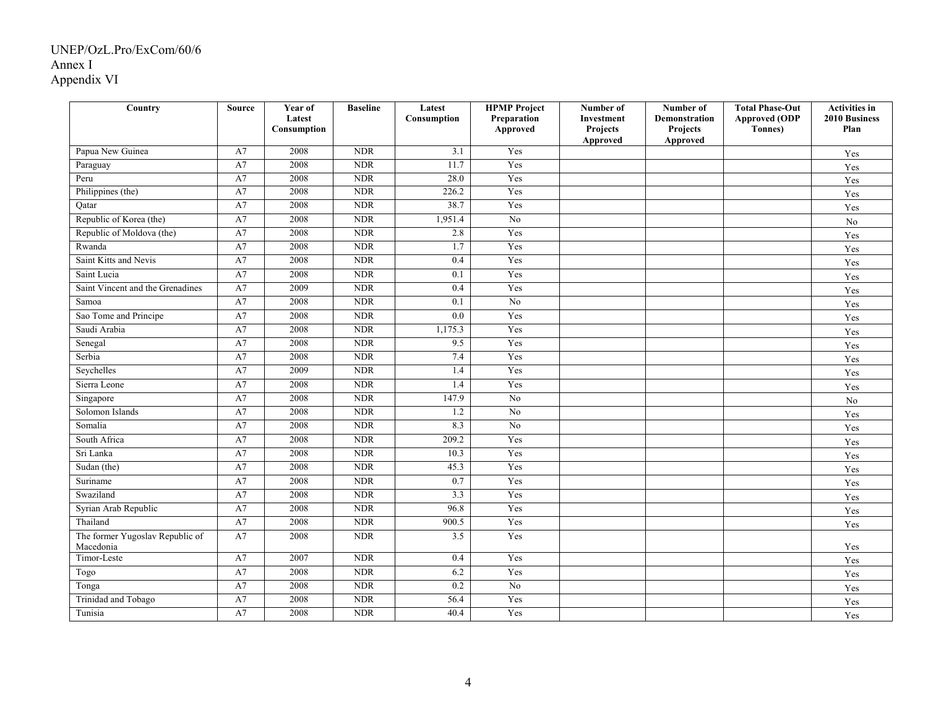| Country                          | <b>Source</b> | Year of<br>Latest<br>Consumption | <b>Baseline</b> | Latest<br>Consumption | <b>HPMP</b> Project<br>Preparation<br>Approved | Number of<br>Investment<br>Projects | Number of<br>Demonstration<br>Projects | <b>Total Phase-Out</b><br><b>Approved (ODP</b><br><b>Tonnes</b> ) | <b>Activities in</b><br><b>2010 Business</b><br>Plan |
|----------------------------------|---------------|----------------------------------|-----------------|-----------------------|------------------------------------------------|-------------------------------------|----------------------------------------|-------------------------------------------------------------------|------------------------------------------------------|
|                                  |               |                                  |                 |                       |                                                | Approved                            | Approved                               |                                                                   |                                                      |
| Papua New Guinea                 | A7            | 2008                             | NDR             | $\overline{3.1}$      | Yes                                            |                                     |                                        |                                                                   | Yes                                                  |
| Paraguay                         | A7            | 2008                             | <b>NDR</b>      | 11.7                  | Yes                                            |                                     |                                        |                                                                   | Yes                                                  |
| Peru                             | A7            | 2008                             | <b>NDR</b>      | 28.0                  | Yes                                            |                                     |                                        |                                                                   | Yes                                                  |
| Philippines (the)                | A7            | 2008                             | <b>NDR</b>      | 226.2                 | Yes                                            |                                     |                                        |                                                                   | Yes                                                  |
| Qatar                            | A7            | 2008                             | <b>NDR</b>      | 38.7                  | Yes                                            |                                     |                                        |                                                                   | Yes                                                  |
| Republic of Korea (the)          | A7            | 2008                             | <b>NDR</b>      | 1,951.4               | N <sub>0</sub>                                 |                                     |                                        |                                                                   | $\rm No$                                             |
| Republic of Moldova (the)        | A7            | 2008                             | <b>NDR</b>      | 2.8                   | Yes                                            |                                     |                                        |                                                                   | Yes                                                  |
| Rwanda                           | A7            | 2008                             | <b>NDR</b>      | 1.7                   | Yes                                            |                                     |                                        |                                                                   | Yes                                                  |
| Saint Kitts and Nevis            | A7            | 2008                             | <b>NDR</b>      | 0.4                   | Yes                                            |                                     |                                        |                                                                   | Yes                                                  |
| Saint Lucia                      | A7            | 2008                             | <b>NDR</b>      | 0.1                   | Yes                                            |                                     |                                        |                                                                   | Yes                                                  |
| Saint Vincent and the Grenadines | A7            | 2009                             | <b>NDR</b>      | 0.4                   | Yes                                            |                                     |                                        |                                                                   | Yes                                                  |
| Samoa                            | A7            | 2008                             | <b>NDR</b>      | 0.1                   | N <sub>o</sub>                                 |                                     |                                        |                                                                   | Yes                                                  |
| Sao Tome and Principe            | A7            | 2008                             | <b>NDR</b>      | 0.0                   | Yes                                            |                                     |                                        |                                                                   | Yes                                                  |
| Saudi Arabia                     | A7            | 2008                             | <b>NDR</b>      | 1,175.3               | Yes                                            |                                     |                                        |                                                                   | Yes                                                  |
| Senegal                          | A7            | 2008                             | <b>NDR</b>      | 9.5                   | Yes                                            |                                     |                                        |                                                                   | Yes                                                  |
| Serbia                           | A7            | 2008                             | <b>NDR</b>      | 7.4                   | Yes                                            |                                     |                                        |                                                                   | Yes                                                  |
| Seychelles                       | A7            | 2009                             | NDR             | 1.4                   | Yes                                            |                                     |                                        |                                                                   | Yes                                                  |
| Sierra Leone                     | A7            | 2008                             | <b>NDR</b>      | 1.4                   | Yes                                            |                                     |                                        |                                                                   | Yes                                                  |
| Singapore                        | A7            | 2008                             | <b>NDR</b>      | 147.9                 | No                                             |                                     |                                        |                                                                   | N <sub>o</sub>                                       |
| Solomon Islands                  | A7            | 2008                             | <b>NDR</b>      | 1.2                   | N <sub>o</sub>                                 |                                     |                                        |                                                                   | Yes                                                  |
| Somalia                          | A7            | 2008                             | <b>NDR</b>      | 8.3                   | N <sub>o</sub>                                 |                                     |                                        |                                                                   | $\operatorname{Yes}$                                 |
| South Africa                     | A7            | 2008                             | <b>NDR</b>      | 209.2                 | Yes                                            |                                     |                                        |                                                                   | Yes                                                  |
| Sri Lanka                        | A7            | 2008                             | <b>NDR</b>      | 10.3                  | Yes                                            |                                     |                                        |                                                                   | $\operatorname{Yes}$                                 |
| Sudan (the)                      | A7            | 2008                             | <b>NDR</b>      | 45.3                  | Yes                                            |                                     |                                        |                                                                   | Yes                                                  |
| Suriname                         | A7            | 2008                             | <b>NDR</b>      | 0.7                   | Yes                                            |                                     |                                        |                                                                   | Yes                                                  |
| Swaziland                        | A7            | 2008                             | <b>NDR</b>      | 3.3                   | Yes                                            |                                     |                                        |                                                                   | Yes                                                  |
| Syrian Arab Republic             | A7            | 2008                             | <b>NDR</b>      | 96.8                  | Yes                                            |                                     |                                        |                                                                   | Yes                                                  |
| Thailand                         | A7            | 2008                             | <b>NDR</b>      | 900.5                 | Yes                                            |                                     |                                        |                                                                   | Yes                                                  |
| The former Yugoslav Republic of  | A7            | 2008                             | <b>NDR</b>      | 3.5                   | Yes                                            |                                     |                                        |                                                                   |                                                      |
| Macedonia                        |               |                                  |                 |                       |                                                |                                     |                                        |                                                                   | Yes                                                  |
| Timor-Leste                      | A7            | 2007                             | <b>NDR</b>      | 0.4                   | Yes                                            |                                     |                                        |                                                                   | Yes                                                  |
| Togo                             | A7            | 2008                             | <b>NDR</b>      | 6.2                   | Yes                                            |                                     |                                        |                                                                   | Yes                                                  |
| Tonga                            | A7            | 2008                             | <b>NDR</b>      | 0.2                   | N <sub>0</sub>                                 |                                     |                                        |                                                                   | Yes                                                  |
| Trinidad and Tobago              | A7            | 2008                             | <b>NDR</b>      | 56.4                  | Yes                                            |                                     |                                        |                                                                   | Yes                                                  |
| Tunisia                          | A7            | 2008                             | <b>NDR</b>      | 40.4                  | Yes                                            |                                     |                                        |                                                                   | $\operatorname{Yes}$                                 |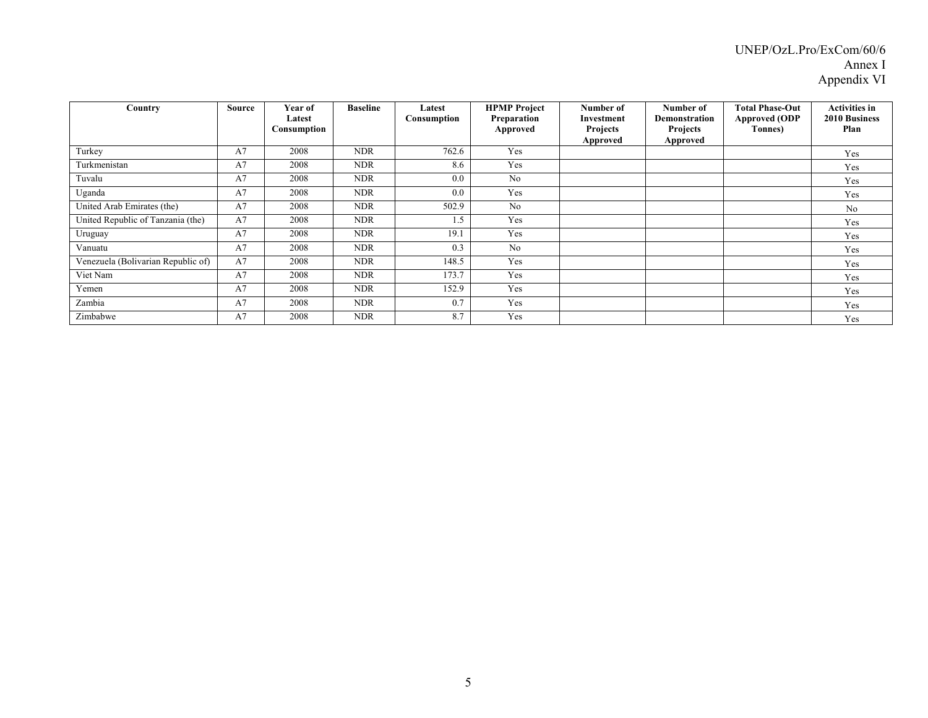# UNEP/OzL.Pro/ExCom/60/6 Annex I Appendix VI

| Country                            | Source | Year of<br>Latest<br>Consumption | <b>Baseline</b> | Latest<br>Consumption | <b>HPMP</b> Project<br>Preparation<br>Approved | Number of<br>Investment<br><b>Projects</b><br>Approved | Number of<br>Demonstration<br><b>Projects</b><br>Approved | <b>Total Phase-Out</b><br><b>Approved (ODP</b><br>Tonnes) | <b>Activities in</b><br><b>2010 Business</b><br>Plan |
|------------------------------------|--------|----------------------------------|-----------------|-----------------------|------------------------------------------------|--------------------------------------------------------|-----------------------------------------------------------|-----------------------------------------------------------|------------------------------------------------------|
| Turkey                             | A7     | 2008                             | <b>NDR</b>      | 762.6                 | Yes                                            |                                                        |                                                           |                                                           | Yes                                                  |
| Turkmenistan                       | A7     | 2008                             | <b>NDR</b>      | 8.6                   | Yes                                            |                                                        |                                                           |                                                           | Yes                                                  |
| Tuvalu                             | A7     | 2008                             | <b>NDR</b>      | 0.0                   | No                                             |                                                        |                                                           |                                                           | Yes                                                  |
| Uganda                             | A7     | 2008                             | <b>NDR</b>      | 0.0                   | Yes                                            |                                                        |                                                           |                                                           | Yes                                                  |
| United Arab Emirates (the)         | A7     | 2008                             | <b>NDR</b>      | 502.9                 | No                                             |                                                        |                                                           |                                                           | No                                                   |
| United Republic of Tanzania (the)  | A7     | 2008                             | <b>NDR</b>      | 1.5                   | Yes                                            |                                                        |                                                           |                                                           | Yes                                                  |
| Uruguay                            | A7     | 2008                             | <b>NDR</b>      | 19.1                  | Yes                                            |                                                        |                                                           |                                                           | Yes                                                  |
| Vanuatu                            | A7     | 2008                             | <b>NDR</b>      | 0.3                   | N <sub>0</sub>                                 |                                                        |                                                           |                                                           | Yes                                                  |
| Venezuela (Bolivarian Republic of) | A7     | 2008                             | <b>NDR</b>      | 148.5                 | Yes                                            |                                                        |                                                           |                                                           | Yes                                                  |
| Viet Nam                           | A7     | 2008                             | <b>NDR</b>      | 173.7                 | Yes                                            |                                                        |                                                           |                                                           | Yes                                                  |
| Yemen                              | A7     | 2008                             | <b>NDR</b>      | 152.9                 | Yes                                            |                                                        |                                                           |                                                           | Yes                                                  |
| Zambia                             | A7     | 2008                             | <b>NDR</b>      | 0.7                   | Yes                                            |                                                        |                                                           |                                                           | Yes                                                  |
| Zimbabwe                           | A7     | 2008                             | <b>NDR</b>      | 8.7                   | Yes                                            |                                                        |                                                           |                                                           | Yes                                                  |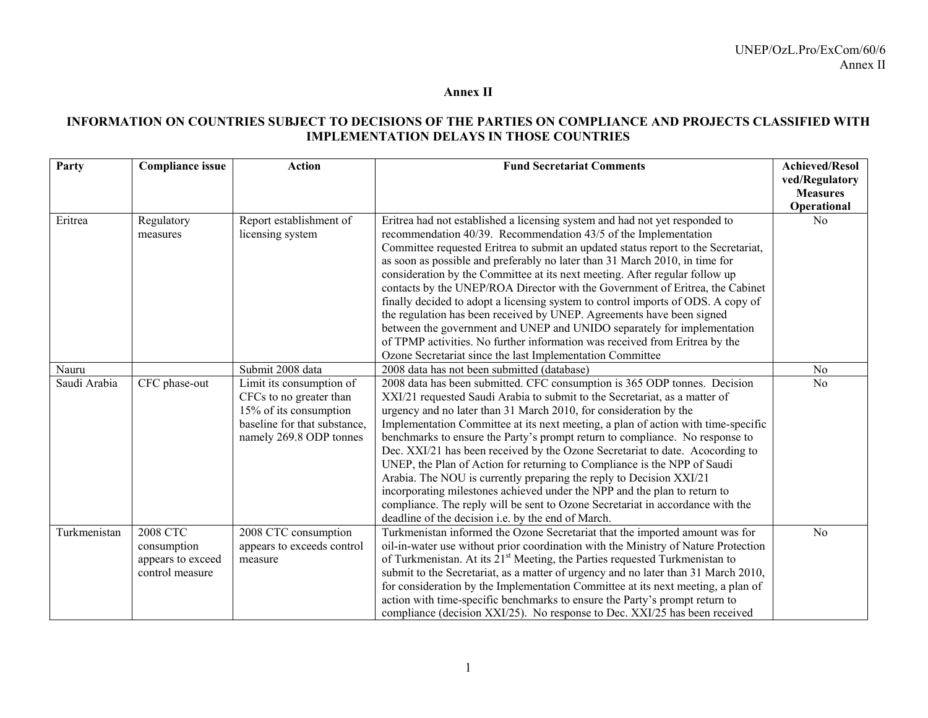#### **Annex II**

# **INFORMATION ON COUNTRIES SUBJECT TO DECISIONS OF THE PARTIES ON COMPLIANCE AND PROJECTS CLASSIFIED WITH IMPLEMENTATION DELAYS IN THOSE COUNTRIES**

| Party        | <b>Compliance issue</b> | <b>Action</b>                | <b>Fund Secretariat Comments</b>                                                   | <b>Achieved/Resol</b> |
|--------------|-------------------------|------------------------------|------------------------------------------------------------------------------------|-----------------------|
|              |                         |                              |                                                                                    | ved/Regulatory        |
|              |                         |                              |                                                                                    | <b>Measures</b>       |
|              |                         |                              |                                                                                    | Operational           |
| Eritrea      | Regulatory              | Report establishment of      | Eritrea had not established a licensing system and had not yet responded to        | N <sub>0</sub>        |
|              | measures                | licensing system             | recommendation 40/39. Recommendation 43/5 of the Implementation                    |                       |
|              |                         |                              | Committee requested Eritrea to submit an updated status report to the Secretariat, |                       |
|              |                         |                              | as soon as possible and preferably no later than 31 March 2010, in time for        |                       |
|              |                         |                              | consideration by the Committee at its next meeting. After regular follow up        |                       |
|              |                         |                              | contacts by the UNEP/ROA Director with the Government of Eritrea, the Cabinet      |                       |
|              |                         |                              | finally decided to adopt a licensing system to control imports of ODS. A copy of   |                       |
|              |                         |                              | the regulation has been received by UNEP. Agreements have been signed              |                       |
|              |                         |                              | between the government and UNEP and UNIDO separately for implementation            |                       |
|              |                         |                              | of TPMP activities. No further information was received from Eritrea by the        |                       |
|              |                         |                              | Ozone Secretariat since the last Implementation Committee                          |                       |
| Nauru        |                         | Submit 2008 data             | 2008 data has not been submitted (database)                                        | N <sub>o</sub>        |
| Saudi Arabia | CFC phase-out           | Limit its consumption of     | 2008 data has been submitted. CFC consumption is 365 ODP tonnes. Decision          | N <sub>0</sub>        |
|              |                         | CFCs to no greater than      | XXI/21 requested Saudi Arabia to submit to the Secretariat, as a matter of         |                       |
|              |                         | 15% of its consumption       | urgency and no later than 31 March 2010, for consideration by the                  |                       |
|              |                         | baseline for that substance. | Implementation Committee at its next meeting, a plan of action with time-specific  |                       |
|              |                         | namely 269.8 ODP tonnes      | benchmarks to ensure the Party's prompt return to compliance. No response to       |                       |
|              |                         |                              | Dec. XXI/21 has been received by the Ozone Secretariat to date. Acocording to      |                       |
|              |                         |                              | UNEP, the Plan of Action for returning to Compliance is the NPP of Saudi           |                       |
|              |                         |                              | Arabia. The NOU is currently preparing the reply to Decision XXI/21                |                       |
|              |                         |                              | incorporating milestones achieved under the NPP and the plan to return to          |                       |
|              |                         |                              | compliance. The reply will be sent to Ozone Secretariat in accordance with the     |                       |
|              |                         |                              | deadline of the decision i.e. by the end of March.                                 |                       |
| Turkmenistan | <b>2008 CTC</b>         | 2008 CTC consumption         | Turkmenistan informed the Ozone Secretariat that the imported amount was for       | N <sub>o</sub>        |
|              | consumption             | appears to exceeds control   | oil-in-water use without prior coordination with the Ministry of Nature Protection |                       |
|              | appears to exceed       | measure                      | of Turkmenistan. At its $21st$ Meeting, the Parties requested Turkmenistan to      |                       |
|              | control measure         |                              | submit to the Secretariat, as a matter of urgency and no later than 31 March 2010, |                       |
|              |                         |                              | for consideration by the Implementation Committee at its next meeting, a plan of   |                       |
|              |                         |                              | action with time-specific benchmarks to ensure the Party's prompt return to        |                       |
|              |                         |                              | compliance (decision XXI/25). No response to Dec. XXI/25 has been received         |                       |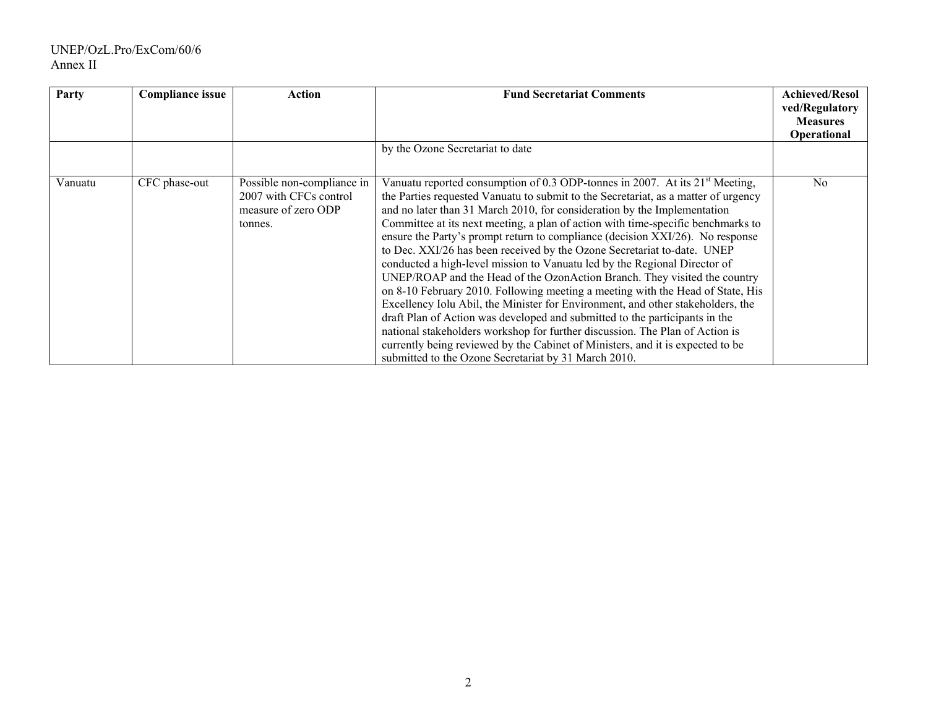# UNEP/OzL.Pro/ExCom/60/6 Annex II

| Party   | <b>Compliance issue</b> | Action                                                                                 | <b>Fund Secretariat Comments</b>                                                                                                                                                                                                                                                                                                                                                                                                                                                                                                                                                                                                                                                                                                                                                                                                                                                                                                                                                                                                                                                                                                         | <b>Achieved/Resol</b><br>ved/Regulatory<br><b>Measures</b><br>Operational |
|---------|-------------------------|----------------------------------------------------------------------------------------|------------------------------------------------------------------------------------------------------------------------------------------------------------------------------------------------------------------------------------------------------------------------------------------------------------------------------------------------------------------------------------------------------------------------------------------------------------------------------------------------------------------------------------------------------------------------------------------------------------------------------------------------------------------------------------------------------------------------------------------------------------------------------------------------------------------------------------------------------------------------------------------------------------------------------------------------------------------------------------------------------------------------------------------------------------------------------------------------------------------------------------------|---------------------------------------------------------------------------|
|         |                         |                                                                                        | by the Ozone Secretariat to date                                                                                                                                                                                                                                                                                                                                                                                                                                                                                                                                                                                                                                                                                                                                                                                                                                                                                                                                                                                                                                                                                                         |                                                                           |
| Vanuatu | CFC phase-out           | Possible non-compliance in<br>2007 with CFCs control<br>measure of zero ODP<br>tonnes. | Vanuatu reported consumption of 0.3 ODP-tonnes in 2007. At its $21st$ Meeting,<br>the Parties requested Vanuatu to submit to the Secretariat, as a matter of urgency<br>and no later than 31 March 2010, for consideration by the Implementation<br>Committee at its next meeting, a plan of action with time-specific benchmarks to<br>ensure the Party's prompt return to compliance (decision XXI/26). No response<br>to Dec. XXI/26 has been received by the Ozone Secretariat to-date. UNEP<br>conducted a high-level mission to Vanuatu led by the Regional Director of<br>UNEP/ROAP and the Head of the OzonAction Branch. They visited the country<br>on 8-10 February 2010. Following meeting a meeting with the Head of State, His<br>Excellency Iolu Abil, the Minister for Environment, and other stakeholders, the<br>draft Plan of Action was developed and submitted to the participants in the<br>national stakeholders workshop for further discussion. The Plan of Action is<br>currently being reviewed by the Cabinet of Ministers, and it is expected to be<br>submitted to the Ozone Secretariat by 31 March 2010. | N <sub>0</sub>                                                            |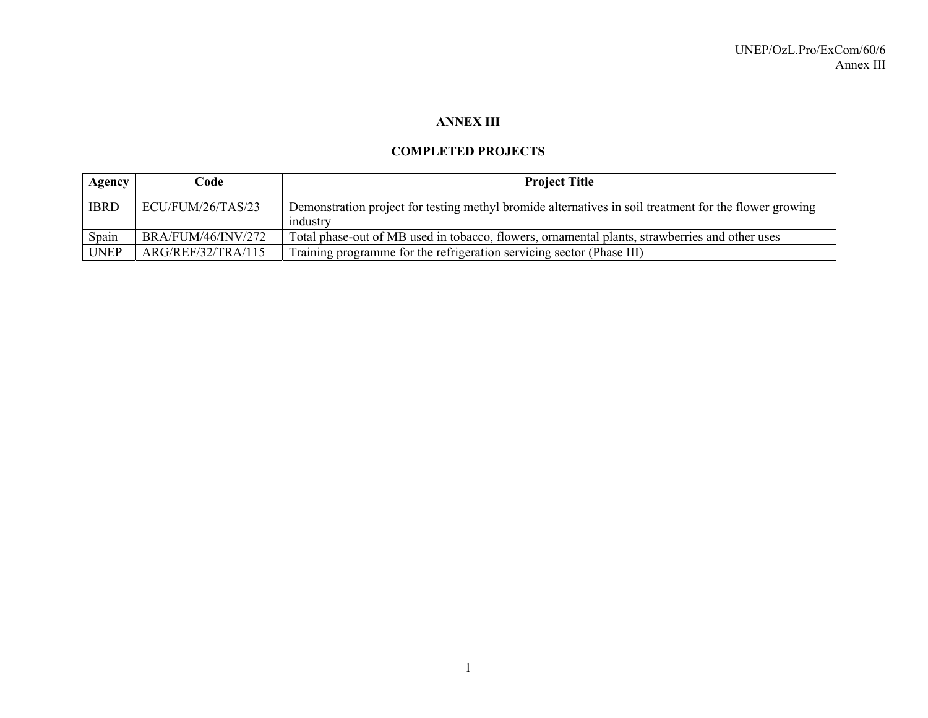# **ANNEX III**

### **COMPLETED PROJECTS**

| Agency      | Code                      | <b>Project Title</b>                                                                                               |
|-------------|---------------------------|--------------------------------------------------------------------------------------------------------------------|
| <b>IBRD</b> | ECU/FUM/26/TAS/23         | Demonstration project for testing methyl bromide alternatives in soil treatment for the flower growing<br>industry |
| Spain       | <b>BRA/FUM/46/INV/272</b> | Total phase-out of MB used in tobacco, flowers, ornamental plants, strawberries and other uses                     |
| <b>UNEP</b> | ARG/REF/32/TRA/115        | Training programme for the refrigeration servicing sector (Phase III)                                              |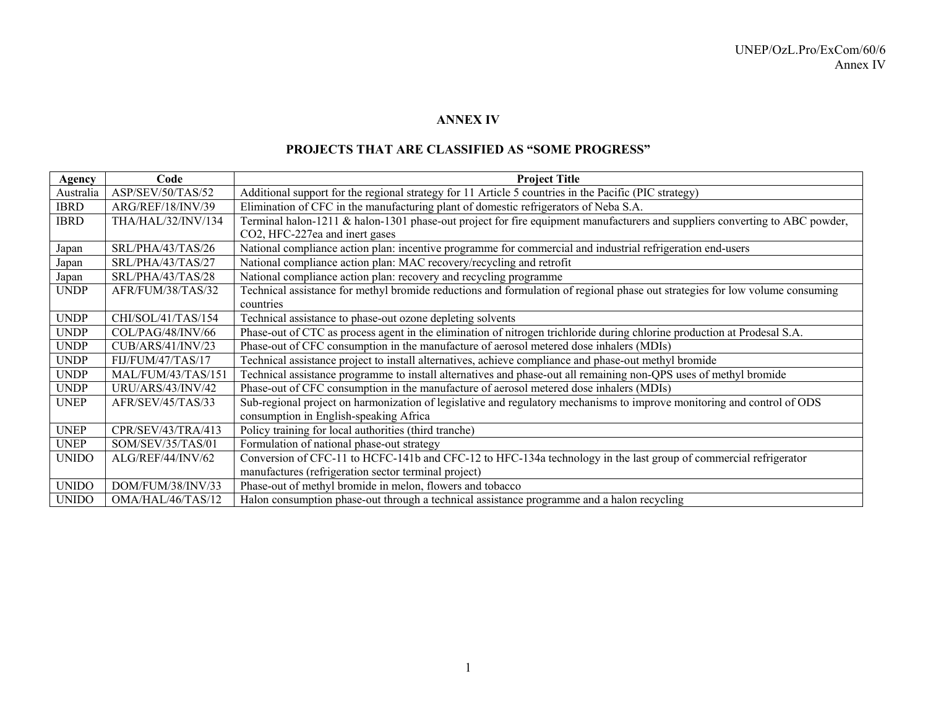#### **ANNEX IV**

#### **PROJECTS THAT ARE CLASSIFIED AS "SOME PROGRESS"**

| Agency       | Code               | <b>Project Title</b>                                                                                                         |
|--------------|--------------------|------------------------------------------------------------------------------------------------------------------------------|
| Australia    | ASP/SEV/50/TAS/52  | Additional support for the regional strategy for 11 Article 5 countries in the Pacific (PIC strategy)                        |
| <b>IBRD</b>  | ARG/REF/18/INV/39  | Elimination of CFC in the manufacturing plant of domestic refrigerators of Neba S.A.                                         |
| <b>IBRD</b>  | THA/HAL/32/INV/134 | Terminal halon-1211 & halon-1301 phase-out project for fire equipment manufacturers and suppliers converting to ABC powder,  |
|              |                    | CO2, HFC-227ea and inert gases                                                                                               |
| Japan        | SRL/PHA/43/TAS/26  | National compliance action plan: incentive programme for commercial and industrial refrigeration end-users                   |
| Japan        | SRL/PHA/43/TAS/27  | National compliance action plan: MAC recovery/recycling and retrofit                                                         |
| Japan        | SRL/PHA/43/TAS/28  | National compliance action plan: recovery and recycling programme                                                            |
| <b>UNDP</b>  | AFR/FUM/38/TAS/32  | Technical assistance for methyl bromide reductions and formulation of regional phase out strategies for low volume consuming |
|              |                    | countries                                                                                                                    |
| <b>UNDP</b>  | CHI/SOL/41/TAS/154 | Technical assistance to phase-out ozone depleting solvents                                                                   |
| <b>UNDP</b>  | COL/PAG/48/INV/66  | Phase-out of CTC as process agent in the elimination of nitrogen trichloride during chlorine production at Prodesal S.A.     |
| <b>UNDP</b>  | CUB/ARS/41/INV/23  | Phase-out of CFC consumption in the manufacture of aerosol metered dose inhalers (MDIs)                                      |
| <b>UNDP</b>  | FIJ/FUM/47/TAS/17  | Technical assistance project to install alternatives, achieve compliance and phase-out methyl bromide                        |
| <b>UNDP</b>  | MAL/FUM/43/TAS/151 | Technical assistance programme to install alternatives and phase-out all remaining non-QPS uses of methyl bromide            |
| <b>UNDP</b>  | URU/ARS/43/INV/42  | Phase-out of CFC consumption in the manufacture of aerosol metered dose inhalers (MDIs)                                      |
| <b>UNEP</b>  | AFR/SEV/45/TAS/33  | Sub-regional project on harmonization of legislative and regulatory mechanisms to improve monitoring and control of ODS      |
|              |                    | consumption in English-speaking Africa                                                                                       |
| <b>UNEP</b>  | CPR/SEV/43/TRA/413 | Policy training for local authorities (third tranche)                                                                        |
| <b>UNEP</b>  | SOM/SEV/35/TAS/01  | Formulation of national phase-out strategy                                                                                   |
| <b>UNIDO</b> | ALG/REF/44/INV/62  | Conversion of CFC-11 to HCFC-141b and CFC-12 to HFC-134a technology in the last group of commercial refrigerator             |
|              |                    | manufactures (refrigeration sector terminal project)                                                                         |
| <b>UNIDO</b> | DOM/FUM/38/INV/33  | Phase-out of methyl bromide in melon, flowers and tobacco                                                                    |
| <b>UNIDO</b> | OMA/HAL/46/TAS/12  | Halon consumption phase-out through a technical assistance programme and a halon recycling                                   |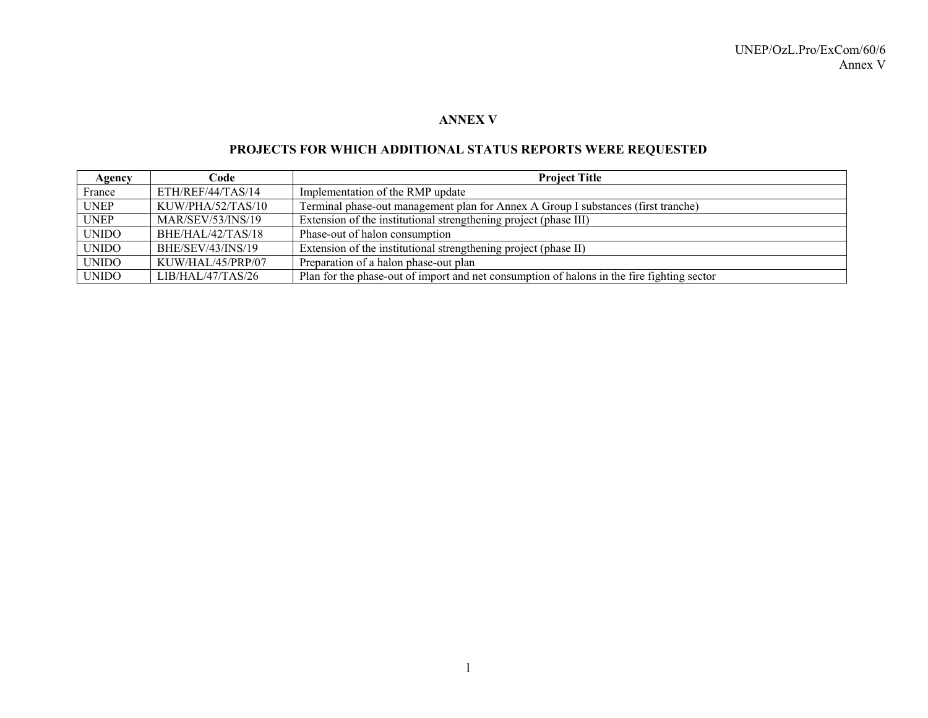#### **ANNEX V**

# **PROJECTS FOR WHICH ADDITIONAL STATUS REPORTS WERE REQUESTED**

| Agency       | Code                     | <b>Project Title</b>                                                                       |
|--------------|--------------------------|--------------------------------------------------------------------------------------------|
| France       | ETH/REF/44/TAS/14        | Implementation of the RMP update                                                           |
| <b>UNEP</b>  | KUW/PHA/52/TAS/10        | Terminal phase-out management plan for Annex A Group I substances (first tranche)          |
| <b>UNEP</b>  | <b>MAR/SEV/53/INS/19</b> | Extension of the institutional strengthening project (phase III)                           |
| <b>UNIDO</b> | BHE/HAL/42/TAS/18        | Phase-out of halon consumption                                                             |
| <b>UNIDO</b> | BHE/SEV/43/INS/19        | Extension of the institutional strengthening project (phase II)                            |
| <b>UNIDO</b> | KUW/HAL/45/PRP/07        | Preparation of a halon phase-out plan                                                      |
| <b>UNIDO</b> | LIB/HAL/47/TAS/26        | Plan for the phase-out of import and net consumption of halons in the fire fighting sector |